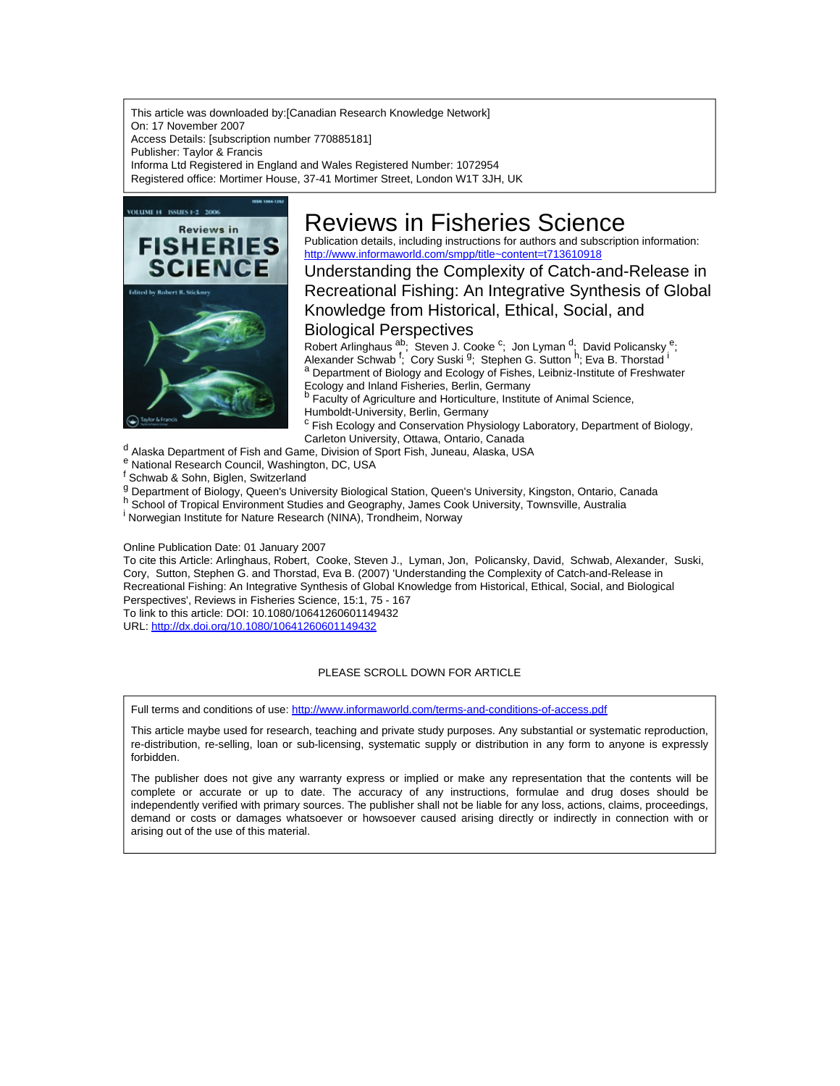This article was downloaded by:[Canadian Research Knowledge Network] On: 17 November 2007 Access Details: [subscription number 770885181] Publisher: Taylor & Francis Informa Ltd Registered in England and Wales Registered Number: 1072954 Registered office: Mortimer House, 37-41 Mortimer Street, London W1T 3JH, UK



# Reviews in Fisheries Science

Publication details, including instructions for authors and subscription information: <http://www.informaworld.com/smpp/title~content=t713610918>

Understanding the Complexity of Catch-and-Release in Recreational Fishing: An Integrative Synthesis of Global Knowledge from Historical, Ethical, Social, and

# Biological Perspectives

Robert Arlinghaus <sup>ab</sup>; Steven J. Cooke <sup>c</sup>; Jon Lyman <sup>d</sup>; David Policansky <sup>e</sup>;<br>Alexander Schwab <sup>f</sup>; Cory Suski <sup>g</sup>; Stephen G. Sutton <sup>h</sup>; Eva B. Thorstad <sup>i</sup> a Department of Biology and Ecology of Fishes, Leibniz-Institute of Freshwater Ecology and Inland Fisheries, Berlin, Germany<br><sup>b</sup> Faculty of Agriculture and Horticulture, Institute of Animal Science,

Humboldt-University, Berlin, Germany

 $c$  Fish Ecology and Conservation Physiology Laboratory, Department of Biology, Carleton University, Ottawa, Ontario, Canada

<sup>d</sup> Alaska Department of Fish and Game, Division of Sport Fish, Juneau, Alaska, USA

e National Research Council, Washington, DC, USA

<sup>f</sup> Schwab & Sohn, Biglen, Switzerland

<sup>g</sup> Department of Biology, Queen's University Biological Station, Queen's University, Kingston, Ontario, Canada

h School of Tropical Environment Studies and Geography, James Cook University, Townsville, Australia

<sup>i</sup> Norwegian Institute for Nature Research (NINA), Trondheim, Norway

Online Publication Date: 01 January 2007

To cite this Article: Arlinghaus, Robert, Cooke, Steven J., Lyman, Jon, Policansky, David, Schwab, Alexander, Suski, Cory, Sutton, Stephen G. and Thorstad, Eva B. (2007) 'Understanding the Complexity of Catch-and-Release in Recreational Fishing: An Integrative Synthesis of Global Knowledge from Historical, Ethical, Social, and Biological Perspectives', Reviews in Fisheries Science, 15:1, 75 - 167 To link to this article: DOI: 10.1080/10641260601149432

URL: <http://dx.doi.org/10.1080/10641260601149432>

# PLEASE SCROLL DOWN FOR ARTICLE

Full terms and conditions of use: <http://www.informaworld.com/terms-and-conditions-of-access.pdf>

This article maybe used for research, teaching and private study purposes. Any substantial or systematic reproduction, re-distribution, re-selling, loan or sub-licensing, systematic supply or distribution in any form to anyone is expressly forbidden.

The publisher does not give any warranty express or implied or make any representation that the contents will be complete or accurate or up to date. The accuracy of any instructions, formulae and drug doses should be independently verified with primary sources. The publisher shall not be liable for any loss, actions, claims, proceedings, demand or costs or damages whatsoever or howsoever caused arising directly or indirectly in connection with or arising out of the use of this material.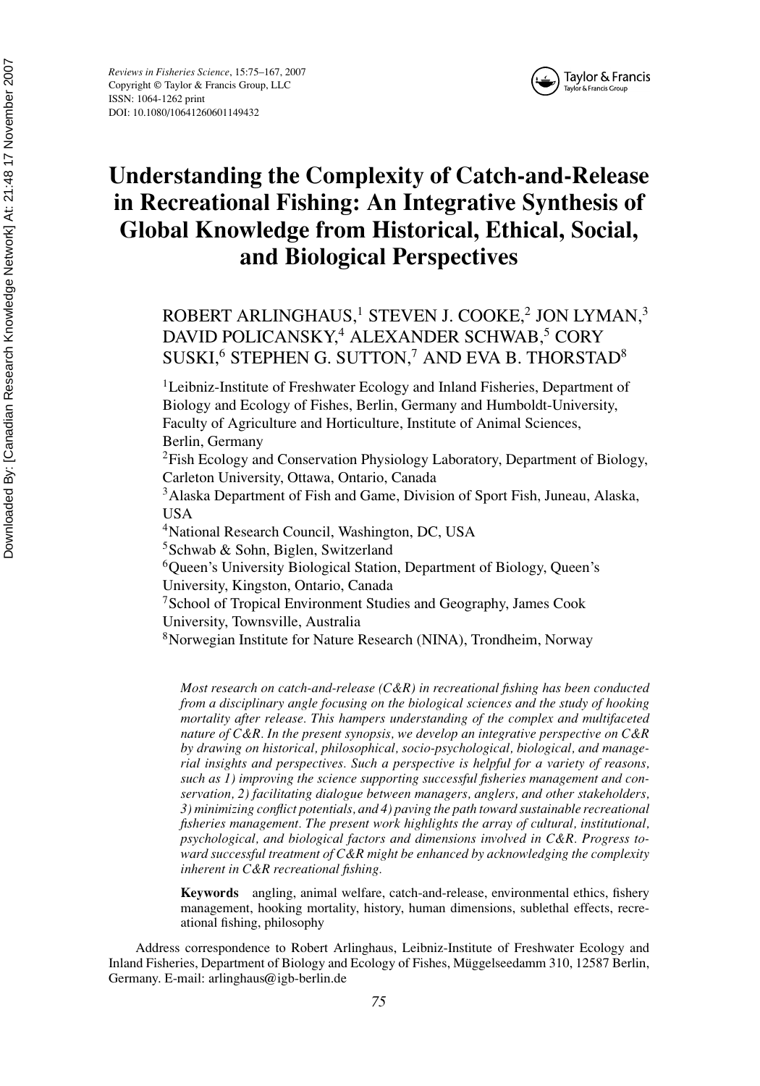

# **Understanding the Complexity of Catch-and-Release in Recreational Fishing: An Integrative Synthesis of Global Knowledge from Historical, Ethical, Social, and Biological Perspectives**

# ROBERT ARLINGHAUS,<sup>1</sup> STEVEN J. COOKE,<sup>2</sup> JON LYMAN,<sup>3</sup> DAVID POLICANSKY,<sup>4</sup> ALEXANDER SCHWAB,<sup>5</sup> CORY SUSKI,<sup>6</sup> STEPHEN G. SUTTON,<sup>7</sup> AND EVA B. THORSTAD<sup>8</sup>

<sup>1</sup>Leibniz-Institute of Freshwater Ecology and Inland Fisheries, Department of Biology and Ecology of Fishes, Berlin, Germany and Humboldt-University, Faculty of Agriculture and Horticulture, Institute of Animal Sciences, Berlin, Germany

<sup>2</sup>Fish Ecology and Conservation Physiology Laboratory, Department of Biology, Carleton University, Ottawa, Ontario, Canada

<sup>3</sup>Alaska Department of Fish and Game, Division of Sport Fish, Juneau, Alaska, USA

4National Research Council, Washington, DC, USA

5Schwab & Sohn, Biglen, Switzerland

<sup>6</sup>Queen's University Biological Station, Department of Biology, Queen's

University, Kingston, Ontario, Canada

7School of Tropical Environment Studies and Geography, James Cook University, Townsville, Australia

8Norwegian Institute for Nature Research (NINA), Trondheim, Norway

*Most research on catch-and-release (C&R) in recreational fishing has been conducted from a disciplinary angle focusing on the biological sciences and the study of hooking mortality after release. This hampers understanding of the complex and multifaceted nature of C&R. In the present synopsis, we develop an integrative perspective on C&R by drawing on historical, philosophical, socio-psychological, biological, and managerial insights and perspectives. Such a perspective is helpful for a variety of reasons, such as 1) improving the science supporting successful fisheries management and conservation, 2) facilitating dialogue between managers, anglers, and other stakeholders, 3) minimizing conflict potentials, and 4) paving the path toward sustainable recreational fisheries management. The present work highlights the array of cultural, institutional, psychological, and biological factors and dimensions involved in C&R. Progress toward successful treatment of C&R might be enhanced by acknowledging the complexity inherent in C&R recreational fishing.*

**Keywords** angling, animal welfare, catch-and-release, environmental ethics, fishery management, hooking mortality, history, human dimensions, sublethal effects, recreational fishing, philosophy

Address correspondence to Robert Arlinghaus, Leibniz-Institute of Freshwater Ecology and Inland Fisheries, Department of Biology and Ecology of Fishes, Müggelseedamm 310, 12587 Berlin, Germany. E-mail: arlinghaus@igb-berlin.de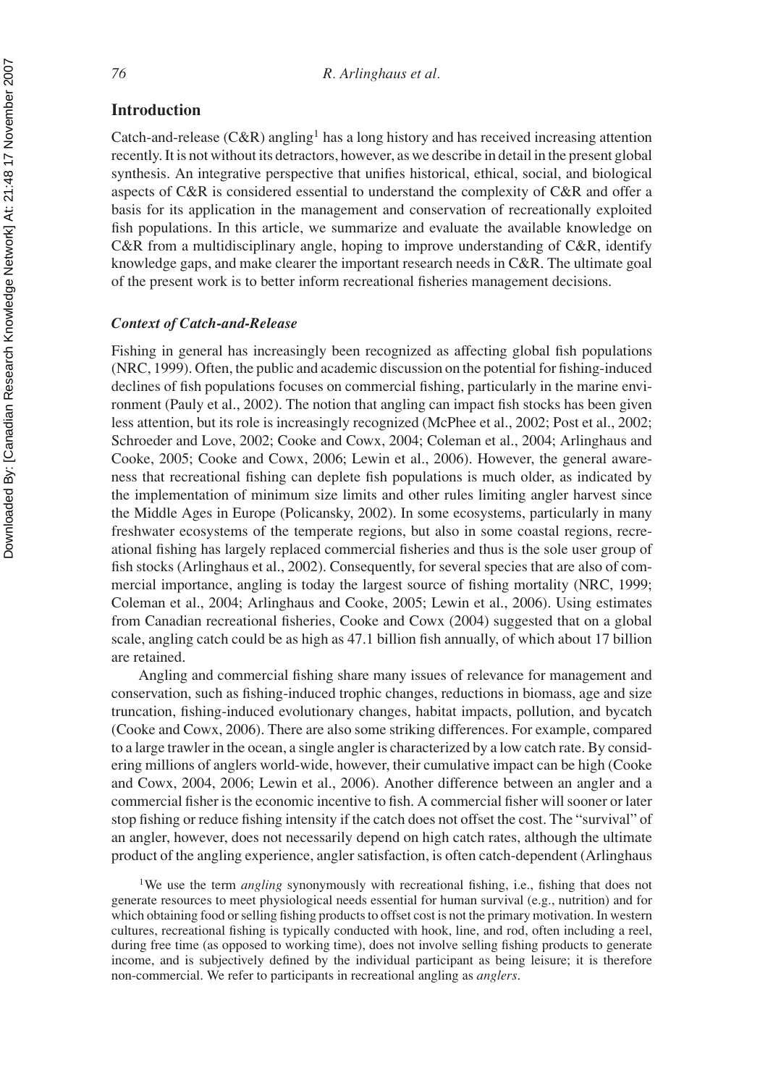# **Introduction**

Catch-and-release (C&R) angling<sup>1</sup> has a long history and has received increasing attention recently. It is not without its detractors, however, as we describe in detail in the present global synthesis. An integrative perspective that unifies historical, ethical, social, and biological aspects of  $C&R$  is considered essential to understand the complexity of  $C&R$  and offer a basis for its application in the management and conservation of recreationally exploited fish populations. In this article, we summarize and evaluate the available knowledge on C&R from a multidisciplinary angle, hoping to improve understanding of C&R, identify knowledge gaps, and make clearer the important research needs in C&R. The ultimate goal of the present work is to better inform recreational fisheries management decisions.

# *Context of Catch-and-Release*

Fishing in general has increasingly been recognized as affecting global fish populations (NRC, 1999). Often, the public and academic discussion on the potential for fishing-induced declines of fish populations focuses on commercial fishing, particularly in the marine environment (Pauly et al., 2002). The notion that angling can impact fish stocks has been given less attention, but its role is increasingly recognized (McPhee et al., 2002; Post et al., 2002; Schroeder and Love, 2002; Cooke and Cowx, 2004; Coleman et al., 2004; Arlinghaus and Cooke, 2005; Cooke and Cowx, 2006; Lewin et al., 2006). However, the general awareness that recreational fishing can deplete fish populations is much older, as indicated by the implementation of minimum size limits and other rules limiting angler harvest since the Middle Ages in Europe (Policansky, 2002). In some ecosystems, particularly in many freshwater ecosystems of the temperate regions, but also in some coastal regions, recreational fishing has largely replaced commercial fisheries and thus is the sole user group of fish stocks (Arlinghaus et al., 2002). Consequently, for several species that are also of commercial importance, angling is today the largest source of fishing mortality (NRC, 1999; Coleman et al., 2004; Arlinghaus and Cooke, 2005; Lewin et al., 2006). Using estimates from Canadian recreational fisheries, Cooke and Cowx (2004) suggested that on a global scale, angling catch could be as high as 47.1 billion fish annually, of which about 17 billion are retained.

Angling and commercial fishing share many issues of relevance for management and conservation, such as fishing-induced trophic changes, reductions in biomass, age and size truncation, fishing-induced evolutionary changes, habitat impacts, pollution, and bycatch (Cooke and Cowx, 2006). There are also some striking differences. For example, compared to a large trawler in the ocean, a single angler is characterized by a low catch rate. By considering millions of anglers world-wide, however, their cumulative impact can be high (Cooke and Cowx, 2004, 2006; Lewin et al., 2006). Another difference between an angler and a commercial fisher is the economic incentive to fish. A commercial fisher will sooner or later stop fishing or reduce fishing intensity if the catch does not offset the cost. The "survival" of an angler, however, does not necessarily depend on high catch rates, although the ultimate product of the angling experience, angler satisfaction, is often catch-dependent (Arlinghaus

<sup>1</sup>We use the term *angling* synonymously with recreational fishing, i.e., fishing that does not generate resources to meet physiological needs essential for human survival (e.g., nutrition) and for which obtaining food or selling fishing products to offset cost is not the primary motivation. In western cultures, recreational fishing is typically conducted with hook, line, and rod, often including a reel, during free time (as opposed to working time), does not involve selling fishing products to generate income, and is subjectively defined by the individual participant as being leisure; it is therefore non-commercial. We refer to participants in recreational angling as *anglers*.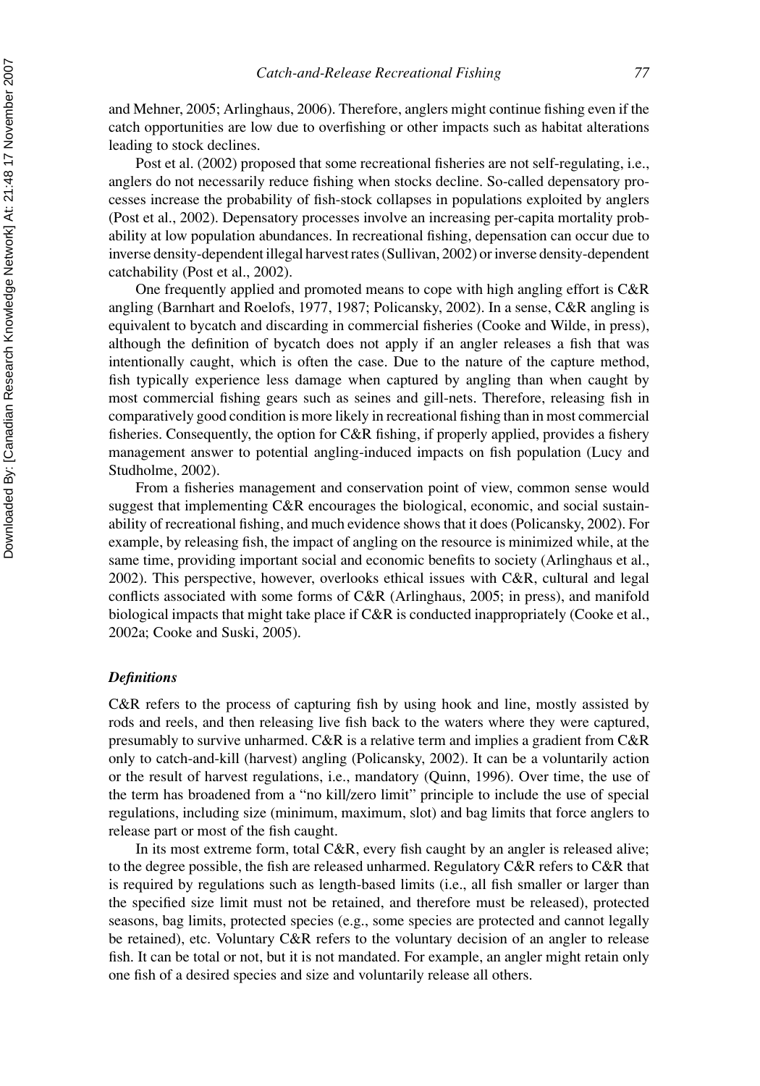and Mehner, 2005; Arlinghaus, 2006). Therefore, anglers might continue fishing even if the catch opportunities are low due to overfishing or other impacts such as habitat alterations leading to stock declines.

Post et al. (2002) proposed that some recreational fisheries are not self-regulating, i.e., anglers do not necessarily reduce fishing when stocks decline. So-called depensatory processes increase the probability of fish-stock collapses in populations exploited by anglers (Post et al., 2002). Depensatory processes involve an increasing per-capita mortality probability at low population abundances. In recreational fishing, depensation can occur due to inverse density-dependent illegal harvest rates (Sullivan, 2002) or inverse density-dependent catchability (Post et al., 2002).

One frequently applied and promoted means to cope with high angling effort is C&R angling (Barnhart and Roelofs, 1977, 1987; Policansky, 2002). In a sense, C&R angling is equivalent to bycatch and discarding in commercial fisheries (Cooke and Wilde, in press), although the definition of bycatch does not apply if an angler releases a fish that was intentionally caught, which is often the case. Due to the nature of the capture method, fish typically experience less damage when captured by angling than when caught by most commercial fishing gears such as seines and gill-nets. Therefore, releasing fish in comparatively good condition is more likely in recreational fishing than in most commercial fisheries. Consequently, the option for C&R fishing, if properly applied, provides a fishery management answer to potential angling-induced impacts on fish population (Lucy and Studholme, 2002).

From a fisheries management and conservation point of view, common sense would suggest that implementing C&R encourages the biological, economic, and social sustainability of recreational fishing, and much evidence shows that it does (Policansky, 2002). For example, by releasing fish, the impact of angling on the resource is minimized while, at the same time, providing important social and economic benefits to society (Arlinghaus et al., 2002). This perspective, however, overlooks ethical issues with C&R, cultural and legal conflicts associated with some forms of C&R (Arlinghaus, 2005; in press), and manifold biological impacts that might take place if C&R is conducted inappropriately (Cooke et al., 2002a; Cooke and Suski, 2005).

#### *Definitions*

C&R refers to the process of capturing fish by using hook and line, mostly assisted by rods and reels, and then releasing live fish back to the waters where they were captured, presumably to survive unharmed. C&R is a relative term and implies a gradient from C&R only to catch-and-kill (harvest) angling (Policansky, 2002). It can be a voluntarily action or the result of harvest regulations, i.e., mandatory (Quinn, 1996). Over time, the use of the term has broadened from a "no kill/zero limit" principle to include the use of special regulations, including size (minimum, maximum, slot) and bag limits that force anglers to release part or most of the fish caught.

In its most extreme form, total C&R, every fish caught by an angler is released alive; to the degree possible, the fish are released unharmed. Regulatory  $C\&R$  refers to  $C\&R$  that is required by regulations such as length-based limits (i.e., all fish smaller or larger than the specified size limit must not be retained, and therefore must be released), protected seasons, bag limits, protected species (e.g., some species are protected and cannot legally be retained), etc. Voluntary C&R refers to the voluntary decision of an angler to release fish. It can be total or not, but it is not mandated. For example, an angler might retain only one fish of a desired species and size and voluntarily release all others.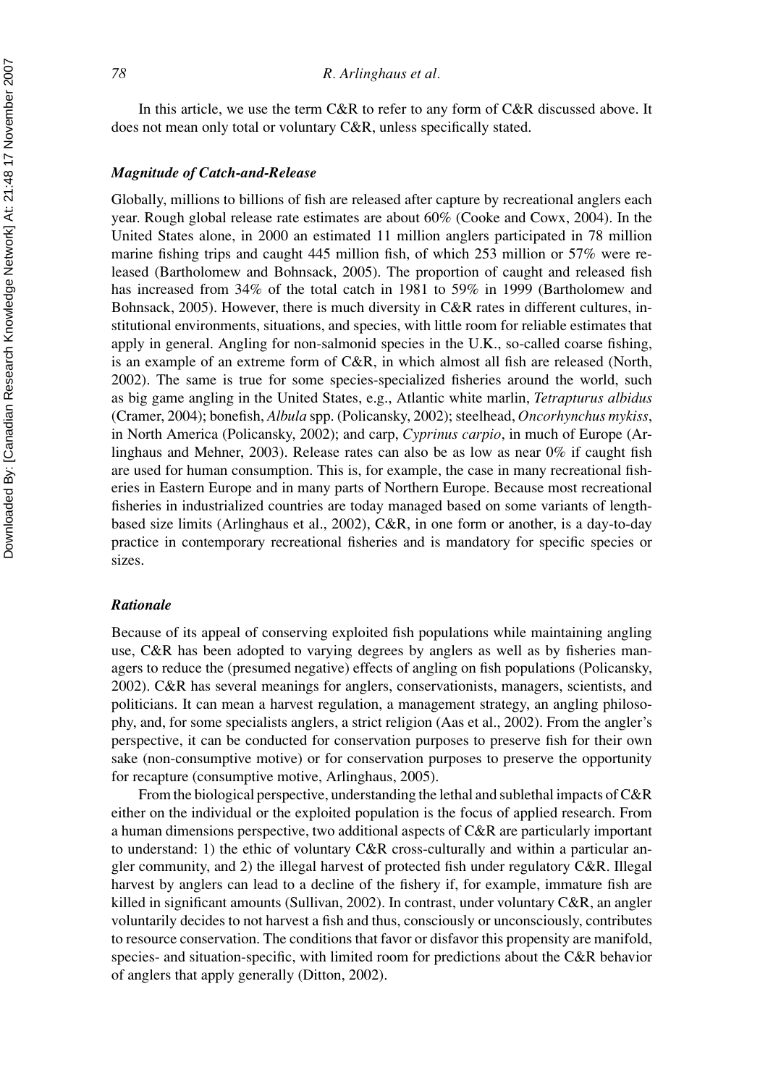In this article, we use the term C&R to refer to any form of C&R discussed above. It does not mean only total or voluntary C&R, unless specifically stated.

#### *Magnitude of Catch-and-Release*

Globally, millions to billions of fish are released after capture by recreational anglers each year. Rough global release rate estimates are about 60% (Cooke and Cowx, 2004). In the United States alone, in 2000 an estimated 11 million anglers participated in 78 million marine fishing trips and caught 445 million fish, of which 253 million or 57% were released (Bartholomew and Bohnsack, 2005). The proportion of caught and released fish has increased from 34% of the total catch in 1981 to 59% in 1999 (Bartholomew and Bohnsack, 2005). However, there is much diversity in C&R rates in different cultures, institutional environments, situations, and species, with little room for reliable estimates that apply in general. Angling for non-salmonid species in the U.K., so-called coarse fishing, is an example of an extreme form of C&R, in which almost all fish are released (North, 2002). The same is true for some species-specialized fisheries around the world, such as big game angling in the United States, e.g., Atlantic white marlin, *Tetrapturus albidus* (Cramer, 2004); bonefish, *Albula* spp. (Policansky, 2002); steelhead, *Oncorhynchus mykiss*, in North America (Policansky, 2002); and carp, *Cyprinus carpio*, in much of Europe (Arlinghaus and Mehner, 2003). Release rates can also be as low as near  $0\%$  if caught fish are used for human consumption. This is, for example, the case in many recreational fisheries in Eastern Europe and in many parts of Northern Europe. Because most recreational fisheries in industrialized countries are today managed based on some variants of lengthbased size limits (Arlinghaus et al., 2002), C&R, in one form or another, is a day-to-day practice in contemporary recreational fisheries and is mandatory for specific species or sizes.

#### *Rationale*

Because of its appeal of conserving exploited fish populations while maintaining angling use, C&R has been adopted to varying degrees by anglers as well as by fisheries managers to reduce the (presumed negative) effects of angling on fish populations (Policansky, 2002). C&R has several meanings for anglers, conservationists, managers, scientists, and politicians. It can mean a harvest regulation, a management strategy, an angling philosophy, and, for some specialists anglers, a strict religion (Aas et al., 2002). From the angler's perspective, it can be conducted for conservation purposes to preserve fish for their own sake (non-consumptive motive) or for conservation purposes to preserve the opportunity for recapture (consumptive motive, Arlinghaus, 2005).

From the biological perspective, understanding the lethal and sublethal impacts of C&R either on the individual or the exploited population is the focus of applied research. From a human dimensions perspective, two additional aspects of C&R are particularly important to understand: 1) the ethic of voluntary C&R cross-culturally and within a particular angler community, and 2) the illegal harvest of protected fish under regulatory C&R. Illegal harvest by anglers can lead to a decline of the fishery if, for example, immature fish are killed in significant amounts (Sullivan, 2002). In contrast, under voluntary C&R, an angler voluntarily decides to not harvest a fish and thus, consciously or unconsciously, contributes to resource conservation. The conditions that favor or disfavor this propensity are manifold, species- and situation-specific, with limited room for predictions about the C&R behavior of anglers that apply generally (Ditton, 2002).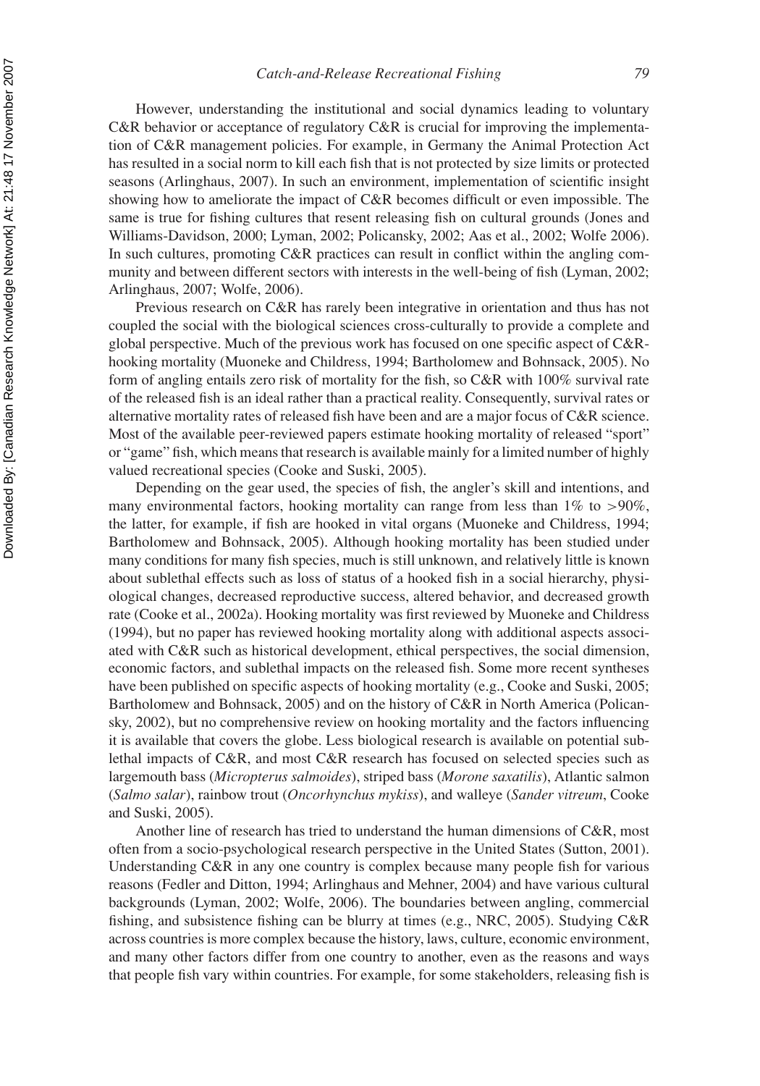However, understanding the institutional and social dynamics leading to voluntary C&R behavior or acceptance of regulatory C&R is crucial for improving the implementation of C&R management policies. For example, in Germany the Animal Protection Act has resulted in a social norm to kill each fish that is not protected by size limits or protected seasons (Arlinghaus, 2007). In such an environment, implementation of scientific insight showing how to ameliorate the impact of C&R becomes difficult or even impossible. The same is true for fishing cultures that resent releasing fish on cultural grounds (Jones and Williams-Davidson, 2000; Lyman, 2002; Policansky, 2002; Aas et al., 2002; Wolfe 2006). In such cultures, promoting C&R practices can result in conflict within the angling community and between different sectors with interests in the well-being of fish (Lyman, 2002; Arlinghaus, 2007; Wolfe, 2006).

Previous research on C&R has rarely been integrative in orientation and thus has not coupled the social with the biological sciences cross-culturally to provide a complete and global perspective. Much of the previous work has focused on one specific aspect of C&Rhooking mortality (Muoneke and Childress, 1994; Bartholomew and Bohnsack, 2005). No form of angling entails zero risk of mortality for the fish, so  $C\&R$  with 100% survival rate of the released fish is an ideal rather than a practical reality. Consequently, survival rates or alternative mortality rates of released fish have been and are a major focus of C&R science. Most of the available peer-reviewed papers estimate hooking mortality of released "sport" or "game" fish, which means that research is available mainly for a limited number of highly valued recreational species (Cooke and Suski, 2005).

Depending on the gear used, the species of fish, the angler's skill and intentions, and many environmental factors, hooking mortality can range from less than  $1\%$  to >90%, the latter, for example, if fish are hooked in vital organs (Muoneke and Childress, 1994; Bartholomew and Bohnsack, 2005). Although hooking mortality has been studied under many conditions for many fish species, much is still unknown, and relatively little is known about sublethal effects such as loss of status of a hooked fish in a social hierarchy, physiological changes, decreased reproductive success, altered behavior, and decreased growth rate (Cooke et al., 2002a). Hooking mortality was first reviewed by Muoneke and Childress (1994), but no paper has reviewed hooking mortality along with additional aspects associated with C&R such as historical development, ethical perspectives, the social dimension, economic factors, and sublethal impacts on the released fish. Some more recent syntheses have been published on specific aspects of hooking mortality (e.g., Cooke and Suski, 2005; Bartholomew and Bohnsack, 2005) and on the history of C&R in North America (Policansky, 2002), but no comprehensive review on hooking mortality and the factors influencing it is available that covers the globe. Less biological research is available on potential sublethal impacts of C&R, and most C&R research has focused on selected species such as largemouth bass (*Micropterus salmoides*), striped bass (*Morone saxatilis*), Atlantic salmon (*Salmo salar*), rainbow trout (*Oncorhynchus mykiss*), and walleye (*Sander vitreum*, Cooke and Suski, 2005).

Another line of research has tried to understand the human dimensions of C&R, most often from a socio-psychological research perspective in the United States (Sutton, 2001). Understanding C&R in any one country is complex because many people fish for various reasons (Fedler and Ditton, 1994; Arlinghaus and Mehner, 2004) and have various cultural backgrounds (Lyman, 2002; Wolfe, 2006). The boundaries between angling, commercial fishing, and subsistence fishing can be blurry at times (e.g., NRC, 2005). Studying C&R across countries is more complex because the history, laws, culture, economic environment, and many other factors differ from one country to another, even as the reasons and ways that people fish vary within countries. For example, for some stakeholders, releasing fish is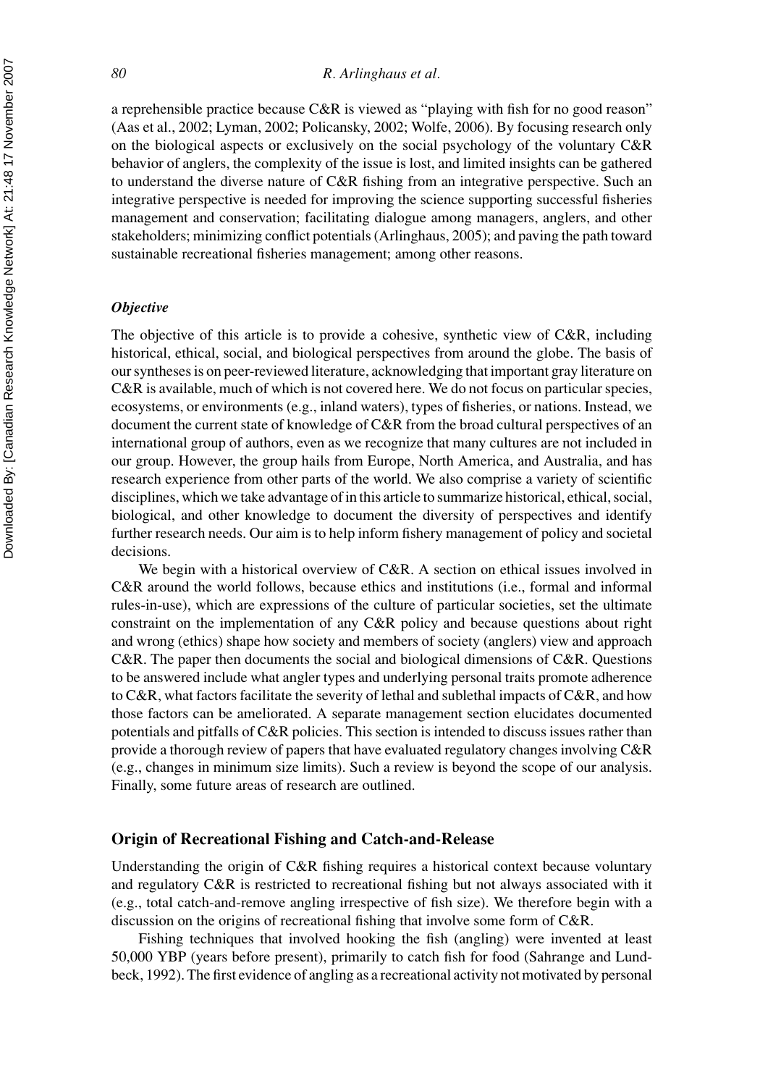a reprehensible practice because C&R is viewed as "playing with fish for no good reason" (Aas et al., 2002; Lyman, 2002; Policansky, 2002; Wolfe, 2006). By focusing research only on the biological aspects or exclusively on the social psychology of the voluntary  $C\&R$ behavior of anglers, the complexity of the issue is lost, and limited insights can be gathered to understand the diverse nature of C&R fishing from an integrative perspective. Such an integrative perspective is needed for improving the science supporting successful fisheries management and conservation; facilitating dialogue among managers, anglers, and other stakeholders; minimizing conflict potentials (Arlinghaus, 2005); and paving the path toward sustainable recreational fisheries management; among other reasons.

#### *Objective*

The objective of this article is to provide a cohesive, synthetic view of C&R, including historical, ethical, social, and biological perspectives from around the globe. The basis of our syntheses is on peer-reviewed literature, acknowledging that important gray literature on C&R is available, much of which is not covered here. We do not focus on particular species, ecosystems, or environments (e.g., inland waters), types of fisheries, or nations. Instead, we document the current state of knowledge of C&R from the broad cultural perspectives of an international group of authors, even as we recognize that many cultures are not included in our group. However, the group hails from Europe, North America, and Australia, and has research experience from other parts of the world. We also comprise a variety of scientific disciplines, which we take advantage of in this article to summarize historical, ethical, social, biological, and other knowledge to document the diversity of perspectives and identify further research needs. Our aim is to help inform fishery management of policy and societal decisions.

We begin with a historical overview of C&R. A section on ethical issues involved in C&R around the world follows, because ethics and institutions (i.e., formal and informal rules-in-use), which are expressions of the culture of particular societies, set the ultimate constraint on the implementation of any C&R policy and because questions about right and wrong (ethics) shape how society and members of society (anglers) view and approach C&R. The paper then documents the social and biological dimensions of C&R. Questions to be answered include what angler types and underlying personal traits promote adherence to C&R, what factors facilitate the severity of lethal and sublethal impacts of C&R, and how those factors can be ameliorated. A separate management section elucidates documented potentials and pitfalls of C&R policies. This section is intended to discuss issues rather than provide a thorough review of papers that have evaluated regulatory changes involving C&R (e.g., changes in minimum size limits). Such a review is beyond the scope of our analysis. Finally, some future areas of research are outlined.

# **Origin of Recreational Fishing and Catch-and-Release**

Understanding the origin of C&R fishing requires a historical context because voluntary and regulatory C&R is restricted to recreational fishing but not always associated with it (e.g., total catch-and-remove angling irrespective of fish size). We therefore begin with a discussion on the origins of recreational fishing that involve some form of C&R.

Fishing techniques that involved hooking the fish (angling) were invented at least 50,000 YBP (years before present), primarily to catch fish for food (Sahrange and Lundbeck, 1992). The first evidence of angling as a recreational activity not motivated by personal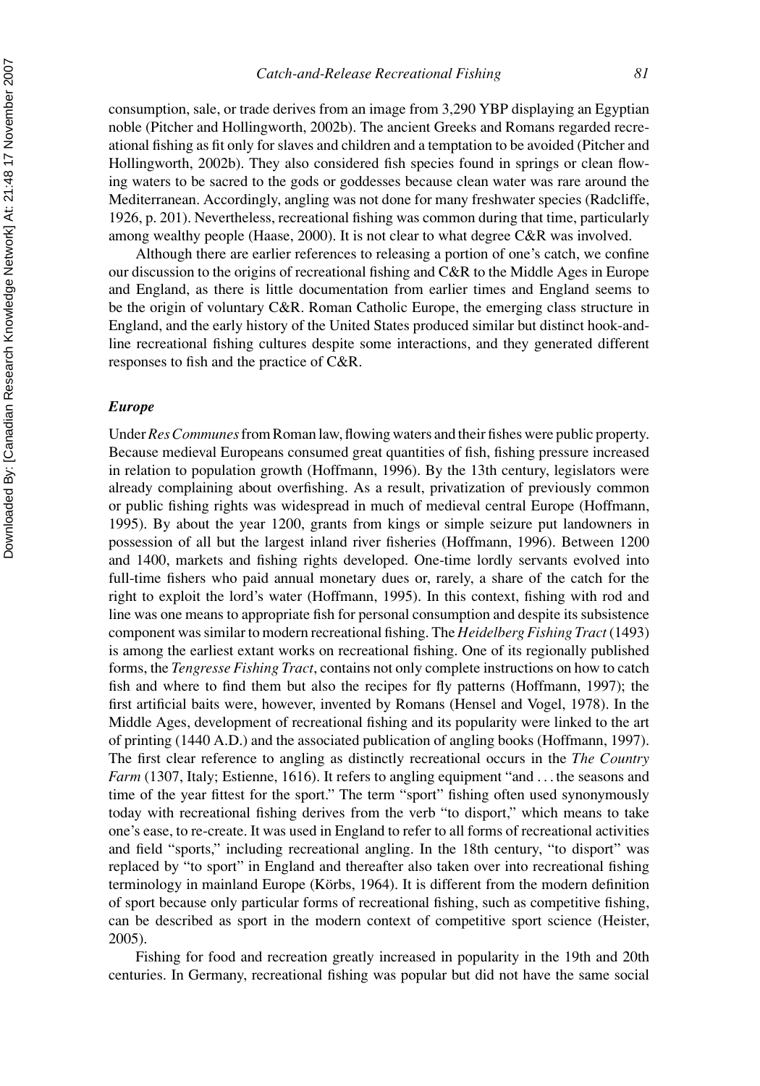consumption, sale, or trade derives from an image from 3,290 YBP displaying an Egyptian noble (Pitcher and Hollingworth, 2002b). The ancient Greeks and Romans regarded recreational fishing as fit only for slaves and children and a temptation to be avoided (Pitcher and Hollingworth, 2002b). They also considered fish species found in springs or clean flowing waters to be sacred to the gods or goddesses because clean water was rare around the Mediterranean. Accordingly, angling was not done for many freshwater species (Radcliffe, 1926, p. 201). Nevertheless, recreational fishing was common during that time, particularly among wealthy people (Haase, 2000). It is not clear to what degree C&R was involved.

Although there are earlier references to releasing a portion of one's catch, we confine our discussion to the origins of recreational fishing and C&R to the Middle Ages in Europe and England, as there is little documentation from earlier times and England seems to be the origin of voluntary C&R. Roman Catholic Europe, the emerging class structure in England, and the early history of the United States produced similar but distinct hook-andline recreational fishing cultures despite some interactions, and they generated different responses to fish and the practice of C&R.

#### *Europe*

Under*Res Communes*from Roman law, flowing waters and their fishes were public property. Because medieval Europeans consumed great quantities of fish, fishing pressure increased in relation to population growth (Hoffmann, 1996). By the 13th century, legislators were already complaining about overfishing. As a result, privatization of previously common or public fishing rights was widespread in much of medieval central Europe (Hoffmann, 1995). By about the year 1200, grants from kings or simple seizure put landowners in possession of all but the largest inland river fisheries (Hoffmann, 1996). Between 1200 and 1400, markets and fishing rights developed. One-time lordly servants evolved into full-time fishers who paid annual monetary dues or, rarely, a share of the catch for the right to exploit the lord's water (Hoffmann, 1995). In this context, fishing with rod and line was one means to appropriate fish for personal consumption and despite its subsistence component was similar to modern recreational fishing. The *Heidelberg Fishing Tract* (1493) is among the earliest extant works on recreational fishing. One of its regionally published forms, the *Tengresse Fishing Tract*, contains not only complete instructions on how to catch fish and where to find them but also the recipes for fly patterns (Hoffmann, 1997); the first artificial baits were, however, invented by Romans (Hensel and Vogel, 1978). In the Middle Ages, development of recreational fishing and its popularity were linked to the art of printing (1440 A.D.) and the associated publication of angling books (Hoffmann, 1997). The first clear reference to angling as distinctly recreational occurs in the *The Country Farm* (1307, Italy; Estienne, 1616). It refers to angling equipment "and ... the seasons and time of the year fittest for the sport." The term "sport" fishing often used synonymously today with recreational fishing derives from the verb "to disport," which means to take one's ease, to re-create. It was used in England to refer to all forms of recreational activities and field "sports," including recreational angling. In the 18th century, "to disport" was replaced by "to sport" in England and thereafter also taken over into recreational fishing terminology in mainland Europe (Körbs, 1964). It is different from the modern definition of sport because only particular forms of recreational fishing, such as competitive fishing, can be described as sport in the modern context of competitive sport science (Heister, 2005).

Fishing for food and recreation greatly increased in popularity in the 19th and 20th centuries. In Germany, recreational fishing was popular but did not have the same social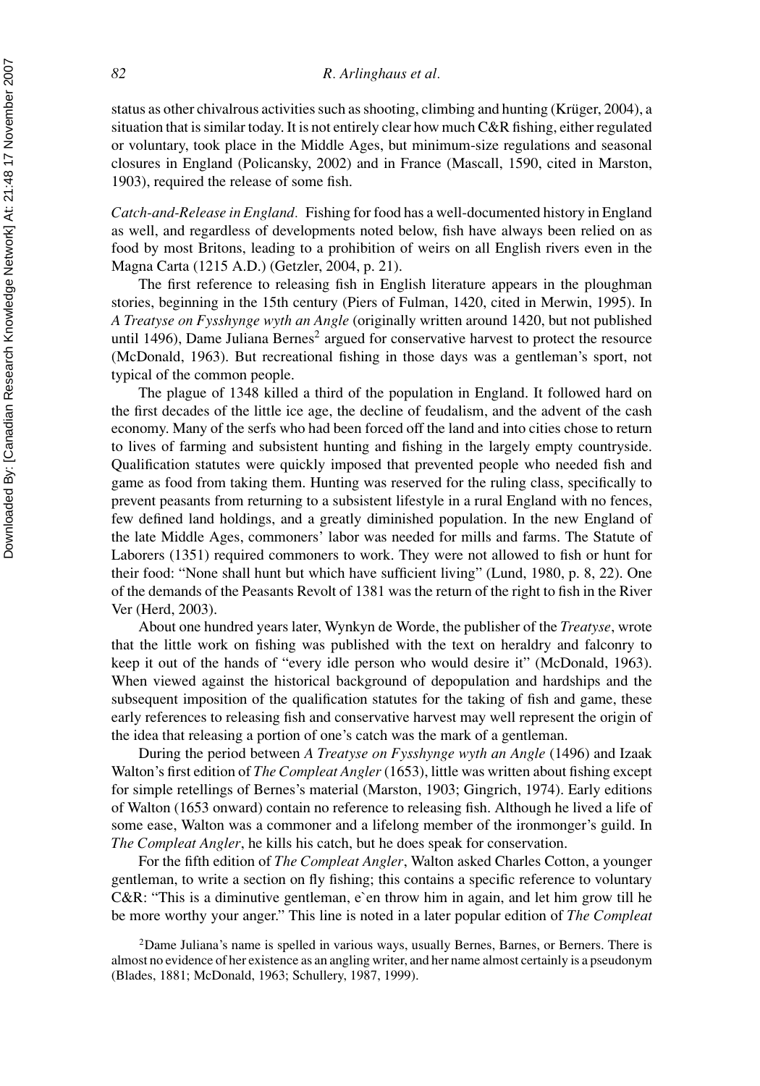status as other chivalrous activities such as shooting, climbing and hunting (Krüger, 2004), a situation that is similar today. It is not entirely clear how much C&R fishing, either regulated or voluntary, took place in the Middle Ages, but minimum-size regulations and seasonal closures in England (Policansky, 2002) and in France (Mascall, 1590, cited in Marston, 1903), required the release of some fish.

*Catch-and-Release in England.* Fishing for food has a well-documented history in England as well, and regardless of developments noted below, fish have always been relied on as food by most Britons, leading to a prohibition of weirs on all English rivers even in the Magna Carta (1215 A.D.) (Getzler, 2004, p. 21).

The first reference to releasing fish in English literature appears in the ploughman stories, beginning in the 15th century (Piers of Fulman, 1420, cited in Merwin, 1995). In *A Treatyse on Fysshynge wyth an Angle* (originally written around 1420, but not published until 1496), Dame Juliana Bernes<sup>2</sup> argued for conservative harvest to protect the resource (McDonald, 1963). But recreational fishing in those days was a gentleman's sport, not typical of the common people.

The plague of 1348 killed a third of the population in England. It followed hard on the first decades of the little ice age, the decline of feudalism, and the advent of the cash economy. Many of the serfs who had been forced off the land and into cities chose to return to lives of farming and subsistent hunting and fishing in the largely empty countryside. Qualification statutes were quickly imposed that prevented people who needed fish and game as food from taking them. Hunting was reserved for the ruling class, specifically to prevent peasants from returning to a subsistent lifestyle in a rural England with no fences, few defined land holdings, and a greatly diminished population. In the new England of the late Middle Ages, commoners' labor was needed for mills and farms. The Statute of Laborers (1351) required commoners to work. They were not allowed to fish or hunt for their food: "None shall hunt but which have sufficient living" (Lund, 1980, p. 8, 22). One of the demands of the Peasants Revolt of 1381 was the return of the right to fish in the River Ver (Herd, 2003).

About one hundred years later, Wynkyn de Worde, the publisher of the *Treatyse*, wrote that the little work on fishing was published with the text on heraldry and falconry to keep it out of the hands of "every idle person who would desire it" (McDonald, 1963). When viewed against the historical background of depopulation and hardships and the subsequent imposition of the qualification statutes for the taking of fish and game, these early references to releasing fish and conservative harvest may well represent the origin of the idea that releasing a portion of one's catch was the mark of a gentleman.

During the period between *A Treatyse on Fysshynge wyth an Angle* (1496) and Izaak Walton's first edition of *The Compleat Angler*(1653), little was written about fishing except for simple retellings of Bernes's material (Marston, 1903; Gingrich, 1974). Early editions of Walton (1653 onward) contain no reference to releasing fish. Although he lived a life of some ease, Walton was a commoner and a lifelong member of the ironmonger's guild. In *The Compleat Angler*, he kills his catch, but he does speak for conservation.

For the fifth edition of *The Compleat Angler*, Walton asked Charles Cotton, a younger gentleman, to write a section on fly fishing; this contains a specific reference to voluntary C&R: "This is a diminutive gentleman, e`en throw him in again, and let him grow till he be more worthy your anger." This line is noted in a later popular edition of *The Compleat*

<sup>&</sup>lt;sup>2</sup>Dame Juliana's name is spelled in various ways, usually Bernes, Barnes, or Berners. There is almost no evidence of her existence as an angling writer, and her name almost certainly is a pseudonym (Blades, 1881; McDonald, 1963; Schullery, 1987, 1999).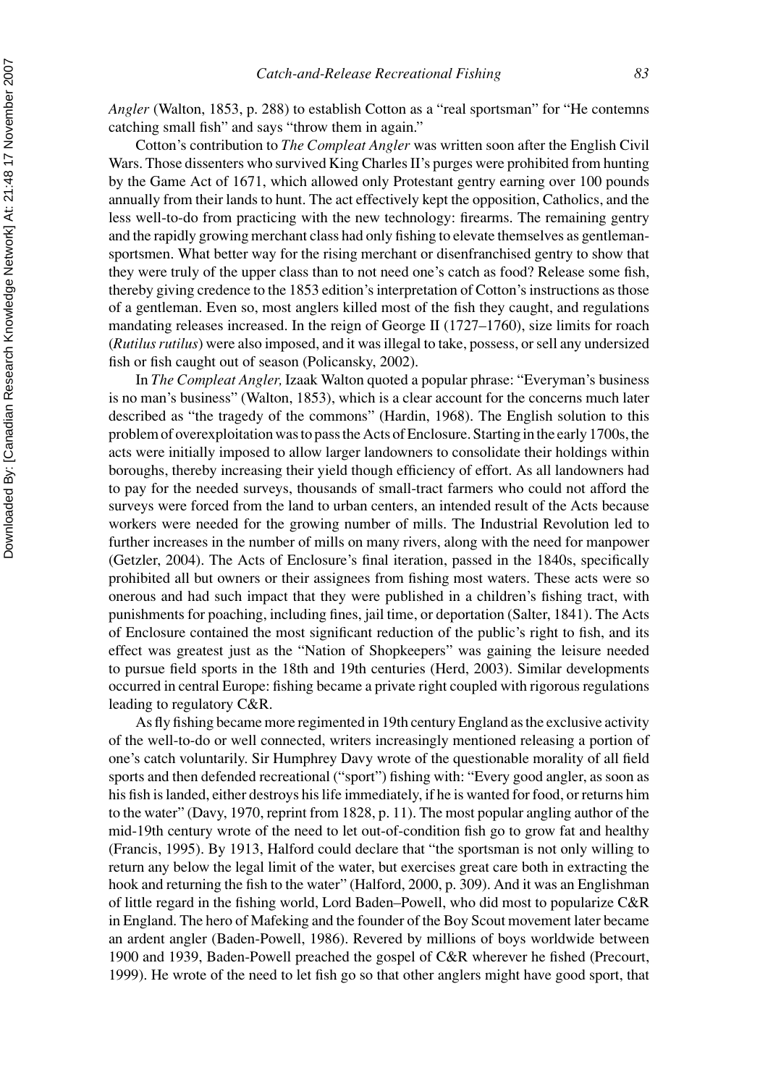*Angler* (Walton, 1853, p. 288) to establish Cotton as a "real sportsman" for "He contemns catching small fish" and says "throw them in again."

Cotton's contribution to *The Compleat Angler* was written soon after the English Civil Wars. Those dissenters who survived King Charles II's purges were prohibited from hunting by the Game Act of 1671, which allowed only Protestant gentry earning over 100 pounds annually from their lands to hunt. The act effectively kept the opposition, Catholics, and the less well-to-do from practicing with the new technology: firearms. The remaining gentry and the rapidly growing merchant class had only fishing to elevate themselves as gentlemansportsmen. What better way for the rising merchant or disenfranchised gentry to show that they were truly of the upper class than to not need one's catch as food? Release some fish, thereby giving credence to the 1853 edition's interpretation of Cotton's instructions as those of a gentleman. Even so, most anglers killed most of the fish they caught, and regulations mandating releases increased. In the reign of George II (1727–1760), size limits for roach (*Rutilus rutilus*) were also imposed, and it was illegal to take, possess, or sell any undersized fish or fish caught out of season (Policansky, 2002).

In *The Compleat Angler,* Izaak Walton quoted a popular phrase: "Everyman's business is no man's business" (Walton, 1853), which is a clear account for the concerns much later described as "the tragedy of the commons" (Hardin, 1968). The English solution to this problem of overexploitation was to pass the Acts of Enclosure. Starting in the early 1700s, the acts were initially imposed to allow larger landowners to consolidate their holdings within boroughs, thereby increasing their yield though efficiency of effort. As all landowners had to pay for the needed surveys, thousands of small-tract farmers who could not afford the surveys were forced from the land to urban centers, an intended result of the Acts because workers were needed for the growing number of mills. The Industrial Revolution led to further increases in the number of mills on many rivers, along with the need for manpower (Getzler, 2004). The Acts of Enclosure's final iteration, passed in the 1840s, specifically prohibited all but owners or their assignees from fishing most waters. These acts were so onerous and had such impact that they were published in a children's fishing tract, with punishments for poaching, including fines, jail time, or deportation (Salter, 1841). The Acts of Enclosure contained the most significant reduction of the public's right to fish, and its effect was greatest just as the "Nation of Shopkeepers" was gaining the leisure needed to pursue field sports in the 18th and 19th centuries (Herd, 2003). Similar developments occurred in central Europe: fishing became a private right coupled with rigorous regulations leading to regulatory C&R.

As fly fishing became more regimented in 19th century England as the exclusive activity of the well-to-do or well connected, writers increasingly mentioned releasing a portion of one's catch voluntarily. Sir Humphrey Davy wrote of the questionable morality of all field sports and then defended recreational ("sport") fishing with: "Every good angler, as soon as his fish is landed, either destroys his life immediately, if he is wanted for food, or returns him to the water" (Davy, 1970, reprint from 1828, p. 11). The most popular angling author of the mid-19th century wrote of the need to let out-of-condition fish go to grow fat and healthy (Francis, 1995). By 1913, Halford could declare that "the sportsman is not only willing to return any below the legal limit of the water, but exercises great care both in extracting the hook and returning the fish to the water" (Halford, 2000, p. 309). And it was an Englishman of little regard in the fishing world, Lord Baden–Powell, who did most to popularize C&R in England. The hero of Mafeking and the founder of the Boy Scout movement later became an ardent angler (Baden-Powell, 1986). Revered by millions of boys worldwide between 1900 and 1939, Baden-Powell preached the gospel of C&R wherever he fished (Precourt, 1999). He wrote of the need to let fish go so that other anglers might have good sport, that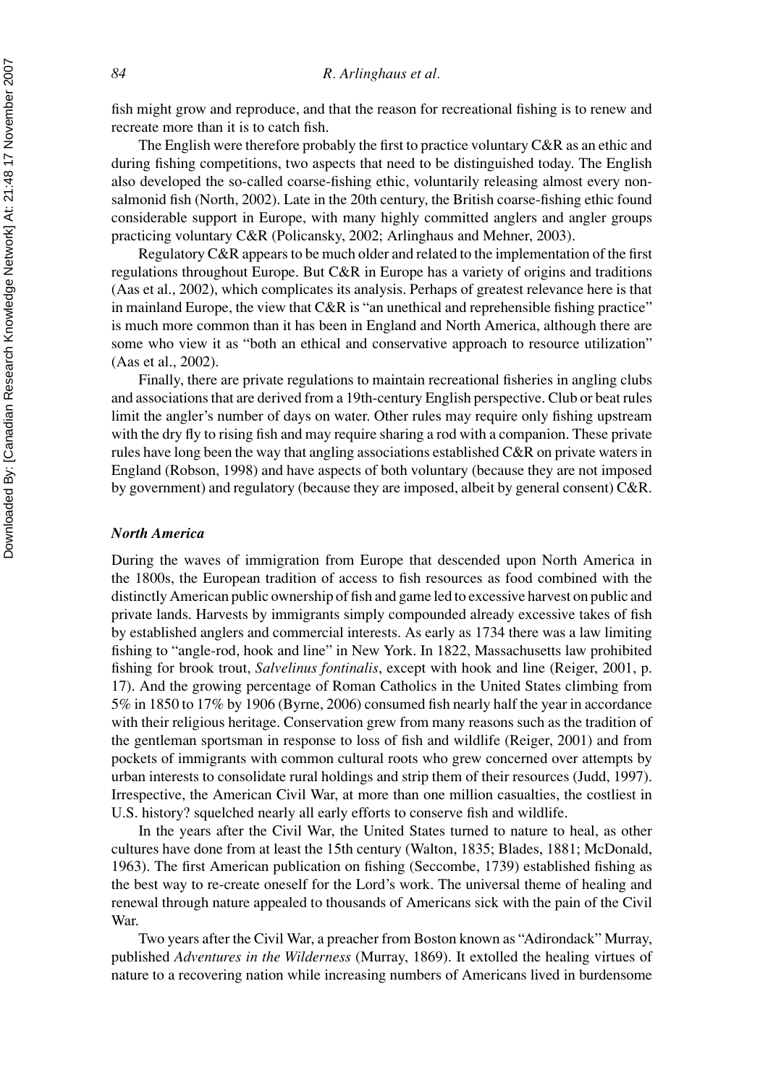fish might grow and reproduce, and that the reason for recreational fishing is to renew and recreate more than it is to catch fish.

The English were therefore probably the first to practice voluntary C&R as an ethic and during fishing competitions, two aspects that need to be distinguished today. The English also developed the so-called coarse-fishing ethic, voluntarily releasing almost every nonsalmonid fish (North, 2002). Late in the 20th century, the British coarse-fishing ethic found considerable support in Europe, with many highly committed anglers and angler groups practicing voluntary C&R (Policansky, 2002; Arlinghaus and Mehner, 2003).

Regulatory C&R appears to be much older and related to the implementation of the first regulations throughout Europe. But C&R in Europe has a variety of origins and traditions (Aas et al., 2002), which complicates its analysis. Perhaps of greatest relevance here is that in mainland Europe, the view that C&R is "an unethical and reprehensible fishing practice" is much more common than it has been in England and North America, although there are some who view it as "both an ethical and conservative approach to resource utilization" (Aas et al., 2002).

Finally, there are private regulations to maintain recreational fisheries in angling clubs and associations that are derived from a 19th-century English perspective. Club or beat rules limit the angler's number of days on water. Other rules may require only fishing upstream with the dry fly to rising fish and may require sharing a rod with a companion. These private rules have long been the way that angling associations established C&R on private waters in England (Robson, 1998) and have aspects of both voluntary (because they are not imposed by government) and regulatory (because they are imposed, albeit by general consent) C&R.

#### *North America*

During the waves of immigration from Europe that descended upon North America in the 1800s, the European tradition of access to fish resources as food combined with the distinctly American public ownership of fish and game led to excessive harvest on public and private lands. Harvests by immigrants simply compounded already excessive takes of fish by established anglers and commercial interests. As early as 1734 there was a law limiting fishing to "angle-rod, hook and line" in New York. In 1822, Massachusetts law prohibited fishing for brook trout, *Salvelinus fontinalis*, except with hook and line (Reiger, 2001, p. 17). And the growing percentage of Roman Catholics in the United States climbing from 5% in 1850 to 17% by 1906 (Byrne, 2006) consumed fish nearly half the year in accordance with their religious heritage. Conservation grew from many reasons such as the tradition of the gentleman sportsman in response to loss of fish and wildlife (Reiger, 2001) and from pockets of immigrants with common cultural roots who grew concerned over attempts by urban interests to consolidate rural holdings and strip them of their resources (Judd, 1997). Irrespective, the American Civil War, at more than one million casualties, the costliest in U.S. history? squelched nearly all early efforts to conserve fish and wildlife.

In the years after the Civil War, the United States turned to nature to heal, as other cultures have done from at least the 15th century (Walton, 1835; Blades, 1881; McDonald, 1963). The first American publication on fishing (Seccombe, 1739) established fishing as the best way to re-create oneself for the Lord's work. The universal theme of healing and renewal through nature appealed to thousands of Americans sick with the pain of the Civil War.

Two years after the Civil War, a preacher from Boston known as "Adirondack" Murray, published *Adventures in the Wilderness* (Murray, 1869). It extolled the healing virtues of nature to a recovering nation while increasing numbers of Americans lived in burdensome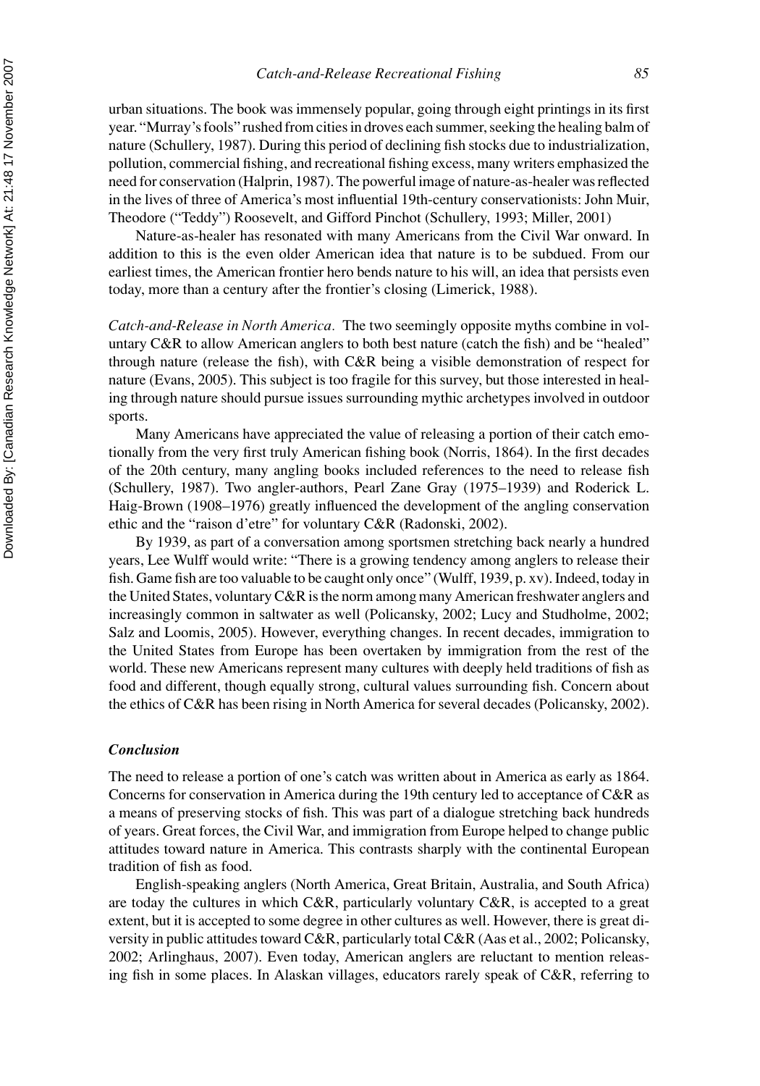urban situations. The book was immensely popular, going through eight printings in its first year. "Murray's fools" rushed from cities in droves each summer, seeking the healing balm of nature (Schullery, 1987). During this period of declining fish stocks due to industrialization, pollution, commercial fishing, and recreational fishing excess, many writers emphasized the need for conservation (Halprin, 1987). The powerful image of nature-as-healer was reflected in the lives of three of America's most influential 19th-century conservationists: John Muir, Theodore ("Teddy") Roosevelt, and Gifford Pinchot (Schullery, 1993; Miller, 2001)

Nature-as-healer has resonated with many Americans from the Civil War onward. In addition to this is the even older American idea that nature is to be subdued. From our earliest times, the American frontier hero bends nature to his will, an idea that persists even today, more than a century after the frontier's closing (Limerick, 1988).

*Catch-and-Release in North America.* The two seemingly opposite myths combine in voluntary C&R to allow American anglers to both best nature (catch the fish) and be "healed" through nature (release the fish), with C&R being a visible demonstration of respect for nature (Evans, 2005). This subject is too fragile for this survey, but those interested in healing through nature should pursue issues surrounding mythic archetypes involved in outdoor sports.

Many Americans have appreciated the value of releasing a portion of their catch emotionally from the very first truly American fishing book (Norris, 1864). In the first decades of the 20th century, many angling books included references to the need to release fish (Schullery, 1987). Two angler-authors, Pearl Zane Gray (1975–1939) and Roderick L. Haig-Brown (1908–1976) greatly influenced the development of the angling conservation ethic and the "raison d'etre" for voluntary C&R (Radonski, 2002).

By 1939, as part of a conversation among sportsmen stretching back nearly a hundred years, Lee Wulff would write: "There is a growing tendency among anglers to release their fish. Game fish are too valuable to be caught only once" (Wulff, 1939, p. xv). Indeed, today in the United States, voluntary  $C\&R$  is the norm among many American freshwater anglers and increasingly common in saltwater as well (Policansky, 2002; Lucy and Studholme, 2002; Salz and Loomis, 2005). However, everything changes. In recent decades, immigration to the United States from Europe has been overtaken by immigration from the rest of the world. These new Americans represent many cultures with deeply held traditions of fish as food and different, though equally strong, cultural values surrounding fish. Concern about the ethics of C&R has been rising in North America for several decades (Policansky, 2002).

#### *Conclusion*

The need to release a portion of one's catch was written about in America as early as 1864. Concerns for conservation in America during the 19th century led to acceptance of C&R as a means of preserving stocks of fish. This was part of a dialogue stretching back hundreds of years. Great forces, the Civil War, and immigration from Europe helped to change public attitudes toward nature in America. This contrasts sharply with the continental European tradition of fish as food.

English-speaking anglers (North America, Great Britain, Australia, and South Africa) are today the cultures in which C&R, particularly voluntary C&R, is accepted to a great extent, but it is accepted to some degree in other cultures as well. However, there is great diversity in public attitudes toward C&R, particularly total C&R (Aas et al., 2002; Policansky, 2002; Arlinghaus, 2007). Even today, American anglers are reluctant to mention releasing fish in some places. In Alaskan villages, educators rarely speak of C&R, referring to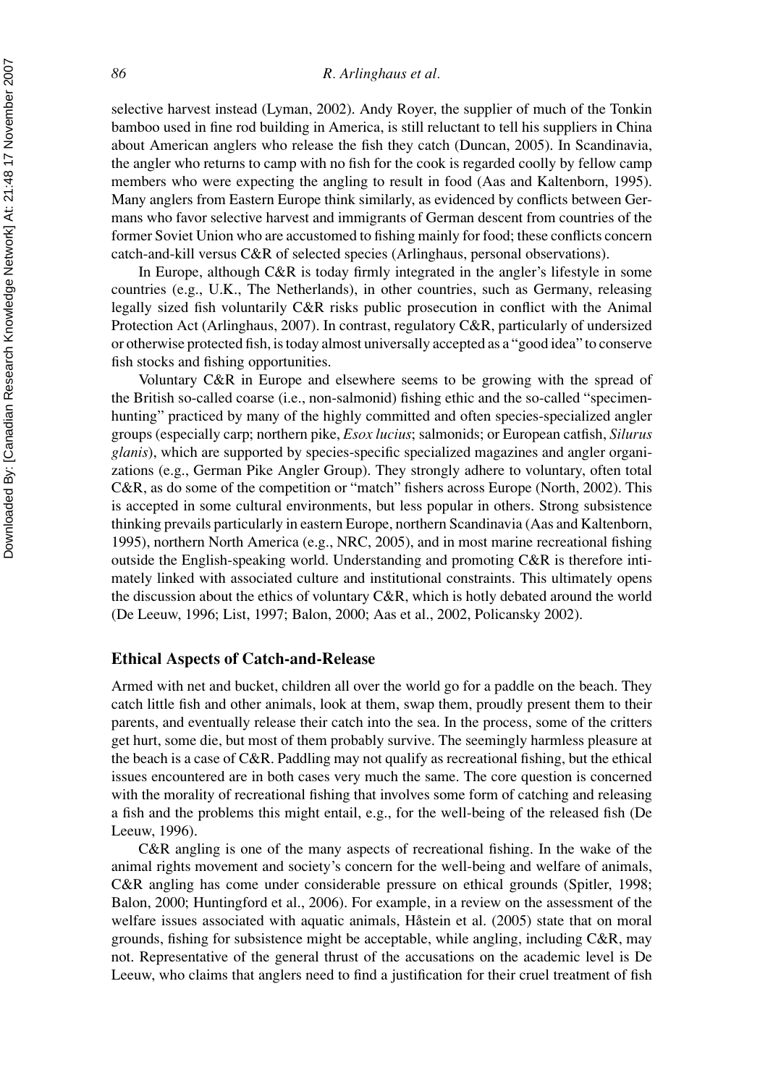selective harvest instead (Lyman, 2002). Andy Royer, the supplier of much of the Tonkin bamboo used in fine rod building in America, is still reluctant to tell his suppliers in China about American anglers who release the fish they catch (Duncan, 2005). In Scandinavia, the angler who returns to camp with no fish for the cook is regarded coolly by fellow camp members who were expecting the angling to result in food (Aas and Kaltenborn, 1995). Many anglers from Eastern Europe think similarly, as evidenced by conflicts between Germans who favor selective harvest and immigrants of German descent from countries of the former Soviet Union who are accustomed to fishing mainly for food; these conflicts concern catch-and-kill versus C&R of selected species (Arlinghaus, personal observations).

In Europe, although C&R is today firmly integrated in the angler's lifestyle in some countries (e.g., U.K., The Netherlands), in other countries, such as Germany, releasing legally sized fish voluntarily C&R risks public prosecution in conflict with the Animal Protection Act (Arlinghaus, 2007). In contrast, regulatory C&R, particularly of undersized or otherwise protected fish, is today almost universally accepted as a "good idea" to conserve fish stocks and fishing opportunities.

Voluntary C&R in Europe and elsewhere seems to be growing with the spread of the British so-called coarse (i.e., non-salmonid) fishing ethic and the so-called "specimenhunting" practiced by many of the highly committed and often species-specialized angler groups (especially carp; northern pike, *Esox lucius*; salmonids; or European catfish, *Silurus glanis*), which are supported by species-specific specialized magazines and angler organizations (e.g., German Pike Angler Group). They strongly adhere to voluntary, often total C&R, as do some of the competition or "match" fishers across Europe (North, 2002). This is accepted in some cultural environments, but less popular in others. Strong subsistence thinking prevails particularly in eastern Europe, northern Scandinavia (Aas and Kaltenborn, 1995), northern North America (e.g., NRC, 2005), and in most marine recreational fishing outside the English-speaking world. Understanding and promoting  $C\&R$  is therefore intimately linked with associated culture and institutional constraints. This ultimately opens the discussion about the ethics of voluntary C&R, which is hotly debated around the world (De Leeuw, 1996; List, 1997; Balon, 2000; Aas et al., 2002, Policansky 2002).

#### **Ethical Aspects of Catch-and-Release**

Armed with net and bucket, children all over the world go for a paddle on the beach. They catch little fish and other animals, look at them, swap them, proudly present them to their parents, and eventually release their catch into the sea. In the process, some of the critters get hurt, some die, but most of them probably survive. The seemingly harmless pleasure at the beach is a case of  $C&R$ . Paddling may not qualify as recreational fishing, but the ethical issues encountered are in both cases very much the same. The core question is concerned with the morality of recreational fishing that involves some form of catching and releasing a fish and the problems this might entail, e.g., for the well-being of the released fish (De Leeuw, 1996).

C&R angling is one of the many aspects of recreational fishing. In the wake of the animal rights movement and society's concern for the well-being and welfare of animals, C&R angling has come under considerable pressure on ethical grounds (Spitler, 1998; Balon, 2000; Huntingford et al., 2006). For example, in a review on the assessment of the welfare issues associated with aquatic animals, Håstein et al. (2005) state that on moral grounds, fishing for subsistence might be acceptable, while angling, including C&R, may not. Representative of the general thrust of the accusations on the academic level is De Leeuw, who claims that anglers need to find a justification for their cruel treatment of fish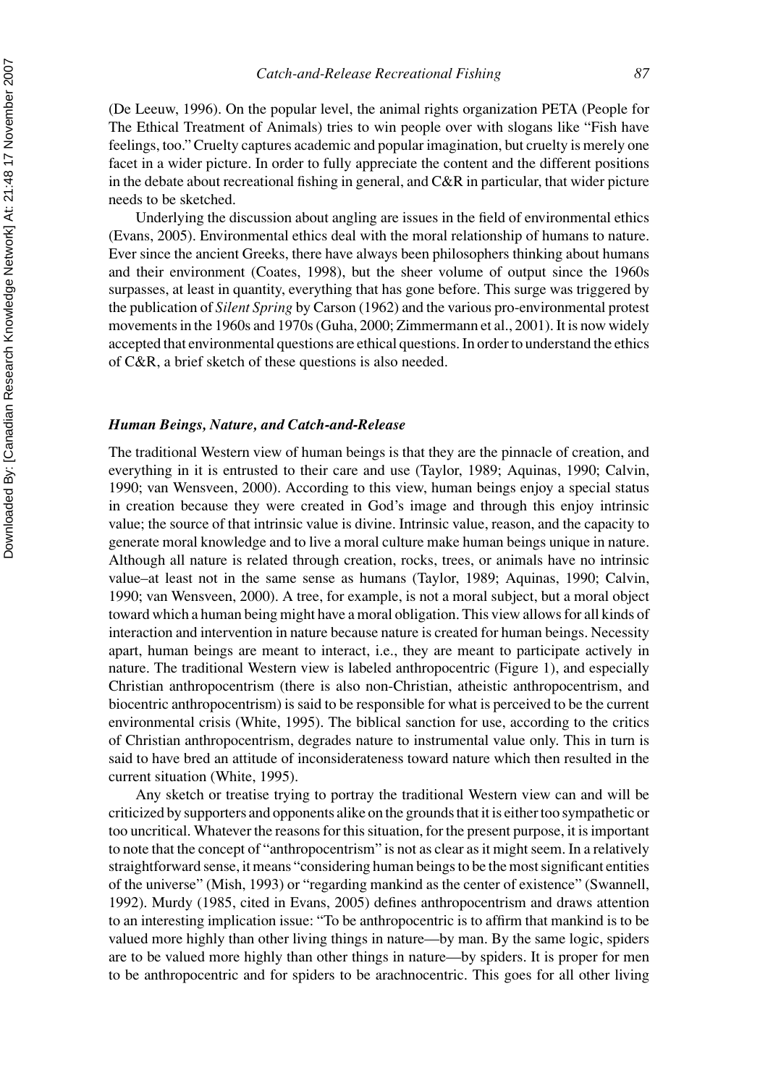(De Leeuw, 1996). On the popular level, the animal rights organization PETA (People for The Ethical Treatment of Animals) tries to win people over with slogans like "Fish have feelings, too." Cruelty captures academic and popular imagination, but cruelty is merely one facet in a wider picture. In order to fully appreciate the content and the different positions in the debate about recreational fishing in general, and  $C\&R$  in particular, that wider picture needs to be sketched.

Underlying the discussion about angling are issues in the field of environmental ethics (Evans, 2005). Environmental ethics deal with the moral relationship of humans to nature. Ever since the ancient Greeks, there have always been philosophers thinking about humans and their environment (Coates, 1998), but the sheer volume of output since the 1960s surpasses, at least in quantity, everything that has gone before. This surge was triggered by the publication of *Silent Spring* by Carson (1962) and the various pro-environmental protest movements in the 1960s and 1970s (Guha, 2000; Zimmermann et al., 2001). It is now widely accepted that environmental questions are ethical questions. In order to understand the ethics of C&R, a brief sketch of these questions is also needed.

#### *Human Beings, Nature, and Catch-and-Release*

The traditional Western view of human beings is that they are the pinnacle of creation, and everything in it is entrusted to their care and use (Taylor, 1989; Aquinas, 1990; Calvin, 1990; van Wensveen, 2000). According to this view, human beings enjoy a special status in creation because they were created in God's image and through this enjoy intrinsic value; the source of that intrinsic value is divine. Intrinsic value, reason, and the capacity to generate moral knowledge and to live a moral culture make human beings unique in nature. Although all nature is related through creation, rocks, trees, or animals have no intrinsic value–at least not in the same sense as humans (Taylor, 1989; Aquinas, 1990; Calvin, 1990; van Wensveen, 2000). A tree, for example, is not a moral subject, but a moral object toward which a human being might have a moral obligation. This view allows for all kinds of interaction and intervention in nature because nature is created for human beings. Necessity apart, human beings are meant to interact, i.e., they are meant to participate actively in nature. The traditional Western view is labeled anthropocentric (Figure 1), and especially Christian anthropocentrism (there is also non-Christian, atheistic anthropocentrism, and biocentric anthropocentrism) is said to be responsible for what is perceived to be the current environmental crisis (White, 1995). The biblical sanction for use, according to the critics of Christian anthropocentrism, degrades nature to instrumental value only. This in turn is said to have bred an attitude of inconsiderateness toward nature which then resulted in the current situation (White, 1995).

Any sketch or treatise trying to portray the traditional Western view can and will be criticized by supporters and opponents alike on the grounds that it is either too sympathetic or too uncritical. Whatever the reasons for this situation, for the present purpose, it is important to note that the concept of "anthropocentrism" is not as clear as it might seem. In a relatively straightforward sense, it means "considering human beings to be the most significant entities of the universe" (Mish, 1993) or "regarding mankind as the center of existence" (Swannell, 1992). Murdy (1985, cited in Evans, 2005) defines anthropocentrism and draws attention to an interesting implication issue: "To be anthropocentric is to affirm that mankind is to be valued more highly than other living things in nature—by man. By the same logic, spiders are to be valued more highly than other things in nature—by spiders. It is proper for men to be anthropocentric and for spiders to be arachnocentric. This goes for all other living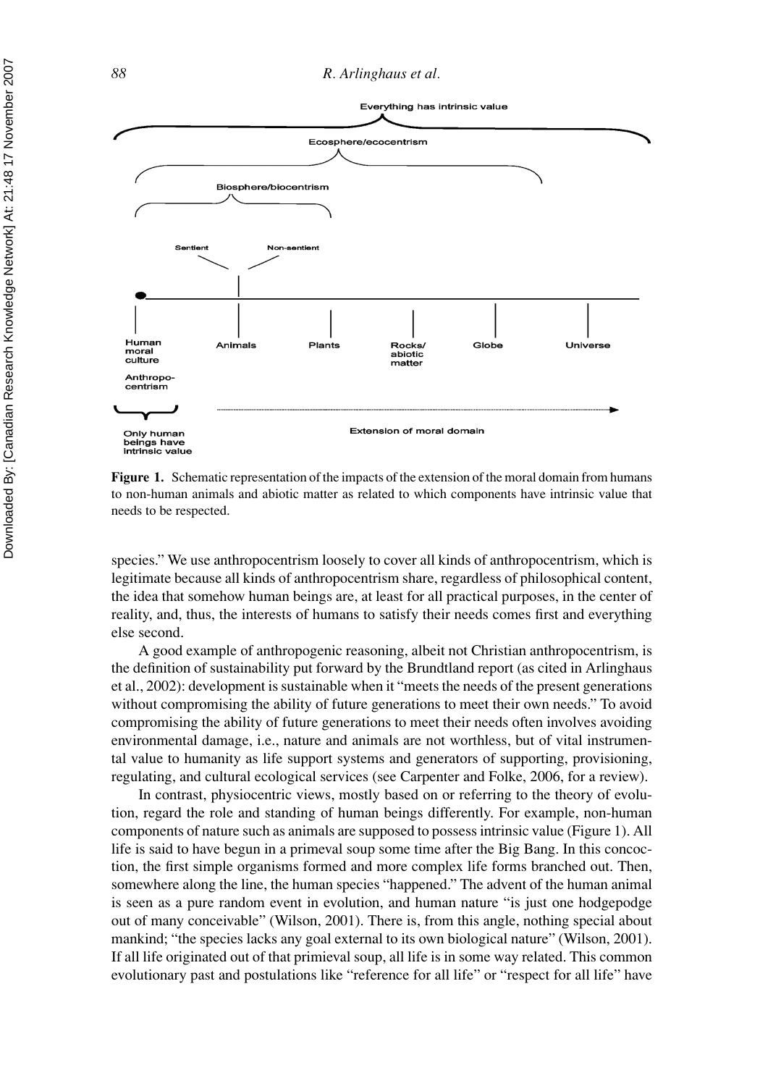

**Figure 1.** Schematic representation of the impacts of the extension of the moral domain from humans to non-human animals and abiotic matter as related to which components have intrinsic value that needs to be respected.

species." We use anthropocentrism loosely to cover all kinds of anthropocentrism, which is legitimate because all kinds of anthropocentrism share, regardless of philosophical content, the idea that somehow human beings are, at least for all practical purposes, in the center of reality, and, thus, the interests of humans to satisfy their needs comes first and everything else second.

A good example of anthropogenic reasoning, albeit not Christian anthropocentrism, is the definition of sustainability put forward by the Brundtland report (as cited in Arlinghaus et al., 2002): development is sustainable when it "meets the needs of the present generations without compromising the ability of future generations to meet their own needs." To avoid compromising the ability of future generations to meet their needs often involves avoiding environmental damage, i.e., nature and animals are not worthless, but of vital instrumental value to humanity as life support systems and generators of supporting, provisioning, regulating, and cultural ecological services (see Carpenter and Folke, 2006, for a review).

In contrast, physiocentric views, mostly based on or referring to the theory of evolution, regard the role and standing of human beings differently. For example, non-human components of nature such as animals are supposed to possess intrinsic value (Figure 1). All life is said to have begun in a primeval soup some time after the Big Bang. In this concoction, the first simple organisms formed and more complex life forms branched out. Then, somewhere along the line, the human species "happened." The advent of the human animal is seen as a pure random event in evolution, and human nature "is just one hodgepodge out of many conceivable" (Wilson, 2001). There is, from this angle, nothing special about mankind; "the species lacks any goal external to its own biological nature" (Wilson, 2001). If all life originated out of that primieval soup, all life is in some way related. This common evolutionary past and postulations like "reference for all life" or "respect for all life" have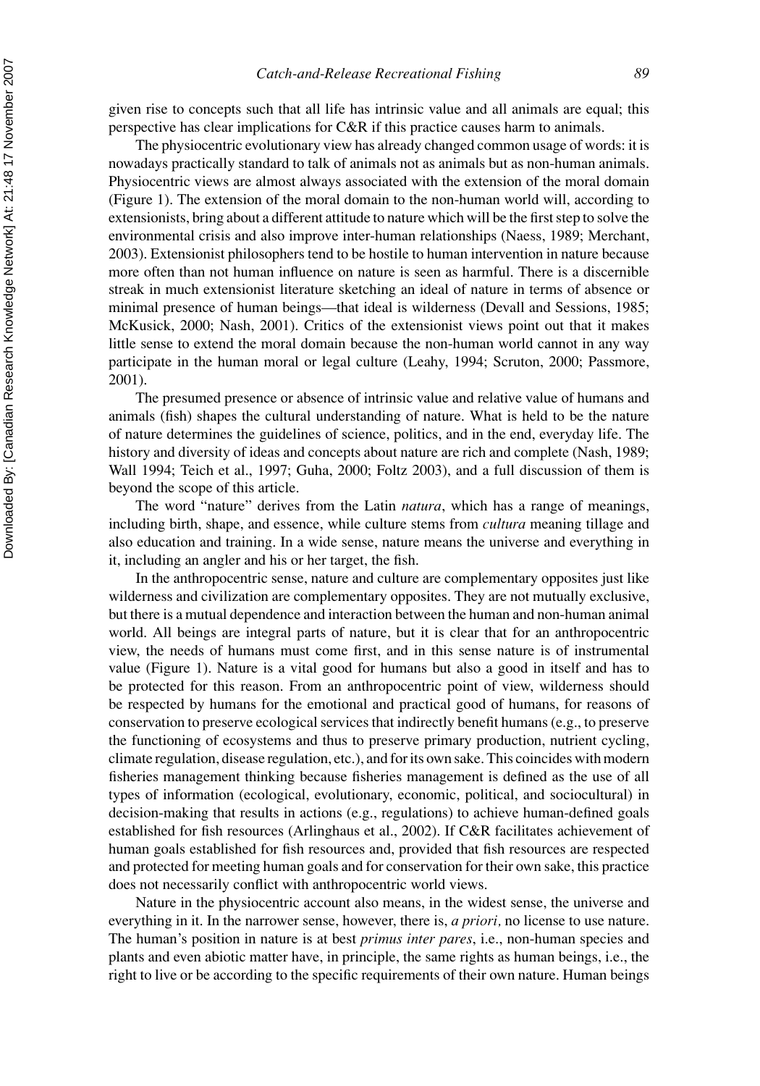given rise to concepts such that all life has intrinsic value and all animals are equal; this perspective has clear implications for C&R if this practice causes harm to animals.

The physiocentric evolutionary view has already changed common usage of words: it is nowadays practically standard to talk of animals not as animals but as non-human animals. Physiocentric views are almost always associated with the extension of the moral domain (Figure 1). The extension of the moral domain to the non-human world will, according to extensionists, bring about a different attitude to nature which will be the first step to solve the environmental crisis and also improve inter-human relationships (Naess, 1989; Merchant, 2003). Extensionist philosophers tend to be hostile to human intervention in nature because more often than not human influence on nature is seen as harmful. There is a discernible streak in much extensionist literature sketching an ideal of nature in terms of absence or minimal presence of human beings—that ideal is wilderness (Devall and Sessions, 1985; McKusick, 2000; Nash, 2001). Critics of the extensionist views point out that it makes little sense to extend the moral domain because the non-human world cannot in any way participate in the human moral or legal culture (Leahy, 1994; Scruton, 2000; Passmore, 2001).

The presumed presence or absence of intrinsic value and relative value of humans and animals (fish) shapes the cultural understanding of nature. What is held to be the nature of nature determines the guidelines of science, politics, and in the end, everyday life. The history and diversity of ideas and concepts about nature are rich and complete (Nash, 1989; Wall 1994; Teich et al., 1997; Guha, 2000; Foltz 2003), and a full discussion of them is beyond the scope of this article.

The word "nature" derives from the Latin *natura*, which has a range of meanings, including birth, shape, and essence, while culture stems from *cultura* meaning tillage and also education and training. In a wide sense, nature means the universe and everything in it, including an angler and his or her target, the fish.

In the anthropocentric sense, nature and culture are complementary opposites just like wilderness and civilization are complementary opposites. They are not mutually exclusive, but there is a mutual dependence and interaction between the human and non-human animal world. All beings are integral parts of nature, but it is clear that for an anthropocentric view, the needs of humans must come first, and in this sense nature is of instrumental value (Figure 1). Nature is a vital good for humans but also a good in itself and has to be protected for this reason. From an anthropocentric point of view, wilderness should be respected by humans for the emotional and practical good of humans, for reasons of conservation to preserve ecological services that indirectly benefit humans (e.g., to preserve the functioning of ecosystems and thus to preserve primary production, nutrient cycling, climate regulation, disease regulation, etc.), and for its own sake. This coincides with modern fisheries management thinking because fisheries management is defined as the use of all types of information (ecological, evolutionary, economic, political, and sociocultural) in decision-making that results in actions (e.g., regulations) to achieve human-defined goals established for fish resources (Arlinghaus et al., 2002). If C&R facilitates achievement of human goals established for fish resources and, provided that fish resources are respected and protected for meeting human goals and for conservation for their own sake, this practice does not necessarily conflict with anthropocentric world views.

Nature in the physiocentric account also means, in the widest sense, the universe and everything in it. In the narrower sense, however, there is, *a priori,* no license to use nature. The human's position in nature is at best *primus inter pares*, i.e., non-human species and plants and even abiotic matter have, in principle, the same rights as human beings, i.e., the right to live or be according to the specific requirements of their own nature. Human beings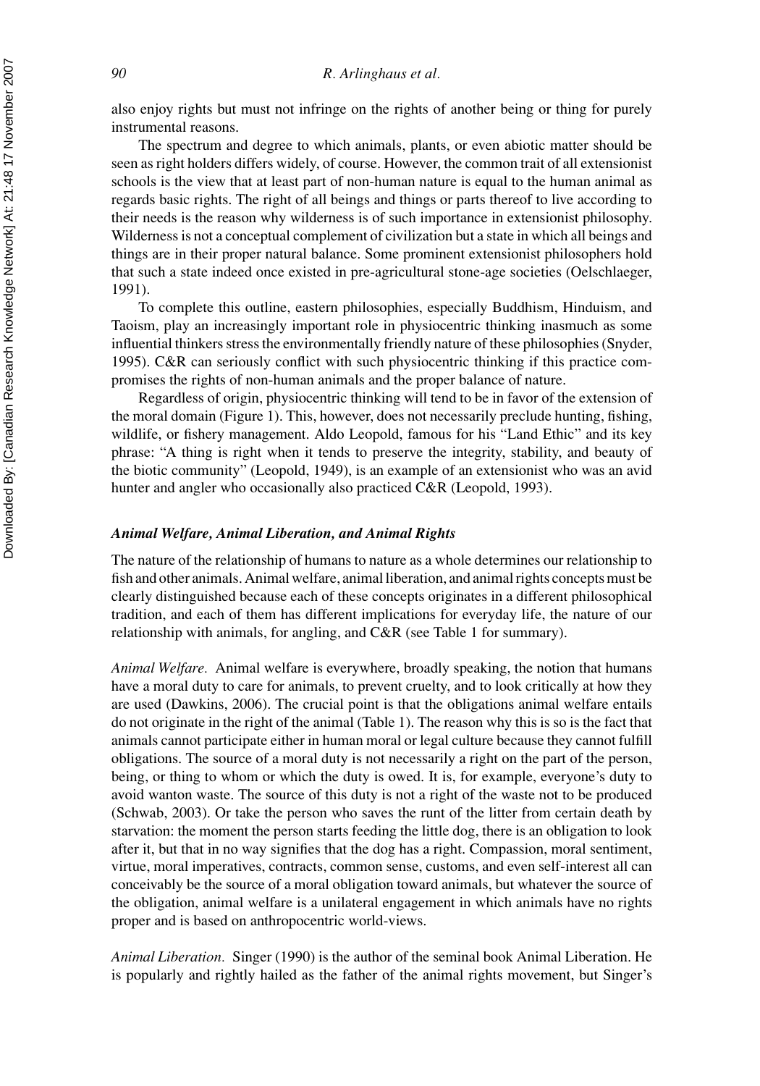also enjoy rights but must not infringe on the rights of another being or thing for purely instrumental reasons.

The spectrum and degree to which animals, plants, or even abiotic matter should be seen as right holders differs widely, of course. However, the common trait of all extensionist schools is the view that at least part of non-human nature is equal to the human animal as regards basic rights. The right of all beings and things or parts thereof to live according to their needs is the reason why wilderness is of such importance in extensionist philosophy. Wilderness is not a conceptual complement of civilization but a state in which all beings and things are in their proper natural balance. Some prominent extensionist philosophers hold that such a state indeed once existed in pre-agricultural stone-age societies (Oelschlaeger, 1991).

To complete this outline, eastern philosophies, especially Buddhism, Hinduism, and Taoism, play an increasingly important role in physiocentric thinking inasmuch as some influential thinkers stress the environmentally friendly nature of these philosophies (Snyder, 1995). C&R can seriously conflict with such physiocentric thinking if this practice compromises the rights of non-human animals and the proper balance of nature.

Regardless of origin, physiocentric thinking will tend to be in favor of the extension of the moral domain (Figure 1). This, however, does not necessarily preclude hunting, fishing, wildlife, or fishery management. Aldo Leopold, famous for his "Land Ethic" and its key phrase: "A thing is right when it tends to preserve the integrity, stability, and beauty of the biotic community" (Leopold, 1949), is an example of an extensionist who was an avid hunter and angler who occasionally also practiced C&R (Leopold, 1993).

#### *Animal Welfare, Animal Liberation, and Animal Rights*

The nature of the relationship of humans to nature as a whole determines our relationship to fish and other animals. Animal welfare, animal liberation, and animal rights concepts must be clearly distinguished because each of these concepts originates in a different philosophical tradition, and each of them has different implications for everyday life, the nature of our relationship with animals, for angling, and C&R (see Table 1 for summary).

*Animal Welfare.* Animal welfare is everywhere, broadly speaking, the notion that humans have a moral duty to care for animals, to prevent cruelty, and to look critically at how they are used (Dawkins, 2006). The crucial point is that the obligations animal welfare entails do not originate in the right of the animal (Table 1). The reason why this is so is the fact that animals cannot participate either in human moral or legal culture because they cannot fulfill obligations. The source of a moral duty is not necessarily a right on the part of the person, being, or thing to whom or which the duty is owed. It is, for example, everyone's duty to avoid wanton waste. The source of this duty is not a right of the waste not to be produced (Schwab, 2003). Or take the person who saves the runt of the litter from certain death by starvation: the moment the person starts feeding the little dog, there is an obligation to look after it, but that in no way signifies that the dog has a right. Compassion, moral sentiment, virtue, moral imperatives, contracts, common sense, customs, and even self-interest all can conceivably be the source of a moral obligation toward animals, but whatever the source of the obligation, animal welfare is a unilateral engagement in which animals have no rights proper and is based on anthropocentric world-views.

*Animal Liberation.* Singer (1990) is the author of the seminal book Animal Liberation. He is popularly and rightly hailed as the father of the animal rights movement, but Singer's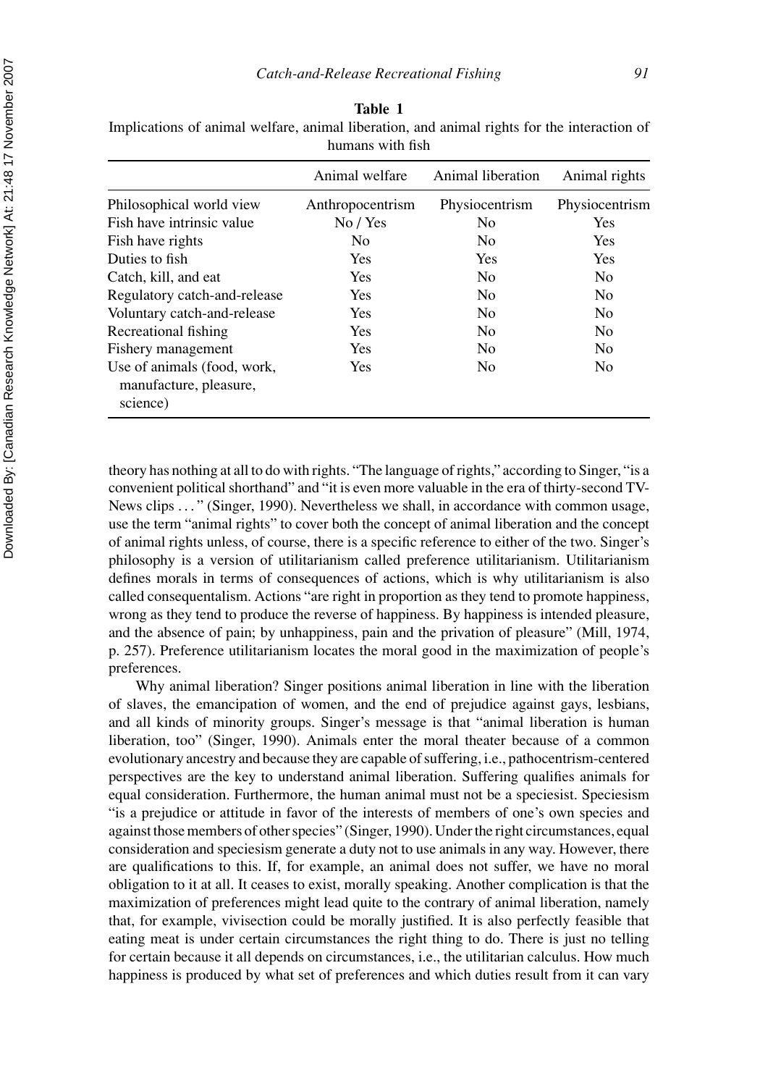| Animal welfare | Animal liberation                              | Animal rights                                      |
|----------------|------------------------------------------------|----------------------------------------------------|
|                |                                                |                                                    |
|                |                                                | Physiocentrism                                     |
|                |                                                | <b>Yes</b>                                         |
|                |                                                | <b>Yes</b>                                         |
| <b>Yes</b>     | Yes                                            | <b>Yes</b>                                         |
| <b>Yes</b>     | N <sub>0</sub>                                 | N <sub>0</sub>                                     |
| <b>Yes</b>     | N <sub>0</sub>                                 | N <sub>0</sub>                                     |
| <b>Yes</b>     | N <sub>0</sub>                                 | N <sub>0</sub>                                     |
| <b>Yes</b>     | N <sub>0</sub>                                 | N <sub>0</sub>                                     |
| <b>Yes</b>     | N <sub>0</sub>                                 | N <sub>0</sub>                                     |
| <b>Yes</b>     | N <sub>0</sub>                                 | N <sub>0</sub>                                     |
|                | Anthropocentrism<br>No / Yes<br>N <sub>0</sub> | Physiocentrism<br>N <sub>0</sub><br>N <sub>0</sub> |

**Table 1** Implications of animal welfare, animal liberation, and animal rights for the interaction of humans with fish

theory has nothing at all to do with rights. "The language of rights," according to Singer, "is a convenient political shorthand" and "it is even more valuable in the era of thirty-second TV-News clips ..." (Singer, 1990). Nevertheless we shall, in accordance with common usage, use the term "animal rights" to cover both the concept of animal liberation and the concept of animal rights unless, of course, there is a specific reference to either of the two. Singer's philosophy is a version of utilitarianism called preference utilitarianism. Utilitarianism defines morals in terms of consequences of actions, which is why utilitarianism is also called consequentalism. Actions "are right in proportion as they tend to promote happiness, wrong as they tend to produce the reverse of happiness. By happiness is intended pleasure, and the absence of pain; by unhappiness, pain and the privation of pleasure" (Mill, 1974, p. 257). Preference utilitarianism locates the moral good in the maximization of people's preferences.

Why animal liberation? Singer positions animal liberation in line with the liberation of slaves, the emancipation of women, and the end of prejudice against gays, lesbians, and all kinds of minority groups. Singer's message is that "animal liberation is human liberation, too" (Singer, 1990). Animals enter the moral theater because of a common evolutionary ancestry and because they are capable of suffering, i.e., pathocentrism-centered perspectives are the key to understand animal liberation. Suffering qualifies animals for equal consideration. Furthermore, the human animal must not be a speciesist. Speciesism "is a prejudice or attitude in favor of the interests of members of one's own species and against those members of other species" (Singer, 1990). Under the right circumstances, equal consideration and speciesism generate a duty not to use animals in any way. However, there are qualifications to this. If, for example, an animal does not suffer, we have no moral obligation to it at all. It ceases to exist, morally speaking. Another complication is that the maximization of preferences might lead quite to the contrary of animal liberation, namely that, for example, vivisection could be morally justified. It is also perfectly feasible that eating meat is under certain circumstances the right thing to do. There is just no telling for certain because it all depends on circumstances, i.e., the utilitarian calculus. How much happiness is produced by what set of preferences and which duties result from it can vary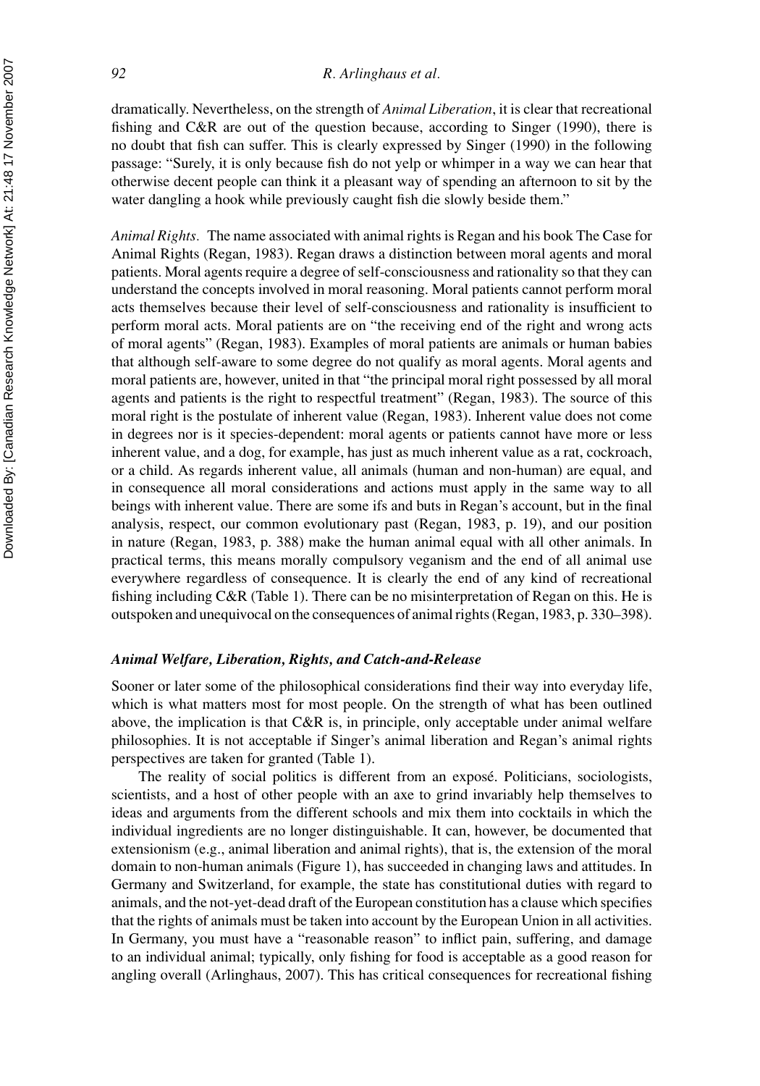#### *92 R. Arlinghaus et al.*

dramatically. Nevertheless, on the strength of *Animal Liberation*, it is clear that recreational fishing and C&R are out of the question because, according to Singer (1990), there is no doubt that fish can suffer. This is clearly expressed by Singer (1990) in the following passage: "Surely, it is only because fish do not yelp or whimper in a way we can hear that otherwise decent people can think it a pleasant way of spending an afternoon to sit by the water dangling a hook while previously caught fish die slowly beside them."

*Animal Rights.* The name associated with animal rights is Regan and his book The Case for Animal Rights (Regan, 1983). Regan draws a distinction between moral agents and moral patients. Moral agents require a degree of self-consciousness and rationality so that they can understand the concepts involved in moral reasoning. Moral patients cannot perform moral acts themselves because their level of self-consciousness and rationality is insufficient to perform moral acts. Moral patients are on "the receiving end of the right and wrong acts of moral agents" (Regan, 1983). Examples of moral patients are animals or human babies that although self-aware to some degree do not qualify as moral agents. Moral agents and moral patients are, however, united in that "the principal moral right possessed by all moral agents and patients is the right to respectful treatment" (Regan, 1983). The source of this moral right is the postulate of inherent value (Regan, 1983). Inherent value does not come in degrees nor is it species-dependent: moral agents or patients cannot have more or less inherent value, and a dog, for example, has just as much inherent value as a rat, cockroach, or a child. As regards inherent value, all animals (human and non-human) are equal, and in consequence all moral considerations and actions must apply in the same way to all beings with inherent value. There are some ifs and buts in Regan's account, but in the final analysis, respect, our common evolutionary past (Regan, 1983, p. 19), and our position in nature (Regan, 1983, p. 388) make the human animal equal with all other animals. In practical terms, this means morally compulsory veganism and the end of all animal use everywhere regardless of consequence. It is clearly the end of any kind of recreational fishing including C&R (Table 1). There can be no misinterpretation of Regan on this. He is outspoken and unequivocal on the consequences of animal rights (Regan, 1983, p. 330–398).

### *Animal Welfare, Liberation, Rights, and Catch-and-Release*

Sooner or later some of the philosophical considerations find their way into everyday life, which is what matters most for most people. On the strength of what has been outlined above, the implication is that  $C&R$  is, in principle, only acceptable under animal welfare philosophies. It is not acceptable if Singer's animal liberation and Regan's animal rights perspectives are taken for granted (Table 1).

The reality of social politics is different from an exposé. Politicians, sociologists, scientists, and a host of other people with an axe to grind invariably help themselves to ideas and arguments from the different schools and mix them into cocktails in which the individual ingredients are no longer distinguishable. It can, however, be documented that extensionism (e.g., animal liberation and animal rights), that is, the extension of the moral domain to non-human animals (Figure 1), has succeeded in changing laws and attitudes. In Germany and Switzerland, for example, the state has constitutional duties with regard to animals, and the not-yet-dead draft of the European constitution has a clause which specifies that the rights of animals must be taken into account by the European Union in all activities. In Germany, you must have a "reasonable reason" to inflict pain, suffering, and damage to an individual animal; typically, only fishing for food is acceptable as a good reason for angling overall (Arlinghaus, 2007). This has critical consequences for recreational fishing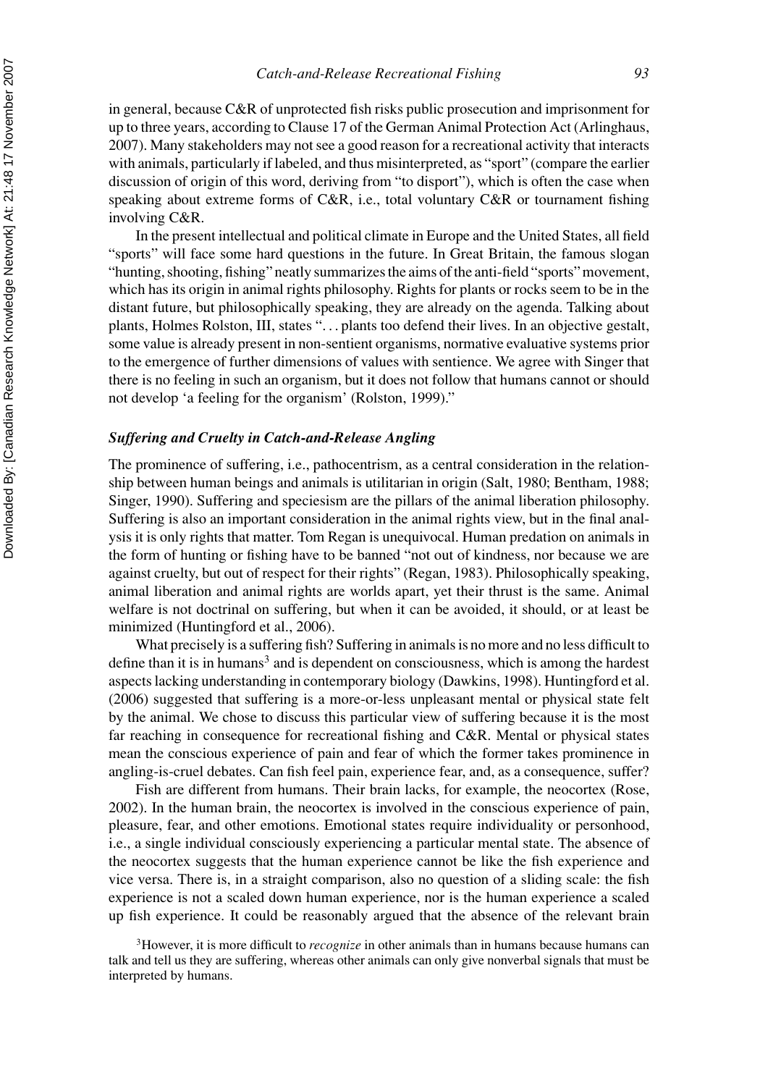in general, because C&R of unprotected fish risks public prosecution and imprisonment for up to three years, according to Clause 17 of the German Animal Protection Act (Arlinghaus, 2007). Many stakeholders may not see a good reason for a recreational activity that interacts with animals, particularly if labeled, and thus misinterpreted, as "sport" (compare the earlier discussion of origin of this word, deriving from "to disport"), which is often the case when speaking about extreme forms of C&R, i.e., total voluntary C&R or tournament fishing involving C&R.

In the present intellectual and political climate in Europe and the United States, all field "sports" will face some hard questions in the future. In Great Britain, the famous slogan "hunting, shooting, fishing" neatly summarizes the aims of the anti-field "sports" movement, which has its origin in animal rights philosophy. Rights for plants or rocks seem to be in the distant future, but philosophically speaking, they are already on the agenda. Talking about plants, Holmes Rolston, III, states "... plants too defend their lives. In an objective gestalt, some value is already present in non-sentient organisms, normative evaluative systems prior to the emergence of further dimensions of values with sentience. We agree with Singer that there is no feeling in such an organism, but it does not follow that humans cannot or should not develop 'a feeling for the organism' (Rolston, 1999)."

#### *Suffering and Cruelty in Catch-and-Release Angling*

The prominence of suffering, i.e., pathocentrism, as a central consideration in the relationship between human beings and animals is utilitarian in origin (Salt, 1980; Bentham, 1988; Singer, 1990). Suffering and speciesism are the pillars of the animal liberation philosophy. Suffering is also an important consideration in the animal rights view, but in the final analysis it is only rights that matter. Tom Regan is unequivocal. Human predation on animals in the form of hunting or fishing have to be banned "not out of kindness, nor because we are against cruelty, but out of respect for their rights" (Regan, 1983). Philosophically speaking, animal liberation and animal rights are worlds apart, yet their thrust is the same. Animal welfare is not doctrinal on suffering, but when it can be avoided, it should, or at least be minimized (Huntingford et al., 2006).

What precisely is a suffering fish? Suffering in animals is no more and no less difficult to define than it is in humans<sup>3</sup> and is dependent on consciousness, which is among the hardest aspects lacking understanding in contemporary biology (Dawkins, 1998). Huntingford et al. (2006) suggested that suffering is a more-or-less unpleasant mental or physical state felt by the animal. We chose to discuss this particular view of suffering because it is the most far reaching in consequence for recreational fishing and C&R. Mental or physical states mean the conscious experience of pain and fear of which the former takes prominence in angling-is-cruel debates. Can fish feel pain, experience fear, and, as a consequence, suffer?

Fish are different from humans. Their brain lacks, for example, the neocortex (Rose, 2002). In the human brain, the neocortex is involved in the conscious experience of pain, pleasure, fear, and other emotions. Emotional states require individuality or personhood, i.e., a single individual consciously experiencing a particular mental state. The absence of the neocortex suggests that the human experience cannot be like the fish experience and vice versa. There is, in a straight comparison, also no question of a sliding scale: the fish experience is not a scaled down human experience, nor is the human experience a scaled up fish experience. It could be reasonably argued that the absence of the relevant brain

<sup>3</sup>However, it is more difficult to *recognize* in other animals than in humans because humans can talk and tell us they are suffering, whereas other animals can only give nonverbal signals that must be interpreted by humans.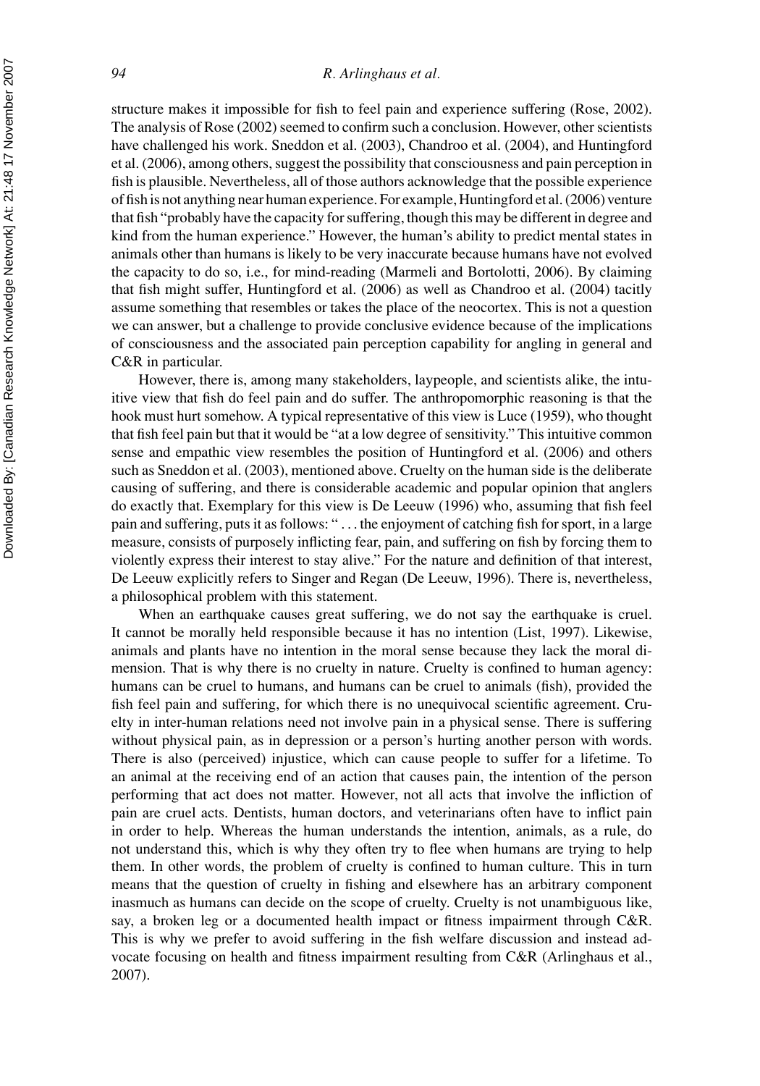structure makes it impossible for fish to feel pain and experience suffering (Rose, 2002). The analysis of Rose (2002) seemed to confirm such a conclusion. However, other scientists have challenged his work. Sneddon et al. (2003), Chandroo et al. (2004), and Huntingford et al. (2006), among others, suggest the possibility that consciousness and pain perception in fish is plausible. Nevertheless, all of those authors acknowledge that the possible experience of fish is not anything near human experience. For example, Huntingford et al. (2006) venture that fish "probably have the capacity for suffering, though this may be different in degree and kind from the human experience." However, the human's ability to predict mental states in animals other than humans is likely to be very inaccurate because humans have not evolved the capacity to do so, i.e., for mind-reading (Marmeli and Bortolotti, 2006). By claiming that fish might suffer, Huntingford et al. (2006) as well as Chandroo et al. (2004) tacitly assume something that resembles or takes the place of the neocortex. This is not a question we can answer, but a challenge to provide conclusive evidence because of the implications of consciousness and the associated pain perception capability for angling in general and C&R in particular.

However, there is, among many stakeholders, laypeople, and scientists alike, the intuitive view that fish do feel pain and do suffer. The anthropomorphic reasoning is that the hook must hurt somehow. A typical representative of this view is Luce (1959), who thought that fish feel pain but that it would be "at a low degree of sensitivity." This intuitive common sense and empathic view resembles the position of Huntingford et al. (2006) and others such as Sneddon et al. (2003), mentioned above. Cruelty on the human side is the deliberate causing of suffering, and there is considerable academic and popular opinion that anglers do exactly that. Exemplary for this view is De Leeuw (1996) who, assuming that fish feel pain and suffering, puts it as follows: " . . . the enjoyment of catching fish for sport, in a large measure, consists of purposely inflicting fear, pain, and suffering on fish by forcing them to violently express their interest to stay alive." For the nature and definition of that interest, De Leeuw explicitly refers to Singer and Regan (De Leeuw, 1996). There is, nevertheless, a philosophical problem with this statement.

When an earthquake causes great suffering, we do not say the earthquake is cruel. It cannot be morally held responsible because it has no intention (List, 1997). Likewise, animals and plants have no intention in the moral sense because they lack the moral dimension. That is why there is no cruelty in nature. Cruelty is confined to human agency: humans can be cruel to humans, and humans can be cruel to animals (fish), provided the fish feel pain and suffering, for which there is no unequivocal scientific agreement. Cruelty in inter-human relations need not involve pain in a physical sense. There is suffering without physical pain, as in depression or a person's hurting another person with words. There is also (perceived) injustice, which can cause people to suffer for a lifetime. To an animal at the receiving end of an action that causes pain, the intention of the person performing that act does not matter. However, not all acts that involve the infliction of pain are cruel acts. Dentists, human doctors, and veterinarians often have to inflict pain in order to help. Whereas the human understands the intention, animals, as a rule, do not understand this, which is why they often try to flee when humans are trying to help them. In other words, the problem of cruelty is confined to human culture. This in turn means that the question of cruelty in fishing and elsewhere has an arbitrary component inasmuch as humans can decide on the scope of cruelty. Cruelty is not unambiguous like, say, a broken leg or a documented health impact or fitness impairment through C&R. This is why we prefer to avoid suffering in the fish welfare discussion and instead advocate focusing on health and fitness impairment resulting from C&R (Arlinghaus et al., 2007).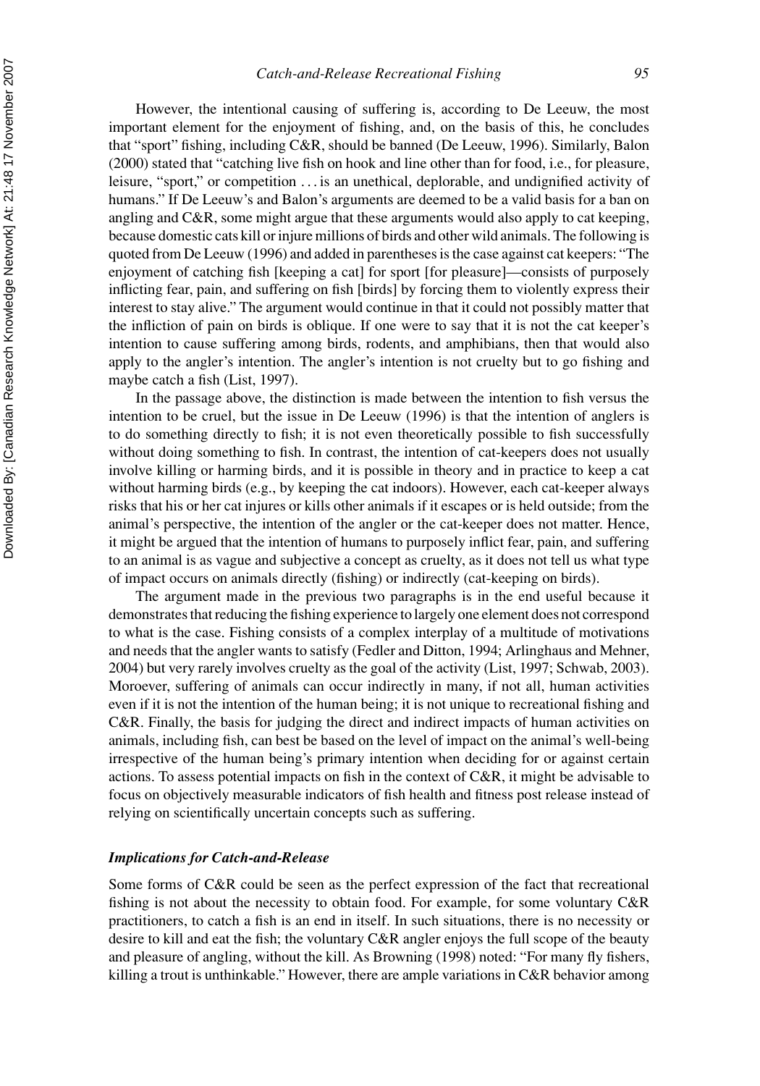However, the intentional causing of suffering is, according to De Leeuw, the most important element for the enjoyment of fishing, and, on the basis of this, he concludes that "sport" fishing, including C&R, should be banned (De Leeuw, 1996). Similarly, Balon (2000) stated that "catching live fish on hook and line other than for food, i.e., for pleasure, leisure, "sport," or competition . . . is an unethical, deplorable, and undignified activity of humans." If De Leeuw's and Balon's arguments are deemed to be a valid basis for a ban on angling and C&R, some might argue that these arguments would also apply to cat keeping, because domestic cats kill or injure millions of birds and other wild animals. The following is quoted from De Leeuw (1996) and added in parentheses is the case against cat keepers: "The enjoyment of catching fish [keeping a cat] for sport [for pleasure]—consists of purposely inflicting fear, pain, and suffering on fish [birds] by forcing them to violently express their interest to stay alive." The argument would continue in that it could not possibly matter that the infliction of pain on birds is oblique. If one were to say that it is not the cat keeper's intention to cause suffering among birds, rodents, and amphibians, then that would also apply to the angler's intention. The angler's intention is not cruelty but to go fishing and maybe catch a fish (List, 1997).

In the passage above, the distinction is made between the intention to fish versus the intention to be cruel, but the issue in De Leeuw (1996) is that the intention of anglers is to do something directly to fish; it is not even theoretically possible to fish successfully without doing something to fish. In contrast, the intention of cat-keepers does not usually involve killing or harming birds, and it is possible in theory and in practice to keep a cat without harming birds (e.g., by keeping the cat indoors). However, each cat-keeper always risks that his or her cat injures or kills other animals if it escapes or is held outside; from the animal's perspective, the intention of the angler or the cat-keeper does not matter. Hence, it might be argued that the intention of humans to purposely inflict fear, pain, and suffering to an animal is as vague and subjective a concept as cruelty, as it does not tell us what type of impact occurs on animals directly (fishing) or indirectly (cat-keeping on birds).

The argument made in the previous two paragraphs is in the end useful because it demonstrates that reducing the fishing experience to largely one element does not correspond to what is the case. Fishing consists of a complex interplay of a multitude of motivations and needs that the angler wants to satisfy (Fedler and Ditton, 1994; Arlinghaus and Mehner, 2004) but very rarely involves cruelty as the goal of the activity (List, 1997; Schwab, 2003). Moroever, suffering of animals can occur indirectly in many, if not all, human activities even if it is not the intention of the human being; it is not unique to recreational fishing and C&R. Finally, the basis for judging the direct and indirect impacts of human activities on animals, including fish, can best be based on the level of impact on the animal's well-being irrespective of the human being's primary intention when deciding for or against certain actions. To assess potential impacts on fish in the context of C&R, it might be advisable to focus on objectively measurable indicators of fish health and fitness post release instead of relying on scientifically uncertain concepts such as suffering.

#### *Implications for Catch-and-Release*

Some forms of C&R could be seen as the perfect expression of the fact that recreational fishing is not about the necessity to obtain food. For example, for some voluntary C&R practitioners, to catch a fish is an end in itself. In such situations, there is no necessity or desire to kill and eat the fish; the voluntary C&R angler enjoys the full scope of the beauty and pleasure of angling, without the kill. As Browning (1998) noted: "For many fly fishers, killing a trout is unthinkable." However, there are ample variations in C&R behavior among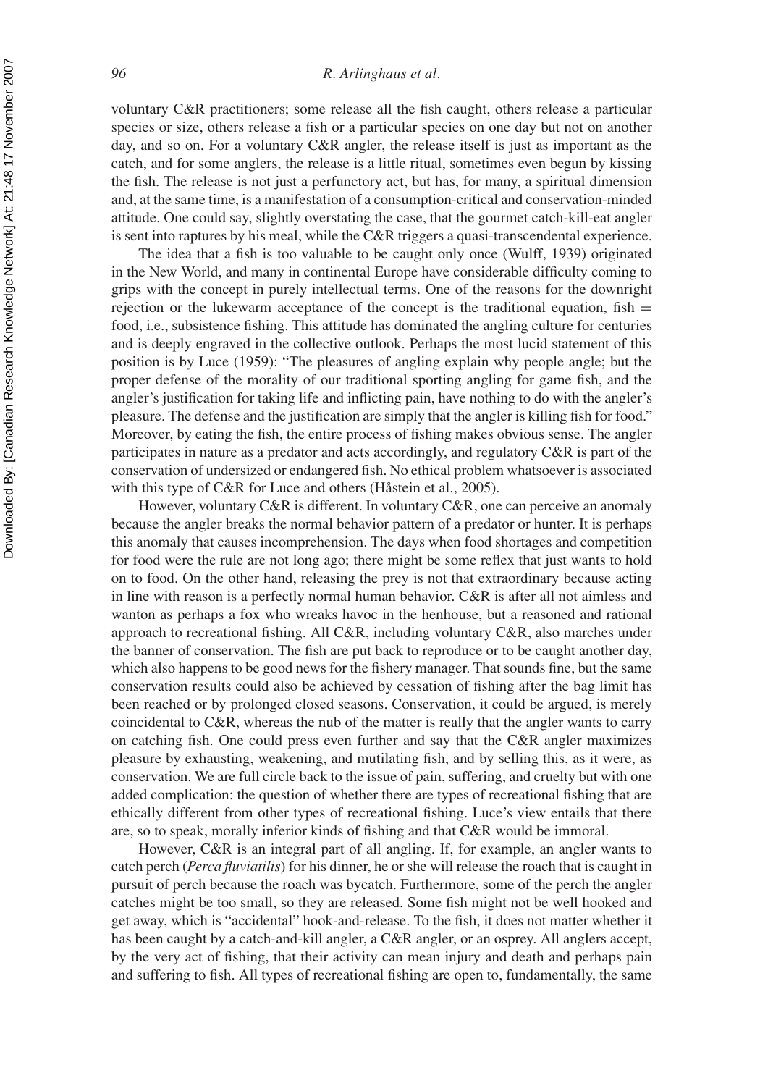voluntary C&R practitioners; some release all the fish caught, others release a particular species or size, others release a fish or a particular species on one day but not on another day, and so on. For a voluntary C&R angler, the release itself is just as important as the catch, and for some anglers, the release is a little ritual, sometimes even begun by kissing the fish. The release is not just a perfunctory act, but has, for many, a spiritual dimension and, at the same time, is a manifestation of a consumption-critical and conservation-minded attitude. One could say, slightly overstating the case, that the gourmet catch-kill-eat angler is sent into raptures by his meal, while the C&R triggers a quasi-transcendental experience.

The idea that a fish is too valuable to be caught only once (Wulff, 1939) originated in the New World, and many in continental Europe have considerable difficulty coming to grips with the concept in purely intellectual terms. One of the reasons for the downright rejection or the lukewarm acceptance of the concept is the traditional equation, fish  $=$ food, i.e., subsistence fishing. This attitude has dominated the angling culture for centuries and is deeply engraved in the collective outlook. Perhaps the most lucid statement of this position is by Luce (1959): "The pleasures of angling explain why people angle; but the proper defense of the morality of our traditional sporting angling for game fish, and the angler's justification for taking life and inflicting pain, have nothing to do with the angler's pleasure. The defense and the justification are simply that the angler is killing fish for food." Moreover, by eating the fish, the entire process of fishing makes obvious sense. The angler participates in nature as a predator and acts accordingly, and regulatory C&R is part of the conservation of undersized or endangered fish. No ethical problem whatsoever is associated with this type of C&R for Luce and others (Håstein et al., 2005).

However, voluntary C&R is different. In voluntary C&R, one can perceive an anomaly because the angler breaks the normal behavior pattern of a predator or hunter. It is perhaps this anomaly that causes incomprehension. The days when food shortages and competition for food were the rule are not long ago; there might be some reflex that just wants to hold on to food. On the other hand, releasing the prey is not that extraordinary because acting in line with reason is a perfectly normal human behavior. C&R is after all not aimless and wanton as perhaps a fox who wreaks havoc in the henhouse, but a reasoned and rational approach to recreational fishing. All  $C&R$ , including voluntary  $C&R$ , also marches under the banner of conservation. The fish are put back to reproduce or to be caught another day, which also happens to be good news for the fishery manager. That sounds fine, but the same conservation results could also be achieved by cessation of fishing after the bag limit has been reached or by prolonged closed seasons. Conservation, it could be argued, is merely coincidental to C&R, whereas the nub of the matter is really that the angler wants to carry on catching fish. One could press even further and say that the C&R angler maximizes pleasure by exhausting, weakening, and mutilating fish, and by selling this, as it were, as conservation. We are full circle back to the issue of pain, suffering, and cruelty but with one added complication: the question of whether there are types of recreational fishing that are ethically different from other types of recreational fishing. Luce's view entails that there are, so to speak, morally inferior kinds of fishing and that C&R would be immoral.

However, C&R is an integral part of all angling. If, for example, an angler wants to catch perch (*Perca fluviatilis*) for his dinner, he or she will release the roach that is caught in pursuit of perch because the roach was bycatch. Furthermore, some of the perch the angler catches might be too small, so they are released. Some fish might not be well hooked and get away, which is "accidental" hook-and-release. To the fish, it does not matter whether it has been caught by a catch-and-kill angler, a C&R angler, or an osprey. All anglers accept, by the very act of fishing, that their activity can mean injury and death and perhaps pain and suffering to fish. All types of recreational fishing are open to, fundamentally, the same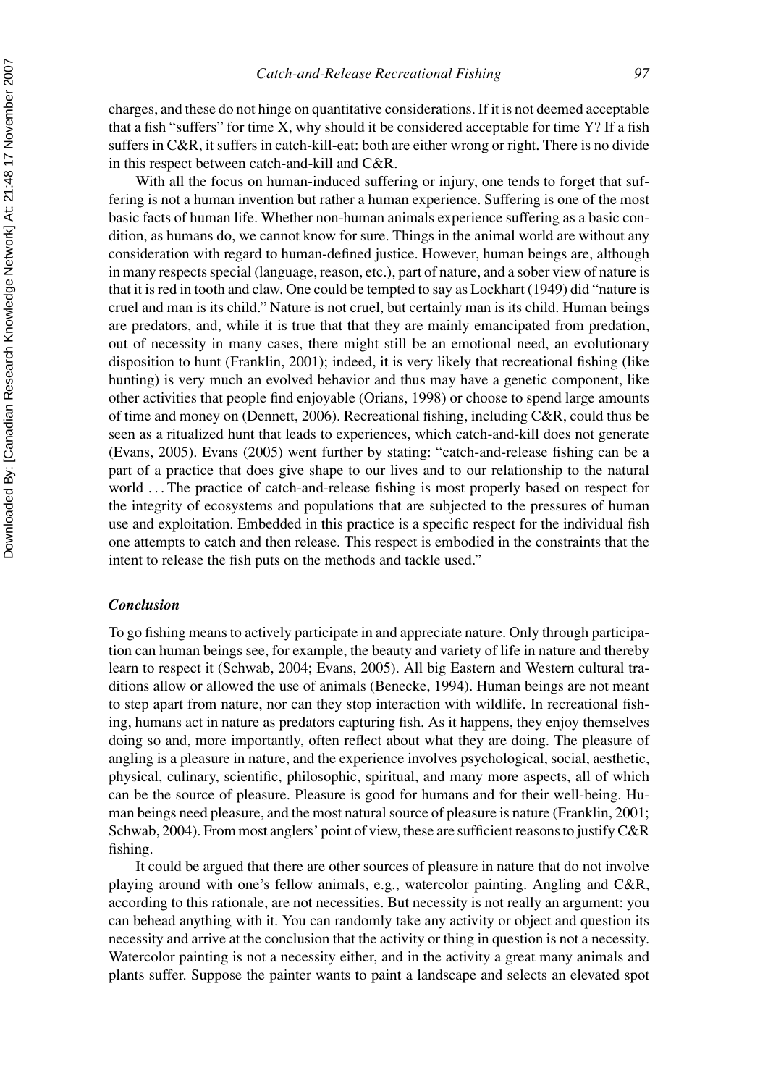charges, and these do not hinge on quantitative considerations. If it is not deemed acceptable that a fish "suffers" for time  $X$ , why should it be considered acceptable for time  $Y$ ? If a fish suffers in C&R, it suffers in catch-kill-eat: both are either wrong or right. There is no divide in this respect between catch-and-kill and C&R.

With all the focus on human-induced suffering or injury, one tends to forget that suffering is not a human invention but rather a human experience. Suffering is one of the most basic facts of human life. Whether non-human animals experience suffering as a basic condition, as humans do, we cannot know for sure. Things in the animal world are without any consideration with regard to human-defined justice. However, human beings are, although in many respects special (language, reason, etc.), part of nature, and a sober view of nature is that it is red in tooth and claw. One could be tempted to say as Lockhart (1949) did "nature is cruel and man is its child." Nature is not cruel, but certainly man is its child. Human beings are predators, and, while it is true that that they are mainly emancipated from predation, out of necessity in many cases, there might still be an emotional need, an evolutionary disposition to hunt (Franklin, 2001); indeed, it is very likely that recreational fishing (like hunting) is very much an evolved behavior and thus may have a genetic component, like other activities that people find enjoyable (Orians, 1998) or choose to spend large amounts of time and money on (Dennett, 2006). Recreational fishing, including C&R, could thus be seen as a ritualized hunt that leads to experiences, which catch-and-kill does not generate (Evans, 2005). Evans (2005) went further by stating: "catch-and-release fishing can be a part of a practice that does give shape to our lives and to our relationship to the natural world . . . The practice of catch-and-release fishing is most properly based on respect for the integrity of ecosystems and populations that are subjected to the pressures of human use and exploitation. Embedded in this practice is a specific respect for the individual fish one attempts to catch and then release. This respect is embodied in the constraints that the intent to release the fish puts on the methods and tackle used."

#### *Conclusion*

To go fishing means to actively participate in and appreciate nature. Only through participation can human beings see, for example, the beauty and variety of life in nature and thereby learn to respect it (Schwab, 2004; Evans, 2005). All big Eastern and Western cultural traditions allow or allowed the use of animals (Benecke, 1994). Human beings are not meant to step apart from nature, nor can they stop interaction with wildlife. In recreational fishing, humans act in nature as predators capturing fish. As it happens, they enjoy themselves doing so and, more importantly, often reflect about what they are doing. The pleasure of angling is a pleasure in nature, and the experience involves psychological, social, aesthetic, physical, culinary, scientific, philosophic, spiritual, and many more aspects, all of which can be the source of pleasure. Pleasure is good for humans and for their well-being. Human beings need pleasure, and the most natural source of pleasure is nature (Franklin, 2001; Schwab, 2004). From most anglers' point of view, these are sufficient reasons to justify C&R fishing.

It could be argued that there are other sources of pleasure in nature that do not involve playing around with one's fellow animals, e.g., watercolor painting. Angling and C&R, according to this rationale, are not necessities. But necessity is not really an argument: you can behead anything with it. You can randomly take any activity or object and question its necessity and arrive at the conclusion that the activity or thing in question is not a necessity. Watercolor painting is not a necessity either, and in the activity a great many animals and plants suffer. Suppose the painter wants to paint a landscape and selects an elevated spot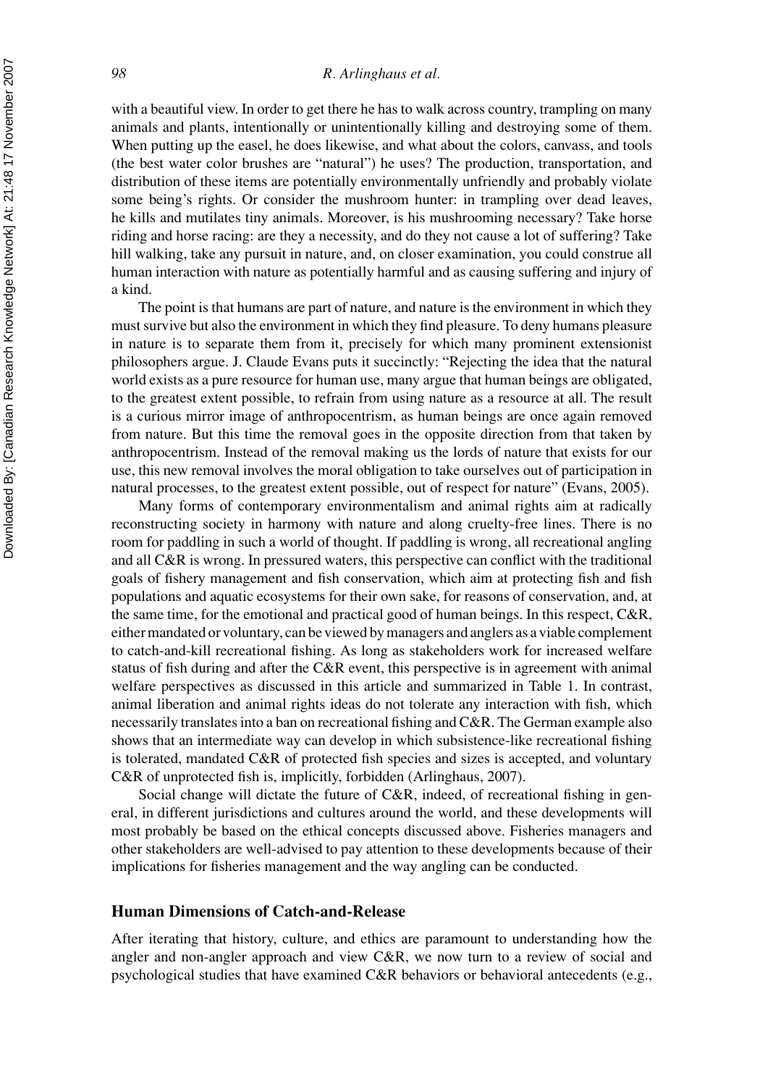with a beautiful view. In order to get there he has to walk across country, trampling on many animals and plants, intentionally or unintentionally killing and destroying some of them. When putting up the easel, he does likewise, and what about the colors, canvass, and tools (the best water color brushes are "natural") he uses? The production, transportation, and distribution of these items are potentially environmentally unfriendly and probably violate some being's rights. Or consider the mushroom hunter: in trampling over dead leaves, he kills and mutilates tiny animals. Moreover, is his mushrooming necessary? Take horse riding and horse racing: are they a necessity, and do they not cause a lot of suffering? Take hill walking, take any pursuit in nature, and, on closer examination, you could construe all human interaction with nature as potentially harmful and as causing suffering and injury of a kind.

The point is that humans are part of nature, and nature is the environment in which they must survive but also the environment in which they find pleasure. To deny humans pleasure in nature is to separate them from it, precisely for which many prominent extensionist philosophers argue. J. Claude Evans puts it succinctly: "Rejecting the idea that the natural world exists as a pure resource for human use, many argue that human beings are obligated, to the greatest extent possible, to refrain from using nature as a resource at all. The result is a curious mirror image of anthropocentrism, as human beings are once again removed from nature. But this time the removal goes in the opposite direction from that taken by anthropocentrism. Instead of the removal making us the lords of nature that exists for our use, this new removal involves the moral obligation to take ourselves out of participation in natural processes, to the greatest extent possible, out of respect for nature" (Evans, 2005).

Many forms of contemporary environmentalism and animal rights aim at radically reconstructing society in harmony with nature and along cruelty-free lines. There is no room for paddling in such a world of thought. If paddling is wrong, all recreational angling and all C&R is wrong. In pressured waters, this perspective can conflict with the traditional goals of fishery management and fish conservation, which aim at protecting fish and fish populations and aquatic ecosystems for their own sake, for reasons of conservation, and, at the same time, for the emotional and practical good of human beings. In this respect,  $C\&R$ , either mandated or voluntary, can be viewed by managers and anglers as a viable complement to catch-and-kill recreational fishing. As long as stakeholders work for increased welfare status of fish during and after the C&R event, this perspective is in agreement with animal welfare perspectives as discussed in this article and summarized in Table 1. In contrast, animal liberation and animal rights ideas do not tolerate any interaction with fish, which necessarily translates into a ban on recreational fishing and C&R. The German example also shows that an intermediate way can develop in which subsistence-like recreational fishing is tolerated, mandated C&R of protected fish species and sizes is accepted, and voluntary C&R of unprotected fish is, implicitly, forbidden (Arlinghaus, 2007).

Social change will dictate the future of C&R, indeed, of recreational fishing in general, in different jurisdictions and cultures around the world, and these developments will most probably be based on the ethical concepts discussed above. Fisheries managers and other stakeholders are well-advised to pay attention to these developments because of their implications for fisheries management and the way angling can be conducted.

#### **Human Dimensions of Catch-and-Release**

After iterating that history, culture, and ethics are paramount to understanding how the angler and non-angler approach and view C&R, we now turn to a review of social and psychological studies that have examined C&R behaviors or behavioral antecedents (e.g.,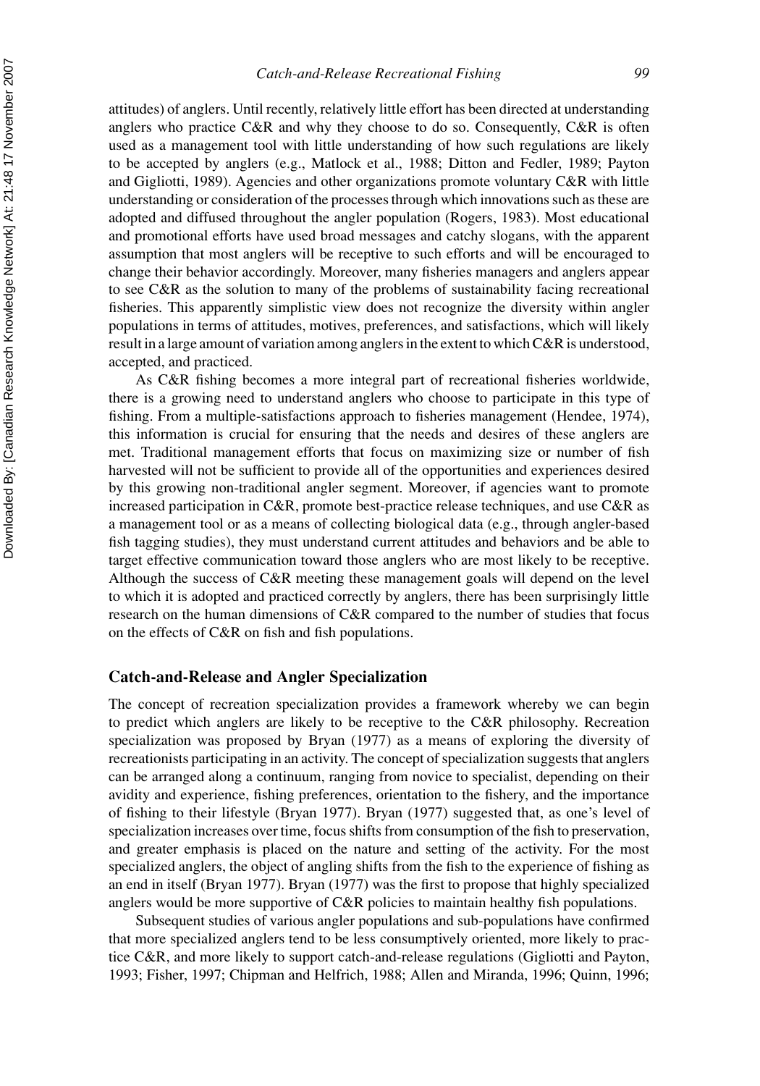attitudes) of anglers. Until recently, relatively little effort has been directed at understanding anglers who practice C&R and why they choose to do so. Consequently, C&R is often used as a management tool with little understanding of how such regulations are likely to be accepted by anglers (e.g., Matlock et al., 1988; Ditton and Fedler, 1989; Payton and Gigliotti, 1989). Agencies and other organizations promote voluntary C&R with little understanding or consideration of the processes through which innovations such as these are adopted and diffused throughout the angler population (Rogers, 1983). Most educational and promotional efforts have used broad messages and catchy slogans, with the apparent assumption that most anglers will be receptive to such efforts and will be encouraged to change their behavior accordingly. Moreover, many fisheries managers and anglers appear to see C&R as the solution to many of the problems of sustainability facing recreational fisheries. This apparently simplistic view does not recognize the diversity within angler populations in terms of attitudes, motives, preferences, and satisfactions, which will likely result in a large amount of variation among anglers in the extent to which C&R is understood, accepted, and practiced.

As C&R fishing becomes a more integral part of recreational fisheries worldwide, there is a growing need to understand anglers who choose to participate in this type of fishing. From a multiple-satisfactions approach to fisheries management (Hendee, 1974), this information is crucial for ensuring that the needs and desires of these anglers are met. Traditional management efforts that focus on maximizing size or number of fish harvested will not be sufficient to provide all of the opportunities and experiences desired by this growing non-traditional angler segment. Moreover, if agencies want to promote increased participation in C&R, promote best-practice release techniques, and use C&R as a management tool or as a means of collecting biological data (e.g., through angler-based fish tagging studies), they must understand current attitudes and behaviors and be able to target effective communication toward those anglers who are most likely to be receptive. Although the success of C&R meeting these management goals will depend on the level to which it is adopted and practiced correctly by anglers, there has been surprisingly little research on the human dimensions of C&R compared to the number of studies that focus on the effects of C&R on fish and fish populations.

# **Catch-and-Release and Angler Specialization**

The concept of recreation specialization provides a framework whereby we can begin to predict which anglers are likely to be receptive to the C&R philosophy. Recreation specialization was proposed by Bryan (1977) as a means of exploring the diversity of recreationists participating in an activity. The concept of specialization suggests that anglers can be arranged along a continuum, ranging from novice to specialist, depending on their avidity and experience, fishing preferences, orientation to the fishery, and the importance of fishing to their lifestyle (Bryan 1977). Bryan (1977) suggested that, as one's level of specialization increases over time, focus shifts from consumption of the fish to preservation, and greater emphasis is placed on the nature and setting of the activity. For the most specialized anglers, the object of angling shifts from the fish to the experience of fishing as an end in itself (Bryan 1977). Bryan (1977) was the first to propose that highly specialized anglers would be more supportive of C&R policies to maintain healthy fish populations.

Subsequent studies of various angler populations and sub-populations have confirmed that more specialized anglers tend to be less consumptively oriented, more likely to practice C&R, and more likely to support catch-and-release regulations (Gigliotti and Payton, 1993; Fisher, 1997; Chipman and Helfrich, 1988; Allen and Miranda, 1996; Quinn, 1996;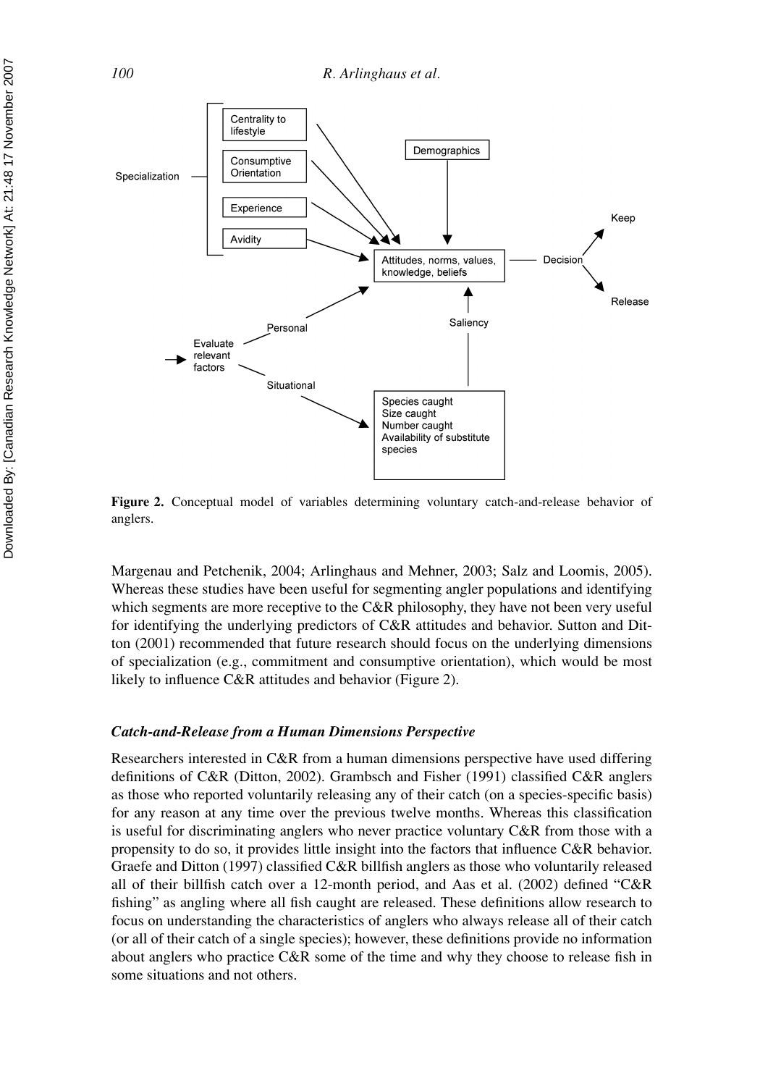

**Figure 2.** Conceptual model of variables determining voluntary catch-and-release behavior of anglers.

Margenau and Petchenik, 2004; Arlinghaus and Mehner, 2003; Salz and Loomis, 2005). Whereas these studies have been useful for segmenting angler populations and identifying which segments are more receptive to the C&R philosophy, they have not been very useful for identifying the underlying predictors of C&R attitudes and behavior. Sutton and Ditton (2001) recommended that future research should focus on the underlying dimensions of specialization (e.g., commitment and consumptive orientation), which would be most likely to influence C&R attitudes and behavior (Figure 2).

# *Catch-and-Release from a Human Dimensions Perspective*

Researchers interested in C&R from a human dimensions perspective have used differing definitions of C&R (Ditton, 2002). Grambsch and Fisher (1991) classified C&R anglers as those who reported voluntarily releasing any of their catch (on a species-specific basis) for any reason at any time over the previous twelve months. Whereas this classification is useful for discriminating anglers who never practice voluntary C&R from those with a propensity to do so, it provides little insight into the factors that influence C&R behavior. Graefe and Ditton (1997) classified C&R billfish anglers as those who voluntarily released all of their billfish catch over a 12-month period, and Aas et al. (2002) defined "C&R fishing" as angling where all fish caught are released. These definitions allow research to focus on understanding the characteristics of anglers who always release all of their catch (or all of their catch of a single species); however, these definitions provide no information about anglers who practice C&R some of the time and why they choose to release fish in some situations and not others.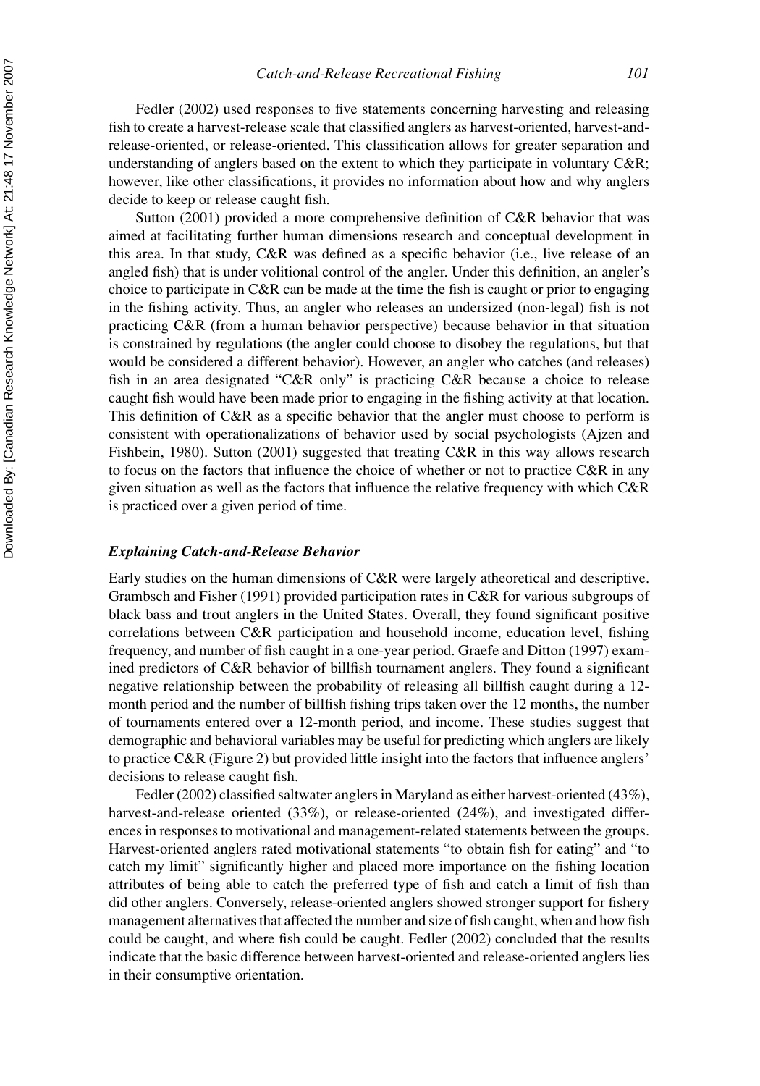Fedler (2002) used responses to five statements concerning harvesting and releasing fish to create a harvest-release scale that classified anglers as harvest-oriented, harvest-andrelease-oriented, or release-oriented. This classification allows for greater separation and understanding of anglers based on the extent to which they participate in voluntary  $C\&R$ ; however, like other classifications, it provides no information about how and why anglers decide to keep or release caught fish.

Sutton (2001) provided a more comprehensive definition of C&R behavior that was aimed at facilitating further human dimensions research and conceptual development in this area. In that study, C&R was defined as a specific behavior (i.e., live release of an angled fish) that is under volitional control of the angler. Under this definition, an angler's choice to participate in  $C\&R$  can be made at the time the fish is caught or prior to engaging in the fishing activity. Thus, an angler who releases an undersized (non-legal) fish is not practicing C&R (from a human behavior perspective) because behavior in that situation is constrained by regulations (the angler could choose to disobey the regulations, but that would be considered a different behavior). However, an angler who catches (and releases) fish in an area designated "C&R only" is practicing C&R because a choice to release caught fish would have been made prior to engaging in the fishing activity at that location. This definition of  $C\&R$  as a specific behavior that the angler must choose to perform is consistent with operationalizations of behavior used by social psychologists (Ajzen and Fishbein, 1980). Sutton (2001) suggested that treating C&R in this way allows research to focus on the factors that influence the choice of whether or not to practice C&R in any given situation as well as the factors that influence the relative frequency with which C&R is practiced over a given period of time.

#### *Explaining Catch-and-Release Behavior*

Early studies on the human dimensions of C&R were largely atheoretical and descriptive. Grambsch and Fisher (1991) provided participation rates in C&R for various subgroups of black bass and trout anglers in the United States. Overall, they found significant positive correlations between C&R participation and household income, education level, fishing frequency, and number of fish caught in a one-year period. Graefe and Ditton (1997) examined predictors of C&R behavior of billfish tournament anglers. They found a significant negative relationship between the probability of releasing all billfish caught during a 12 month period and the number of billfish fishing trips taken over the 12 months, the number of tournaments entered over a 12-month period, and income. These studies suggest that demographic and behavioral variables may be useful for predicting which anglers are likely to practice C&R (Figure 2) but provided little insight into the factors that influence anglers' decisions to release caught fish.

Fedler (2002) classified saltwater anglers in Maryland as either harvest-oriented (43%), harvest-and-release oriented (33%), or release-oriented (24%), and investigated differences in responses to motivational and management-related statements between the groups. Harvest-oriented anglers rated motivational statements "to obtain fish for eating" and "to catch my limit" significantly higher and placed more importance on the fishing location attributes of being able to catch the preferred type of fish and catch a limit of fish than did other anglers. Conversely, release-oriented anglers showed stronger support for fishery management alternatives that affected the number and size of fish caught, when and how fish could be caught, and where fish could be caught. Fedler (2002) concluded that the results indicate that the basic difference between harvest-oriented and release-oriented anglers lies in their consumptive orientation.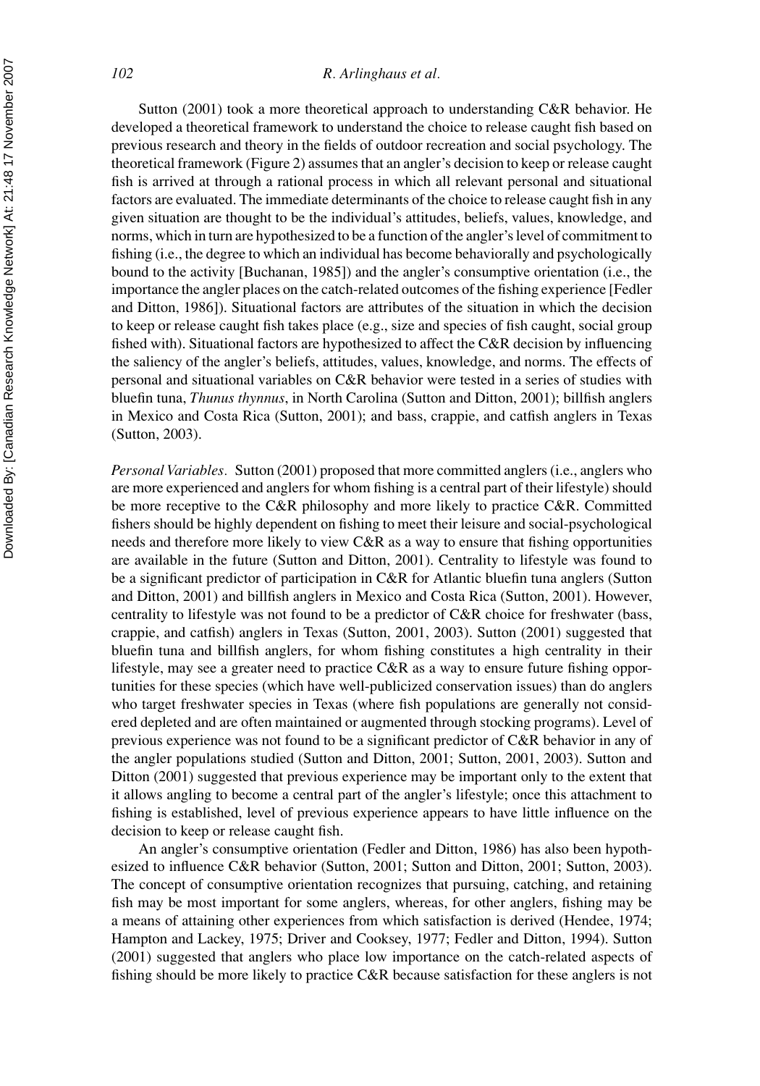#### *102 R. Arlinghaus et al.*

Sutton (2001) took a more theoretical approach to understanding C&R behavior. He developed a theoretical framework to understand the choice to release caught fish based on previous research and theory in the fields of outdoor recreation and social psychology. The theoretical framework (Figure 2) assumes that an angler's decision to keep or release caught fish is arrived at through a rational process in which all relevant personal and situational factors are evaluated. The immediate determinants of the choice to release caught fish in any given situation are thought to be the individual's attitudes, beliefs, values, knowledge, and norms, which in turn are hypothesized to be a function of the angler's level of commitment to fishing (i.e., the degree to which an individual has become behaviorally and psychologically bound to the activity [Buchanan, 1985]) and the angler's consumptive orientation (i.e., the importance the angler places on the catch-related outcomes of the fishing experience [Fedler and Ditton, 1986]). Situational factors are attributes of the situation in which the decision to keep or release caught fish takes place (e.g., size and species of fish caught, social group fished with). Situational factors are hypothesized to affect the C&R decision by influencing the saliency of the angler's beliefs, attitudes, values, knowledge, and norms. The effects of personal and situational variables on C&R behavior were tested in a series of studies with bluefin tuna, *Thunus thynnus*, in North Carolina (Sutton and Ditton, 2001); billfish anglers in Mexico and Costa Rica (Sutton, 2001); and bass, crappie, and catfish anglers in Texas (Sutton, 2003).

*Personal Variables.* Sutton (2001) proposed that more committed anglers (i.e., anglers who are more experienced and anglers for whom fishing is a central part of their lifestyle) should be more receptive to the C&R philosophy and more likely to practice C&R. Committed fishers should be highly dependent on fishing to meet their leisure and social-psychological needs and therefore more likely to view C&R as a way to ensure that fishing opportunities are available in the future (Sutton and Ditton, 2001). Centrality to lifestyle was found to be a significant predictor of participation in C&R for Atlantic bluefin tuna anglers (Sutton and Ditton, 2001) and billfish anglers in Mexico and Costa Rica (Sutton, 2001). However, centrality to lifestyle was not found to be a predictor of C&R choice for freshwater (bass, crappie, and catfish) anglers in Texas (Sutton, 2001, 2003). Sutton (2001) suggested that bluefin tuna and billfish anglers, for whom fishing constitutes a high centrality in their lifestyle, may see a greater need to practice C&R as a way to ensure future fishing opportunities for these species (which have well-publicized conservation issues) than do anglers who target freshwater species in Texas (where fish populations are generally not considered depleted and are often maintained or augmented through stocking programs). Level of previous experience was not found to be a significant predictor of C&R behavior in any of the angler populations studied (Sutton and Ditton, 2001; Sutton, 2001, 2003). Sutton and Ditton (2001) suggested that previous experience may be important only to the extent that it allows angling to become a central part of the angler's lifestyle; once this attachment to fishing is established, level of previous experience appears to have little influence on the decision to keep or release caught fish.

An angler's consumptive orientation (Fedler and Ditton, 1986) has also been hypothesized to influence C&R behavior (Sutton, 2001; Sutton and Ditton, 2001; Sutton, 2003). The concept of consumptive orientation recognizes that pursuing, catching, and retaining fish may be most important for some anglers, whereas, for other anglers, fishing may be a means of attaining other experiences from which satisfaction is derived (Hendee, 1974; Hampton and Lackey, 1975; Driver and Cooksey, 1977; Fedler and Ditton, 1994). Sutton (2001) suggested that anglers who place low importance on the catch-related aspects of fishing should be more likely to practice C&R because satisfaction for these anglers is not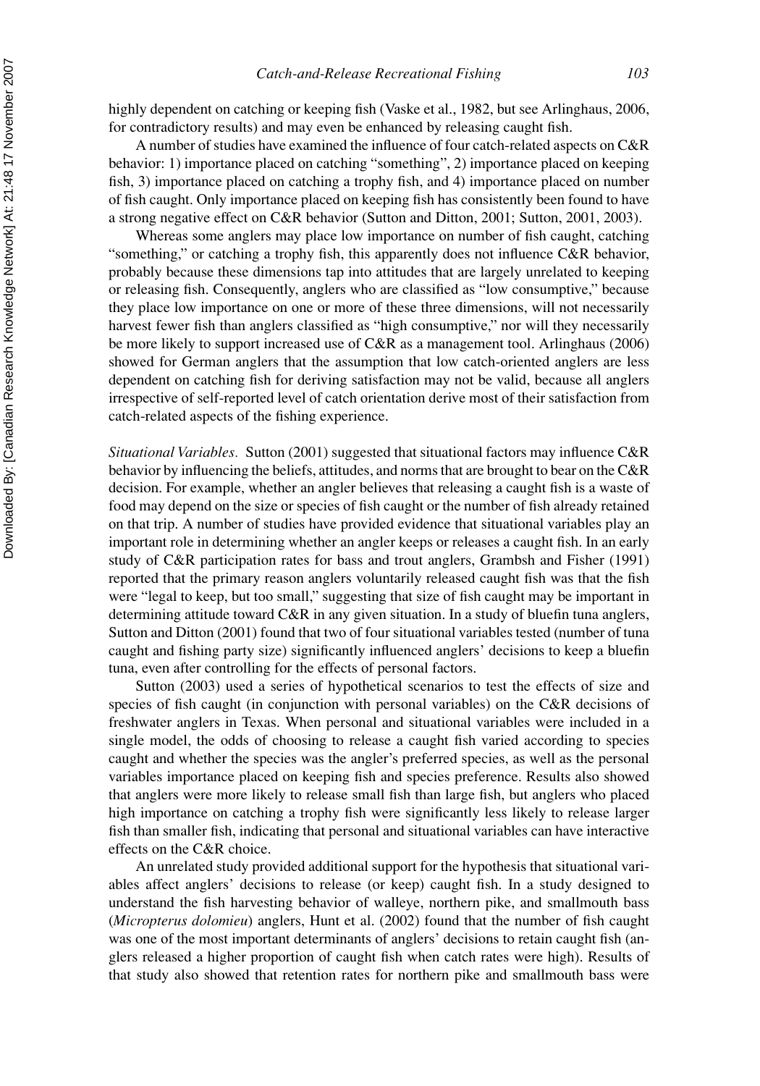highly dependent on catching or keeping fish (Vaske et al., 1982, but see Arlinghaus, 2006, for contradictory results) and may even be enhanced by releasing caught fish.

A number of studies have examined the influence of four catch-related aspects on C&R behavior: 1) importance placed on catching "something", 2) importance placed on keeping fish, 3) importance placed on catching a trophy fish, and 4) importance placed on number of fish caught. Only importance placed on keeping fish has consistently been found to have a strong negative effect on C&R behavior (Sutton and Ditton, 2001; Sutton, 2001, 2003).

Whereas some anglers may place low importance on number of fish caught, catching "something," or catching a trophy fish, this apparently does not influence C&R behavior, probably because these dimensions tap into attitudes that are largely unrelated to keeping or releasing fish. Consequently, anglers who are classified as "low consumptive," because they place low importance on one or more of these three dimensions, will not necessarily harvest fewer fish than anglers classified as "high consumptive," nor will they necessarily be more likely to support increased use of C&R as a management tool. Arlinghaus (2006) showed for German anglers that the assumption that low catch-oriented anglers are less dependent on catching fish for deriving satisfaction may not be valid, because all anglers irrespective of self-reported level of catch orientation derive most of their satisfaction from catch-related aspects of the fishing experience.

*Situational Variables.* Sutton (2001) suggested that situational factors may influence C&R behavior by influencing the beliefs, attitudes, and norms that are brought to bear on the  $C\&R$ decision. For example, whether an angler believes that releasing a caught fish is a waste of food may depend on the size or species of fish caught or the number of fish already retained on that trip. A number of studies have provided evidence that situational variables play an important role in determining whether an angler keeps or releases a caught fish. In an early study of C&R participation rates for bass and trout anglers, Grambsh and Fisher (1991) reported that the primary reason anglers voluntarily released caught fish was that the fish were "legal to keep, but too small," suggesting that size of fish caught may be important in determining attitude toward  $C\&R$  in any given situation. In a study of bluefin tuna anglers, Sutton and Ditton (2001) found that two of four situational variables tested (number of tuna caught and fishing party size) significantly influenced anglers' decisions to keep a bluefin tuna, even after controlling for the effects of personal factors.

Sutton (2003) used a series of hypothetical scenarios to test the effects of size and species of fish caught (in conjunction with personal variables) on the C&R decisions of freshwater anglers in Texas. When personal and situational variables were included in a single model, the odds of choosing to release a caught fish varied according to species caught and whether the species was the angler's preferred species, as well as the personal variables importance placed on keeping fish and species preference. Results also showed that anglers were more likely to release small fish than large fish, but anglers who placed high importance on catching a trophy fish were significantly less likely to release larger fish than smaller fish, indicating that personal and situational variables can have interactive effects on the C&R choice.

An unrelated study provided additional support for the hypothesis that situational variables affect anglers' decisions to release (or keep) caught fish. In a study designed to understand the fish harvesting behavior of walleye, northern pike, and smallmouth bass (*Micropterus dolomieu*) anglers, Hunt et al. (2002) found that the number of fish caught was one of the most important determinants of anglers' decisions to retain caught fish (anglers released a higher proportion of caught fish when catch rates were high). Results of that study also showed that retention rates for northern pike and smallmouth bass were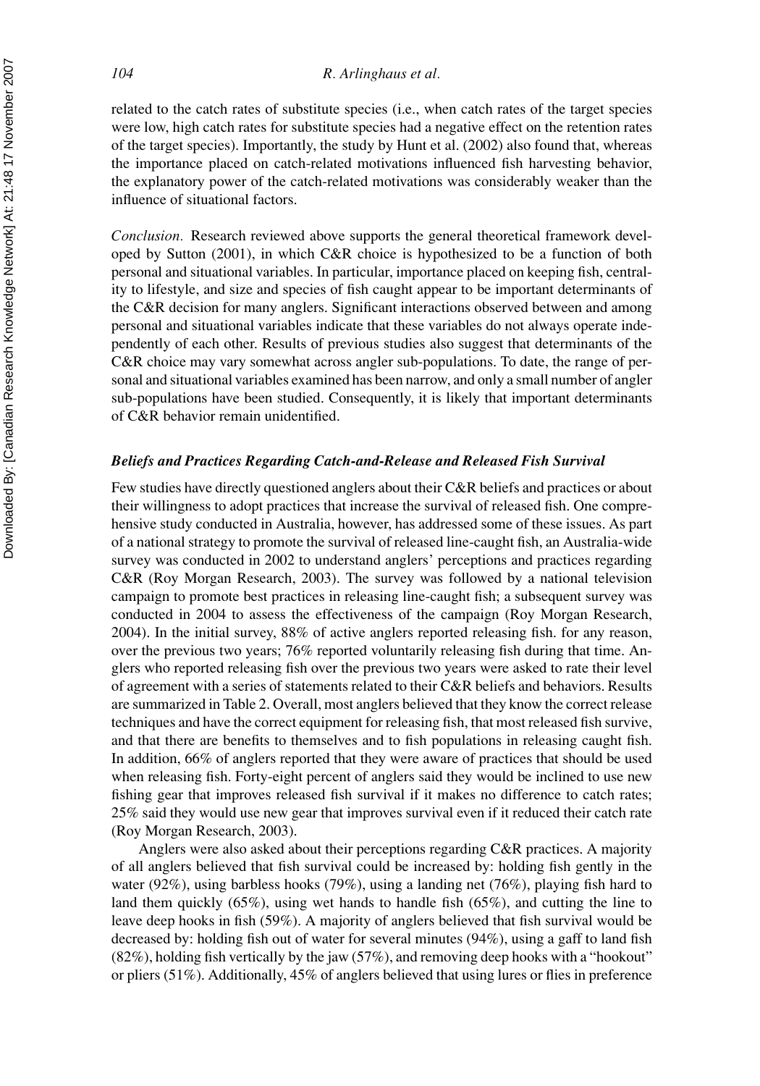related to the catch rates of substitute species (i.e., when catch rates of the target species were low, high catch rates for substitute species had a negative effect on the retention rates of the target species). Importantly, the study by Hunt et al. (2002) also found that, whereas the importance placed on catch-related motivations influenced fish harvesting behavior, the explanatory power of the catch-related motivations was considerably weaker than the influence of situational factors.

*Conclusion.* Research reviewed above supports the general theoretical framework developed by Sutton (2001), in which C&R choice is hypothesized to be a function of both personal and situational variables. In particular, importance placed on keeping fish, centrality to lifestyle, and size and species of fish caught appear to be important determinants of the C&R decision for many anglers. Significant interactions observed between and among personal and situational variables indicate that these variables do not always operate independently of each other. Results of previous studies also suggest that determinants of the C&R choice may vary somewhat across angler sub-populations. To date, the range of personal and situational variables examined has been narrow, and only a small number of angler sub-populations have been studied. Consequently, it is likely that important determinants of C&R behavior remain unidentified.

# *Beliefs and Practices Regarding Catch-and-Release and Released Fish Survival*

Few studies have directly questioned anglers about their C&R beliefs and practices or about their willingness to adopt practices that increase the survival of released fish. One comprehensive study conducted in Australia, however, has addressed some of these issues. As part of a national strategy to promote the survival of released line-caught fish, an Australia-wide survey was conducted in 2002 to understand anglers' perceptions and practices regarding C&R (Roy Morgan Research, 2003). The survey was followed by a national television campaign to promote best practices in releasing line-caught fish; a subsequent survey was conducted in 2004 to assess the effectiveness of the campaign (Roy Morgan Research, 2004). In the initial survey, 88% of active anglers reported releasing fish. for any reason, over the previous two years; 76% reported voluntarily releasing fish during that time. Anglers who reported releasing fish over the previous two years were asked to rate their level of agreement with a series of statements related to their C&R beliefs and behaviors. Results are summarized in Table 2. Overall, most anglers believed that they know the correct release techniques and have the correct equipment for releasing fish, that most released fish survive, and that there are benefits to themselves and to fish populations in releasing caught fish. In addition, 66% of anglers reported that they were aware of practices that should be used when releasing fish. Forty-eight percent of anglers said they would be inclined to use new fishing gear that improves released fish survival if it makes no difference to catch rates; 25% said they would use new gear that improves survival even if it reduced their catch rate (Roy Morgan Research, 2003).

Anglers were also asked about their perceptions regarding C&R practices. A majority of all anglers believed that fish survival could be increased by: holding fish gently in the water (92%), using barbless hooks (79%), using a landing net (76%), playing fish hard to land them quickly (65%), using wet hands to handle fish (65%), and cutting the line to leave deep hooks in fish (59%). A majority of anglers believed that fish survival would be decreased by: holding fish out of water for several minutes (94%), using a gaff to land fish (82%), holding fish vertically by the jaw (57%), and removing deep hooks with a "hookout" or pliers (51%). Additionally, 45% of anglers believed that using lures or flies in preference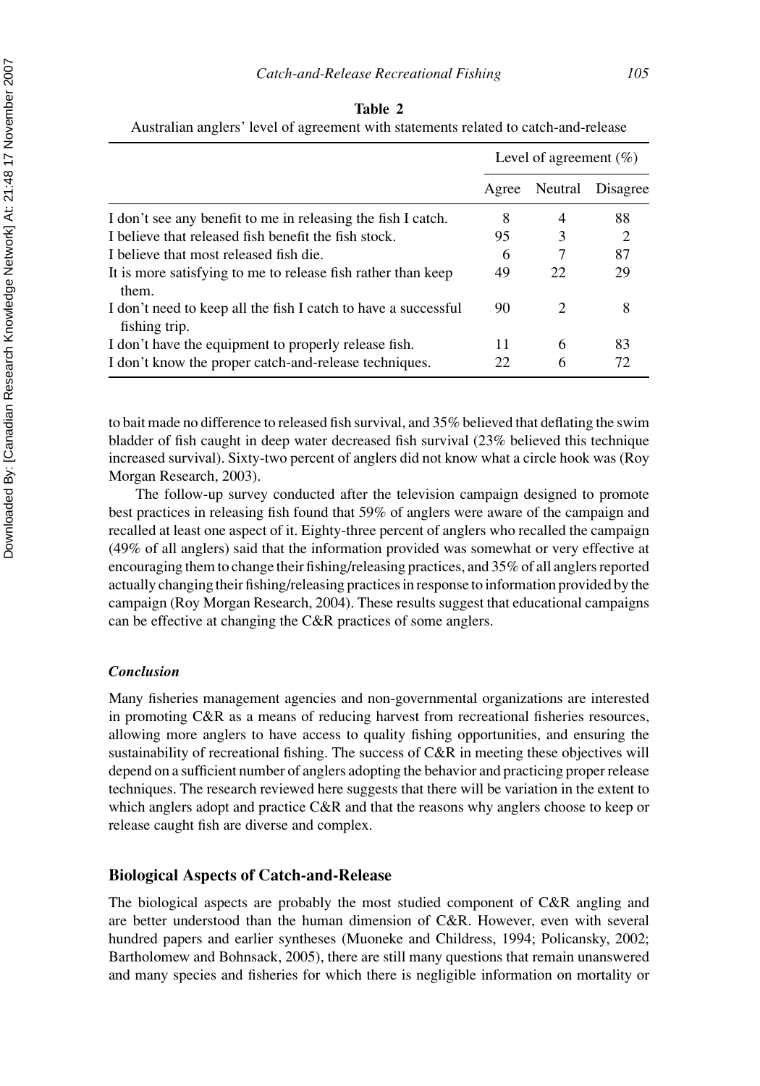|                                                                                 | Level of agreement $(\%)$ |                             |          |
|---------------------------------------------------------------------------------|---------------------------|-----------------------------|----------|
|                                                                                 | Agree                     | Neutral                     | Disagree |
| I don't see any benefit to me in releasing the fish I catch.                    | 8                         | 4                           | 88       |
| I believe that released fish benefit the fish stock.                            | 95                        | 3                           | 2        |
| I believe that most released fish die.                                          | 6                         | 7                           | 87       |
| It is more satisfying to me to release fish rather than keep<br>them.           | 49                        | 22                          | 29       |
| I don't need to keep all the fish I catch to have a successful<br>fishing trip. | 90                        | $\mathcal{D}_{\mathcal{L}}$ | 8        |
| I don't have the equipment to properly release fish.                            | 11                        | 6                           | 83       |
| I don't know the proper catch-and-release techniques.                           | 22                        | 6                           | 72       |

**Table 2** Australian anglers' level of agreement with statements related to catch-and-release

to bait made no difference to released fish survival, and 35% believed that deflating the swim bladder of fish caught in deep water decreased fish survival (23% believed this technique increased survival). Sixty-two percent of anglers did not know what a circle hook was (Roy Morgan Research, 2003).

The follow-up survey conducted after the television campaign designed to promote best practices in releasing fish found that 59% of anglers were aware of the campaign and recalled at least one aspect of it. Eighty-three percent of anglers who recalled the campaign (49% of all anglers) said that the information provided was somewhat or very effective at encouraging them to change their fishing/releasing practices, and 35% of all anglers reported actually changing their fishing/releasing practices in response to information provided by the campaign (Roy Morgan Research, 2004). These results suggest that educational campaigns can be effective at changing the C&R practices of some anglers.

#### *Conclusion*

Many fisheries management agencies and non-governmental organizations are interested in promoting C&R as a means of reducing harvest from recreational fisheries resources, allowing more anglers to have access to quality fishing opportunities, and ensuring the sustainability of recreational fishing. The success of C&R in meeting these objectives will depend on a sufficient number of anglers adopting the behavior and practicing proper release techniques. The research reviewed here suggests that there will be variation in the extent to which anglers adopt and practice C&R and that the reasons why anglers choose to keep or release caught fish are diverse and complex.

#### **Biological Aspects of Catch-and-Release**

The biological aspects are probably the most studied component of C&R angling and are better understood than the human dimension of C&R. However, even with several hundred papers and earlier syntheses (Muoneke and Childress, 1994; Policansky, 2002; Bartholomew and Bohnsack, 2005), there are still many questions that remain unanswered and many species and fisheries for which there is negligible information on mortality or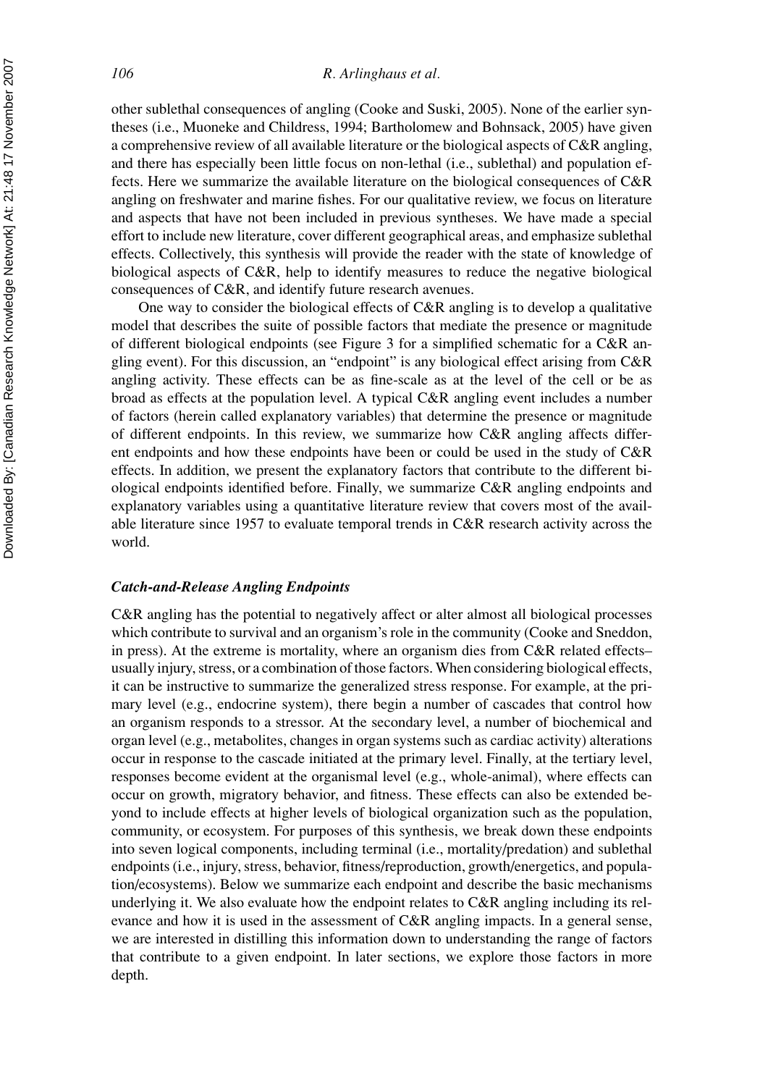other sublethal consequences of angling (Cooke and Suski, 2005). None of the earlier syntheses (i.e., Muoneke and Childress, 1994; Bartholomew and Bohnsack, 2005) have given a comprehensive review of all available literature or the biological aspects of C&R angling, and there has especially been little focus on non-lethal (i.e., sublethal) and population effects. Here we summarize the available literature on the biological consequences of C&R angling on freshwater and marine fishes. For our qualitative review, we focus on literature and aspects that have not been included in previous syntheses. We have made a special effort to include new literature, cover different geographical areas, and emphasize sublethal effects. Collectively, this synthesis will provide the reader with the state of knowledge of biological aspects of C&R, help to identify measures to reduce the negative biological consequences of C&R, and identify future research avenues.

One way to consider the biological effects of C&R angling is to develop a qualitative model that describes the suite of possible factors that mediate the presence or magnitude of different biological endpoints (see Figure 3 for a simplified schematic for a C&R angling event). For this discussion, an "endpoint" is any biological effect arising from C&R angling activity. These effects can be as fine-scale as at the level of the cell or be as broad as effects at the population level. A typical C&R angling event includes a number of factors (herein called explanatory variables) that determine the presence or magnitude of different endpoints. In this review, we summarize how C&R angling affects different endpoints and how these endpoints have been or could be used in the study of C&R effects. In addition, we present the explanatory factors that contribute to the different biological endpoints identified before. Finally, we summarize C&R angling endpoints and explanatory variables using a quantitative literature review that covers most of the available literature since 1957 to evaluate temporal trends in C&R research activity across the world.

#### *Catch-and-Release Angling Endpoints*

C&R angling has the potential to negatively affect or alter almost all biological processes which contribute to survival and an organism's role in the community (Cooke and Sneddon, in press). At the extreme is mortality, where an organism dies from C&R related effects– usually injury, stress, or a combination of those factors. When considering biological effects, it can be instructive to summarize the generalized stress response. For example, at the primary level (e.g., endocrine system), there begin a number of cascades that control how an organism responds to a stressor. At the secondary level, a number of biochemical and organ level (e.g., metabolites, changes in organ systems such as cardiac activity) alterations occur in response to the cascade initiated at the primary level. Finally, at the tertiary level, responses become evident at the organismal level (e.g., whole-animal), where effects can occur on growth, migratory behavior, and fitness. These effects can also be extended beyond to include effects at higher levels of biological organization such as the population, community, or ecosystem. For purposes of this synthesis, we break down these endpoints into seven logical components, including terminal (i.e., mortality/predation) and sublethal endpoints (i.e., injury, stress, behavior, fitness/reproduction, growth/energetics, and population/ecosystems). Below we summarize each endpoint and describe the basic mechanisms underlying it. We also evaluate how the endpoint relates to C&R angling including its relevance and how it is used in the assessment of C&R angling impacts. In a general sense, we are interested in distilling this information down to understanding the range of factors that contribute to a given endpoint. In later sections, we explore those factors in more depth.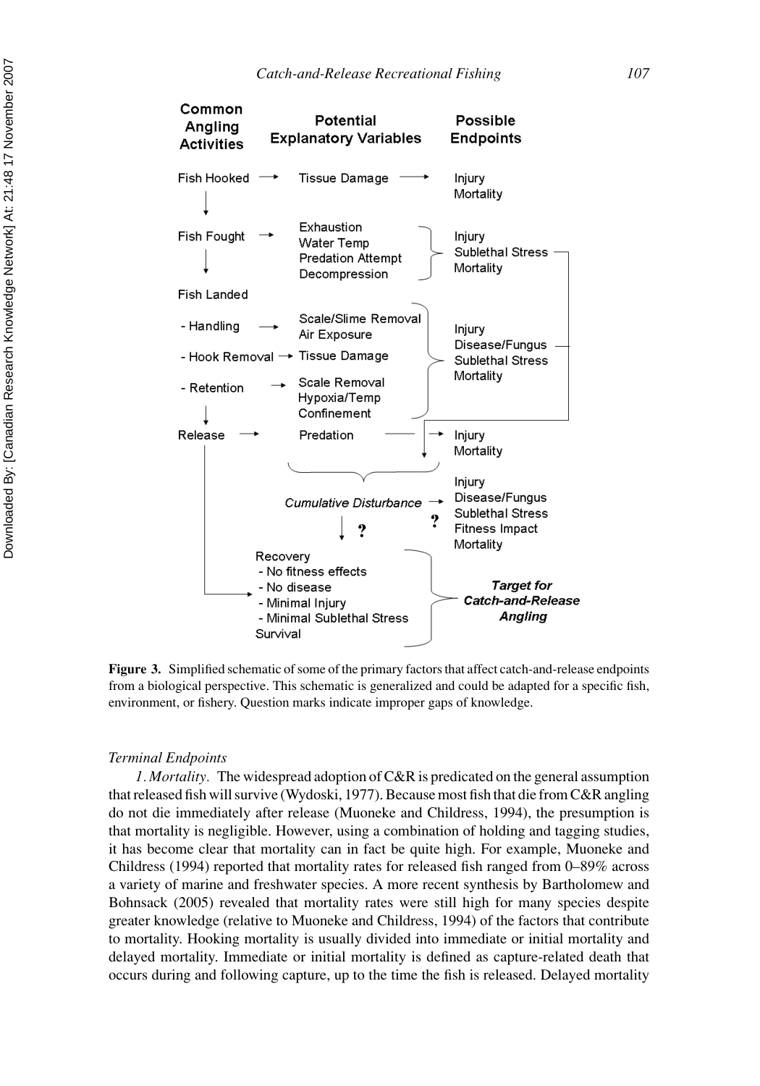

**Figure 3.** Simplified schematic of some of the primary factors that affect catch-and-release endpoints from a biological perspective. This schematic is generalized and could be adapted for a specific fish, environment, or fishery. Question marks indicate improper gaps of knowledge.

#### *Terminal Endpoints*

*1. Mortality.* The widespread adoption of C&R is predicated on the general assumption that released fish will survive (Wydoski, 1977). Because most fish that die from C&R angling do not die immediately after release (Muoneke and Childress, 1994), the presumption is that mortality is negligible. However, using a combination of holding and tagging studies, it has become clear that mortality can in fact be quite high. For example, Muoneke and Childress (1994) reported that mortality rates for released fish ranged from 0–89% across a variety of marine and freshwater species. A more recent synthesis by Bartholomew and Bohnsack (2005) revealed that mortality rates were still high for many species despite greater knowledge (relative to Muoneke and Childress, 1994) of the factors that contribute to mortality. Hooking mortality is usually divided into immediate or initial mortality and delayed mortality. Immediate or initial mortality is defined as capture-related death that occurs during and following capture, up to the time the fish is released. Delayed mortality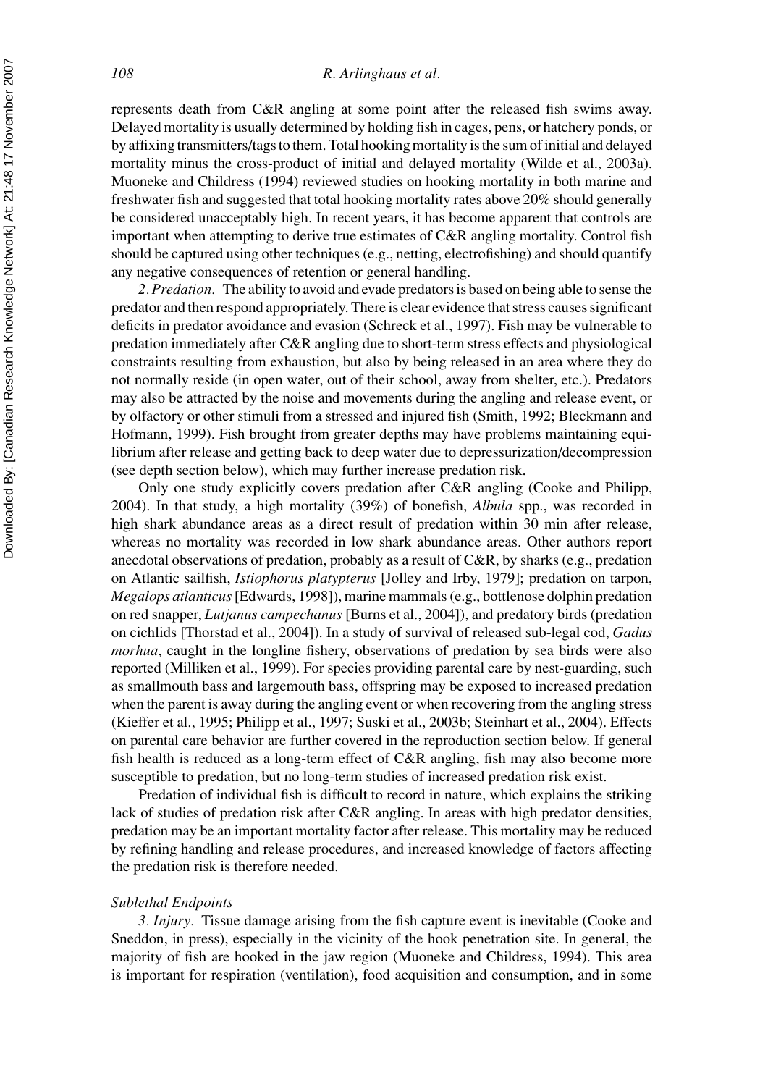represents death from C&R angling at some point after the released fish swims away. Delayed mortality is usually determined by holding fish in cages, pens, or hatchery ponds, or by affixing transmitters/tags to them. Total hooking mortality is the sum of initial and delayed mortality minus the cross-product of initial and delayed mortality (Wilde et al., 2003a). Muoneke and Childress (1994) reviewed studies on hooking mortality in both marine and freshwater fish and suggested that total hooking mortality rates above 20% should generally be considered unacceptably high. In recent years, it has become apparent that controls are important when attempting to derive true estimates of C&R angling mortality. Control fish should be captured using other techniques (e.g., netting, electrofishing) and should quantify any negative consequences of retention or general handling.

*2. Predation.* The ability to avoid and evade predators is based on being able to sense the predator and then respond appropriately. There is clear evidence that stress causes significant deficits in predator avoidance and evasion (Schreck et al., 1997). Fish may be vulnerable to predation immediately after C&R angling due to short-term stress effects and physiological constraints resulting from exhaustion, but also by being released in an area where they do not normally reside (in open water, out of their school, away from shelter, etc.). Predators may also be attracted by the noise and movements during the angling and release event, or by olfactory or other stimuli from a stressed and injured fish (Smith, 1992; Bleckmann and Hofmann, 1999). Fish brought from greater depths may have problems maintaining equilibrium after release and getting back to deep water due to depressurization/decompression (see depth section below), which may further increase predation risk.

Only one study explicitly covers predation after C&R angling (Cooke and Philipp, 2004). In that study, a high mortality (39%) of bonefish, *Albula* spp., was recorded in high shark abundance areas as a direct result of predation within 30 min after release, whereas no mortality was recorded in low shark abundance areas. Other authors report anecdotal observations of predation, probably as a result of C&R, by sharks (e.g., predation on Atlantic sailfish, *Istiophorus platypterus* [Jolley and Irby, 1979]; predation on tarpon, *Megalops atlanticus*[Edwards, 1998]), marine mammals (e.g., bottlenose dolphin predation on red snapper, *Lutjanus campechanus* [Burns et al., 2004]), and predatory birds (predation on cichlids [Thorstad et al., 2004]). In a study of survival of released sub-legal cod, *Gadus morhua*, caught in the longline fishery, observations of predation by sea birds were also reported (Milliken et al., 1999). For species providing parental care by nest-guarding, such as smallmouth bass and largemouth bass, offspring may be exposed to increased predation when the parent is away during the angling event or when recovering from the angling stress (Kieffer et al., 1995; Philipp et al., 1997; Suski et al., 2003b; Steinhart et al., 2004). Effects on parental care behavior are further covered in the reproduction section below. If general fish health is reduced as a long-term effect of C&R angling, fish may also become more susceptible to predation, but no long-term studies of increased predation risk exist.

Predation of individual fish is difficult to record in nature, which explains the striking lack of studies of predation risk after C&R angling. In areas with high predator densities, predation may be an important mortality factor after release. This mortality may be reduced by refining handling and release procedures, and increased knowledge of factors affecting the predation risk is therefore needed.

#### *Sublethal Endpoints*

*3. Injury.* Tissue damage arising from the fish capture event is inevitable (Cooke and Sneddon, in press), especially in the vicinity of the hook penetration site. In general, the majority of fish are hooked in the jaw region (Muoneke and Childress, 1994). This area is important for respiration (ventilation), food acquisition and consumption, and in some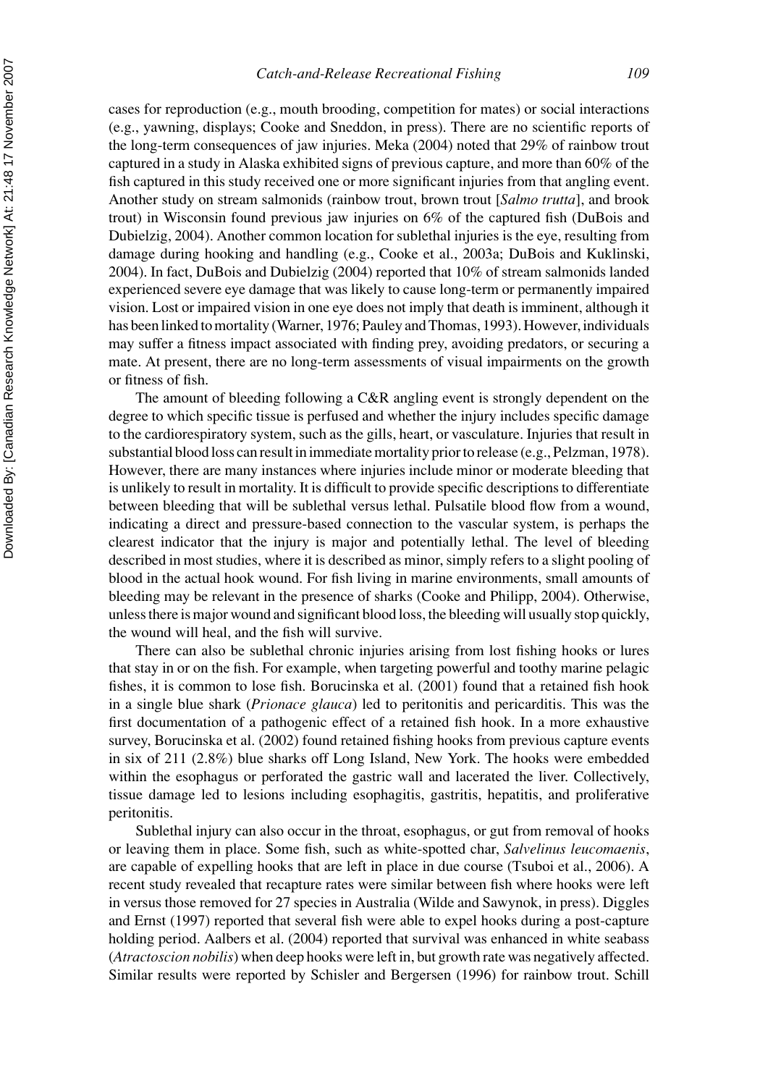cases for reproduction (e.g., mouth brooding, competition for mates) or social interactions (e.g., yawning, displays; Cooke and Sneddon, in press). There are no scientific reports of the long-term consequences of jaw injuries. Meka (2004) noted that 29% of rainbow trout captured in a study in Alaska exhibited signs of previous capture, and more than 60% of the fish captured in this study received one or more significant injuries from that angling event. Another study on stream salmonids (rainbow trout, brown trout [*Salmo trutta*], and brook trout) in Wisconsin found previous jaw injuries on 6% of the captured fish (DuBois and Dubielzig, 2004). Another common location for sublethal injuries is the eye, resulting from damage during hooking and handling (e.g., Cooke et al., 2003a; DuBois and Kuklinski, 2004). In fact, DuBois and Dubielzig (2004) reported that 10% of stream salmonids landed experienced severe eye damage that was likely to cause long-term or permanently impaired vision. Lost or impaired vision in one eye does not imply that death is imminent, although it has been linked to mortality (Warner, 1976; Pauley and Thomas, 1993). However, individuals may suffer a fitness impact associated with finding prey, avoiding predators, or securing a mate. At present, there are no long-term assessments of visual impairments on the growth or fitness of fish.

The amount of bleeding following a C&R angling event is strongly dependent on the degree to which specific tissue is perfused and whether the injury includes specific damage to the cardiorespiratory system, such as the gills, heart, or vasculature. Injuries that result in substantial blood loss can result in immediate mortality prior to release (e.g., Pelzman, 1978). However, there are many instances where injuries include minor or moderate bleeding that is unlikely to result in mortality. It is difficult to provide specific descriptions to differentiate between bleeding that will be sublethal versus lethal. Pulsatile blood flow from a wound, indicating a direct and pressure-based connection to the vascular system, is perhaps the clearest indicator that the injury is major and potentially lethal. The level of bleeding described in most studies, where it is described as minor, simply refers to a slight pooling of blood in the actual hook wound. For fish living in marine environments, small amounts of bleeding may be relevant in the presence of sharks (Cooke and Philipp, 2004). Otherwise, unless there is major wound and significant blood loss, the bleeding will usually stop quickly, the wound will heal, and the fish will survive.

There can also be sublethal chronic injuries arising from lost fishing hooks or lures that stay in or on the fish. For example, when targeting powerful and toothy marine pelagic fishes, it is common to lose fish. Borucinska et al. (2001) found that a retained fish hook in a single blue shark (*Prionace glauca*) led to peritonitis and pericarditis. This was the first documentation of a pathogenic effect of a retained fish hook. In a more exhaustive survey, Borucinska et al. (2002) found retained fishing hooks from previous capture events in six of 211 (2.8%) blue sharks off Long Island, New York. The hooks were embedded within the esophagus or perforated the gastric wall and lacerated the liver. Collectively, tissue damage led to lesions including esophagitis, gastritis, hepatitis, and proliferative peritonitis.

Sublethal injury can also occur in the throat, esophagus, or gut from removal of hooks or leaving them in place. Some fish, such as white-spotted char, *Salvelinus leucomaenis*, are capable of expelling hooks that are left in place in due course (Tsuboi et al., 2006). A recent study revealed that recapture rates were similar between fish where hooks were left in versus those removed for 27 species in Australia (Wilde and Sawynok, in press). Diggles and Ernst (1997) reported that several fish were able to expel hooks during a post-capture holding period. Aalbers et al. (2004) reported that survival was enhanced in white seabass (*Atractoscion nobilis*) when deep hooks were left in, but growth rate was negatively affected. Similar results were reported by Schisler and Bergersen (1996) for rainbow trout. Schill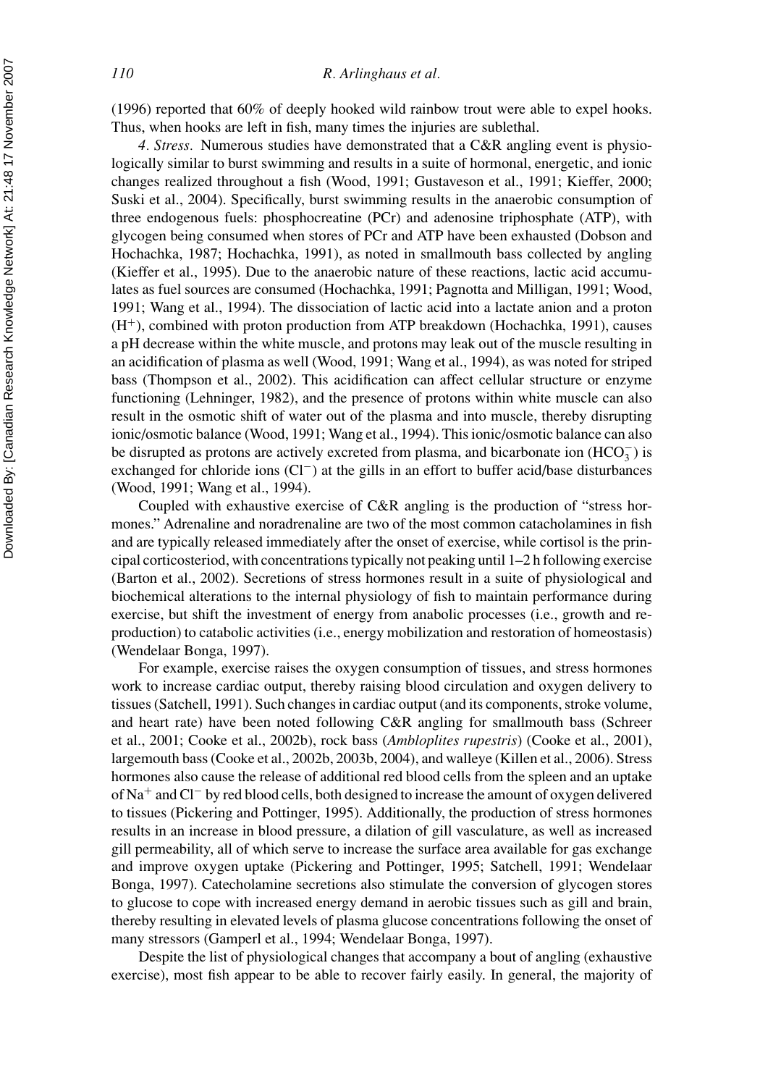(1996) reported that 60% of deeply hooked wild rainbow trout were able to expel hooks. Thus, when hooks are left in fish, many times the injuries are sublethal.

*4. Stress.* Numerous studies have demonstrated that a C&R angling event is physiologically similar to burst swimming and results in a suite of hormonal, energetic, and ionic changes realized throughout a fish (Wood, 1991; Gustaveson et al., 1991; Kieffer, 2000; Suski et al., 2004). Specifically, burst swimming results in the anaerobic consumption of three endogenous fuels: phosphocreatine (PCr) and adenosine triphosphate (ATP), with glycogen being consumed when stores of PCr and ATP have been exhausted (Dobson and Hochachka, 1987; Hochachka, 1991), as noted in smallmouth bass collected by angling (Kieffer et al., 1995). Due to the anaerobic nature of these reactions, lactic acid accumulates as fuel sources are consumed (Hochachka, 1991; Pagnotta and Milligan, 1991; Wood, 1991; Wang et al., 1994). The dissociation of lactic acid into a lactate anion and a proton  $(H<sup>+</sup>)$ , combined with proton production from ATP breakdown (Hochachka, 1991), causes a pH decrease within the white muscle, and protons may leak out of the muscle resulting in an acidification of plasma as well (Wood, 1991; Wang et al., 1994), as was noted for striped bass (Thompson et al., 2002). This acidification can affect cellular structure or enzyme functioning (Lehninger, 1982), and the presence of protons within white muscle can also result in the osmotic shift of water out of the plasma and into muscle, thereby disrupting ionic/osmotic balance (Wood, 1991; Wang et al., 1994). This ionic/osmotic balance can also be disrupted as protons are actively excreted from plasma, and bicarbonate ion  $(HCO_3^-)$  is exchanged for chloride ions (Cl−) at the gills in an effort to buffer acid/base disturbances (Wood, 1991; Wang et al., 1994).

Coupled with exhaustive exercise of C&R angling is the production of "stress hormones." Adrenaline and noradrenaline are two of the most common catacholamines in fish and are typically released immediately after the onset of exercise, while cortisol is the principal corticosteriod, with concentrations typically not peaking until 1–2 h following exercise (Barton et al., 2002). Secretions of stress hormones result in a suite of physiological and biochemical alterations to the internal physiology of fish to maintain performance during exercise, but shift the investment of energy from anabolic processes (i.e., growth and reproduction) to catabolic activities (i.e., energy mobilization and restoration of homeostasis) (Wendelaar Bonga, 1997).

For example, exercise raises the oxygen consumption of tissues, and stress hormones work to increase cardiac output, thereby raising blood circulation and oxygen delivery to tissues (Satchell, 1991). Such changes in cardiac output (and its components, stroke volume, and heart rate) have been noted following C&R angling for smallmouth bass (Schreer et al., 2001; Cooke et al., 2002b), rock bass (*Ambloplites rupestris*) (Cooke et al., 2001), largemouth bass (Cooke et al., 2002b, 2003b, 2004), and walleye (Killen et al., 2006). Stress hormones also cause the release of additional red blood cells from the spleen and an uptake of Na<sup>+</sup> and Cl<sup>−</sup> by red blood cells, both designed to increase the amount of oxygen delivered to tissues (Pickering and Pottinger, 1995). Additionally, the production of stress hormones results in an increase in blood pressure, a dilation of gill vasculature, as well as increased gill permeability, all of which serve to increase the surface area available for gas exchange and improve oxygen uptake (Pickering and Pottinger, 1995; Satchell, 1991; Wendelaar Bonga, 1997). Catecholamine secretions also stimulate the conversion of glycogen stores to glucose to cope with increased energy demand in aerobic tissues such as gill and brain, thereby resulting in elevated levels of plasma glucose concentrations following the onset of many stressors (Gamperl et al., 1994; Wendelaar Bonga, 1997).

Despite the list of physiological changes that accompany a bout of angling (exhaustive exercise), most fish appear to be able to recover fairly easily. In general, the majority of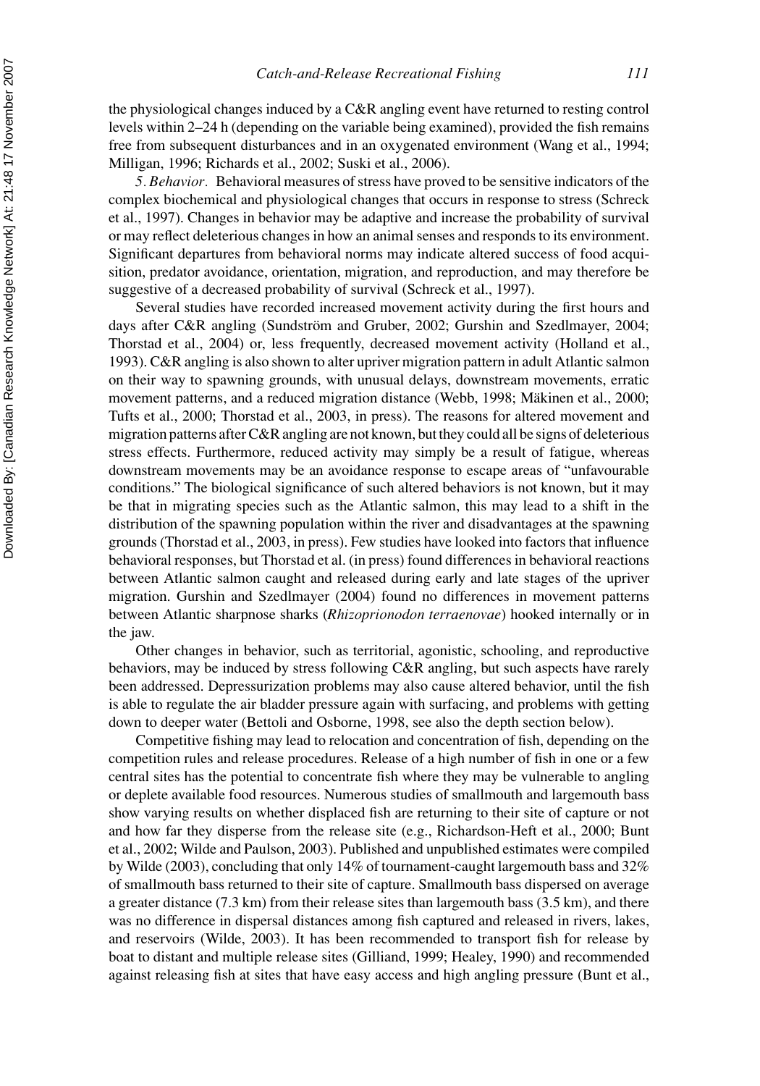the physiological changes induced by a C&R angling event have returned to resting control levels within 2–24 h (depending on the variable being examined), provided the fish remains free from subsequent disturbances and in an oxygenated environment (Wang et al., 1994; Milligan, 1996; Richards et al., 2002; Suski et al., 2006).

*5. Behavior.* Behavioral measures of stress have proved to be sensitive indicators of the complex biochemical and physiological changes that occurs in response to stress (Schreck et al., 1997). Changes in behavior may be adaptive and increase the probability of survival or may reflect deleterious changes in how an animal senses and responds to its environment. Significant departures from behavioral norms may indicate altered success of food acquisition, predator avoidance, orientation, migration, and reproduction, and may therefore be suggestive of a decreased probability of survival (Schreck et al., 1997).

Several studies have recorded increased movement activity during the first hours and days after C&R angling (Sundström and Gruber, 2002; Gurshin and Szedlmayer, 2004; Thorstad et al., 2004) or, less frequently, decreased movement activity (Holland et al., 1993). C&R angling is also shown to alter upriver migration pattern in adult Atlantic salmon on their way to spawning grounds, with unusual delays, downstream movements, erratic movement patterns, and a reduced migration distance (Webb, 1998; Mäkinen et al., 2000; Tufts et al., 2000; Thorstad et al., 2003, in press). The reasons for altered movement and migration patterns after  $C\&R$  angling are not known, but they could all be signs of deleterious stress effects. Furthermore, reduced activity may simply be a result of fatigue, whereas downstream movements may be an avoidance response to escape areas of "unfavourable conditions." The biological significance of such altered behaviors is not known, but it may be that in migrating species such as the Atlantic salmon, this may lead to a shift in the distribution of the spawning population within the river and disadvantages at the spawning grounds (Thorstad et al., 2003, in press). Few studies have looked into factors that influence behavioral responses, but Thorstad et al. (in press) found differences in behavioral reactions between Atlantic salmon caught and released during early and late stages of the upriver migration. Gurshin and Szedlmayer (2004) found no differences in movement patterns between Atlantic sharpnose sharks (*Rhizoprionodon terraenovae*) hooked internally or in the jaw.

Other changes in behavior, such as territorial, agonistic, schooling, and reproductive behaviors, may be induced by stress following C&R angling, but such aspects have rarely been addressed. Depressurization problems may also cause altered behavior, until the fish is able to regulate the air bladder pressure again with surfacing, and problems with getting down to deeper water (Bettoli and Osborne, 1998, see also the depth section below).

Competitive fishing may lead to relocation and concentration of fish, depending on the competition rules and release procedures. Release of a high number of fish in one or a few central sites has the potential to concentrate fish where they may be vulnerable to angling or deplete available food resources. Numerous studies of smallmouth and largemouth bass show varying results on whether displaced fish are returning to their site of capture or not and how far they disperse from the release site (e.g., Richardson-Heft et al., 2000; Bunt et al., 2002; Wilde and Paulson, 2003). Published and unpublished estimates were compiled by Wilde (2003), concluding that only 14% of tournament-caught largemouth bass and 32% of smallmouth bass returned to their site of capture. Smallmouth bass dispersed on average a greater distance (7.3 km) from their release sites than largemouth bass (3.5 km), and there was no difference in dispersal distances among fish captured and released in rivers, lakes, and reservoirs (Wilde, 2003). It has been recommended to transport fish for release by boat to distant and multiple release sites (Gilliand, 1999; Healey, 1990) and recommended against releasing fish at sites that have easy access and high angling pressure (Bunt et al.,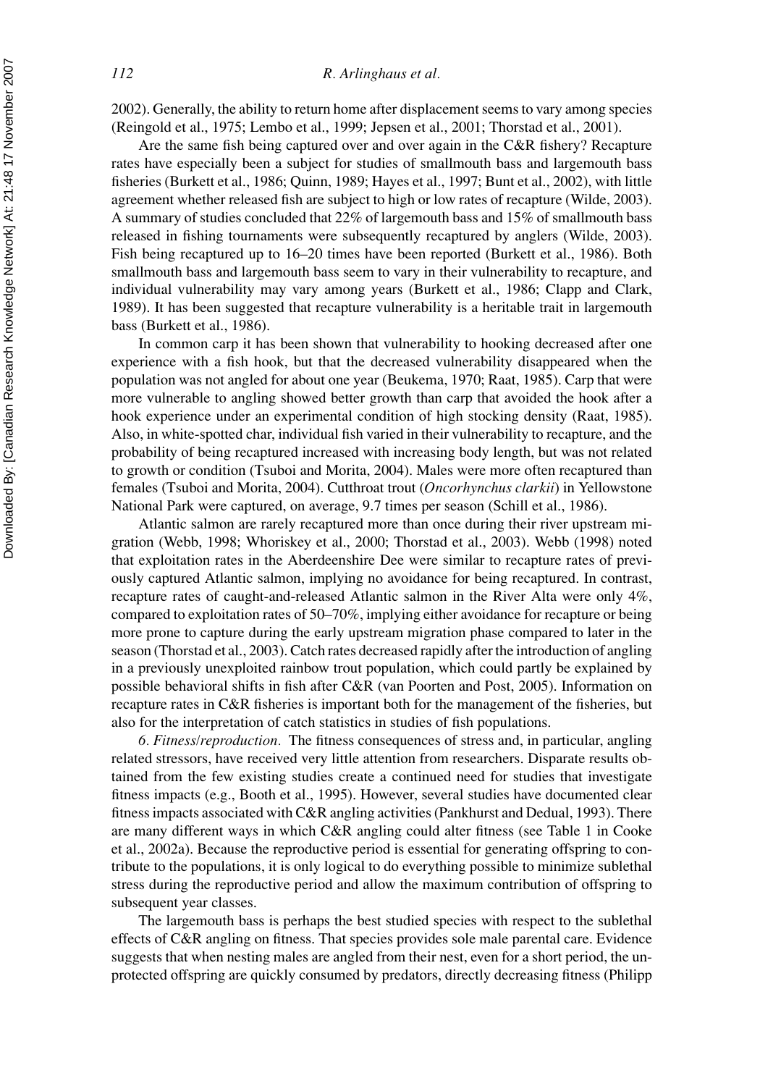2002). Generally, the ability to return home after displacement seems to vary among species (Reingold et al., 1975; Lembo et al., 1999; Jepsen et al., 2001; Thorstad et al., 2001).

Are the same fish being captured over and over again in the C&R fishery? Recapture rates have especially been a subject for studies of smallmouth bass and largemouth bass fisheries (Burkett et al., 1986; Quinn, 1989; Hayes et al., 1997; Bunt et al., 2002), with little agreement whether released fish are subject to high or low rates of recapture (Wilde, 2003). A summary of studies concluded that 22% of largemouth bass and 15% of smallmouth bass released in fishing tournaments were subsequently recaptured by anglers (Wilde, 2003). Fish being recaptured up to 16–20 times have been reported (Burkett et al., 1986). Both smallmouth bass and largemouth bass seem to vary in their vulnerability to recapture, and individual vulnerability may vary among years (Burkett et al., 1986; Clapp and Clark, 1989). It has been suggested that recapture vulnerability is a heritable trait in largemouth bass (Burkett et al., 1986).

In common carp it has been shown that vulnerability to hooking decreased after one experience with a fish hook, but that the decreased vulnerability disappeared when the population was not angled for about one year (Beukema, 1970; Raat, 1985). Carp that were more vulnerable to angling showed better growth than carp that avoided the hook after a hook experience under an experimental condition of high stocking density (Raat, 1985). Also, in white-spotted char, individual fish varied in their vulnerability to recapture, and the probability of being recaptured increased with increasing body length, but was not related to growth or condition (Tsuboi and Morita, 2004). Males were more often recaptured than females (Tsuboi and Morita, 2004). Cutthroat trout (*Oncorhynchus clarkii*) in Yellowstone National Park were captured, on average, 9.7 times per season (Schill et al., 1986).

Atlantic salmon are rarely recaptured more than once during their river upstream migration (Webb, 1998; Whoriskey et al., 2000; Thorstad et al., 2003). Webb (1998) noted that exploitation rates in the Aberdeenshire Dee were similar to recapture rates of previously captured Atlantic salmon, implying no avoidance for being recaptured. In contrast, recapture rates of caught-and-released Atlantic salmon in the River Alta were only 4%, compared to exploitation rates of 50–70%, implying either avoidance for recapture or being more prone to capture during the early upstream migration phase compared to later in the season (Thorstad et al., 2003). Catch rates decreased rapidly after the introduction of angling in a previously unexploited rainbow trout population, which could partly be explained by possible behavioral shifts in fish after C&R (van Poorten and Post, 2005). Information on recapture rates in C&R fisheries is important both for the management of the fisheries, but also for the interpretation of catch statistics in studies of fish populations.

*6. Fitness/reproduction.* The fitness consequences of stress and, in particular, angling related stressors, have received very little attention from researchers. Disparate results obtained from the few existing studies create a continued need for studies that investigate fitness impacts (e.g., Booth et al., 1995). However, several studies have documented clear fitness impacts associated with C&R angling activities (Pankhurst and Dedual, 1993). There are many different ways in which C&R angling could alter fitness (see Table 1 in Cooke et al., 2002a). Because the reproductive period is essential for generating offspring to contribute to the populations, it is only logical to do everything possible to minimize sublethal stress during the reproductive period and allow the maximum contribution of offspring to subsequent year classes.

The largemouth bass is perhaps the best studied species with respect to the sublethal effects of C&R angling on fitness. That species provides sole male parental care. Evidence suggests that when nesting males are angled from their nest, even for a short period, the unprotected offspring are quickly consumed by predators, directly decreasing fitness (Philipp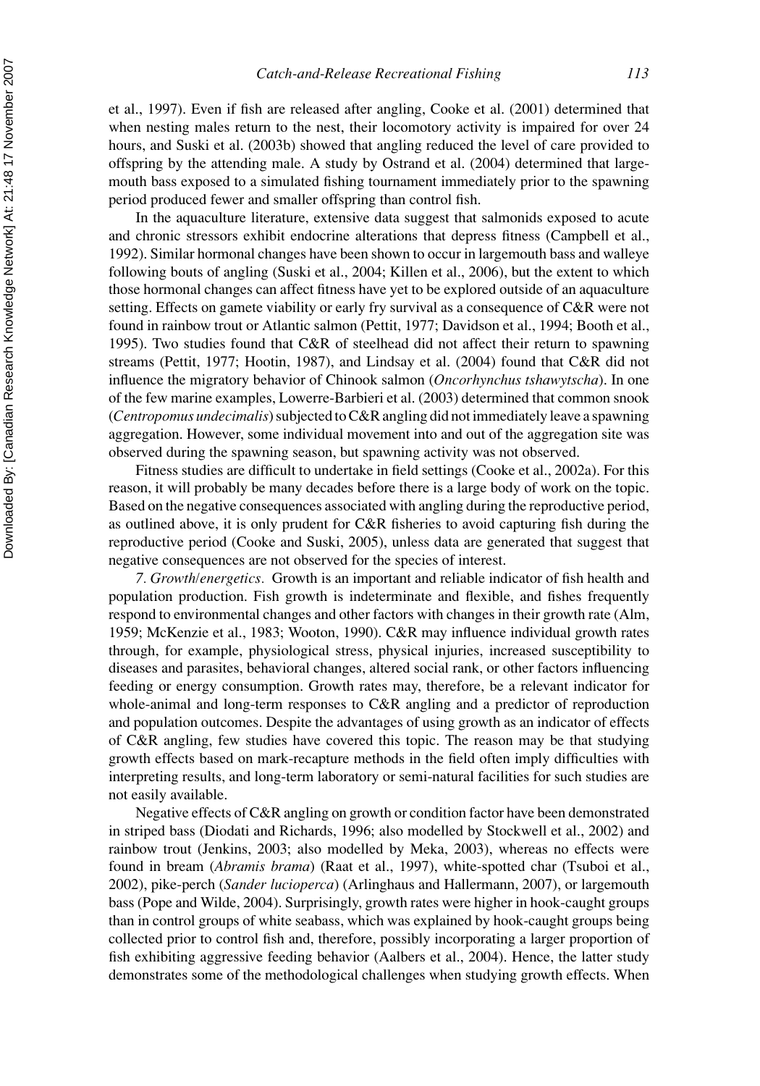et al., 1997). Even if fish are released after angling, Cooke et al. (2001) determined that when nesting males return to the nest, their locomotory activity is impaired for over 24 hours, and Suski et al. (2003b) showed that angling reduced the level of care provided to offspring by the attending male. A study by Ostrand et al. (2004) determined that largemouth bass exposed to a simulated fishing tournament immediately prior to the spawning period produced fewer and smaller offspring than control fish.

In the aquaculture literature, extensive data suggest that salmonids exposed to acute and chronic stressors exhibit endocrine alterations that depress fitness (Campbell et al., 1992). Similar hormonal changes have been shown to occur in largemouth bass and walleye following bouts of angling (Suski et al., 2004; Killen et al., 2006), but the extent to which those hormonal changes can affect fitness have yet to be explored outside of an aquaculture setting. Effects on gamete viability or early fry survival as a consequence of C&R were not found in rainbow trout or Atlantic salmon (Pettit, 1977; Davidson et al., 1994; Booth et al., 1995). Two studies found that C&R of steelhead did not affect their return to spawning streams (Pettit, 1977; Hootin, 1987), and Lindsay et al. (2004) found that C&R did not influence the migratory behavior of Chinook salmon (*Oncorhynchus tshawytscha*). In one of the few marine examples, Lowerre-Barbieri et al. (2003) determined that common snook (*Centropomus undecimalis*)subjected to C&R angling did not immediately leave a spawning aggregation. However, some individual movement into and out of the aggregation site was observed during the spawning season, but spawning activity was not observed.

Fitness studies are difficult to undertake in field settings (Cooke et al., 2002a). For this reason, it will probably be many decades before there is a large body of work on the topic. Based on the negative consequences associated with angling during the reproductive period, as outlined above, it is only prudent for C&R fisheries to avoid capturing fish during the reproductive period (Cooke and Suski, 2005), unless data are generated that suggest that negative consequences are not observed for the species of interest.

*7. Growth/energetics.* Growth is an important and reliable indicator of fish health and population production. Fish growth is indeterminate and flexible, and fishes frequently respond to environmental changes and other factors with changes in their growth rate (Alm, 1959; McKenzie et al., 1983; Wooton, 1990). C&R may influence individual growth rates through, for example, physiological stress, physical injuries, increased susceptibility to diseases and parasites, behavioral changes, altered social rank, or other factors influencing feeding or energy consumption. Growth rates may, therefore, be a relevant indicator for whole-animal and long-term responses to C&R angling and a predictor of reproduction and population outcomes. Despite the advantages of using growth as an indicator of effects of C&R angling, few studies have covered this topic. The reason may be that studying growth effects based on mark-recapture methods in the field often imply difficulties with interpreting results, and long-term laboratory or semi-natural facilities for such studies are not easily available.

Negative effects of C&R angling on growth or condition factor have been demonstrated in striped bass (Diodati and Richards, 1996; also modelled by Stockwell et al., 2002) and rainbow trout (Jenkins, 2003; also modelled by Meka, 2003), whereas no effects were found in bream (*Abramis brama*) (Raat et al., 1997), white-spotted char (Tsuboi et al., 2002), pike-perch (*Sander lucioperca*) (Arlinghaus and Hallermann, 2007), or largemouth bass (Pope and Wilde, 2004). Surprisingly, growth rates were higher in hook-caught groups than in control groups of white seabass, which was explained by hook-caught groups being collected prior to control fish and, therefore, possibly incorporating a larger proportion of fish exhibiting aggressive feeding behavior (Aalbers et al., 2004). Hence, the latter study demonstrates some of the methodological challenges when studying growth effects. When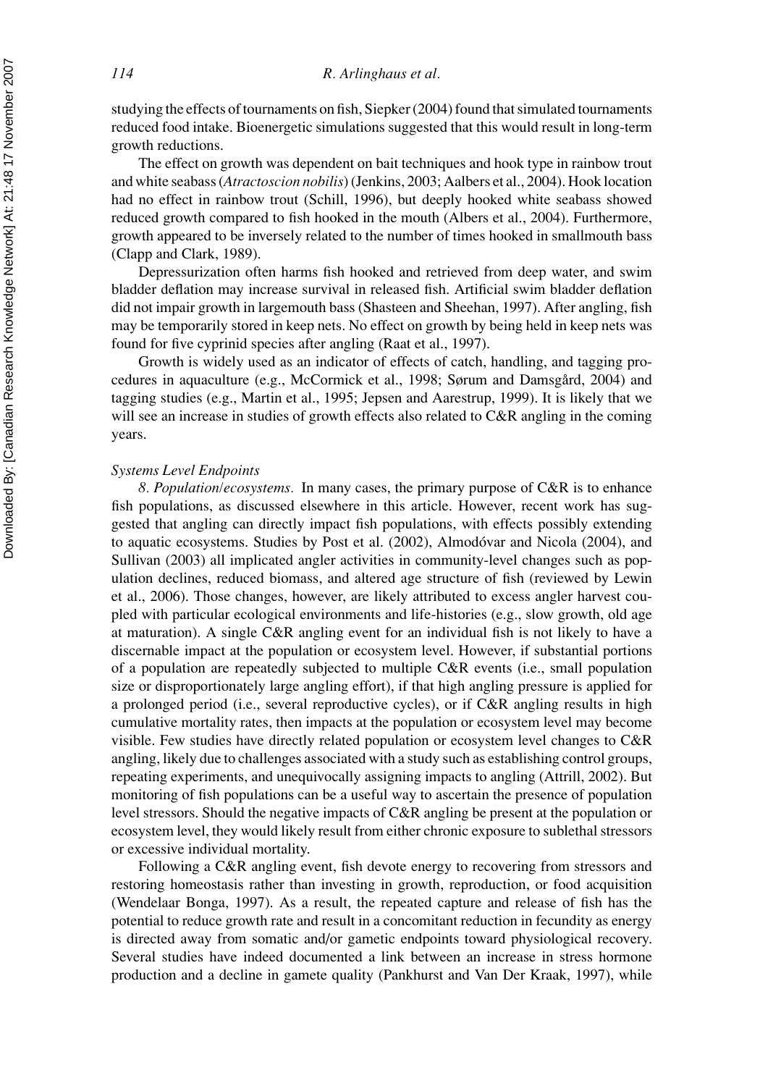studying the effects of tournaments on fish, Siepker (2004) found that simulated tournaments reduced food intake. Bioenergetic simulations suggested that this would result in long-term growth reductions.

The effect on growth was dependent on bait techniques and hook type in rainbow trout and white seabass (*Atractoscion nobilis*)(Jenkins, 2003; Aalbers et al., 2004). Hook location had no effect in rainbow trout (Schill, 1996), but deeply hooked white seabass showed reduced growth compared to fish hooked in the mouth (Albers et al., 2004). Furthermore, growth appeared to be inversely related to the number of times hooked in smallmouth bass (Clapp and Clark, 1989).

Depressurization often harms fish hooked and retrieved from deep water, and swim bladder deflation may increase survival in released fish. Artificial swim bladder deflation did not impair growth in largemouth bass (Shasteen and Sheehan, 1997). After angling, fish may be temporarily stored in keep nets. No effect on growth by being held in keep nets was found for five cyprinid species after angling (Raat et al., 1997).

Growth is widely used as an indicator of effects of catch, handling, and tagging procedures in aquaculture (e.g., McCormick et al., 1998; Sørum and Damsgård, 2004) and tagging studies (e.g., Martin et al., 1995; Jepsen and Aarestrup, 1999). It is likely that we will see an increase in studies of growth effects also related to C&R angling in the coming years.

## *Systems Level Endpoints*

*8. Population/ecosystems.* In many cases, the primary purpose of C&R is to enhance fish populations, as discussed elsewhere in this article. However, recent work has suggested that angling can directly impact fish populations, with effects possibly extending to aquatic ecosystems. Studies by Post et al. (2002), Almodóvar and Nicola (2004), and Sullivan (2003) all implicated angler activities in community-level changes such as population declines, reduced biomass, and altered age structure of fish (reviewed by Lewin et al., 2006). Those changes, however, are likely attributed to excess angler harvest coupled with particular ecological environments and life-histories (e.g., slow growth, old age at maturation). A single  $C&R$  angling event for an individual fish is not likely to have a discernable impact at the population or ecosystem level. However, if substantial portions of a population are repeatedly subjected to multiple C&R events (i.e., small population size or disproportionately large angling effort), if that high angling pressure is applied for a prolonged period (i.e., several reproductive cycles), or if C&R angling results in high cumulative mortality rates, then impacts at the population or ecosystem level may become visible. Few studies have directly related population or ecosystem level changes to  $C\&R$ angling, likely due to challenges associated with a study such as establishing control groups, repeating experiments, and unequivocally assigning impacts to angling (Attrill, 2002). But monitoring of fish populations can be a useful way to ascertain the presence of population level stressors. Should the negative impacts of C&R angling be present at the population or ecosystem level, they would likely result from either chronic exposure to sublethal stressors or excessive individual mortality.

Following a C&R angling event, fish devote energy to recovering from stressors and restoring homeostasis rather than investing in growth, reproduction, or food acquisition (Wendelaar Bonga, 1997). As a result, the repeated capture and release of fish has the potential to reduce growth rate and result in a concomitant reduction in fecundity as energy is directed away from somatic and/or gametic endpoints toward physiological recovery. Several studies have indeed documented a link between an increase in stress hormone production and a decline in gamete quality (Pankhurst and Van Der Kraak, 1997), while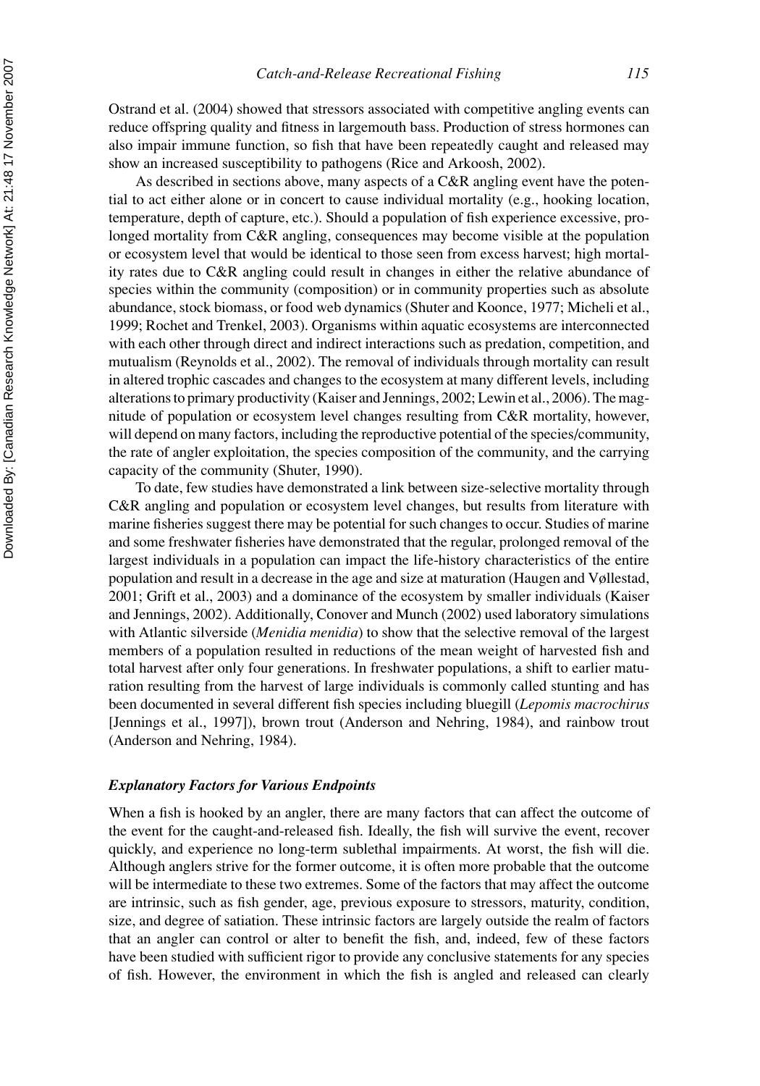Ostrand et al. (2004) showed that stressors associated with competitive angling events can reduce offspring quality and fitness in largemouth bass. Production of stress hormones can also impair immune function, so fish that have been repeatedly caught and released may show an increased susceptibility to pathogens (Rice and Arkoosh, 2002).

As described in sections above, many aspects of a C&R angling event have the potential to act either alone or in concert to cause individual mortality (e.g., hooking location, temperature, depth of capture, etc.). Should a population of fish experience excessive, prolonged mortality from C&R angling, consequences may become visible at the population or ecosystem level that would be identical to those seen from excess harvest; high mortality rates due to C&R angling could result in changes in either the relative abundance of species within the community (composition) or in community properties such as absolute abundance, stock biomass, or food web dynamics (Shuter and Koonce, 1977; Micheli et al., 1999; Rochet and Trenkel, 2003). Organisms within aquatic ecosystems are interconnected with each other through direct and indirect interactions such as predation, competition, and mutualism (Reynolds et al., 2002). The removal of individuals through mortality can result in altered trophic cascades and changes to the ecosystem at many different levels, including alterations to primary productivity (Kaiser and Jennings, 2002; Lewin et al., 2006). The magnitude of population or ecosystem level changes resulting from C&R mortality, however, will depend on many factors, including the reproductive potential of the species/community, the rate of angler exploitation, the species composition of the community, and the carrying capacity of the community (Shuter, 1990).

To date, few studies have demonstrated a link between size-selective mortality through C&R angling and population or ecosystem level changes, but results from literature with marine fisheries suggest there may be potential for such changes to occur. Studies of marine and some freshwater fisheries have demonstrated that the regular, prolonged removal of the largest individuals in a population can impact the life-history characteristics of the entire population and result in a decrease in the age and size at maturation (Haugen and Vøllestad, 2001; Grift et al., 2003) and a dominance of the ecosystem by smaller individuals (Kaiser and Jennings, 2002). Additionally, Conover and Munch (2002) used laboratory simulations with Atlantic silverside (*Menidia menidia*) to show that the selective removal of the largest members of a population resulted in reductions of the mean weight of harvested fish and total harvest after only four generations. In freshwater populations, a shift to earlier maturation resulting from the harvest of large individuals is commonly called stunting and has been documented in several different fish species including bluegill (*Lepomis macrochirus* [Jennings et al., 1997]), brown trout (Anderson and Nehring, 1984), and rainbow trout (Anderson and Nehring, 1984).

#### *Explanatory Factors for Various Endpoints*

When a fish is hooked by an angler, there are many factors that can affect the outcome of the event for the caught-and-released fish. Ideally, the fish will survive the event, recover quickly, and experience no long-term sublethal impairments. At worst, the fish will die. Although anglers strive for the former outcome, it is often more probable that the outcome will be intermediate to these two extremes. Some of the factors that may affect the outcome are intrinsic, such as fish gender, age, previous exposure to stressors, maturity, condition, size, and degree of satiation. These intrinsic factors are largely outside the realm of factors that an angler can control or alter to benefit the fish, and, indeed, few of these factors have been studied with sufficient rigor to provide any conclusive statements for any species of fish. However, the environment in which the fish is angled and released can clearly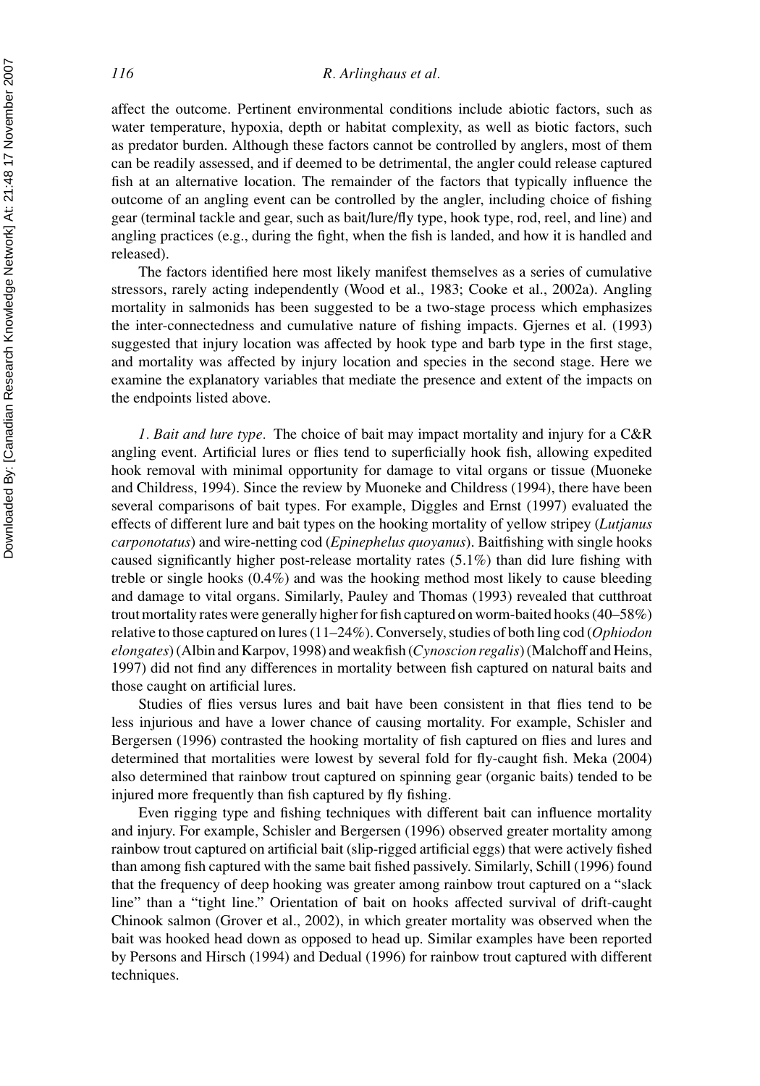affect the outcome. Pertinent environmental conditions include abiotic factors, such as water temperature, hypoxia, depth or habitat complexity, as well as biotic factors, such as predator burden. Although these factors cannot be controlled by anglers, most of them can be readily assessed, and if deemed to be detrimental, the angler could release captured fish at an alternative location. The remainder of the factors that typically influence the outcome of an angling event can be controlled by the angler, including choice of fishing gear (terminal tackle and gear, such as bait/lure/fly type, hook type, rod, reel, and line) and angling practices (e.g., during the fight, when the fish is landed, and how it is handled and released).

The factors identified here most likely manifest themselves as a series of cumulative stressors, rarely acting independently (Wood et al., 1983; Cooke et al., 2002a). Angling mortality in salmonids has been suggested to be a two-stage process which emphasizes the inter-connectedness and cumulative nature of fishing impacts. Gjernes et al. (1993) suggested that injury location was affected by hook type and barb type in the first stage, and mortality was affected by injury location and species in the second stage. Here we examine the explanatory variables that mediate the presence and extent of the impacts on the endpoints listed above.

*1. Bait and lure type.* The choice of bait may impact mortality and injury for a C&R angling event. Artificial lures or flies tend to superficially hook fish, allowing expedited hook removal with minimal opportunity for damage to vital organs or tissue (Muoneke and Childress, 1994). Since the review by Muoneke and Childress (1994), there have been several comparisons of bait types. For example, Diggles and Ernst (1997) evaluated the effects of different lure and bait types on the hooking mortality of yellow stripey (*Lutjanus carponotatus*) and wire-netting cod (*Epinephelus quoyanus*). Baitfishing with single hooks caused significantly higher post-release mortality rates  $(5.1\%)$  than did lure fishing with treble or single hooks (0.4%) and was the hooking method most likely to cause bleeding and damage to vital organs. Similarly, Pauley and Thomas (1993) revealed that cutthroat trout mortality rates were generally higher for fish captured on worm-baited hooks (40–58%) relative to those captured on lures (11–24%). Conversely, studies of both ling cod (*Ophiodon elongates*)(Albin and Karpov, 1998) and weakfish (*Cynoscion regalis*)(Malchoff and Heins, 1997) did not find any differences in mortality between fish captured on natural baits and those caught on artificial lures.

Studies of flies versus lures and bait have been consistent in that flies tend to be less injurious and have a lower chance of causing mortality. For example, Schisler and Bergersen (1996) contrasted the hooking mortality of fish captured on flies and lures and determined that mortalities were lowest by several fold for fly-caught fish. Meka (2004) also determined that rainbow trout captured on spinning gear (organic baits) tended to be injured more frequently than fish captured by fly fishing.

Even rigging type and fishing techniques with different bait can influence mortality and injury. For example, Schisler and Bergersen (1996) observed greater mortality among rainbow trout captured on artificial bait (slip-rigged artificial eggs) that were actively fished than among fish captured with the same bait fished passively. Similarly, Schill (1996) found that the frequency of deep hooking was greater among rainbow trout captured on a "slack line" than a "tight line." Orientation of bait on hooks affected survival of drift-caught Chinook salmon (Grover et al., 2002), in which greater mortality was observed when the bait was hooked head down as opposed to head up. Similar examples have been reported by Persons and Hirsch (1994) and Dedual (1996) for rainbow trout captured with different techniques.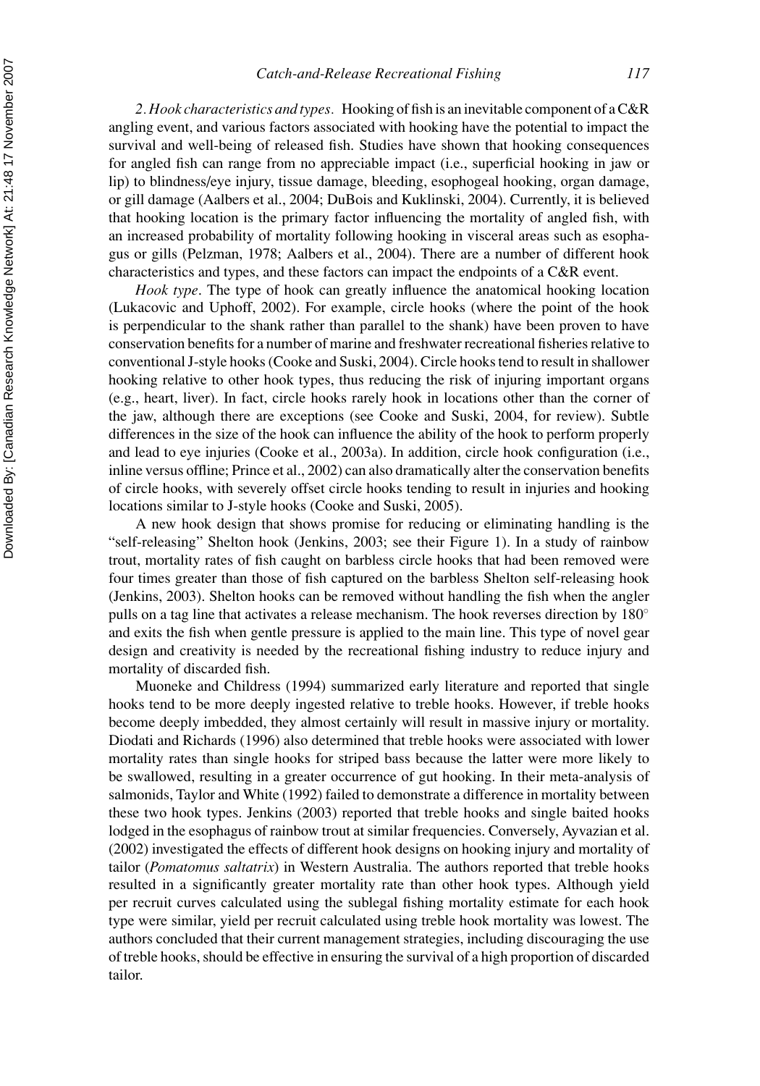*2. Hook characteristics and types.* Hooking of fish is an inevitable component of a C&R angling event, and various factors associated with hooking have the potential to impact the survival and well-being of released fish. Studies have shown that hooking consequences for angled fish can range from no appreciable impact (i.e., superficial hooking in jaw or lip) to blindness/eye injury, tissue damage, bleeding, esophogeal hooking, organ damage, or gill damage (Aalbers et al., 2004; DuBois and Kuklinski, 2004). Currently, it is believed that hooking location is the primary factor influencing the mortality of angled fish, with an increased probability of mortality following hooking in visceral areas such as esophagus or gills (Pelzman, 1978; Aalbers et al., 2004). There are a number of different hook characteristics and types, and these factors can impact the endpoints of a C&R event.

*Hook type*. The type of hook can greatly influence the anatomical hooking location (Lukacovic and Uphoff, 2002). For example, circle hooks (where the point of the hook is perpendicular to the shank rather than parallel to the shank) have been proven to have conservation benefits for a number of marine and freshwater recreational fisheries relative to conventional J-style hooks (Cooke and Suski, 2004). Circle hooks tend to result in shallower hooking relative to other hook types, thus reducing the risk of injuring important organs (e.g., heart, liver). In fact, circle hooks rarely hook in locations other than the corner of the jaw, although there are exceptions (see Cooke and Suski, 2004, for review). Subtle differences in the size of the hook can influence the ability of the hook to perform properly and lead to eye injuries (Cooke et al., 2003a). In addition, circle hook configuration (i.e., inline versus offline; Prince et al., 2002) can also dramatically alter the conservation benefits of circle hooks, with severely offset circle hooks tending to result in injuries and hooking locations similar to J-style hooks (Cooke and Suski, 2005).

A new hook design that shows promise for reducing or eliminating handling is the "self-releasing" Shelton hook (Jenkins, 2003; see their Figure 1). In a study of rainbow trout, mortality rates of fish caught on barbless circle hooks that had been removed were four times greater than those of fish captured on the barbless Shelton self-releasing hook (Jenkins, 2003). Shelton hooks can be removed without handling the fish when the angler pulls on a tag line that activates a release mechanism. The hook reverses direction by  $180°$ and exits the fish when gentle pressure is applied to the main line. This type of novel gear design and creativity is needed by the recreational fishing industry to reduce injury and mortality of discarded fish.

Muoneke and Childress (1994) summarized early literature and reported that single hooks tend to be more deeply ingested relative to treble hooks. However, if treble hooks become deeply imbedded, they almost certainly will result in massive injury or mortality. Diodati and Richards (1996) also determined that treble hooks were associated with lower mortality rates than single hooks for striped bass because the latter were more likely to be swallowed, resulting in a greater occurrence of gut hooking. In their meta-analysis of salmonids, Taylor and White (1992) failed to demonstrate a difference in mortality between these two hook types. Jenkins (2003) reported that treble hooks and single baited hooks lodged in the esophagus of rainbow trout at similar frequencies. Conversely, Ayvazian et al. (2002) investigated the effects of different hook designs on hooking injury and mortality of tailor (*Pomatomus saltatrix*) in Western Australia. The authors reported that treble hooks resulted in a significantly greater mortality rate than other hook types. Although yield per recruit curves calculated using the sublegal fishing mortality estimate for each hook type were similar, yield per recruit calculated using treble hook mortality was lowest. The authors concluded that their current management strategies, including discouraging the use of treble hooks, should be effective in ensuring the survival of a high proportion of discarded tailor.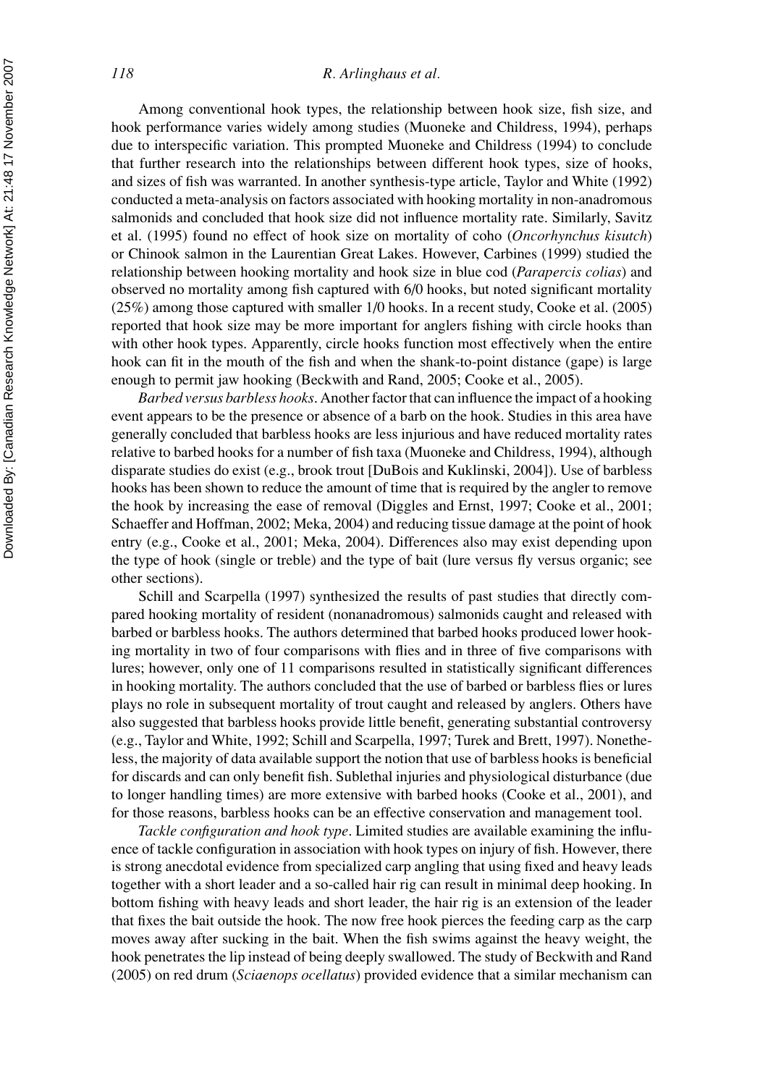## *118 R. Arlinghaus et al.*

Among conventional hook types, the relationship between hook size, fish size, and hook performance varies widely among studies (Muoneke and Childress, 1994), perhaps due to interspecific variation. This prompted Muoneke and Childress (1994) to conclude that further research into the relationships between different hook types, size of hooks, and sizes of fish was warranted. In another synthesis-type article, Taylor and White (1992) conducted a meta-analysis on factors associated with hooking mortality in non-anadromous salmonids and concluded that hook size did not influence mortality rate. Similarly, Savitz et al. (1995) found no effect of hook size on mortality of coho (*Oncorhynchus kisutch*) or Chinook salmon in the Laurentian Great Lakes. However, Carbines (1999) studied the relationship between hooking mortality and hook size in blue cod (*Parapercis colias*) and observed no mortality among fish captured with 6/0 hooks, but noted significant mortality (25%) among those captured with smaller 1/0 hooks. In a recent study, Cooke et al. (2005) reported that hook size may be more important for anglers fishing with circle hooks than with other hook types. Apparently, circle hooks function most effectively when the entire hook can fit in the mouth of the fish and when the shank-to-point distance (gape) is large enough to permit jaw hooking (Beckwith and Rand, 2005; Cooke et al., 2005).

*Barbed versus barbless hooks*. Another factor that can influence the impact of a hooking event appears to be the presence or absence of a barb on the hook. Studies in this area have generally concluded that barbless hooks are less injurious and have reduced mortality rates relative to barbed hooks for a number of fish taxa (Muoneke and Childress, 1994), although disparate studies do exist (e.g., brook trout [DuBois and Kuklinski, 2004]). Use of barbless hooks has been shown to reduce the amount of time that is required by the angler to remove the hook by increasing the ease of removal (Diggles and Ernst, 1997; Cooke et al., 2001; Schaeffer and Hoffman, 2002; Meka, 2004) and reducing tissue damage at the point of hook entry (e.g., Cooke et al., 2001; Meka, 2004). Differences also may exist depending upon the type of hook (single or treble) and the type of bait (lure versus fly versus organic; see other sections).

Schill and Scarpella (1997) synthesized the results of past studies that directly compared hooking mortality of resident (nonanadromous) salmonids caught and released with barbed or barbless hooks. The authors determined that barbed hooks produced lower hooking mortality in two of four comparisons with flies and in three of five comparisons with lures; however, only one of 11 comparisons resulted in statistically significant differences in hooking mortality. The authors concluded that the use of barbed or barbless flies or lures plays no role in subsequent mortality of trout caught and released by anglers. Others have also suggested that barbless hooks provide little benefit, generating substantial controversy (e.g., Taylor and White, 1992; Schill and Scarpella, 1997; Turek and Brett, 1997). Nonetheless, the majority of data available support the notion that use of barbless hooks is beneficial for discards and can only benefit fish. Sublethal injuries and physiological disturbance (due to longer handling times) are more extensive with barbed hooks (Cooke et al., 2001), and for those reasons, barbless hooks can be an effective conservation and management tool.

*Tackle configuration and hook type*. Limited studies are available examining the influence of tackle configuration in association with hook types on injury of fish. However, there is strong anecdotal evidence from specialized carp angling that using fixed and heavy leads together with a short leader and a so-called hair rig can result in minimal deep hooking. In bottom fishing with heavy leads and short leader, the hair rig is an extension of the leader that fixes the bait outside the hook. The now free hook pierces the feeding carp as the carp moves away after sucking in the bait. When the fish swims against the heavy weight, the hook penetrates the lip instead of being deeply swallowed. The study of Beckwith and Rand (2005) on red drum (*Sciaenops ocellatus*) provided evidence that a similar mechanism can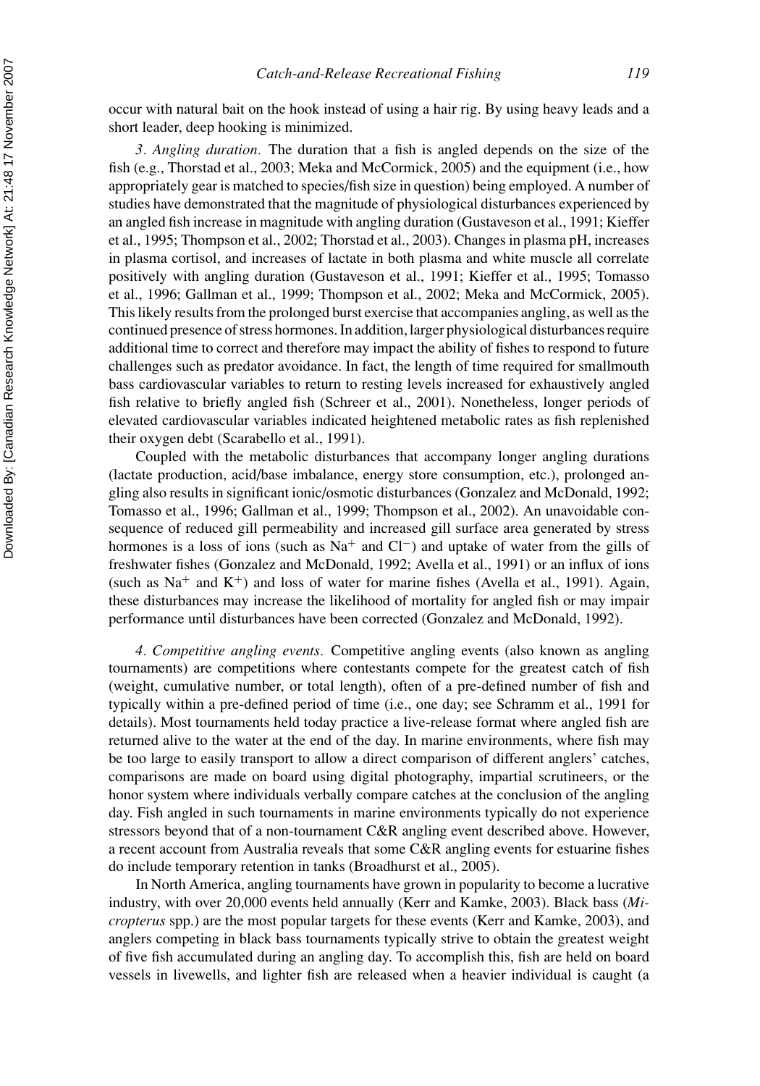occur with natural bait on the hook instead of using a hair rig. By using heavy leads and a short leader, deep hooking is minimized.

*3. Angling duration.* The duration that a fish is angled depends on the size of the fish (e.g., Thorstad et al., 2003; Meka and McCormick, 2005) and the equipment (i.e., how appropriately gear is matched to species/fish size in question) being employed. A number of studies have demonstrated that the magnitude of physiological disturbances experienced by an angled fish increase in magnitude with angling duration (Gustaveson et al., 1991; Kieffer et al., 1995; Thompson et al., 2002; Thorstad et al., 2003). Changes in plasma pH, increases in plasma cortisol, and increases of lactate in both plasma and white muscle all correlate positively with angling duration (Gustaveson et al., 1991; Kieffer et al., 1995; Tomasso et al., 1996; Gallman et al., 1999; Thompson et al., 2002; Meka and McCormick, 2005). This likely results from the prolonged burst exercise that accompanies angling, as well as the continued presence of stress hormones. In addition, larger physiological disturbances require additional time to correct and therefore may impact the ability of fishes to respond to future challenges such as predator avoidance. In fact, the length of time required for smallmouth bass cardiovascular variables to return to resting levels increased for exhaustively angled fish relative to briefly angled fish (Schreer et al., 2001). Nonetheless, longer periods of elevated cardiovascular variables indicated heightened metabolic rates as fish replenished their oxygen debt (Scarabello et al., 1991).

Coupled with the metabolic disturbances that accompany longer angling durations (lactate production, acid/base imbalance, energy store consumption, etc.), prolonged angling also results in significant ionic/osmotic disturbances (Gonzalez and McDonald, 1992; Tomasso et al., 1996; Gallman et al., 1999; Thompson et al., 2002). An unavoidable consequence of reduced gill permeability and increased gill surface area generated by stress hormones is a loss of ions (such as Na<sup>+</sup> and Cl<sup>−</sup>) and uptake of water from the gills of freshwater fishes (Gonzalez and McDonald, 1992; Avella et al., 1991) or an influx of ions (such as  $Na<sup>+</sup>$  and  $K<sup>+</sup>$ ) and loss of water for marine fishes (Avella et al., 1991). Again, these disturbances may increase the likelihood of mortality for angled fish or may impair performance until disturbances have been corrected (Gonzalez and McDonald, 1992).

*4. Competitive angling events.* Competitive angling events (also known as angling tournaments) are competitions where contestants compete for the greatest catch of fish (weight, cumulative number, or total length), often of a pre-defined number of fish and typically within a pre-defined period of time (i.e., one day; see Schramm et al., 1991 for details). Most tournaments held today practice a live-release format where angled fish are returned alive to the water at the end of the day. In marine environments, where fish may be too large to easily transport to allow a direct comparison of different anglers' catches, comparisons are made on board using digital photography, impartial scrutineers, or the honor system where individuals verbally compare catches at the conclusion of the angling day. Fish angled in such tournaments in marine environments typically do not experience stressors beyond that of a non-tournament C&R angling event described above. However, a recent account from Australia reveals that some C&R angling events for estuarine fishes do include temporary retention in tanks (Broadhurst et al., 2005).

In North America, angling tournaments have grown in popularity to become a lucrative industry, with over 20,000 events held annually (Kerr and Kamke, 2003). Black bass (*Micropterus* spp.) are the most popular targets for these events (Kerr and Kamke, 2003), and anglers competing in black bass tournaments typically strive to obtain the greatest weight of five fish accumulated during an angling day. To accomplish this, fish are held on board vessels in livewells, and lighter fish are released when a heavier individual is caught (a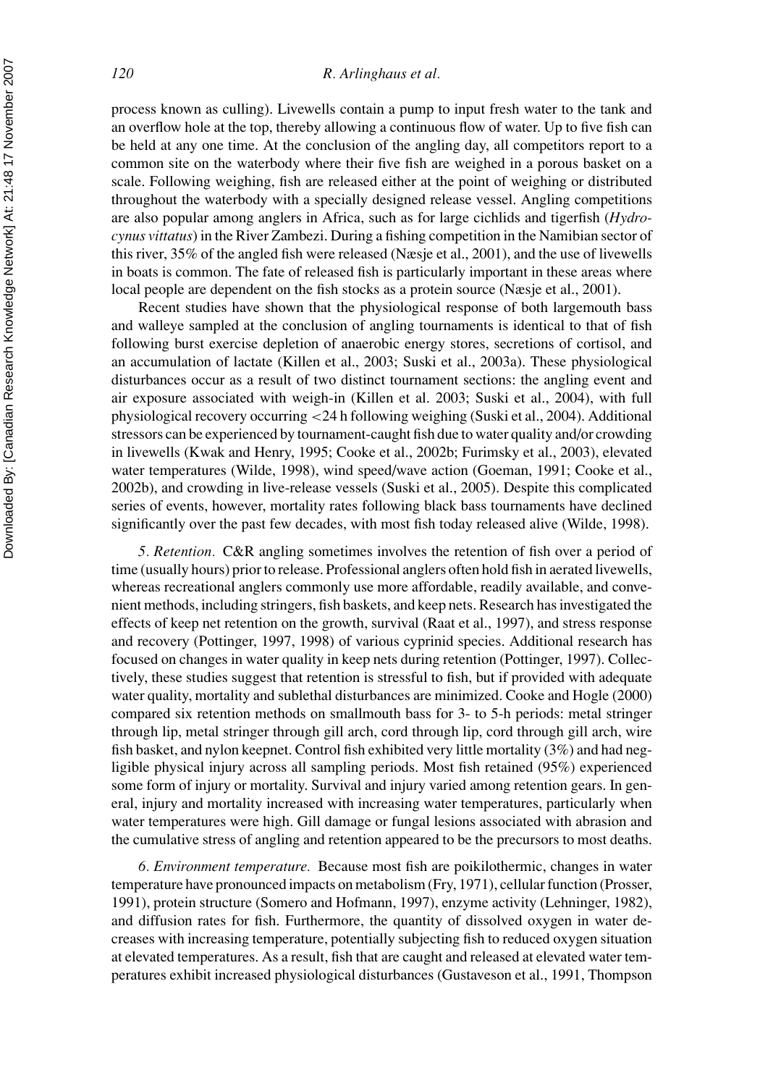process known as culling). Livewells contain a pump to input fresh water to the tank and an overflow hole at the top, thereby allowing a continuous flow of water. Up to five fish can be held at any one time. At the conclusion of the angling day, all competitors report to a common site on the waterbody where their five fish are weighed in a porous basket on a scale. Following weighing, fish are released either at the point of weighing or distributed throughout the waterbody with a specially designed release vessel. Angling competitions are also popular among anglers in Africa, such as for large cichlids and tigerfish (*Hydrocynus vittatus*) in the River Zambezi. During a fishing competition in the Namibian sector of this river, 35% of the angled fish were released (Næsje et al., 2001), and the use of livewells in boats is common. The fate of released fish is particularly important in these areas where local people are dependent on the fish stocks as a protein source (Næsje et al., 2001).

Recent studies have shown that the physiological response of both largemouth bass and walleye sampled at the conclusion of angling tournaments is identical to that of fish following burst exercise depletion of anaerobic energy stores, secretions of cortisol, and an accumulation of lactate (Killen et al., 2003; Suski et al., 2003a). These physiological disturbances occur as a result of two distinct tournament sections: the angling event and air exposure associated with weigh-in (Killen et al. 2003; Suski et al., 2004), with full physiological recovery occurring <24 h following weighing (Suski et al., 2004). Additional stressors can be experienced by tournament-caught fish due to water quality and/or crowding in livewells (Kwak and Henry, 1995; Cooke et al., 2002b; Furimsky et al., 2003), elevated water temperatures (Wilde, 1998), wind speed/wave action (Goeman, 1991; Cooke et al., 2002b), and crowding in live-release vessels (Suski et al., 2005). Despite this complicated series of events, however, mortality rates following black bass tournaments have declined significantly over the past few decades, with most fish today released alive (Wilde, 1998).

*5. Retention.* C&R angling sometimes involves the retention of fish over a period of time (usually hours) prior to release. Professional anglers often hold fish in aerated livewells, whereas recreational anglers commonly use more affordable, readily available, and convenient methods, including stringers, fish baskets, and keep nets. Research has investigated the effects of keep net retention on the growth, survival (Raat et al., 1997), and stress response and recovery (Pottinger, 1997, 1998) of various cyprinid species. Additional research has focused on changes in water quality in keep nets during retention (Pottinger, 1997). Collectively, these studies suggest that retention is stressful to fish, but if provided with adequate water quality, mortality and sublethal disturbances are minimized. Cooke and Hogle (2000) compared six retention methods on smallmouth bass for 3- to 5-h periods: metal stringer through lip, metal stringer through gill arch, cord through lip, cord through gill arch, wire fish basket, and nylon keepnet. Control fish exhibited very little mortality (3%) and had negligible physical injury across all sampling periods. Most fish retained (95%) experienced some form of injury or mortality. Survival and injury varied among retention gears. In general, injury and mortality increased with increasing water temperatures, particularly when water temperatures were high. Gill damage or fungal lesions associated with abrasion and the cumulative stress of angling and retention appeared to be the precursors to most deaths.

*6. Environment temperature.* Because most fish are poikilothermic, changes in water temperature have pronounced impacts on metabolism (Fry, 1971), cellular function (Prosser, 1991), protein structure (Somero and Hofmann, 1997), enzyme activity (Lehninger, 1982), and diffusion rates for fish. Furthermore, the quantity of dissolved oxygen in water decreases with increasing temperature, potentially subjecting fish to reduced oxygen situation at elevated temperatures. As a result, fish that are caught and released at elevated water temperatures exhibit increased physiological disturbances (Gustaveson et al., 1991, Thompson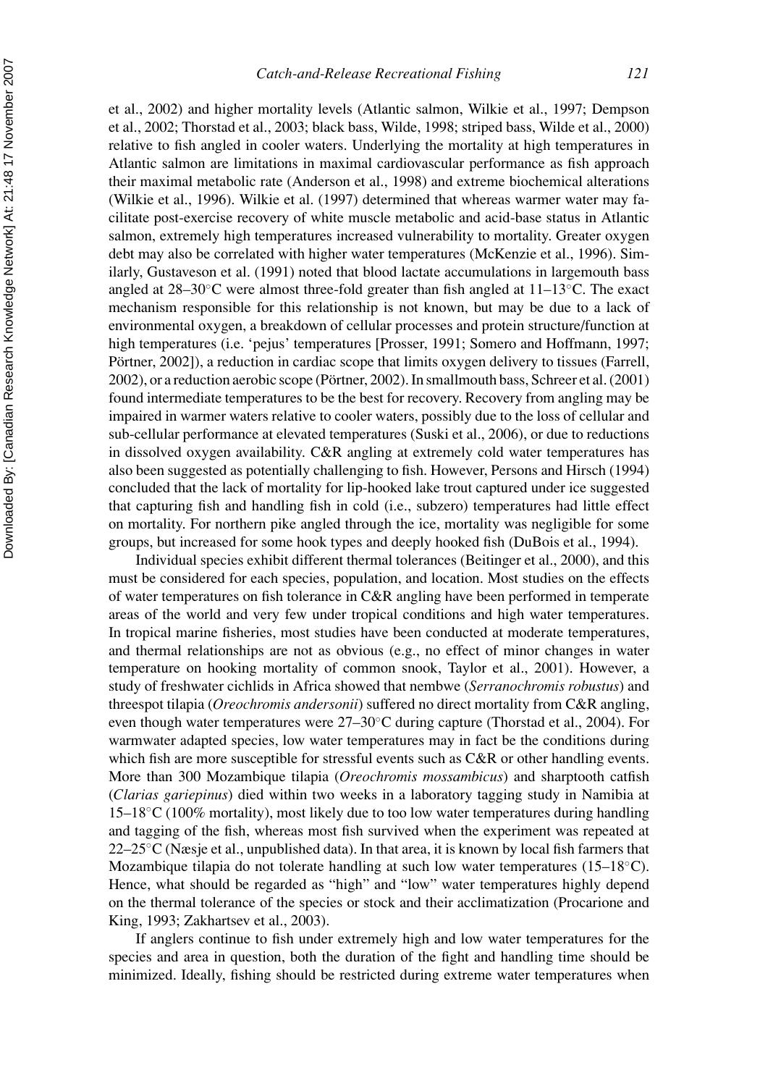et al., 2002) and higher mortality levels (Atlantic salmon, Wilkie et al., 1997; Dempson et al., 2002; Thorstad et al., 2003; black bass, Wilde, 1998; striped bass, Wilde et al., 2000) relative to fish angled in cooler waters. Underlying the mortality at high temperatures in Atlantic salmon are limitations in maximal cardiovascular performance as fish approach their maximal metabolic rate (Anderson et al., 1998) and extreme biochemical alterations (Wilkie et al., 1996). Wilkie et al. (1997) determined that whereas warmer water may facilitate post-exercise recovery of white muscle metabolic and acid-base status in Atlantic salmon, extremely high temperatures increased vulnerability to mortality. Greater oxygen debt may also be correlated with higher water temperatures (McKenzie et al., 1996). Similarly, Gustaveson et al. (1991) noted that blood lactate accumulations in largemouth bass angled at  $28-30$ °C were almost three-fold greater than fish angled at  $11-13$ °C. The exact mechanism responsible for this relationship is not known, but may be due to a lack of environmental oxygen, a breakdown of cellular processes and protein structure/function at high temperatures (i.e. 'pejus' temperatures [Prosser, 1991; Somero and Hoffmann, 1997; Pörtner, 2002]), a reduction in cardiac scope that limits oxygen delivery to tissues (Farrell, 2002), or a reduction aerobic scope (Pörtner, 2002). In smallmouth bass, Schreer et al. (2001) found intermediate temperatures to be the best for recovery. Recovery from angling may be impaired in warmer waters relative to cooler waters, possibly due to the loss of cellular and sub-cellular performance at elevated temperatures (Suski et al., 2006), or due to reductions in dissolved oxygen availability. C&R angling at extremely cold water temperatures has also been suggested as potentially challenging to fish. However, Persons and Hirsch (1994) concluded that the lack of mortality for lip-hooked lake trout captured under ice suggested that capturing fish and handling fish in cold (i.e., subzero) temperatures had little effect on mortality. For northern pike angled through the ice, mortality was negligible for some groups, but increased for some hook types and deeply hooked fish (DuBois et al., 1994).

Individual species exhibit different thermal tolerances (Beitinger et al., 2000), and this must be considered for each species, population, and location. Most studies on the effects of water temperatures on fish tolerance in C&R angling have been performed in temperate areas of the world and very few under tropical conditions and high water temperatures. In tropical marine fisheries, most studies have been conducted at moderate temperatures, and thermal relationships are not as obvious (e.g., no effect of minor changes in water temperature on hooking mortality of common snook, Taylor et al., 2001). However, a study of freshwater cichlids in Africa showed that nembwe (*Serranochromis robustus*) and threespot tilapia (*Oreochromis andersonii*) suffered no direct mortality from C&R angling, even though water temperatures were  $27-30\degree C$  during capture (Thorstad et al., 2004). For warmwater adapted species, low water temperatures may in fact be the conditions during which fish are more susceptible for stressful events such as C&R or other handling events. More than 300 Mozambique tilapia (*Oreochromis mossambicus*) and sharptooth catfish (*Clarias gariepinus*) died within two weeks in a laboratory tagging study in Namibia at 15–18◦C (100% mortality), most likely due to too low water temperatures during handling and tagging of the fish, whereas most fish survived when the experiment was repeated at  $22-25$ °C (Næsje et al., unpublished data). In that area, it is known by local fish farmers that Mozambique tilapia do not tolerate handling at such low water temperatures (15–18 $^{\circ}$ C). Hence, what should be regarded as "high" and "low" water temperatures highly depend on the thermal tolerance of the species or stock and their acclimatization (Procarione and King, 1993; Zakhartsev et al., 2003).

If anglers continue to fish under extremely high and low water temperatures for the species and area in question, both the duration of the fight and handling time should be minimized. Ideally, fishing should be restricted during extreme water temperatures when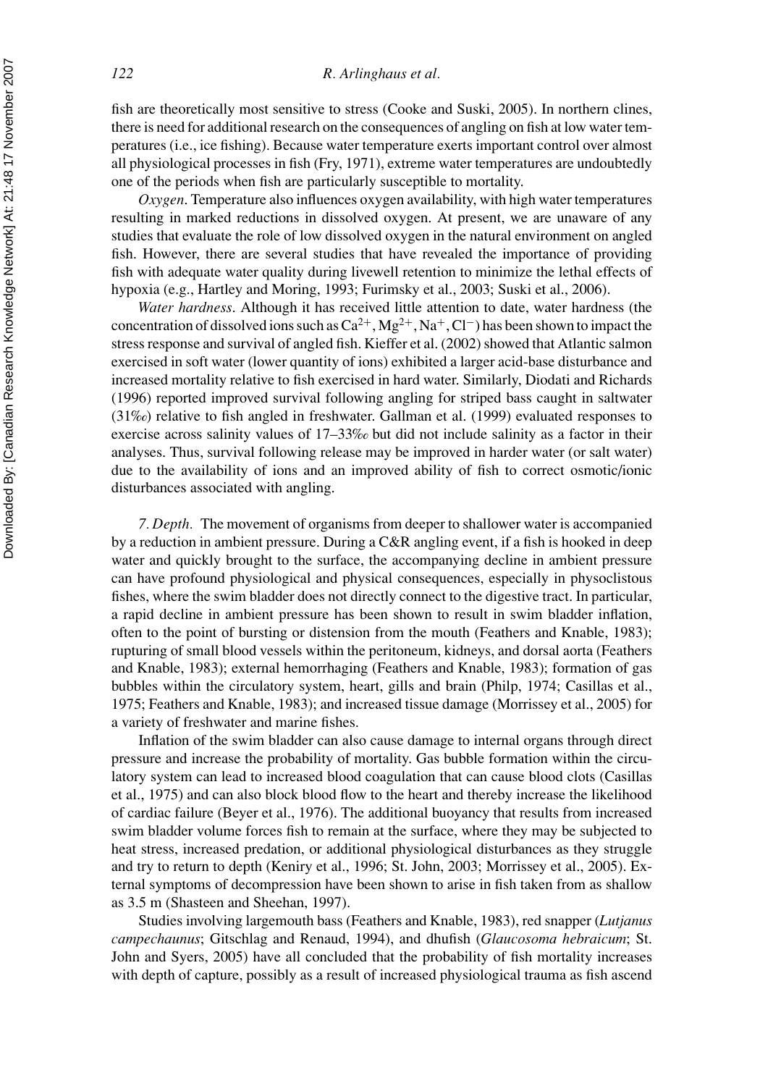fish are theoretically most sensitive to stress (Cooke and Suski, 2005). In northern clines, there is need for additional research on the consequences of angling on fish at low water temperatures (i.e., ice fishing). Because water temperature exerts important control over almost all physiological processes in fish (Fry, 1971), extreme water temperatures are undoubtedly one of the periods when fish are particularly susceptible to mortality.

*Oxygen*. Temperature also influences oxygen availability, with high water temperatures resulting in marked reductions in dissolved oxygen. At present, we are unaware of any studies that evaluate the role of low dissolved oxygen in the natural environment on angled fish. However, there are several studies that have revealed the importance of providing fish with adequate water quality during livewell retention to minimize the lethal effects of hypoxia (e.g., Hartley and Moring, 1993; Furimsky et al., 2003; Suski et al., 2006).

*Water hardness*. Although it has received little attention to date, water hardness (the concentration of dissolved ions such as  $Ca^{2+}$ ,  $Mg^{2+}$ ,  $Na^+$ , Cl<sup>−</sup>) has been shown to impact the stress response and survival of angled fish. Kieffer et al. (2002) showed that Atlantic salmon exercised in soft water (lower quantity of ions) exhibited a larger acid-base disturbance and increased mortality relative to fish exercised in hard water. Similarly, Diodati and Richards (1996) reported improved survival following angling for striped bass caught in saltwater (31‰) relative to fish angled in freshwater. Gallman et al. (1999) evaluated responses to exercise across salinity values of 17–33‰ but did not include salinity as a factor in their analyses. Thus, survival following release may be improved in harder water (or salt water) due to the availability of ions and an improved ability of fish to correct osmotic/ionic disturbances associated with angling.

*7. Depth.* The movement of organisms from deeper to shallower water is accompanied by a reduction in ambient pressure. During a C&R angling event, if a fish is hooked in deep water and quickly brought to the surface, the accompanying decline in ambient pressure can have profound physiological and physical consequences, especially in physoclistous fishes, where the swim bladder does not directly connect to the digestive tract. In particular, a rapid decline in ambient pressure has been shown to result in swim bladder inflation, often to the point of bursting or distension from the mouth (Feathers and Knable, 1983); rupturing of small blood vessels within the peritoneum, kidneys, and dorsal aorta (Feathers and Knable, 1983); external hemorrhaging (Feathers and Knable, 1983); formation of gas bubbles within the circulatory system, heart, gills and brain (Philp, 1974; Casillas et al., 1975; Feathers and Knable, 1983); and increased tissue damage (Morrissey et al., 2005) for a variety of freshwater and marine fishes.

Inflation of the swim bladder can also cause damage to internal organs through direct pressure and increase the probability of mortality. Gas bubble formation within the circulatory system can lead to increased blood coagulation that can cause blood clots (Casillas et al., 1975) and can also block blood flow to the heart and thereby increase the likelihood of cardiac failure (Beyer et al., 1976). The additional buoyancy that results from increased swim bladder volume forces fish to remain at the surface, where they may be subjected to heat stress, increased predation, or additional physiological disturbances as they struggle and try to return to depth (Keniry et al., 1996; St. John, 2003; Morrissey et al., 2005). External symptoms of decompression have been shown to arise in fish taken from as shallow as 3.5 m (Shasteen and Sheehan, 1997).

Studies involving largemouth bass (Feathers and Knable, 1983), red snapper (*Lutjanus campechaunus*; Gitschlag and Renaud, 1994), and dhufish (*Glaucosoma hebraicum*; St. John and Syers, 2005) have all concluded that the probability of fish mortality increases with depth of capture, possibly as a result of increased physiological trauma as fish ascend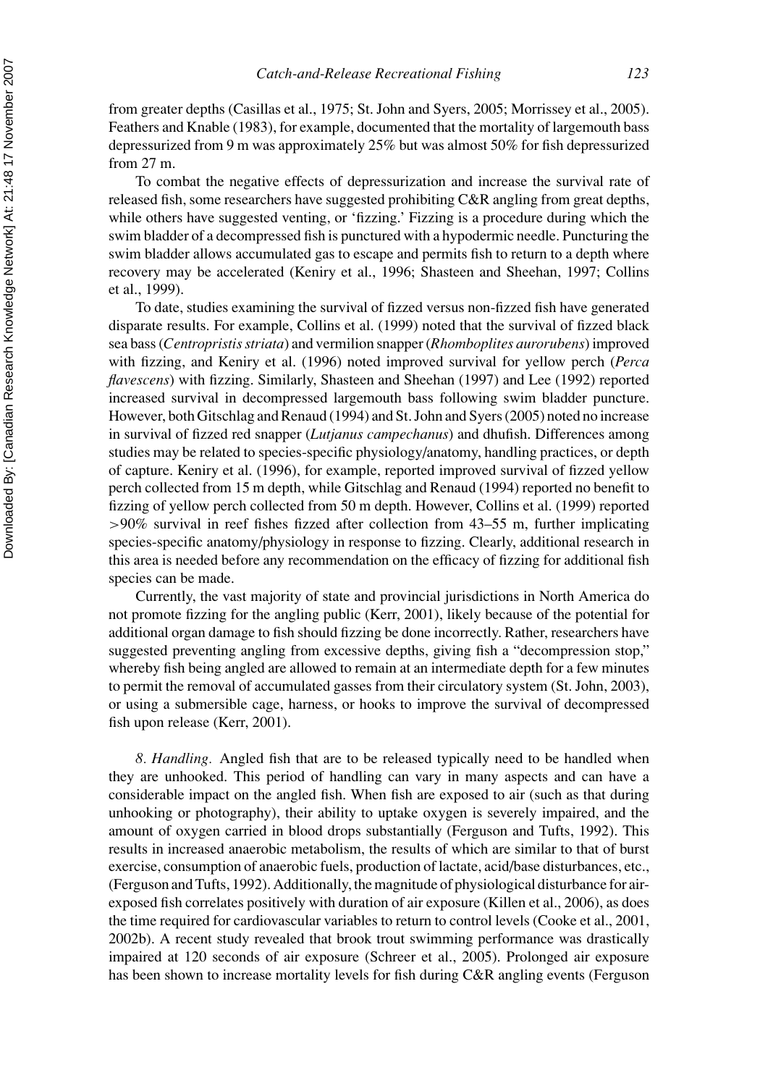from greater depths (Casillas et al., 1975; St. John and Syers, 2005; Morrissey et al., 2005). Feathers and Knable (1983), for example, documented that the mortality of largemouth bass depressurized from 9 m was approximately 25% but was almost 50% for fish depressurized from 27 m.

To combat the negative effects of depressurization and increase the survival rate of released fish, some researchers have suggested prohibiting C&R angling from great depths, while others have suggested venting, or 'fizzing.' Fizzing is a procedure during which the swim bladder of a decompressed fish is punctured with a hypodermic needle. Puncturing the swim bladder allows accumulated gas to escape and permits fish to return to a depth where recovery may be accelerated (Keniry et al., 1996; Shasteen and Sheehan, 1997; Collins et al., 1999).

To date, studies examining the survival of fizzed versus non-fizzed fish have generated disparate results. For example, Collins et al. (1999) noted that the survival of fizzed black sea bass (*Centropristis striata*) and vermilion snapper (*Rhomboplites aurorubens*) improved with fizzing, and Keniry et al. (1996) noted improved survival for yellow perch (*Perca flavescens*) with fizzing. Similarly, Shasteen and Sheehan (1997) and Lee (1992) reported increased survival in decompressed largemouth bass following swim bladder puncture. However, both Gitschlag and Renaud (1994) and St. John and Syers (2005) noted no increase in survival of fizzed red snapper (*Lutjanus campechanus*) and dhufish. Differences among studies may be related to species-specific physiology/anatomy, handling practices, or depth of capture. Keniry et al. (1996), for example, reported improved survival of fizzed yellow perch collected from 15 m depth, while Gitschlag and Renaud (1994) reported no benefit to fizzing of yellow perch collected from 50 m depth. However, Collins et al. (1999) reported  $>90\%$  survival in reef fishes fizzed after collection from 43–55 m, further implicating species-specific anatomy/physiology in response to fizzing. Clearly, additional research in this area is needed before any recommendation on the efficacy of fizzing for additional fish species can be made.

Currently, the vast majority of state and provincial jurisdictions in North America do not promote fizzing for the angling public (Kerr, 2001), likely because of the potential for additional organ damage to fish should fizzing be done incorrectly. Rather, researchers have suggested preventing angling from excessive depths, giving fish a "decompression stop," whereby fish being angled are allowed to remain at an intermediate depth for a few minutes to permit the removal of accumulated gasses from their circulatory system (St. John, 2003), or using a submersible cage, harness, or hooks to improve the survival of decompressed fish upon release (Kerr, 2001).

*8. Handling.* Angled fish that are to be released typically need to be handled when they are unhooked. This period of handling can vary in many aspects and can have a considerable impact on the angled fish. When fish are exposed to air (such as that during unhooking or photography), their ability to uptake oxygen is severely impaired, and the amount of oxygen carried in blood drops substantially (Ferguson and Tufts, 1992). This results in increased anaerobic metabolism, the results of which are similar to that of burst exercise, consumption of anaerobic fuels, production of lactate, acid/base disturbances, etc., (Ferguson and Tufts, 1992). Additionally, the magnitude of physiological disturbance for airexposed fish correlates positively with duration of air exposure (Killen et al., 2006), as does the time required for cardiovascular variables to return to control levels (Cooke et al., 2001, 2002b). A recent study revealed that brook trout swimming performance was drastically impaired at 120 seconds of air exposure (Schreer et al., 2005). Prolonged air exposure has been shown to increase mortality levels for fish during C&R angling events (Ferguson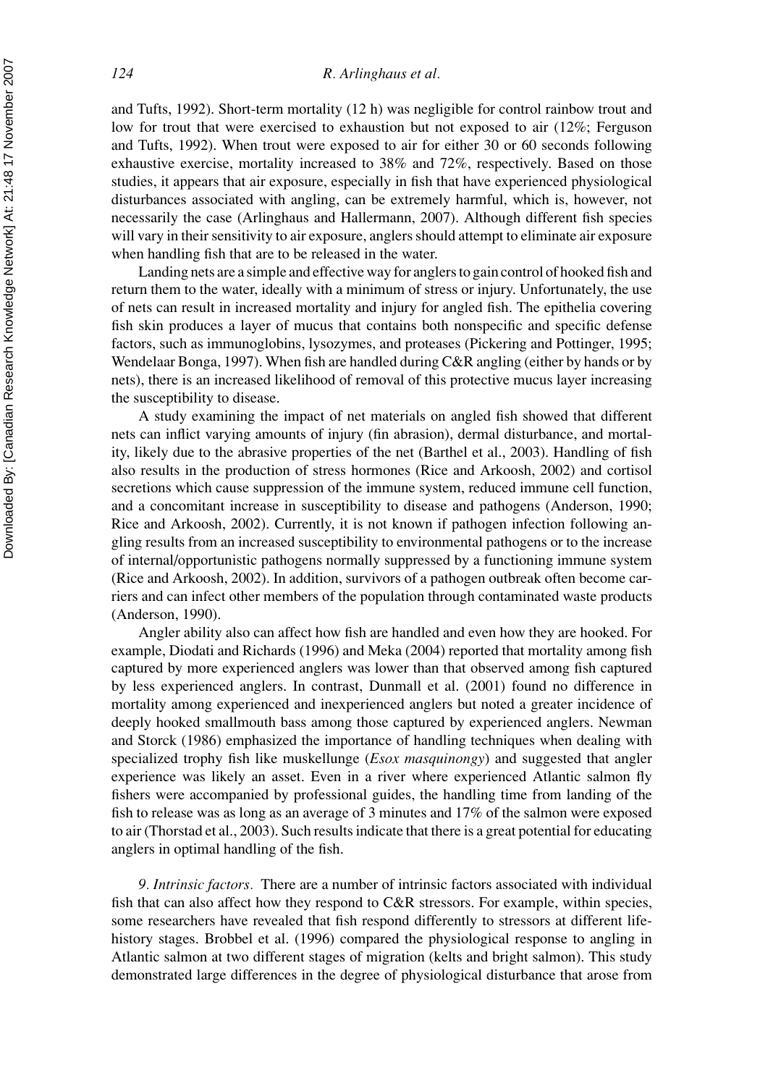and Tufts, 1992). Short-term mortality (12 h) was negligible for control rainbow trout and low for trout that were exercised to exhaustion but not exposed to air (12%; Ferguson and Tufts, 1992). When trout were exposed to air for either 30 or 60 seconds following exhaustive exercise, mortality increased to 38% and 72%, respectively. Based on those studies, it appears that air exposure, especially in fish that have experienced physiological disturbances associated with angling, can be extremely harmful, which is, however, not necessarily the case (Arlinghaus and Hallermann, 2007). Although different fish species will vary in their sensitivity to air exposure, anglers should attempt to eliminate air exposure when handling fish that are to be released in the water.

Landing nets are a simple and effective way for anglers to gain control of hooked fish and return them to the water, ideally with a minimum of stress or injury. Unfortunately, the use of nets can result in increased mortality and injury for angled fish. The epithelia covering fish skin produces a layer of mucus that contains both nonspecific and specific defense factors, such as immunoglobins, lysozymes, and proteases (Pickering and Pottinger, 1995; Wendelaar Bonga, 1997). When fish are handled during C&R angling (either by hands or by nets), there is an increased likelihood of removal of this protective mucus layer increasing the susceptibility to disease.

A study examining the impact of net materials on angled fish showed that different nets can inflict varying amounts of injury (fin abrasion), dermal disturbance, and mortality, likely due to the abrasive properties of the net (Barthel et al., 2003). Handling of fish also results in the production of stress hormones (Rice and Arkoosh, 2002) and cortisol secretions which cause suppression of the immune system, reduced immune cell function, and a concomitant increase in susceptibility to disease and pathogens (Anderson, 1990; Rice and Arkoosh, 2002). Currently, it is not known if pathogen infection following angling results from an increased susceptibility to environmental pathogens or to the increase of internal/opportunistic pathogens normally suppressed by a functioning immune system (Rice and Arkoosh, 2002). In addition, survivors of a pathogen outbreak often become carriers and can infect other members of the population through contaminated waste products (Anderson, 1990).

Angler ability also can affect how fish are handled and even how they are hooked. For example, Diodati and Richards (1996) and Meka (2004) reported that mortality among fish captured by more experienced anglers was lower than that observed among fish captured by less experienced anglers. In contrast, Dunmall et al. (2001) found no difference in mortality among experienced and inexperienced anglers but noted a greater incidence of deeply hooked smallmouth bass among those captured by experienced anglers. Newman and Storck (1986) emphasized the importance of handling techniques when dealing with specialized trophy fish like muskellunge (*Esox masquinongy*) and suggested that angler experience was likely an asset. Even in a river where experienced Atlantic salmon fly fishers were accompanied by professional guides, the handling time from landing of the fish to release was as long as an average of 3 minutes and 17% of the salmon were exposed to air (Thorstad et al., 2003). Such results indicate that there is a great potential for educating anglers in optimal handling of the fish.

*9. Intrinsic factors.* There are a number of intrinsic factors associated with individual fish that can also affect how they respond to C&R stressors. For example, within species, some researchers have revealed that fish respond differently to stressors at different lifehistory stages. Brobbel et al. (1996) compared the physiological response to angling in Atlantic salmon at two different stages of migration (kelts and bright salmon). This study demonstrated large differences in the degree of physiological disturbance that arose from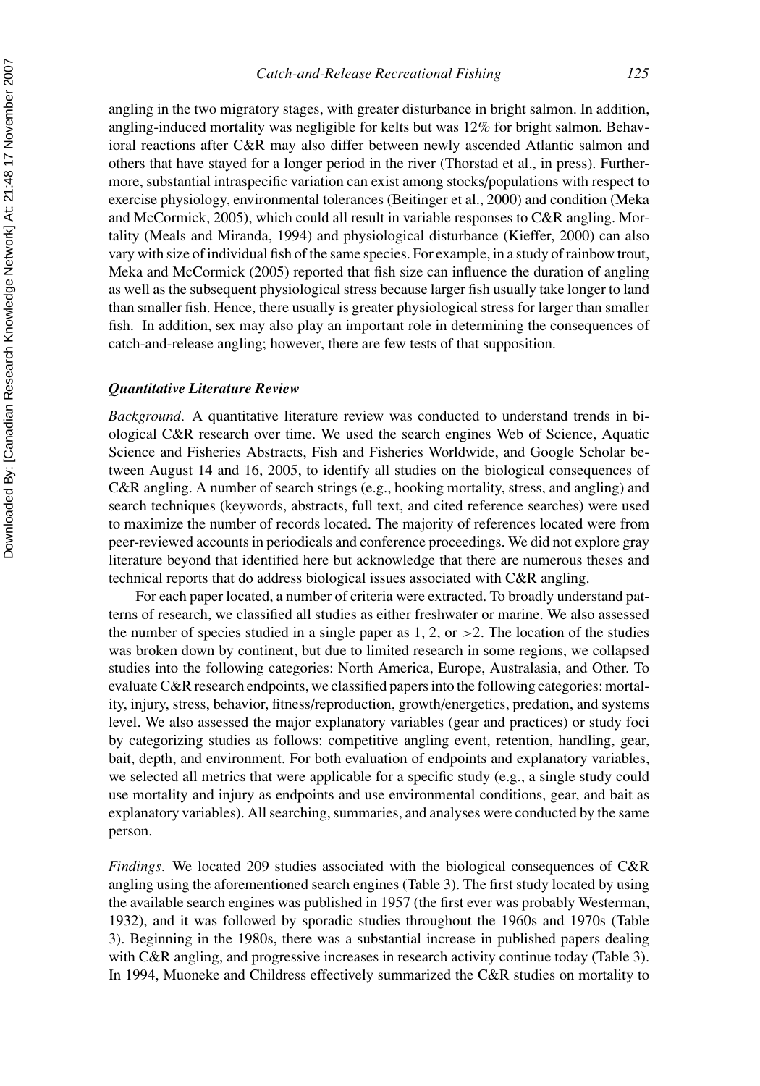angling in the two migratory stages, with greater disturbance in bright salmon. In addition, angling-induced mortality was negligible for kelts but was 12% for bright salmon. Behavioral reactions after C&R may also differ between newly ascended Atlantic salmon and others that have stayed for a longer period in the river (Thorstad et al., in press). Furthermore, substantial intraspecific variation can exist among stocks/populations with respect to exercise physiology, environmental tolerances (Beitinger et al., 2000) and condition (Meka and McCormick, 2005), which could all result in variable responses to C&R angling. Mortality (Meals and Miranda, 1994) and physiological disturbance (Kieffer, 2000) can also vary with size of individual fish of the same species. For example, in a study of rainbow trout, Meka and McCormick (2005) reported that fish size can influence the duration of angling as well as the subsequent physiological stress because larger fish usually take longer to land than smaller fish. Hence, there usually is greater physiological stress for larger than smaller fish. In addition, sex may also play an important role in determining the consequences of catch-and-release angling; however, there are few tests of that supposition.

#### *Quantitative Literature Review*

*Background.* A quantitative literature review was conducted to understand trends in biological C&R research over time. We used the search engines Web of Science, Aquatic Science and Fisheries Abstracts, Fish and Fisheries Worldwide, and Google Scholar between August 14 and 16, 2005, to identify all studies on the biological consequences of C&R angling. A number of search strings (e.g., hooking mortality, stress, and angling) and search techniques (keywords, abstracts, full text, and cited reference searches) were used to maximize the number of records located. The majority of references located were from peer-reviewed accounts in periodicals and conference proceedings. We did not explore gray literature beyond that identified here but acknowledge that there are numerous theses and technical reports that do address biological issues associated with C&R angling.

For each paper located, a number of criteria were extracted. To broadly understand patterns of research, we classified all studies as either freshwater or marine. We also assessed the number of species studied in a single paper as  $1, 2,$  or  $>2$ . The location of the studies was broken down by continent, but due to limited research in some regions, we collapsed studies into the following categories: North America, Europe, Australasia, and Other. To evaluate C&R research endpoints, we classified papers into the following categories: mortality, injury, stress, behavior, fitness/reproduction, growth/energetics, predation, and systems level. We also assessed the major explanatory variables (gear and practices) or study foci by categorizing studies as follows: competitive angling event, retention, handling, gear, bait, depth, and environment. For both evaluation of endpoints and explanatory variables, we selected all metrics that were applicable for a specific study (e.g., a single study could use mortality and injury as endpoints and use environmental conditions, gear, and bait as explanatory variables). All searching, summaries, and analyses were conducted by the same person.

*Findings.* We located 209 studies associated with the biological consequences of C&R angling using the aforementioned search engines (Table 3). The first study located by using the available search engines was published in 1957 (the first ever was probably Westerman, 1932), and it was followed by sporadic studies throughout the 1960s and 1970s (Table 3). Beginning in the 1980s, there was a substantial increase in published papers dealing with C&R angling, and progressive increases in research activity continue today (Table 3). In 1994, Muoneke and Childress effectively summarized the C&R studies on mortality to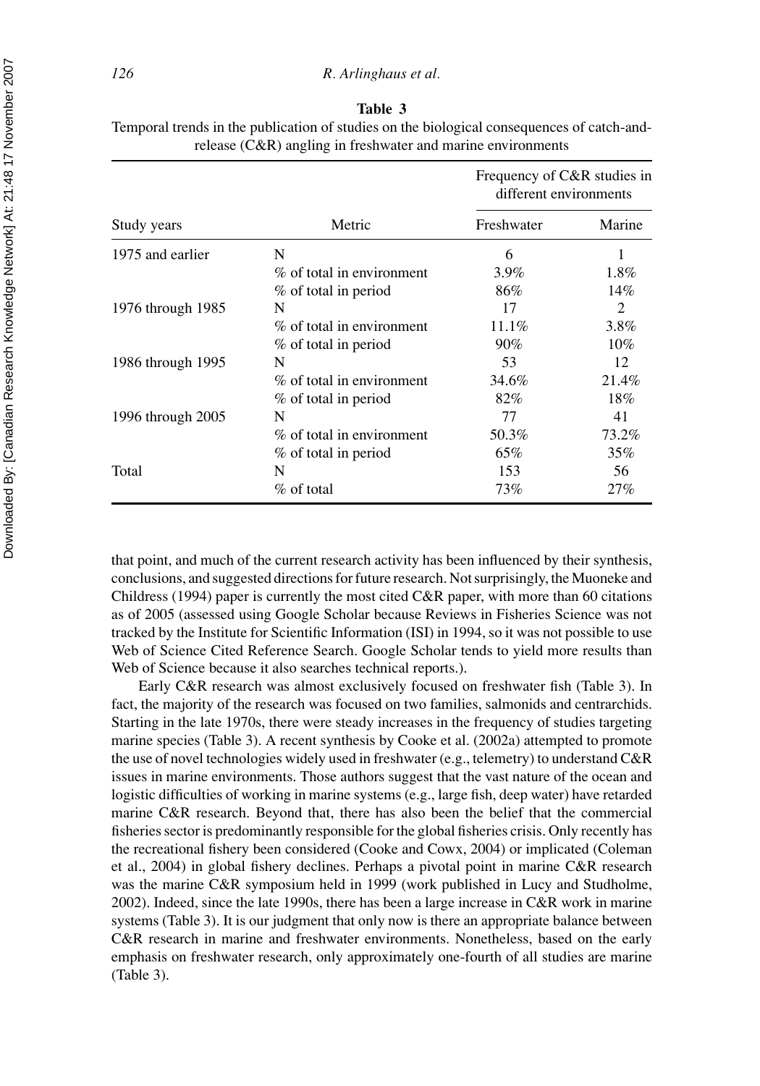|                   |                           | Frequency of C&R studies in<br>different environments |         |
|-------------------|---------------------------|-------------------------------------------------------|---------|
| Study years       | Metric                    | Freshwater                                            | Marine  |
| 1975 and earlier  | N                         | 6                                                     | 1       |
|                   | % of total in environment | $3.9\%$                                               | $1.8\%$ |
|                   | % of total in period      | 86%                                                   | 14%     |
| 1976 through 1985 | N                         | 17                                                    | 2       |
|                   | % of total in environment | $11.1\%$                                              | $3.8\%$ |
|                   | % of total in period      | 90%                                                   | 10%     |
| 1986 through 1995 | N                         | 53                                                    | 12      |
|                   | % of total in environment | 34.6%                                                 | 21.4%   |
|                   | % of total in period      | 82%                                                   | 18%     |
| 1996 through 2005 | N                         | 77                                                    | 41      |
|                   | % of total in environment | 50.3%                                                 | 73.2%   |
|                   | % of total in period      | 65%                                                   | 35%     |
| Total             | N                         | 153                                                   | 56      |
|                   | $\%$ of total             | 73%                                                   | 27%     |

| Table 3                                                                                    |
|--------------------------------------------------------------------------------------------|
| Temporal trends in the publication of studies on the biological consequences of catch-and- |
| release $(C&R)$ angling in freshwater and marine environments                              |

that point, and much of the current research activity has been influenced by their synthesis, conclusions, and suggested directions for future research. Not surprisingly, the Muoneke and Childress (1994) paper is currently the most cited C&R paper, with more than 60 citations as of 2005 (assessed using Google Scholar because Reviews in Fisheries Science was not tracked by the Institute for Scientific Information (ISI) in 1994, so it was not possible to use Web of Science Cited Reference Search. Google Scholar tends to yield more results than Web of Science because it also searches technical reports.).

Early C&R research was almost exclusively focused on freshwater fish (Table 3). In fact, the majority of the research was focused on two families, salmonids and centrarchids. Starting in the late 1970s, there were steady increases in the frequency of studies targeting marine species (Table 3). A recent synthesis by Cooke et al. (2002a) attempted to promote the use of novel technologies widely used in freshwater (e.g., telemetry) to understand C&R issues in marine environments. Those authors suggest that the vast nature of the ocean and logistic difficulties of working in marine systems (e.g., large fish, deep water) have retarded marine C&R research. Beyond that, there has also been the belief that the commercial fisheries sector is predominantly responsible for the global fisheries crisis. Only recently has the recreational fishery been considered (Cooke and Cowx, 2004) or implicated (Coleman et al., 2004) in global fishery declines. Perhaps a pivotal point in marine C&R research was the marine C&R symposium held in 1999 (work published in Lucy and Studholme, 2002). Indeed, since the late 1990s, there has been a large increase in C&R work in marine systems (Table 3). It is our judgment that only now is there an appropriate balance between C&R research in marine and freshwater environments. Nonetheless, based on the early emphasis on freshwater research, only approximately one-fourth of all studies are marine (Table 3).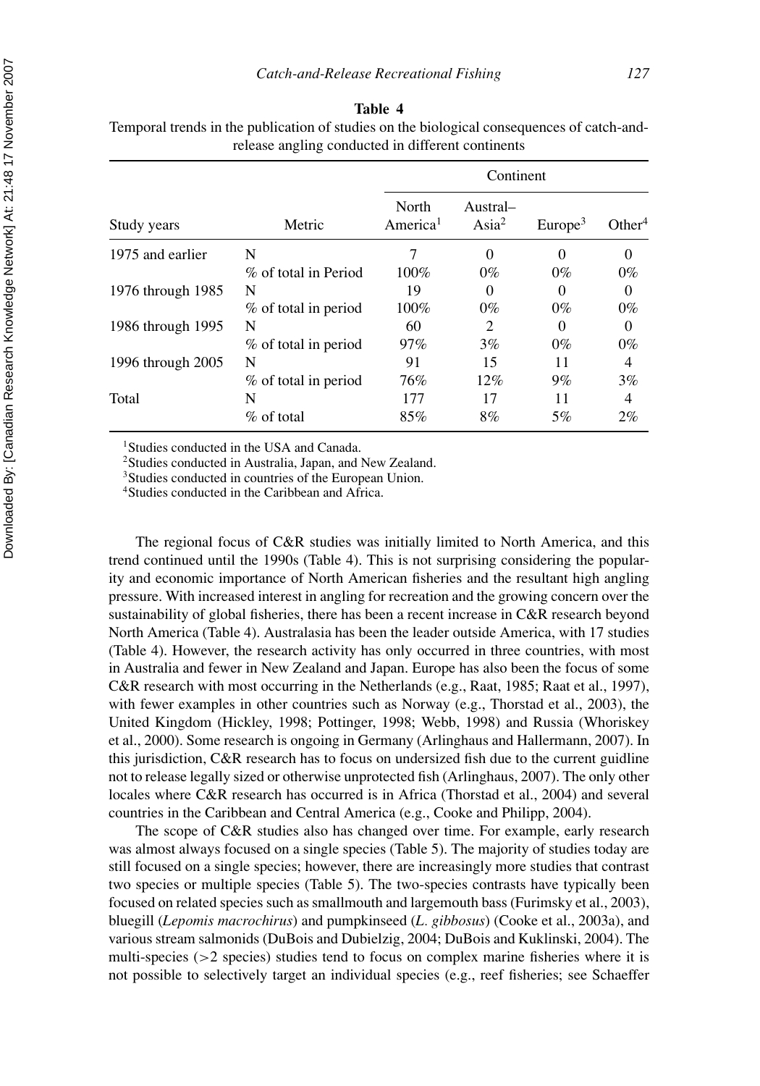|                   |                      |                               | Continent                   |                     |                    |
|-------------------|----------------------|-------------------------------|-----------------------------|---------------------|--------------------|
| Study years       | Metric               | North<br>America <sup>1</sup> | Austral-<br>$\text{Asia}^2$ | Europe <sup>3</sup> | Other <sup>4</sup> |
| 1975 and earlier  | N                    |                               | $\theta$                    | 0                   | $\Omega$           |
|                   | % of total in Period | $100\%$                       | $0\%$                       | $0\%$               | $0\%$              |
| 1976 through 1985 | N                    | 19                            | $\Omega$                    | $\Omega$            | 0                  |
|                   | % of total in period | $100\%$                       | $0\%$                       | $0\%$               | $0\%$              |
| 1986 through 1995 | N                    | 60                            | 2                           | 0                   | $\Omega$           |
|                   | % of total in period | $97\%$                        | $3\%$                       | $0\%$               | $0\%$              |
| 1996 through 2005 | N                    | 91                            | 15                          | 11                  | 4                  |
|                   | % of total in period | 76%                           | $12\%$                      | $9\%$               | 3%                 |
| Total             | N                    | 177                           | 17                          | 11                  | 4                  |
|                   | $\%$ of total        | 85%                           | 8%                          | 5%                  | 2%                 |

**Table 4** Temporal trends in the publication of studies on the biological consequences of catch-andrelease angling conducted in different continents

1Studies conducted in the USA and Canada.

<sup>2</sup>Studies conducted in Australia, Japan, and New Zealand.

<sup>3</sup>Studies conducted in countries of the European Union.

4Studies conducted in the Caribbean and Africa.

The regional focus of C&R studies was initially limited to North America, and this trend continued until the 1990s (Table 4). This is not surprising considering the popularity and economic importance of North American fisheries and the resultant high angling pressure. With increased interest in angling for recreation and the growing concern over the sustainability of global fisheries, there has been a recent increase in C&R research beyond North America (Table 4). Australasia has been the leader outside America, with 17 studies (Table 4). However, the research activity has only occurred in three countries, with most in Australia and fewer in New Zealand and Japan. Europe has also been the focus of some C&R research with most occurring in the Netherlands (e.g., Raat, 1985; Raat et al., 1997), with fewer examples in other countries such as Norway (e.g., Thorstad et al., 2003), the United Kingdom (Hickley, 1998; Pottinger, 1998; Webb, 1998) and Russia (Whoriskey et al., 2000). Some research is ongoing in Germany (Arlinghaus and Hallermann, 2007). In this jurisdiction, C&R research has to focus on undersized fish due to the current guidline not to release legally sized or otherwise unprotected fish (Arlinghaus, 2007). The only other locales where C&R research has occurred is in Africa (Thorstad et al., 2004) and several countries in the Caribbean and Central America (e.g., Cooke and Philipp, 2004).

The scope of C&R studies also has changed over time. For example, early research was almost always focused on a single species (Table 5). The majority of studies today are still focused on a single species; however, there are increasingly more studies that contrast two species or multiple species (Table 5). The two-species contrasts have typically been focused on related species such as smallmouth and largemouth bass (Furimsky et al., 2003), bluegill (*Lepomis macrochirus*) and pumpkinseed (*L. gibbosus*) (Cooke et al., 2003a), and various stream salmonids (DuBois and Dubielzig, 2004; DuBois and Kuklinski, 2004). The multi-species ( $>2$  species) studies tend to focus on complex marine fisheries where it is not possible to selectively target an individual species (e.g., reef fisheries; see Schaeffer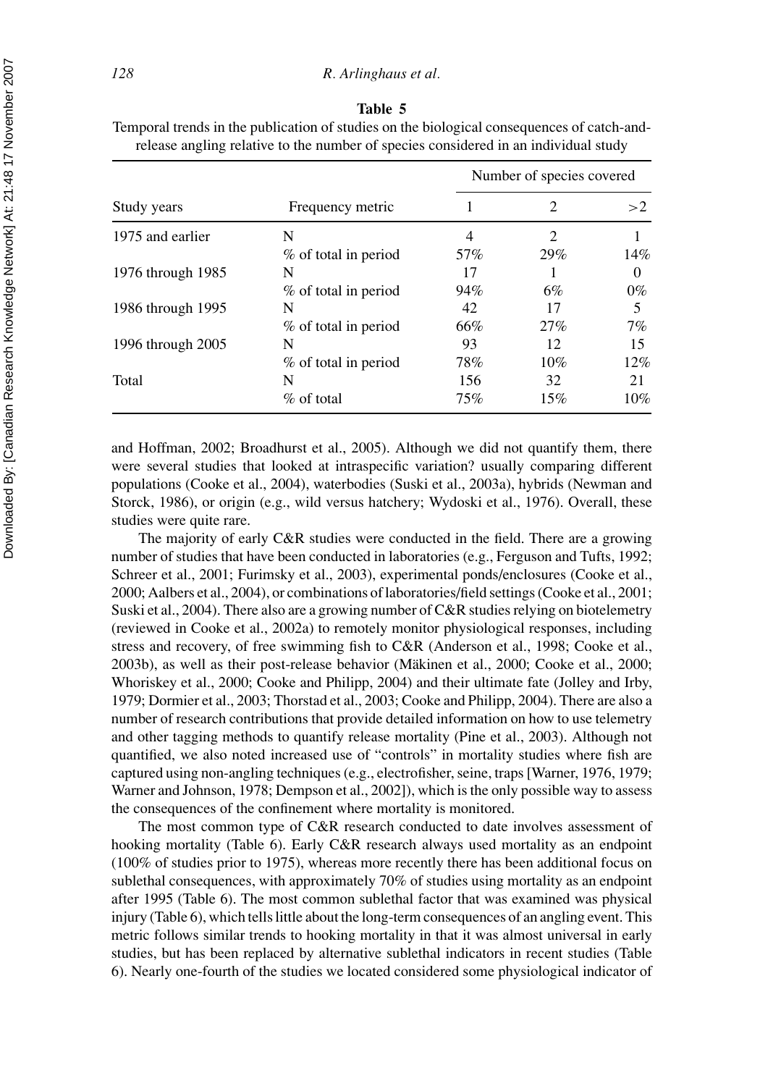| anı<br>16 |  |
|-----------|--|
|-----------|--|

| Temporal trends in the publication of studies on the biological consequences of catch-and- |  |  |
|--------------------------------------------------------------------------------------------|--|--|
| release angling relative to the number of species considered in an individual study        |  |  |

|                   |                      |     | Number of species covered |       |
|-------------------|----------------------|-----|---------------------------|-------|
| Study years       | Frequency metric     |     | 2                         | >2    |
| 1975 and earlier  | N                    | 4   | $\mathfrak{D}$            |       |
|                   | % of total in period | 57% | 29%                       | 14%   |
| 1976 through 1985 | N                    | 17  |                           |       |
|                   | % of total in period | 94% | 6%                        | $0\%$ |
| 1986 through 1995 | N                    | 42  | 17                        | 5     |
|                   | % of total in period | 66% | 27%                       | $7\%$ |
| 1996 through 2005 | N                    | 93  | 12                        | 15    |
|                   | % of total in period | 78% | 10%                       | 12%   |
| Total             | N                    | 156 | 32                        | 21    |
|                   | $\%$ of total        | 75% | 15%                       | 10%   |

and Hoffman, 2002; Broadhurst et al., 2005). Although we did not quantify them, there were several studies that looked at intraspecific variation? usually comparing different populations (Cooke et al., 2004), waterbodies (Suski et al., 2003a), hybrids (Newman and Storck, 1986), or origin (e.g., wild versus hatchery; Wydoski et al., 1976). Overall, these studies were quite rare.

The majority of early C&R studies were conducted in the field. There are a growing number of studies that have been conducted in laboratories (e.g., Ferguson and Tufts, 1992; Schreer et al., 2001; Furimsky et al., 2003), experimental ponds/enclosures (Cooke et al., 2000; Aalbers et al., 2004), or combinations of laboratories/field settings (Cooke et al., 2001; Suski et al., 2004). There also are a growing number of C&R studies relying on biotelemetry (reviewed in Cooke et al., 2002a) to remotely monitor physiological responses, including stress and recovery, of free swimming fish to C&R (Anderson et al., 1998; Cooke et al., 2003b), as well as their post-release behavior (Mäkinen et al., 2000; Cooke et al., 2000; Whoriskey et al., 2000; Cooke and Philipp, 2004) and their ultimate fate (Jolley and Irby, 1979; Dormier et al., 2003; Thorstad et al., 2003; Cooke and Philipp, 2004). There are also a number of research contributions that provide detailed information on how to use telemetry and other tagging methods to quantify release mortality (Pine et al., 2003). Although not quantified, we also noted increased use of "controls" in mortality studies where fish are captured using non-angling techniques (e.g., electrofisher, seine, traps [Warner, 1976, 1979; Warner and Johnson, 1978; Dempson et al., 2002]), which is the only possible way to assess the consequences of the confinement where mortality is monitored.

The most common type of C&R research conducted to date involves assessment of hooking mortality (Table 6). Early C&R research always used mortality as an endpoint (100% of studies prior to 1975), whereas more recently there has been additional focus on sublethal consequences, with approximately 70% of studies using mortality as an endpoint after 1995 (Table 6). The most common sublethal factor that was examined was physical injury (Table 6), which tells little about the long-term consequences of an angling event. This metric follows similar trends to hooking mortality in that it was almost universal in early studies, but has been replaced by alternative sublethal indicators in recent studies (Table 6). Nearly one-fourth of the studies we located considered some physiological indicator of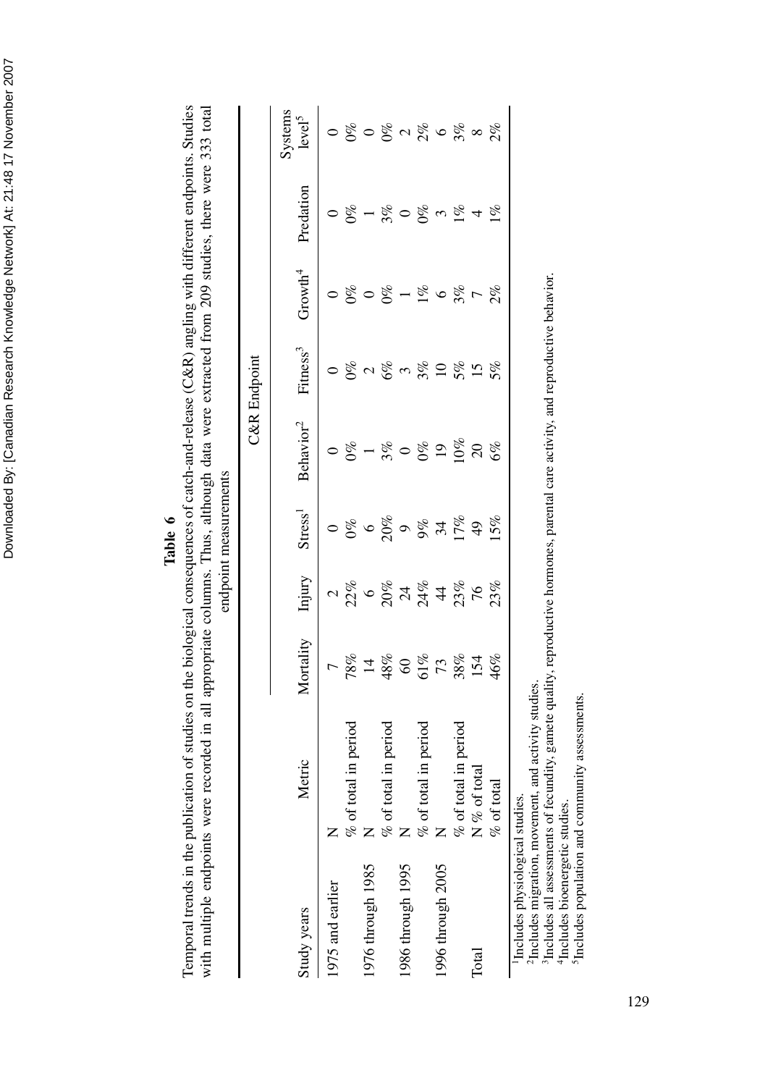| <b>1200.</b>                                                                    |  |
|---------------------------------------------------------------------------------|--|
|                                                                                 |  |
|                                                                                 |  |
|                                                                                 |  |
|                                                                                 |  |
|                                                                                 |  |
|                                                                                 |  |
|                                                                                 |  |
|                                                                                 |  |
|                                                                                 |  |
|                                                                                 |  |
|                                                                                 |  |
|                                                                                 |  |
|                                                                                 |  |
|                                                                                 |  |
|                                                                                 |  |
|                                                                                 |  |
|                                                                                 |  |
|                                                                                 |  |
|                                                                                 |  |
|                                                                                 |  |
|                                                                                 |  |
|                                                                                 |  |
|                                                                                 |  |
|                                                                                 |  |
|                                                                                 |  |
| Downloaded By: [Canadian Research Knowledge Network] At: 21:48 17 November 2007 |  |
|                                                                                 |  |
|                                                                                 |  |
|                                                                                 |  |
|                                                                                 |  |

# **Table 6**

Temporal trends in the publication of studies on the biological consequences of catch-and-release (C&R) angling with different endpoints. Studies with multiple endpoints were recorded in all appropriate columns. Thus, although data were extracted from 209 studies, there were 333 total Temporal trends in the publication of studies on the biological consequences of catch-and-release (C&R) angling with different endpoints. Studies with multiple endpoints were recorded in all appropriate columns. Thus, although data were extracted from 209 studies, there were 333 total endpoint measurements endpoint measurements

|                                              |                                                                 |                                                                      |                                                                                                       |                                          |                       | <b>C&amp;R</b> Endpoint                                   |                     |                              |                               |
|----------------------------------------------|-----------------------------------------------------------------|----------------------------------------------------------------------|-------------------------------------------------------------------------------------------------------|------------------------------------------|-----------------------|-----------------------------------------------------------|---------------------|------------------------------|-------------------------------|
| Study years                                  | etric<br>Ž                                                      | Mortality                                                            | Injury                                                                                                | Stress <sup>1</sup>                      | Behavior <sup>2</sup> | Fitness <sup>3</sup>                                      | Growth <sup>4</sup> | Predation                    | Systems<br>level <sup>5</sup> |
| 1975 and earlier                             |                                                                 |                                                                      |                                                                                                       |                                          |                       |                                                           |                     |                              |                               |
|                                              | % of total in period                                            |                                                                      |                                                                                                       |                                          | $\frac{8}{6}$         |                                                           |                     |                              |                               |
| 1976 through 1985                            |                                                                 |                                                                      |                                                                                                       |                                          |                       |                                                           |                     |                              |                               |
|                                              | % of total in period                                            |                                                                      |                                                                                                       |                                          |                       |                                                           |                     |                              |                               |
| 1986 through 1995                            |                                                                 |                                                                      |                                                                                                       |                                          |                       |                                                           |                     |                              |                               |
|                                              | % of total in period                                            |                                                                      |                                                                                                       |                                          |                       |                                                           |                     |                              |                               |
| 1996 through 2005                            |                                                                 |                                                                      |                                                                                                       |                                          |                       |                                                           |                     |                              |                               |
|                                              | % of total in period                                            | $78%$<br>$78%$ $48%$ $68%$<br>$78%$ $78%$<br>$78%$<br>$78%$<br>$78%$ | $\begin{array}{l} 2.88 \\ 2.288 \\ 2.088 \\ 2.488 \\ 2.398 \\ 2.398 \\ 2.398 \\ 2.398 \\ \end{array}$ | $-8$ $-8$ $-8$ $-8$ $-8$ $-12$ $-9$ $-8$ | $-280898888$          | $86^{\circ}$ 2 $85^{\circ}$ 3 $25^{\circ}$ 3 $25^{\circ}$ |                     | $-8 - 2 - 8 - 8 - 8 - 8 - 4$ | 08080808888                   |
| Total                                        | N % of total                                                    |                                                                      |                                                                                                       |                                          |                       |                                                           |                     |                              |                               |
|                                              | $\%$ of total                                                   |                                                                      |                                                                                                       |                                          |                       |                                                           |                     | $1\%$                        |                               |
| <sup>1</sup> Includes physiological studies. | <sup>2</sup> Includes migration, movement, and activity studies |                                                                      |                                                                                                       |                                          |                       |                                                           |                     |                              |                               |

2Includes migration, movement, and activity studies.

nutures impraror, invertient, and activity surancs.<br><sup>3</sup>Includes all assessments of fecundity, gamete quality, reproductive hormones, parental care activity, and reproductive behavior.<br><sup>4</sup>Includes bioenergetic studies.<br><sup>5</sup>I 3Includes all assessments of fecundity, gamete quality, reproductive hormones, parental care activity, and reproductive behavior. 4Includes bioenergetic studies.

5Includes population and community assessments.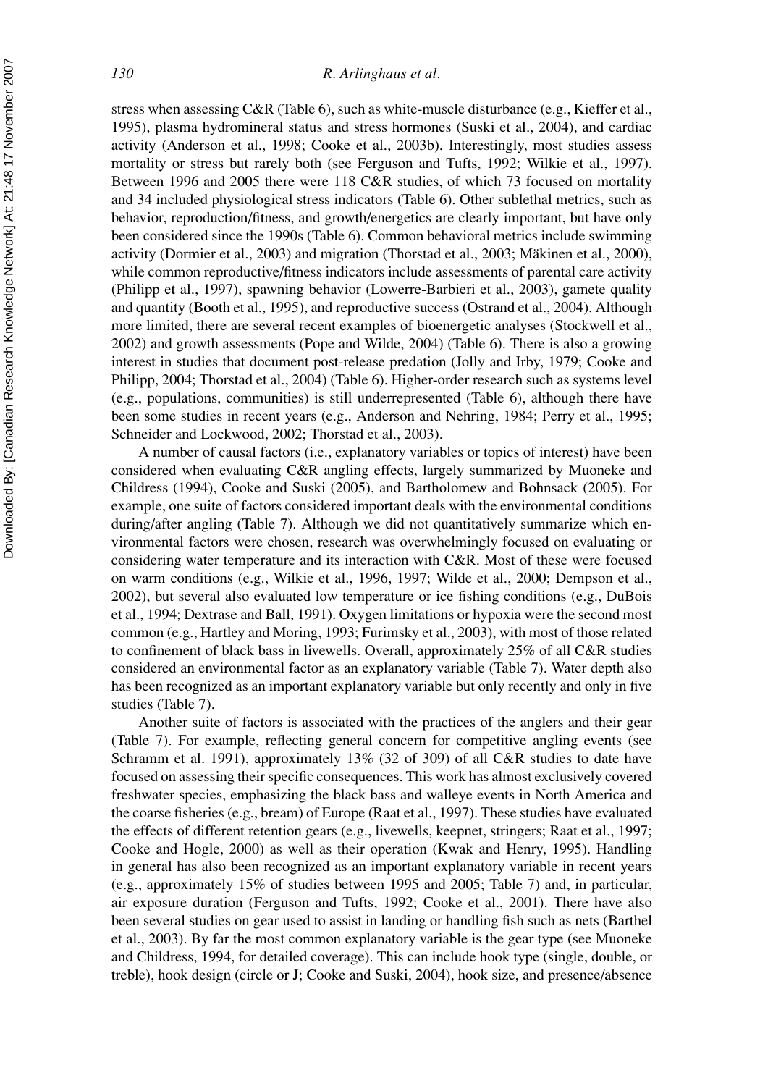stress when assessing C&R (Table 6), such as white-muscle disturbance (e.g., Kieffer et al., 1995), plasma hydromineral status and stress hormones (Suski et al., 2004), and cardiac activity (Anderson et al., 1998; Cooke et al., 2003b). Interestingly, most studies assess mortality or stress but rarely both (see Ferguson and Tufts, 1992; Wilkie et al., 1997). Between 1996 and 2005 there were 118 C&R studies, of which 73 focused on mortality and 34 included physiological stress indicators (Table 6). Other sublethal metrics, such as behavior, reproduction/fitness, and growth/energetics are clearly important, but have only been considered since the 1990s (Table 6). Common behavioral metrics include swimming activity (Dormier et al., 2003) and migration (Thorstad et al., 2003; Mäkinen et al., 2000), while common reproductive/fitness indicators include assessments of parental care activity (Philipp et al., 1997), spawning behavior (Lowerre-Barbieri et al., 2003), gamete quality and quantity (Booth et al., 1995), and reproductive success (Ostrand et al., 2004). Although more limited, there are several recent examples of bioenergetic analyses (Stockwell et al., 2002) and growth assessments (Pope and Wilde, 2004) (Table 6). There is also a growing interest in studies that document post-release predation (Jolly and Irby, 1979; Cooke and Philipp, 2004; Thorstad et al., 2004) (Table 6). Higher-order research such as systems level (e.g., populations, communities) is still underrepresented (Table 6), although there have been some studies in recent years (e.g., Anderson and Nehring, 1984; Perry et al., 1995; Schneider and Lockwood, 2002; Thorstad et al., 2003).

A number of causal factors (i.e., explanatory variables or topics of interest) have been considered when evaluating C&R angling effects, largely summarized by Muoneke and Childress (1994), Cooke and Suski (2005), and Bartholomew and Bohnsack (2005). For example, one suite of factors considered important deals with the environmental conditions during/after angling (Table 7). Although we did not quantitatively summarize which environmental factors were chosen, research was overwhelmingly focused on evaluating or considering water temperature and its interaction with C&R. Most of these were focused on warm conditions (e.g., Wilkie et al., 1996, 1997; Wilde et al., 2000; Dempson et al., 2002), but several also evaluated low temperature or ice fishing conditions (e.g., DuBois et al., 1994; Dextrase and Ball, 1991). Oxygen limitations or hypoxia were the second most common (e.g., Hartley and Moring, 1993; Furimsky et al., 2003), with most of those related to confinement of black bass in livewells. Overall, approximately 25% of all C&R studies considered an environmental factor as an explanatory variable (Table 7). Water depth also has been recognized as an important explanatory variable but only recently and only in five studies (Table 7).

Another suite of factors is associated with the practices of the anglers and their gear (Table 7). For example, reflecting general concern for competitive angling events (see Schramm et al. 1991), approximately 13% (32 of 309) of all C&R studies to date have focused on assessing their specific consequences. This work has almost exclusively covered freshwater species, emphasizing the black bass and walleye events in North America and the coarse fisheries (e.g., bream) of Europe (Raat et al., 1997). These studies have evaluated the effects of different retention gears (e.g., livewells, keepnet, stringers; Raat et al., 1997; Cooke and Hogle, 2000) as well as their operation (Kwak and Henry, 1995). Handling in general has also been recognized as an important explanatory variable in recent years (e.g., approximately 15% of studies between 1995 and 2005; Table 7) and, in particular, air exposure duration (Ferguson and Tufts, 1992; Cooke et al., 2001). There have also been several studies on gear used to assist in landing or handling fish such as nets (Barthel et al., 2003). By far the most common explanatory variable is the gear type (see Muoneke and Childress, 1994, for detailed coverage). This can include hook type (single, double, or treble), hook design (circle or J; Cooke and Suski, 2004), hook size, and presence/absence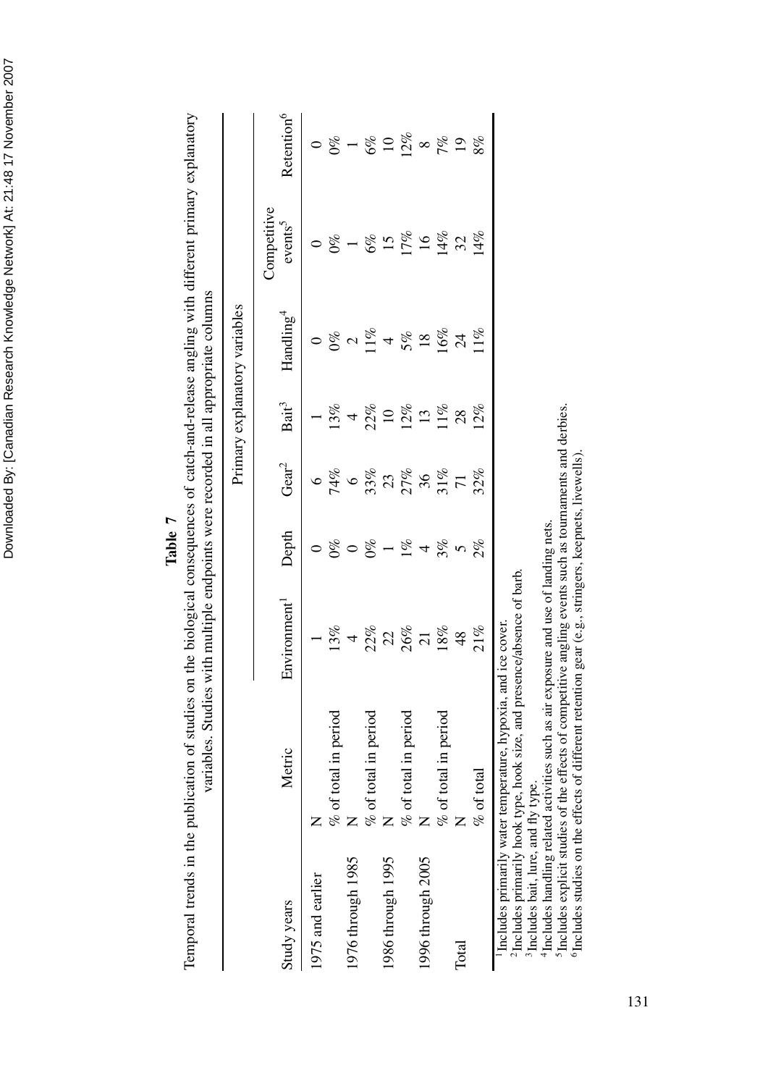|                   |                                                                                                                                                      | variables. Studies with multiple endpoints were recorded in all appropriate columns |                              |                         |                   |                               |                                    |                        |
|-------------------|------------------------------------------------------------------------------------------------------------------------------------------------------|-------------------------------------------------------------------------------------|------------------------------|-------------------------|-------------------|-------------------------------|------------------------------------|------------------------|
|                   |                                                                                                                                                      |                                                                                     |                              |                         |                   | Primary explanatory variables |                                    |                        |
| Study years       | Metric                                                                                                                                               | Environment <sup>1</sup>                                                            | Depth                        | Gear <sup>2</sup>       | Bait <sup>3</sup> | Handing <sup>4</sup>          | Competitive<br>events <sup>5</sup> | Retention <sup>6</sup> |
|                   |                                                                                                                                                      |                                                                                     |                              |                         |                   |                               |                                    |                        |
| 1975 and earlier  |                                                                                                                                                      |                                                                                     |                              | $\circ$                 |                   |                               |                                    |                        |
|                   | otal in period<br>$\%$ of t                                                                                                                          | 13%                                                                                 | $\partial_{\alpha}^{\alpha}$ | $74\%$                  | 13%               | $\mathcal{O}_{\infty}$        | $0\%$                              | $\mathcal{G}^{\infty}$ |
| 1976 through 1985 |                                                                                                                                                      | $\overline{4}$                                                                      |                              | $6$<br>33%<br>27%<br>36 | $\overline{a}$    | $\overline{\mathcal{C}}$      |                                    |                        |
|                   | % of total in period                                                                                                                                 |                                                                                     | $0\%$                        |                         |                   | $1\%$                         |                                    | $6\%$ 0                |
| 1986 through 1995 |                                                                                                                                                      | $22\%$<br>$26\%$<br>$21$                                                            |                              |                         | $22\%$ 10         | 4                             | $6\%$<br>15                        |                        |
|                   | % of total in period                                                                                                                                 |                                                                                     | 1%                           |                         | 12%               | 5%                            | 17%                                | $\frac{2\%}{8}$        |
| 1996 through 2005 |                                                                                                                                                      |                                                                                     |                              |                         | 13                | $\overline{18}$               | $\frac{1}{2}$                      |                        |
|                   | otal in period<br>$\%$ of t                                                                                                                          | 18%                                                                                 | 3%                           | 31%                     | $10\%$            | 16%                           | 14%                                | 7%                     |
| Total             | $\overline{z}$                                                                                                                                       | 48                                                                                  |                              | $\overline{71}$         | 28                | $\overline{24}$               | 32                                 | $\overline{0}$         |
|                   | otal<br>% of t                                                                                                                                       | 21%                                                                                 | 2%                           | 32%                     | 12%               | $1\%$                         | 4%                                 | $8\%$                  |
|                   | <sup>2</sup> Includes primarily hook type, hook size, and presence/absence of barb.<br>Includes primarily water temperature, hypoxia, and ice cover. |                                                                                     |                              |                         |                   |                               |                                    |                        |

**Table 7**

3Includes bait, lure, and fly type.

<sup>2</sup>Includes primarily hook type, hook size, and presence/absence of barb.<br><sup>3</sup>Includes bait, lure, and fly type.<br><sup>4</sup>Includes handling related activities such as air exposure and use of landing nets.<br><sup>5</sup>Includes explicit st 5Includes explicit studies of the effects of competitive angling events such as tournaments and derbies. 4Includes handling related activities such as air exposure and use of landing nets.

 $6$ Includes studies on the effects of different retention gear (e.g., stringers, keepnets, livewells).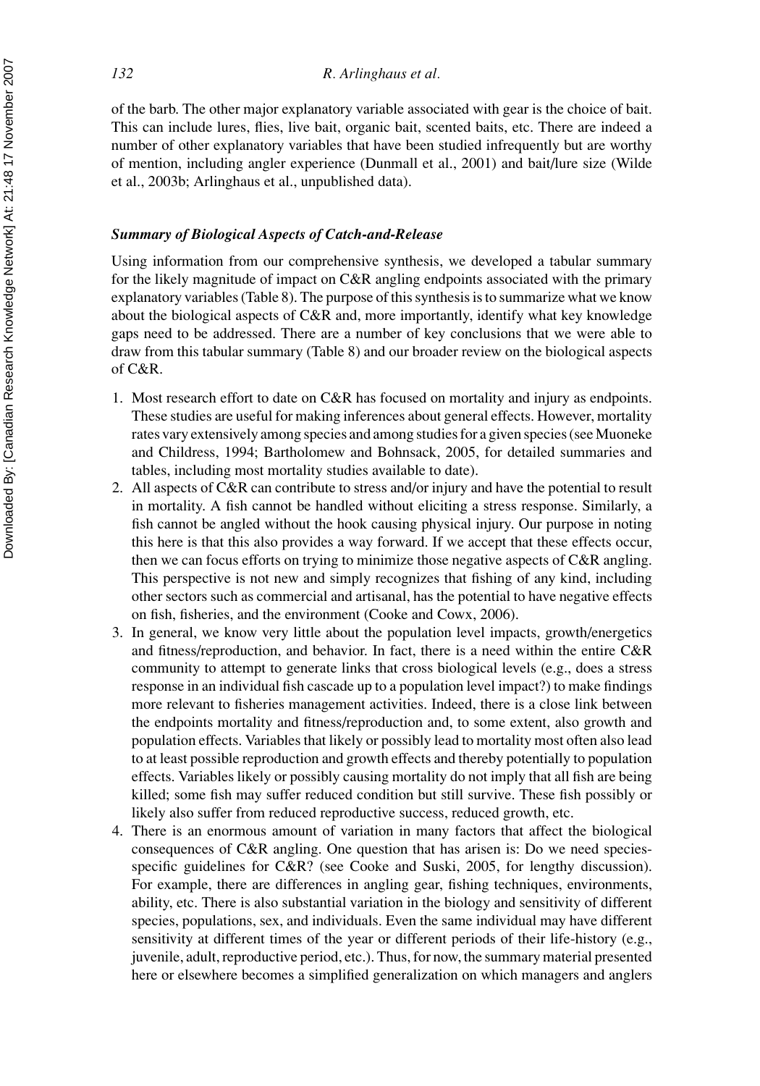of the barb. The other major explanatory variable associated with gear is the choice of bait. This can include lures, flies, live bait, organic bait, scented baits, etc. There are indeed a number of other explanatory variables that have been studied infrequently but are worthy of mention, including angler experience (Dunmall et al., 2001) and bait/lure size (Wilde et al., 2003b; Arlinghaus et al., unpublished data).

# *Summary of Biological Aspects of Catch-and-Release*

Using information from our comprehensive synthesis, we developed a tabular summary for the likely magnitude of impact on C&R angling endpoints associated with the primary explanatory variables (Table 8). The purpose of this synthesis is to summarize what we know about the biological aspects of C&R and, more importantly, identify what key knowledge gaps need to be addressed. There are a number of key conclusions that we were able to draw from this tabular summary (Table 8) and our broader review on the biological aspects of C&R.

- 1. Most research effort to date on C&R has focused on mortality and injury as endpoints. These studies are useful for making inferences about general effects. However, mortality rates vary extensively among species and among studies for a given species (see Muoneke and Childress, 1994; Bartholomew and Bohnsack, 2005, for detailed summaries and tables, including most mortality studies available to date).
- 2. All aspects of C&R can contribute to stress and/or injury and have the potential to result in mortality. A fish cannot be handled without eliciting a stress response. Similarly, a fish cannot be angled without the hook causing physical injury. Our purpose in noting this here is that this also provides a way forward. If we accept that these effects occur, then we can focus efforts on trying to minimize those negative aspects of C&R angling. This perspective is not new and simply recognizes that fishing of any kind, including other sectors such as commercial and artisanal, has the potential to have negative effects on fish, fisheries, and the environment (Cooke and Cowx, 2006).
- 3. In general, we know very little about the population level impacts, growth/energetics and fitness/reproduction, and behavior. In fact, there is a need within the entire C&R community to attempt to generate links that cross biological levels (e.g., does a stress response in an individual fish cascade up to a population level impact?) to make findings more relevant to fisheries management activities. Indeed, there is a close link between the endpoints mortality and fitness/reproduction and, to some extent, also growth and population effects. Variables that likely or possibly lead to mortality most often also lead to at least possible reproduction and growth effects and thereby potentially to population effects. Variables likely or possibly causing mortality do not imply that all fish are being killed; some fish may suffer reduced condition but still survive. These fish possibly or likely also suffer from reduced reproductive success, reduced growth, etc.
- 4. There is an enormous amount of variation in many factors that affect the biological consequences of C&R angling. One question that has arisen is: Do we need speciesspecific guidelines for C&R? (see Cooke and Suski, 2005, for lengthy discussion). For example, there are differences in angling gear, fishing techniques, environments, ability, etc. There is also substantial variation in the biology and sensitivity of different species, populations, sex, and individuals. Even the same individual may have different sensitivity at different times of the year or different periods of their life-history (e.g., juvenile, adult, reproductive period, etc.). Thus, for now, the summary material presented here or elsewhere becomes a simplified generalization on which managers and anglers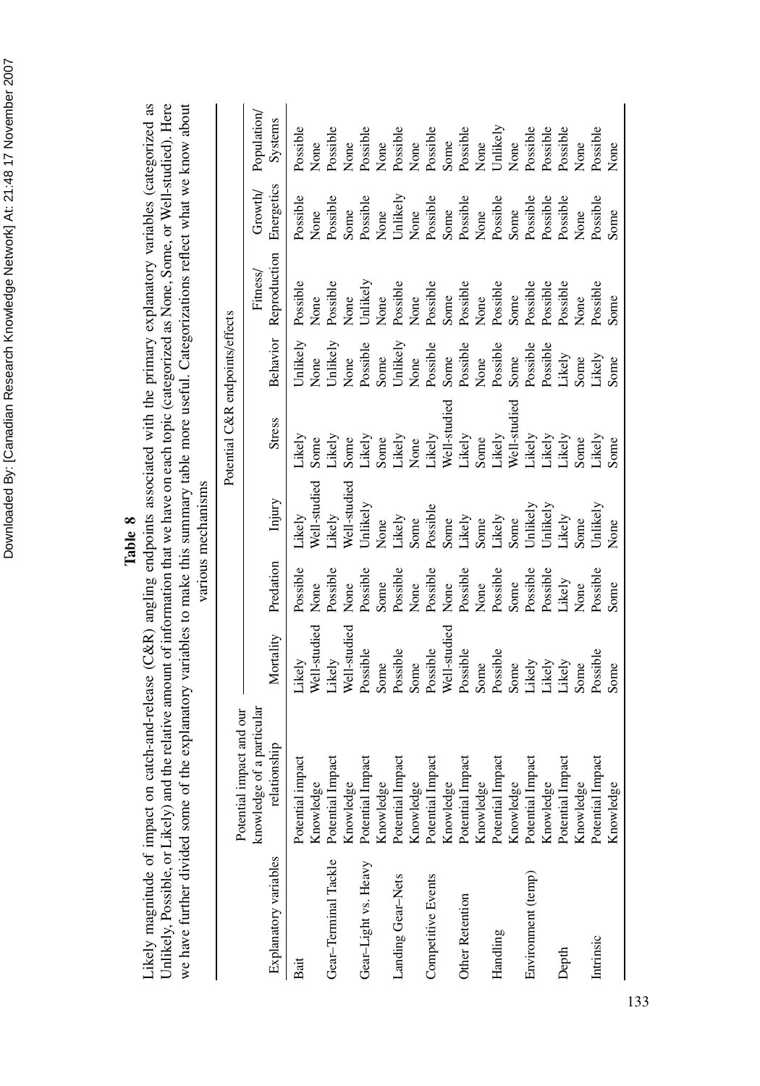Downloaded By: [Canadian Research Knowledge Network] At: 21:48 17 November 2007 Downloaded By: [Canadian Research Knowledge Network] At: 21:48 17 November 2007

| œ |
|---|
| υ |
| × |
|   |

Likely magnitude of impact on catch-and-release (C&R) angling endpoints associated with the primary explanatory variables (categorized as Unlikely, Possible, or Likely) and the relative amount of information that we have on each topic (categorized as None, Some, or Well-studied). Here we have further divided some of the explanatory variables to make this summary table more useful. Categorizations reflect what we know about Likely magnitude of impact on catch-and-release (C&R) angling endpoints associated with the primary explanatory variables (categorized as Unlikely, Possible, or Likely) and the relative amount of information that we have on each topic (categorized as None, Some, or Well-studied). Here we have further divided some of the explanatory variables to make this summary table more useful. Categorizations reflect what we know about various mechanisms various mechanisms

|                        | Potential impact and our  |                            |                                |                      | Potential C&R endpoints/effects          |                    |                      |            |             |
|------------------------|---------------------------|----------------------------|--------------------------------|----------------------|------------------------------------------|--------------------|----------------------|------------|-------------|
|                        | knowledge of a particular |                            |                                |                      |                                          |                    | Fitness/             | Growth/    | Population/ |
| Explanatory variables  | relationship              | Mortality                  | Predation                      | Injury               | Stress                                   | Behavior           | Reproduction         | Energetics | Systems     |
| Bait                   | Potential impact          | Likely                     | Possible                       | Likely               | Likely                                   | Unlikely           | Possible             | Possible   | Possible    |
|                        | Knowledge                 | Well-studied               | None                           | Vell-studied         | Some                                     | None               | None                 | None       | None        |
| Gear-Terminal Tackle   | Potential Impact          | Likely                     | Possible                       | Likely               | Likely                                   | Unlikely           | Possible             | Possible   | Possible    |
|                        | Knowledge                 | Well-studied               | None                           | Vell-studied         | Some                                     | None               | None                 | Some       | None        |
| Gear-Light vs. Heavy   | Potential Impact          | Possible                   | Possible                       | <b>Jnlikely</b>      | Likely                                   | Possible           | Unlikely             | Possible   | Possible    |
|                        | Knowledge                 | Some                       | Some                           | None                 | Some                                     | Some               | None                 | None       | None        |
| Landing Gear-Nets      | Potential Impact          | Possible                   | Possible                       | Likely               | Likely                                   | Unlikely           | Possible             | Unlikely   | Possible    |
|                        | Knowledge                 | Some                       | None                           | Some                 | None                                     | None               | None                 | None       | None        |
| Competitive Events     | Potential Impact          | Possible                   | Possible                       | Possible             | Likely<br>Well-studied<br>Likely         | Possible           | Possible             | Possible   | Possible    |
|                        | Knowledge                 | Well-studied               | None                           | Some                 |                                          | Some               | Some                 | Some       | Some        |
| <b>Other Retention</b> | Potential Impact          | Possible                   | Possible                       | Likely               |                                          | Possible           | Possible             | Possible   | Possible    |
|                        | Knowledge                 | Some                       | None                           | Some                 |                                          | None               | None                 | None       | None        |
| Handling               | Potential Impact          | Possible                   | Possible                       | Likely               | Some<br>Likely<br>Well-studied<br>Likely | Possible           | Possible             | Possible   | Unlikely    |
|                        | Knowledge                 | Some                       | Some                           | Some                 |                                          | Some               | Some                 | Some       | None        |
| Environment (temp)     | Potential Impact          | Likely<br>Likely<br>Likely |                                |                      |                                          | Possible           |                      | Possible   | Possible    |
|                        | Knowledge                 |                            | Possible<br>Possible<br>Likely | Unlikely<br>Unlikely |                                          |                    | Possible<br>Possible | Possible   | Possible    |
| Depth                  | Potential Impact          |                            |                                | Likely               | Likely<br>Likely                         | Possible<br>Likely | Possible             | Possible   | Possible    |
|                        | Knowledge                 | Some                       | None                           | Some                 | Some                                     | Some               | None                 | None       | None        |
| Intrinsic              | Potential Impact          | Possible                   | Possible                       | Unlikely             | Likely                                   | Likely             | Possible             | Possible   | Possible    |
|                        | Knowledge                 | Some                       | Some                           | None                 | Some                                     | Some               | Some                 | Some       | None        |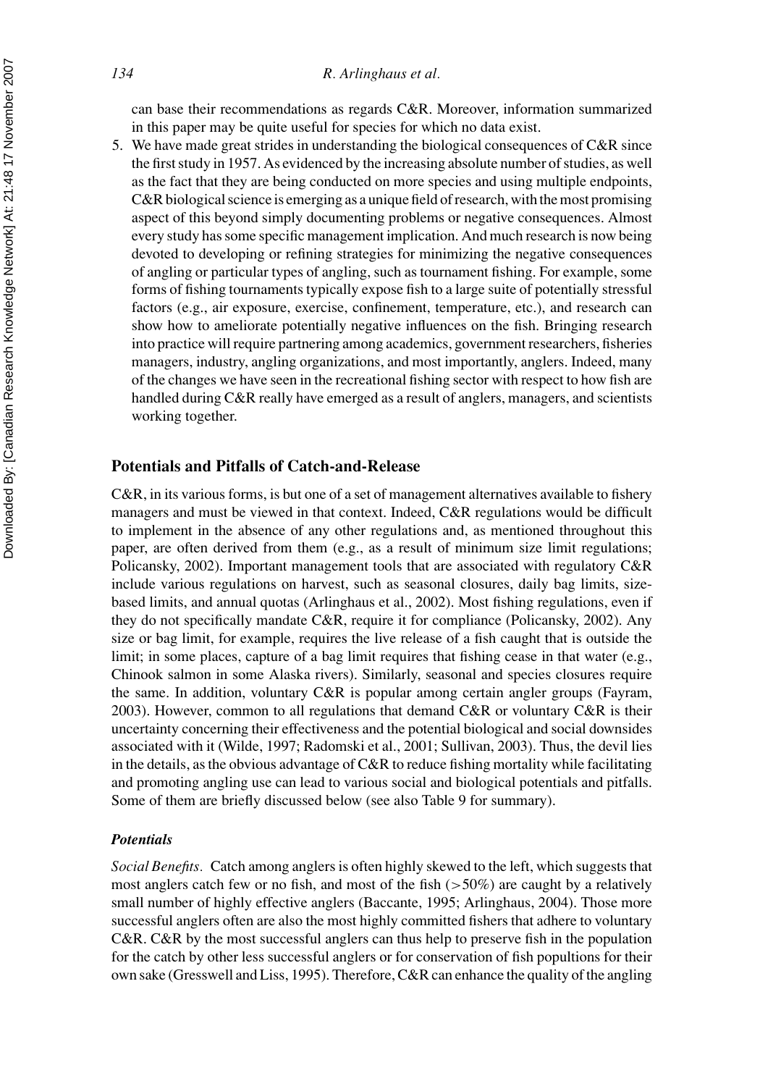can base their recommendations as regards C&R. Moreover, information summarized in this paper may be quite useful for species for which no data exist.

5. We have made great strides in understanding the biological consequences of C&R since the first study in 1957. As evidenced by the increasing absolute number of studies, as well as the fact that they are being conducted on more species and using multiple endpoints, C&R biological science is emerging as a unique field of research, with the most promising aspect of this beyond simply documenting problems or negative consequences. Almost every study has some specific management implication. And much research is now being devoted to developing or refining strategies for minimizing the negative consequences of angling or particular types of angling, such as tournament fishing. For example, some forms of fishing tournaments typically expose fish to a large suite of potentially stressful factors (e.g., air exposure, exercise, confinement, temperature, etc.), and research can show how to ameliorate potentially negative influences on the fish. Bringing research into practice will require partnering among academics, government researchers, fisheries managers, industry, angling organizations, and most importantly, anglers. Indeed, many of the changes we have seen in the recreational fishing sector with respect to how fish are handled during C&R really have emerged as a result of anglers, managers, and scientists working together.

## **Potentials and Pitfalls of Catch-and-Release**

C&R, in its various forms, is but one of a set of management alternatives available to fishery managers and must be viewed in that context. Indeed, C&R regulations would be difficult to implement in the absence of any other regulations and, as mentioned throughout this paper, are often derived from them (e.g., as a result of minimum size limit regulations; Policansky, 2002). Important management tools that are associated with regulatory C&R include various regulations on harvest, such as seasonal closures, daily bag limits, sizebased limits, and annual quotas (Arlinghaus et al., 2002). Most fishing regulations, even if they do not specifically mandate C&R, require it for compliance (Policansky, 2002). Any size or bag limit, for example, requires the live release of a fish caught that is outside the limit; in some places, capture of a bag limit requires that fishing cease in that water (e.g., Chinook salmon in some Alaska rivers). Similarly, seasonal and species closures require the same. In addition, voluntary C&R is popular among certain angler groups (Fayram, 2003). However, common to all regulations that demand C&R or voluntary C&R is their uncertainty concerning their effectiveness and the potential biological and social downsides associated with it (Wilde, 1997; Radomski et al., 2001; Sullivan, 2003). Thus, the devil lies in the details, as the obvious advantage of  $C&R$  to reduce fishing mortality while facilitating and promoting angling use can lead to various social and biological potentials and pitfalls. Some of them are briefly discussed below (see also Table 9 for summary).

#### *Potentials*

*Social Benefits.* Catch among anglers is often highly skewed to the left, which suggests that most anglers catch few or no fish, and most of the fish  $(50\%)$  are caught by a relatively small number of highly effective anglers (Baccante, 1995; Arlinghaus, 2004). Those more successful anglers often are also the most highly committed fishers that adhere to voluntary C&R. C&R by the most successful anglers can thus help to preserve fish in the population for the catch by other less successful anglers or for conservation of fish popultions for their own sake (Gresswell and Liss, 1995). Therefore, C&R can enhance the quality of the angling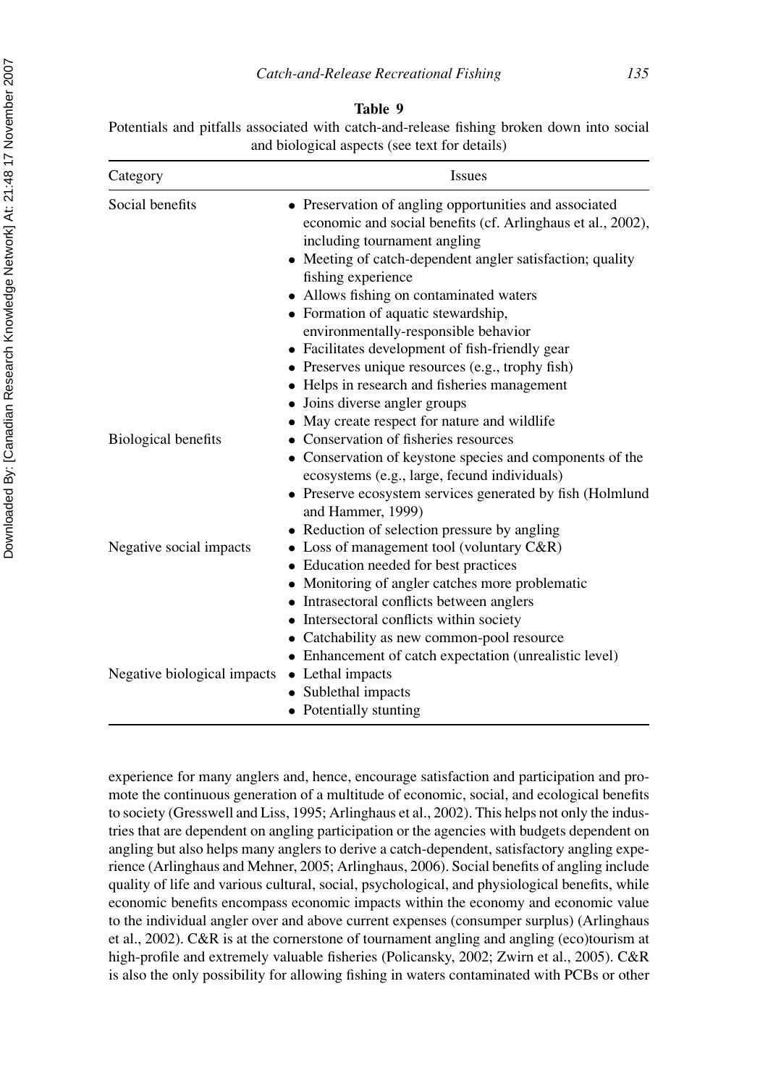| abı |  |
|-----|--|
|-----|--|

Potentials and pitfalls associated with catch-and-release fishing broken down into social and biological aspects (see text for details)

| Category                    | <b>Issues</b>                                                                                                                                                                                                                                                                                                                                                                                                                                                                                                                                                                                            |
|-----------------------------|----------------------------------------------------------------------------------------------------------------------------------------------------------------------------------------------------------------------------------------------------------------------------------------------------------------------------------------------------------------------------------------------------------------------------------------------------------------------------------------------------------------------------------------------------------------------------------------------------------|
| Social benefits             | • Preservation of angling opportunities and associated<br>economic and social benefits (cf. Arlinghaus et al., 2002),<br>including tournament angling<br>• Meeting of catch-dependent angler satisfaction; quality<br>fishing experience<br>• Allows fishing on contaminated waters<br>• Formation of aquatic stewardship,<br>environmentally-responsible behavior<br>• Facilitates development of fish-friendly gear<br>• Preserves unique resources (e.g., trophy fish)<br>• Helps in research and fisheries management<br>• Joins diverse angler groups<br>May create respect for nature and wildlife |
| <b>Biological benefits</b>  | Conservation of fisheries resources<br>• Conservation of keystone species and components of the<br>ecosystems (e.g., large, fecund individuals)<br>• Preserve ecosystem services generated by fish (Holmlund<br>and Hammer, 1999)<br>• Reduction of selection pressure by angling                                                                                                                                                                                                                                                                                                                        |
| Negative social impacts     | • Loss of management tool (voluntary C&R)<br>• Education needed for best practices<br>• Monitoring of angler catches more problematic<br>• Intrasectoral conflicts between anglers<br>• Intersectoral conflicts within society<br>• Catchability as new common-pool resource<br>• Enhancement of catch expectation (unrealistic level)                                                                                                                                                                                                                                                                   |
| Negative biological impacts | • Lethal impacts<br>• Sublethal impacts<br>• Potentially stunting                                                                                                                                                                                                                                                                                                                                                                                                                                                                                                                                        |

experience for many anglers and, hence, encourage satisfaction and participation and promote the continuous generation of a multitude of economic, social, and ecological benefits to society (Gresswell and Liss, 1995; Arlinghaus et al., 2002). This helps not only the industries that are dependent on angling participation or the agencies with budgets dependent on angling but also helps many anglers to derive a catch-dependent, satisfactory angling experience (Arlinghaus and Mehner, 2005; Arlinghaus, 2006). Social benefits of angling include quality of life and various cultural, social, psychological, and physiological benefits, while economic benefits encompass economic impacts within the economy and economic value to the individual angler over and above current expenses (consumper surplus) (Arlinghaus et al., 2002). C&R is at the cornerstone of tournament angling and angling (eco)tourism at high-profile and extremely valuable fisheries (Policansky, 2002; Zwirn et al., 2005). C&R is also the only possibility for allowing fishing in waters contaminated with PCBs or other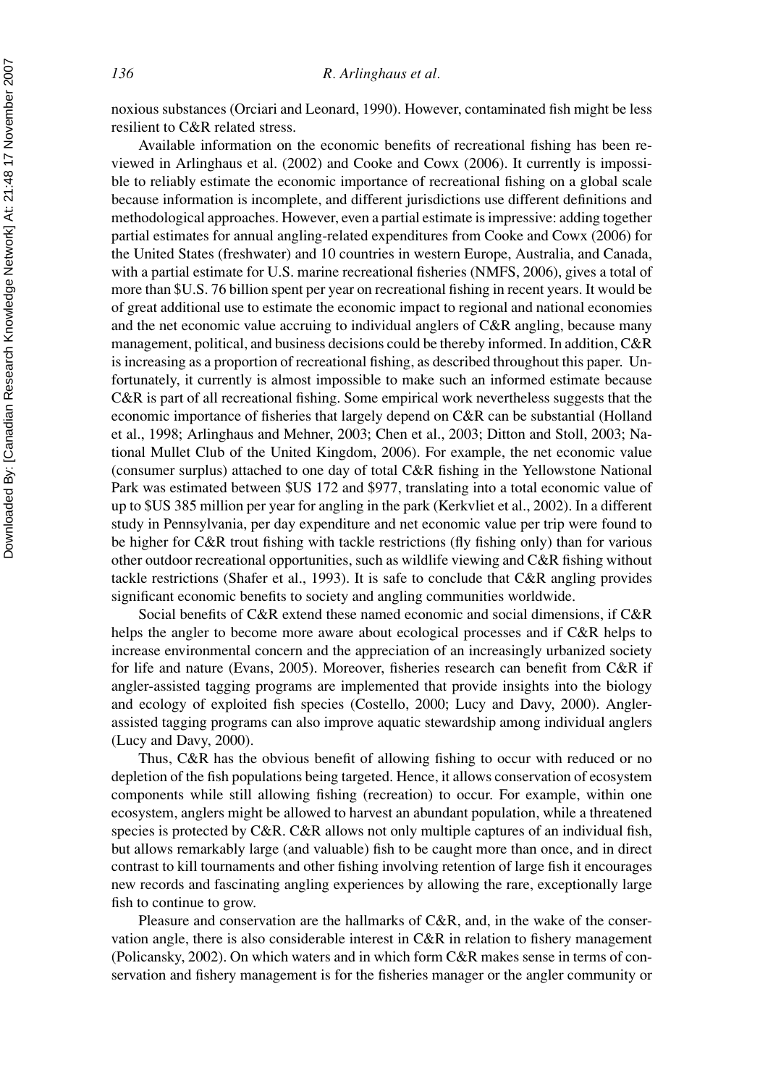noxious substances (Orciari and Leonard, 1990). However, contaminated fish might be less resilient to C&R related stress.

Available information on the economic benefits of recreational fishing has been reviewed in Arlinghaus et al. (2002) and Cooke and Cowx (2006). It currently is impossible to reliably estimate the economic importance of recreational fishing on a global scale because information is incomplete, and different jurisdictions use different definitions and methodological approaches. However, even a partial estimate is impressive: adding together partial estimates for annual angling-related expenditures from Cooke and Cowx (2006) for the United States (freshwater) and 10 countries in western Europe, Australia, and Canada, with a partial estimate for U.S. marine recreational fisheries (NMFS, 2006), gives a total of more than \$U.S. 76 billion spent per year on recreational fishing in recent years. It would be of great additional use to estimate the economic impact to regional and national economies and the net economic value accruing to individual anglers of C&R angling, because many management, political, and business decisions could be thereby informed. In addition, C&R is increasing as a proportion of recreational fishing, as described throughout this paper. Unfortunately, it currently is almost impossible to make such an informed estimate because C&R is part of all recreational fishing. Some empirical work nevertheless suggests that the economic importance of fisheries that largely depend on C&R can be substantial (Holland et al., 1998; Arlinghaus and Mehner, 2003; Chen et al., 2003; Ditton and Stoll, 2003; National Mullet Club of the United Kingdom, 2006). For example, the net economic value (consumer surplus) attached to one day of total C&R fishing in the Yellowstone National Park was estimated between \$US 172 and \$977, translating into a total economic value of up to \$US 385 million per year for angling in the park (Kerkvliet et al., 2002). In a different study in Pennsylvania, per day expenditure and net economic value per trip were found to be higher for C&R trout fishing with tackle restrictions (fly fishing only) than for various other outdoor recreational opportunities, such as wildlife viewing and C&R fishing without tackle restrictions (Shafer et al., 1993). It is safe to conclude that C&R angling provides significant economic benefits to society and angling communities worldwide.

Social benefits of C&R extend these named economic and social dimensions, if C&R helps the angler to become more aware about ecological processes and if C&R helps to increase environmental concern and the appreciation of an increasingly urbanized society for life and nature (Evans, 2005). Moreover, fisheries research can benefit from C&R if angler-assisted tagging programs are implemented that provide insights into the biology and ecology of exploited fish species (Costello, 2000; Lucy and Davy, 2000). Anglerassisted tagging programs can also improve aquatic stewardship among individual anglers (Lucy and Davy, 2000).

Thus, C&R has the obvious benefit of allowing fishing to occur with reduced or no depletion of the fish populations being targeted. Hence, it allows conservation of ecosystem components while still allowing fishing (recreation) to occur. For example, within one ecosystem, anglers might be allowed to harvest an abundant population, while a threatened species is protected by C&R. C&R allows not only multiple captures of an individual fish, but allows remarkably large (and valuable) fish to be caught more than once, and in direct contrast to kill tournaments and other fishing involving retention of large fish it encourages new records and fascinating angling experiences by allowing the rare, exceptionally large fish to continue to grow.

Pleasure and conservation are the hallmarks of C&R, and, in the wake of the conservation angle, there is also considerable interest in C&R in relation to fishery management (Policansky, 2002). On which waters and in which form C&R makes sense in terms of conservation and fishery management is for the fisheries manager or the angler community or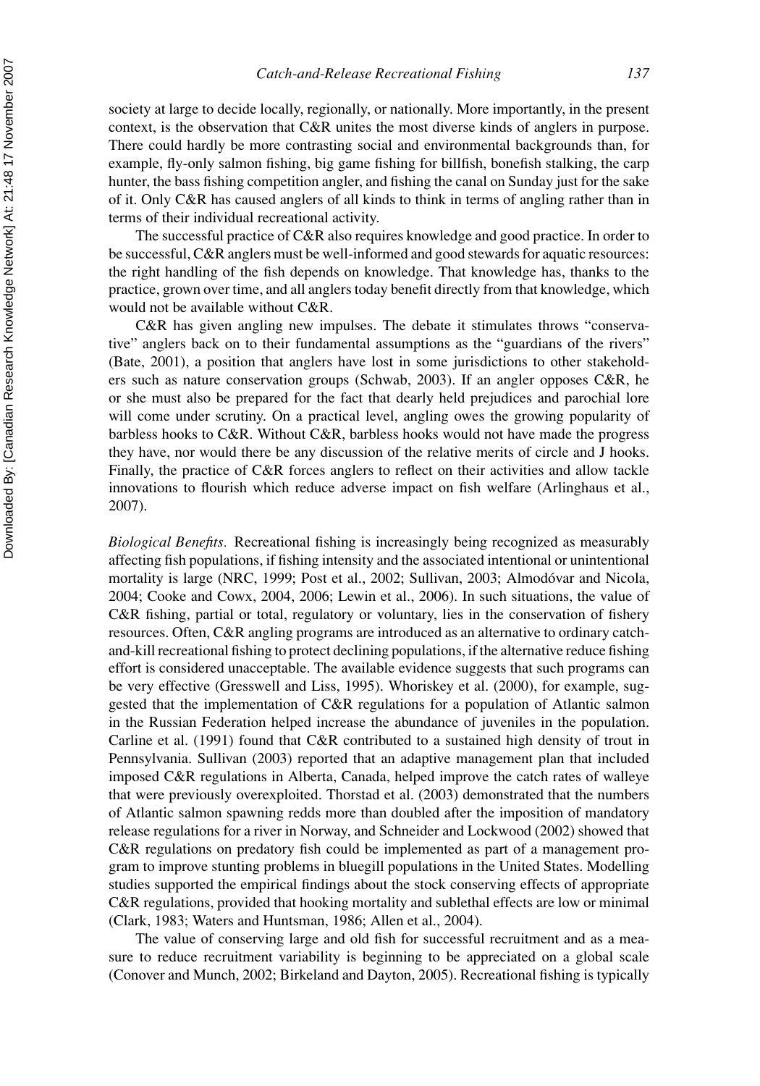society at large to decide locally, regionally, or nationally. More importantly, in the present context, is the observation that C&R unites the most diverse kinds of anglers in purpose. There could hardly be more contrasting social and environmental backgrounds than, for example, fly-only salmon fishing, big game fishing for billfish, bonefish stalking, the carp hunter, the bass fishing competition angler, and fishing the canal on Sunday just for the sake of it. Only C&R has caused anglers of all kinds to think in terms of angling rather than in terms of their individual recreational activity.

The successful practice of C&R also requires knowledge and good practice. In order to be successful, C&R anglers must be well-informed and good stewards for aquatic resources: the right handling of the fish depends on knowledge. That knowledge has, thanks to the practice, grown over time, and all anglers today benefit directly from that knowledge, which would not be available without C&R.

C&R has given angling new impulses. The debate it stimulates throws "conservative" anglers back on to their fundamental assumptions as the "guardians of the rivers" (Bate, 2001), a position that anglers have lost in some jurisdictions to other stakeholders such as nature conservation groups (Schwab, 2003). If an angler opposes C&R, he or she must also be prepared for the fact that dearly held prejudices and parochial lore will come under scrutiny. On a practical level, angling owes the growing popularity of barbless hooks to C&R. Without C&R, barbless hooks would not have made the progress they have, nor would there be any discussion of the relative merits of circle and J hooks. Finally, the practice of C&R forces anglers to reflect on their activities and allow tackle innovations to flourish which reduce adverse impact on fish welfare (Arlinghaus et al., 2007).

*Biological Benefits.* Recreational fishing is increasingly being recognized as measurably affecting fish populations, if fishing intensity and the associated intentional or unintentional mortality is large (NRC, 1999; Post et al., 2002; Sullivan, 2003; Almodóvar and Nicola, 2004; Cooke and Cowx, 2004, 2006; Lewin et al., 2006). In such situations, the value of C&R fishing, partial or total, regulatory or voluntary, lies in the conservation of fishery resources. Often, C&R angling programs are introduced as an alternative to ordinary catchand-kill recreational fishing to protect declining populations, if the alternative reduce fishing effort is considered unacceptable. The available evidence suggests that such programs can be very effective (Gresswell and Liss, 1995). Whoriskey et al. (2000), for example, suggested that the implementation of C&R regulations for a population of Atlantic salmon in the Russian Federation helped increase the abundance of juveniles in the population. Carline et al.  $(1991)$  found that C&R contributed to a sustained high density of trout in Pennsylvania. Sullivan (2003) reported that an adaptive management plan that included imposed C&R regulations in Alberta, Canada, helped improve the catch rates of walleye that were previously overexploited. Thorstad et al. (2003) demonstrated that the numbers of Atlantic salmon spawning redds more than doubled after the imposition of mandatory release regulations for a river in Norway, and Schneider and Lockwood (2002) showed that C&R regulations on predatory fish could be implemented as part of a management program to improve stunting problems in bluegill populations in the United States. Modelling studies supported the empirical findings about the stock conserving effects of appropriate C&R regulations, provided that hooking mortality and sublethal effects are low or minimal (Clark, 1983; Waters and Huntsman, 1986; Allen et al., 2004).

The value of conserving large and old fish for successful recruitment and as a measure to reduce recruitment variability is beginning to be appreciated on a global scale (Conover and Munch, 2002; Birkeland and Dayton, 2005). Recreational fishing is typically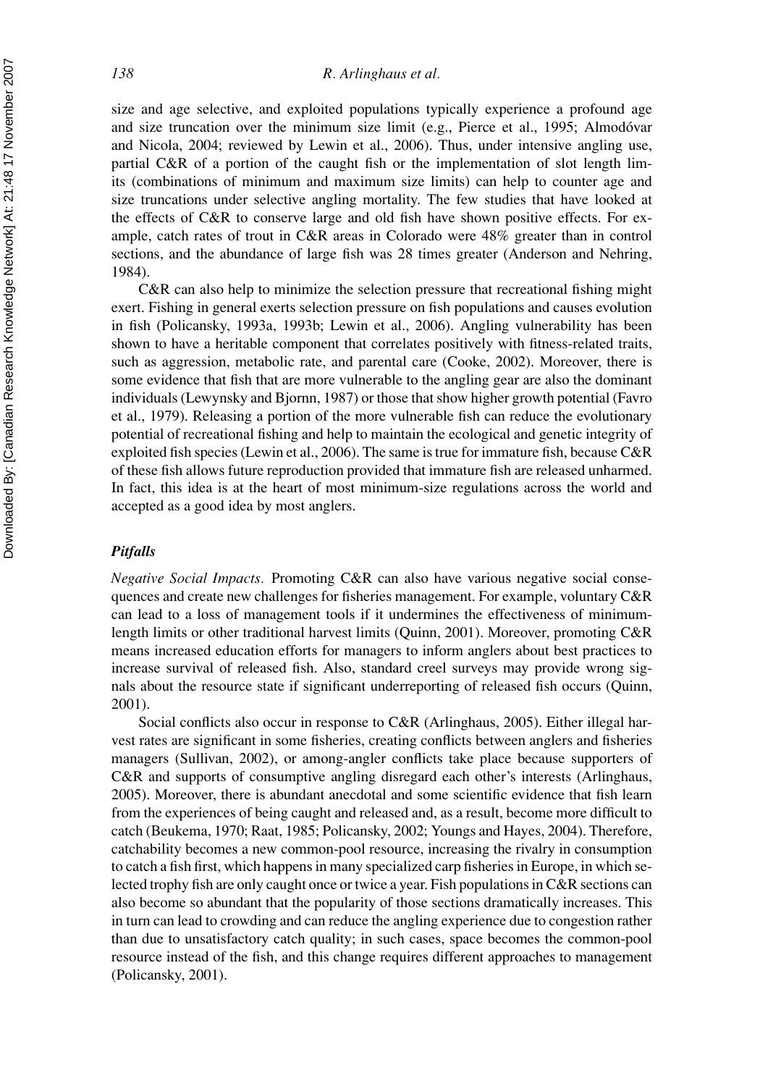size and age selective, and exploited populations typically experience a profound age and size truncation over the minimum size limit (e.g., Pierce et al., 1995; Almodóvar and Nicola, 2004; reviewed by Lewin et al., 2006). Thus, under intensive angling use, partial C&R of a portion of the caught fish or the implementation of slot length limits (combinations of minimum and maximum size limits) can help to counter age and size truncations under selective angling mortality. The few studies that have looked at the effects of C&R to conserve large and old fish have shown positive effects. For example, catch rates of trout in C&R areas in Colorado were 48% greater than in control sections, and the abundance of large fish was 28 times greater (Anderson and Nehring, 1984).

C&R can also help to minimize the selection pressure that recreational fishing might exert. Fishing in general exerts selection pressure on fish populations and causes evolution in fish (Policansky, 1993a, 1993b; Lewin et al., 2006). Angling vulnerability has been shown to have a heritable component that correlates positively with fitness-related traits, such as aggression, metabolic rate, and parental care (Cooke, 2002). Moreover, there is some evidence that fish that are more vulnerable to the angling gear are also the dominant individuals (Lewynsky and Bjornn, 1987) or those that show higher growth potential (Favro et al., 1979). Releasing a portion of the more vulnerable fish can reduce the evolutionary potential of recreational fishing and help to maintain the ecological and genetic integrity of exploited fish species (Lewin et al., 2006). The same is true for immature fish, because  $C\&R$ of these fish allows future reproduction provided that immature fish are released unharmed. In fact, this idea is at the heart of most minimum-size regulations across the world and accepted as a good idea by most anglers.

#### *Pitfalls*

*Negative Social Impacts.* Promoting C&R can also have various negative social consequences and create new challenges for fisheries management. For example, voluntary C&R can lead to a loss of management tools if it undermines the effectiveness of minimumlength limits or other traditional harvest limits (Quinn, 2001). Moreover, promoting C&R means increased education efforts for managers to inform anglers about best practices to increase survival of released fish. Also, standard creel surveys may provide wrong signals about the resource state if significant underreporting of released fish occurs (Quinn, 2001).

Social conflicts also occur in response to C&R (Arlinghaus, 2005). Either illegal harvest rates are significant in some fisheries, creating conflicts between anglers and fisheries managers (Sullivan, 2002), or among-angler conflicts take place because supporters of C&R and supports of consumptive angling disregard each other's interests (Arlinghaus, 2005). Moreover, there is abundant anecdotal and some scientific evidence that fish learn from the experiences of being caught and released and, as a result, become more difficult to catch (Beukema, 1970; Raat, 1985; Policansky, 2002; Youngs and Hayes, 2004). Therefore, catchability becomes a new common-pool resource, increasing the rivalry in consumption to catch a fish first, which happens in many specialized carp fisheries in Europe, in which selected trophy fish are only caught once or twice a year. Fish populations in C&R sections can also become so abundant that the popularity of those sections dramatically increases. This in turn can lead to crowding and can reduce the angling experience due to congestion rather than due to unsatisfactory catch quality; in such cases, space becomes the common-pool resource instead of the fish, and this change requires different approaches to management (Policansky, 2001).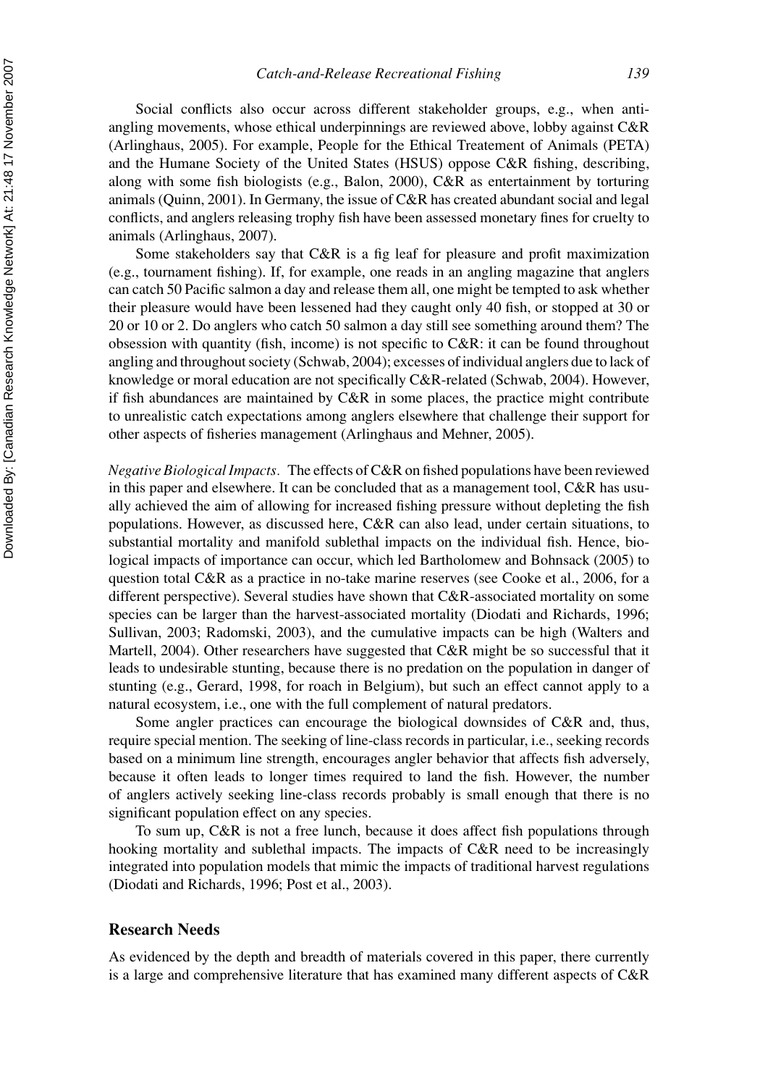Social conflicts also occur across different stakeholder groups, e.g., when antiangling movements, whose ethical underpinnings are reviewed above, lobby against C&R (Arlinghaus, 2005). For example, People for the Ethical Treatement of Animals (PETA) and the Humane Society of the United States (HSUS) oppose C&R fishing, describing, along with some fish biologists (e.g., Balon, 2000), C&R as entertainment by torturing animals (Quinn, 2001). In Germany, the issue of C&R has created abundant social and legal conflicts, and anglers releasing trophy fish have been assessed monetary fines for cruelty to animals (Arlinghaus, 2007).

Some stakeholders say that C&R is a fig leaf for pleasure and profit maximization (e.g., tournament fishing). If, for example, one reads in an angling magazine that anglers can catch 50 Pacific salmon a day and release them all, one might be tempted to ask whether their pleasure would have been lessened had they caught only 40 fish, or stopped at 30 or 20 or 10 or 2. Do anglers who catch 50 salmon a day still see something around them? The obsession with quantity (fish, income) is not specific to  $C\&R$ : it can be found throughout angling and throughout society (Schwab, 2004); excesses of individual anglers due to lack of knowledge or moral education are not specifically C&R-related (Schwab, 2004). However, if fish abundances are maintained by C&R in some places, the practice might contribute to unrealistic catch expectations among anglers elsewhere that challenge their support for other aspects of fisheries management (Arlinghaus and Mehner, 2005).

*Negative Biological Impacts.* The effects of C&R on fished populations have been reviewed in this paper and elsewhere. It can be concluded that as a management tool,  $C\&R$  has usually achieved the aim of allowing for increased fishing pressure without depleting the fish populations. However, as discussed here,  $C&R$  can also lead, under certain situations, to substantial mortality and manifold sublethal impacts on the individual fish. Hence, biological impacts of importance can occur, which led Bartholomew and Bohnsack (2005) to question total C&R as a practice in no-take marine reserves (see Cooke et al., 2006, for a different perspective). Several studies have shown that C&R-associated mortality on some species can be larger than the harvest-associated mortality (Diodati and Richards, 1996; Sullivan, 2003; Radomski, 2003), and the cumulative impacts can be high (Walters and Martell, 2004). Other researchers have suggested that C&R might be so successful that it leads to undesirable stunting, because there is no predation on the population in danger of stunting (e.g., Gerard, 1998, for roach in Belgium), but such an effect cannot apply to a natural ecosystem, i.e., one with the full complement of natural predators.

Some angler practices can encourage the biological downsides of C&R and, thus, require special mention. The seeking of line-class records in particular, i.e., seeking records based on a minimum line strength, encourages angler behavior that affects fish adversely, because it often leads to longer times required to land the fish. However, the number of anglers actively seeking line-class records probably is small enough that there is no significant population effect on any species.

To sum up, C&R is not a free lunch, because it does affect fish populations through hooking mortality and sublethal impacts. The impacts of C&R need to be increasingly integrated into population models that mimic the impacts of traditional harvest regulations (Diodati and Richards, 1996; Post et al., 2003).

## **Research Needs**

As evidenced by the depth and breadth of materials covered in this paper, there currently is a large and comprehensive literature that has examined many different aspects of C&R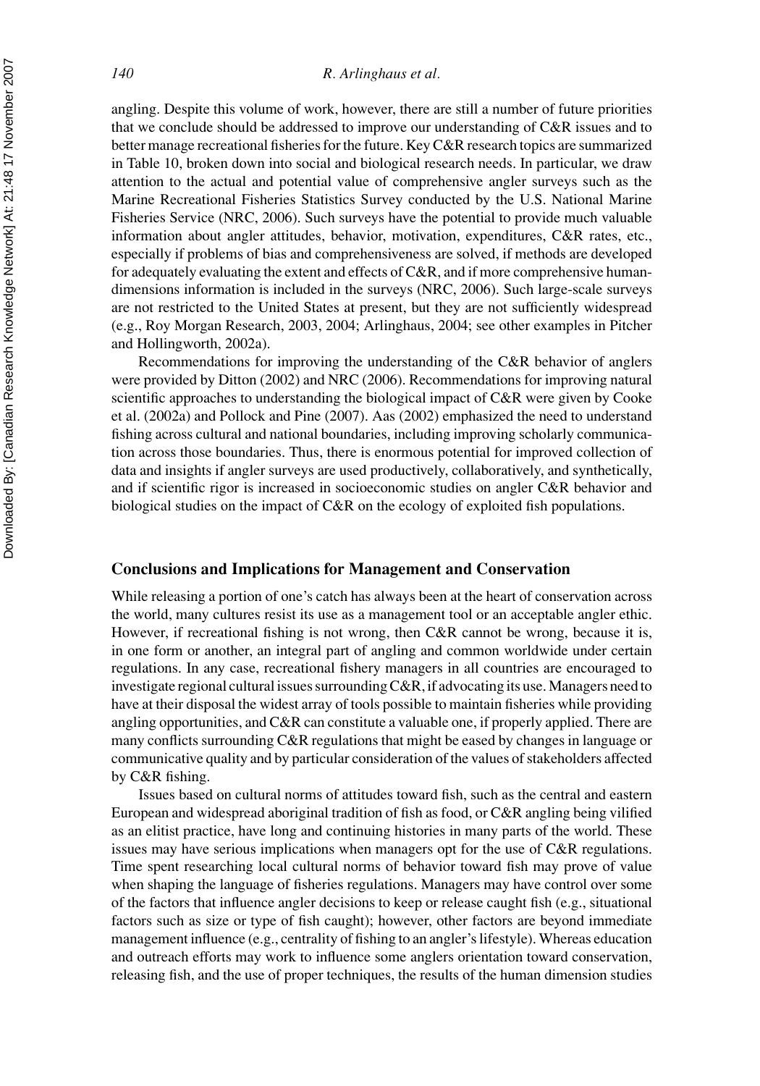angling. Despite this volume of work, however, there are still a number of future priorities that we conclude should be addressed to improve our understanding of C&R issues and to better manage recreational fisheries for the future. Key C&R research topics are summarized in Table 10, broken down into social and biological research needs. In particular, we draw attention to the actual and potential value of comprehensive angler surveys such as the Marine Recreational Fisheries Statistics Survey conducted by the U.S. National Marine Fisheries Service (NRC, 2006). Such surveys have the potential to provide much valuable information about angler attitudes, behavior, motivation, expenditures, C&R rates, etc., especially if problems of bias and comprehensiveness are solved, if methods are developed for adequately evaluating the extent and effects of  $C\&R$ , and if more comprehensive humandimensions information is included in the surveys (NRC, 2006). Such large-scale surveys are not restricted to the United States at present, but they are not sufficiently widespread (e.g., Roy Morgan Research, 2003, 2004; Arlinghaus, 2004; see other examples in Pitcher and Hollingworth, 2002a).

Recommendations for improving the understanding of the C&R behavior of anglers were provided by Ditton (2002) and NRC (2006). Recommendations for improving natural scientific approaches to understanding the biological impact of C&R were given by Cooke et al. (2002a) and Pollock and Pine (2007). Aas (2002) emphasized the need to understand fishing across cultural and national boundaries, including improving scholarly communication across those boundaries. Thus, there is enormous potential for improved collection of data and insights if angler surveys are used productively, collaboratively, and synthetically, and if scientific rigor is increased in socioeconomic studies on angler C&R behavior and biological studies on the impact of C&R on the ecology of exploited fish populations.

# **Conclusions and Implications for Management and Conservation**

While releasing a portion of one's catch has always been at the heart of conservation across the world, many cultures resist its use as a management tool or an acceptable angler ethic. However, if recreational fishing is not wrong, then C&R cannot be wrong, because it is, in one form or another, an integral part of angling and common worldwide under certain regulations. In any case, recreational fishery managers in all countries are encouraged to investigate regional cultural issues surrounding  $C\&R$ , if advocating its use. Managers need to have at their disposal the widest array of tools possible to maintain fisheries while providing angling opportunities, and C&R can constitute a valuable one, if properly applied. There are many conflicts surrounding  $C\&R$  regulations that might be eased by changes in language or communicative quality and by particular consideration of the values of stakeholders affected by C&R fishing.

Issues based on cultural norms of attitudes toward fish, such as the central and eastern European and widespread aboriginal tradition of fish as food, or C&R angling being vilified as an elitist practice, have long and continuing histories in many parts of the world. These issues may have serious implications when managers opt for the use of C&R regulations. Time spent researching local cultural norms of behavior toward fish may prove of value when shaping the language of fisheries regulations. Managers may have control over some of the factors that influence angler decisions to keep or release caught fish (e.g., situational factors such as size or type of fish caught); however, other factors are beyond immediate management influence (e.g., centrality of fishing to an angler's lifestyle). Whereas education and outreach efforts may work to influence some anglers orientation toward conservation, releasing fish, and the use of proper techniques, the results of the human dimension studies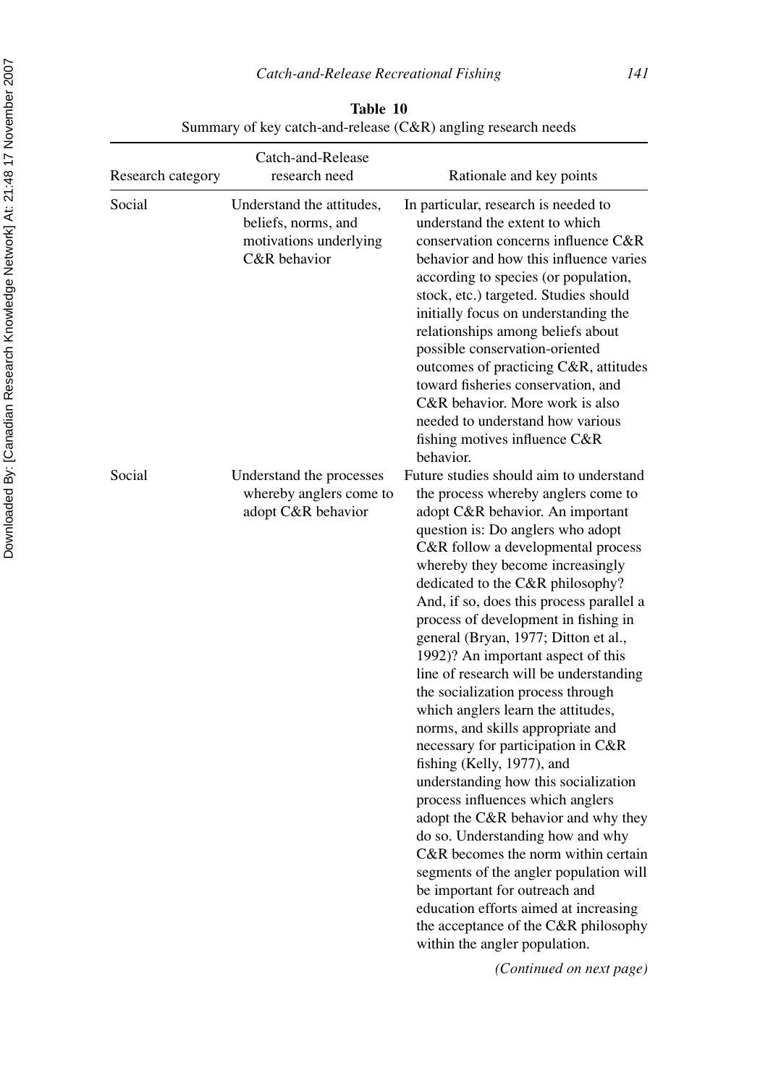| Research category | Catch-and-Release<br>research need                                                         | Rationale and key points                                                                                                                                                                                                                                                                                                                                                                                                                                                                                                                                                                                                                                                                                                                                                                                                                                                                                                                                                                                                                                                                     |
|-------------------|--------------------------------------------------------------------------------------------|----------------------------------------------------------------------------------------------------------------------------------------------------------------------------------------------------------------------------------------------------------------------------------------------------------------------------------------------------------------------------------------------------------------------------------------------------------------------------------------------------------------------------------------------------------------------------------------------------------------------------------------------------------------------------------------------------------------------------------------------------------------------------------------------------------------------------------------------------------------------------------------------------------------------------------------------------------------------------------------------------------------------------------------------------------------------------------------------|
| Social            | Understand the attitudes,<br>beliefs, norms, and<br>motivations underlying<br>C&R behavior | In particular, research is needed to<br>understand the extent to which<br>conservation concerns influence C&R<br>behavior and how this influence varies<br>according to species (or population,<br>stock, etc.) targeted. Studies should<br>initially focus on understanding the<br>relationships among beliefs about<br>possible conservation-oriented<br>outcomes of practicing C&R, attitudes<br>toward fisheries conservation, and<br>C&R behavior. More work is also<br>needed to understand how various<br>fishing motives influence C&R<br>behavior.                                                                                                                                                                                                                                                                                                                                                                                                                                                                                                                                  |
| Social            | Understand the processes<br>whereby anglers come to<br>adopt C&R behavior                  | Future studies should aim to understand<br>the process whereby anglers come to<br>adopt C&R behavior. An important<br>question is: Do anglers who adopt<br>C&R follow a developmental process<br>whereby they become increasingly<br>dedicated to the C&R philosophy?<br>And, if so, does this process parallel a<br>process of development in fishing in<br>general (Bryan, 1977; Ditton et al.,<br>1992)? An important aspect of this<br>line of research will be understanding<br>the socialization process through<br>which anglers learn the attitudes,<br>norms, and skills appropriate and<br>necessary for participation in C&R<br>fishing (Kelly, 1977), and<br>understanding how this socialization<br>process influences which anglers<br>adopt the C&R behavior and why they<br>do so. Understanding how and why<br>C&R becomes the norm within certain<br>segments of the angler population will<br>be important for outreach and<br>education efforts aimed at increasing<br>the acceptance of the C&R philosophy<br>within the angler population.<br>(Continued on next page) |

**Table 10** Summary of key catch-and-release (C&R) angling research needs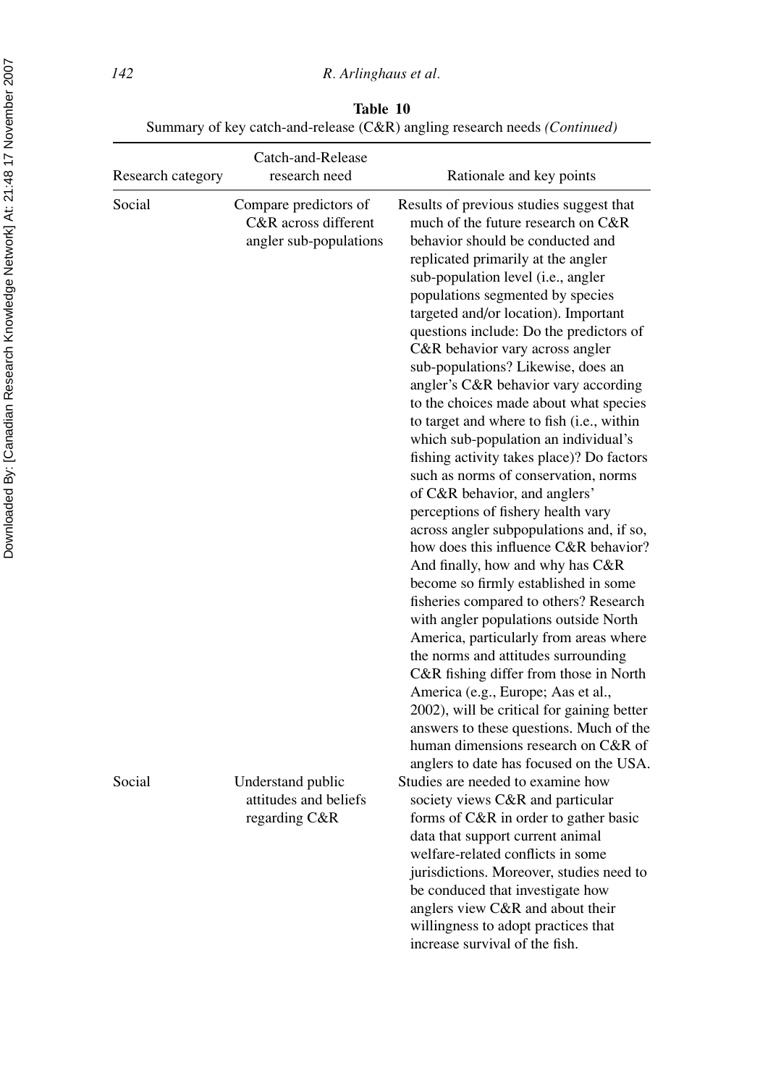| Table 10                                                                           |
|------------------------------------------------------------------------------------|
| Summary of key catch-and-release (C&R) angling research needs ( <i>Continued</i> ) |

| Research category | Catch-and-Release<br>research need                                      | Rationale and key points                                                                                                                                                                                                                                                                                                                                                                                                                                                                                                                                                                                                                                                                                                                                                                                                                                                                                                                                                                                                                                                                                                                                                                                                                                                               |
|-------------------|-------------------------------------------------------------------------|----------------------------------------------------------------------------------------------------------------------------------------------------------------------------------------------------------------------------------------------------------------------------------------------------------------------------------------------------------------------------------------------------------------------------------------------------------------------------------------------------------------------------------------------------------------------------------------------------------------------------------------------------------------------------------------------------------------------------------------------------------------------------------------------------------------------------------------------------------------------------------------------------------------------------------------------------------------------------------------------------------------------------------------------------------------------------------------------------------------------------------------------------------------------------------------------------------------------------------------------------------------------------------------|
| Social            | Compare predictors of<br>C&R across different<br>angler sub-populations | Results of previous studies suggest that<br>much of the future research on C&R<br>behavior should be conducted and<br>replicated primarily at the angler<br>sub-population level (i.e., angler<br>populations segmented by species<br>targeted and/or location). Important<br>questions include: Do the predictors of<br>C&R behavior vary across angler<br>sub-populations? Likewise, does an<br>angler's C&R behavior vary according<br>to the choices made about what species<br>to target and where to fish (i.e., within<br>which sub-population an individual's<br>fishing activity takes place)? Do factors<br>such as norms of conservation, norms<br>of C&R behavior, and anglers'<br>perceptions of fishery health vary<br>across angler subpopulations and, if so,<br>how does this influence C&R behavior?<br>And finally, how and why has C&R<br>become so firmly established in some<br>fisheries compared to others? Research<br>with angler populations outside North<br>America, particularly from areas where<br>the norms and attitudes surrounding<br>C&R fishing differ from those in North<br>America (e.g., Europe; Aas et al.,<br>2002), will be critical for gaining better<br>answers to these questions. Much of the<br>human dimensions research on C&R of |
| Social            | Understand public<br>attitudes and beliefs<br>regarding C&R             | anglers to date has focused on the USA.<br>Studies are needed to examine how<br>society views C&R and particular<br>forms of C&R in order to gather basic<br>data that support current animal<br>welfare-related conflicts in some<br>jurisdictions. Moreover, studies need to<br>be conduced that investigate how<br>anglers view C&R and about their<br>willingness to adopt practices that<br>increase survival of the fish.                                                                                                                                                                                                                                                                                                                                                                                                                                                                                                                                                                                                                                                                                                                                                                                                                                                        |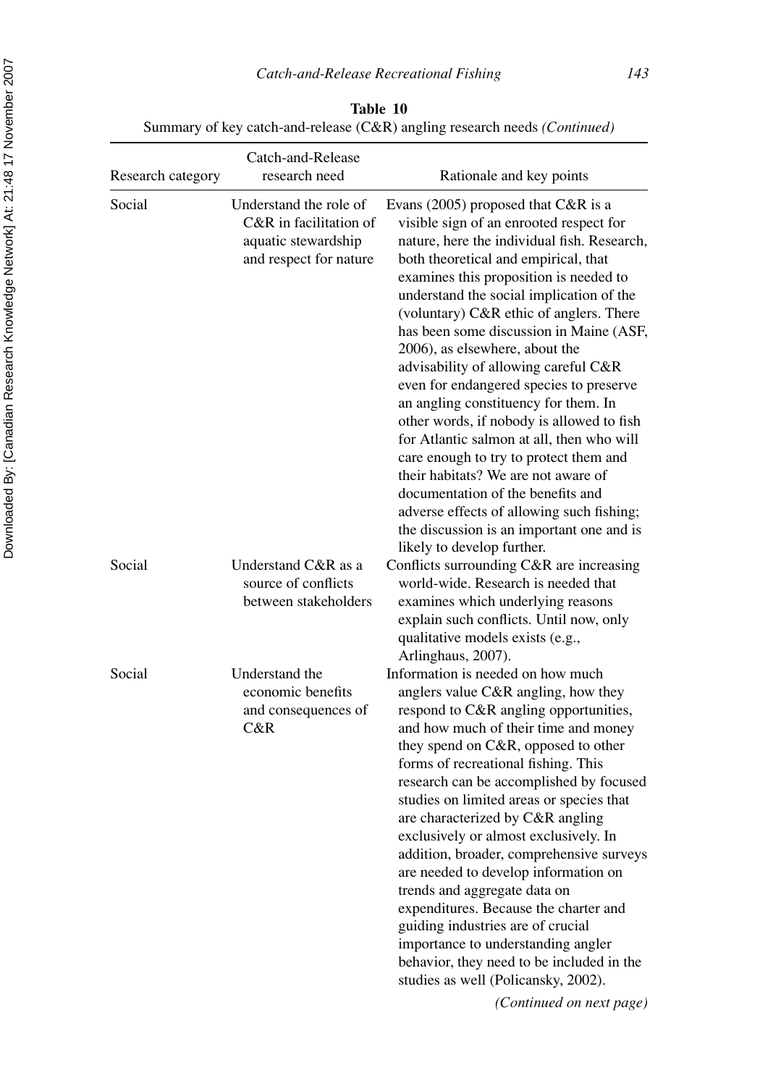| Research category | research need                                                                                     | Rationale and key points                                                                                                                                                                                                                                                                                                                                                                                                                                                                                                                                                                                                                                                                                                                                                                                                                                 |
|-------------------|---------------------------------------------------------------------------------------------------|----------------------------------------------------------------------------------------------------------------------------------------------------------------------------------------------------------------------------------------------------------------------------------------------------------------------------------------------------------------------------------------------------------------------------------------------------------------------------------------------------------------------------------------------------------------------------------------------------------------------------------------------------------------------------------------------------------------------------------------------------------------------------------------------------------------------------------------------------------|
| Social            | Understand the role of<br>C&R in facilitation of<br>aquatic stewardship<br>and respect for nature | Evans $(2005)$ proposed that C&R is a<br>visible sign of an enrooted respect for<br>nature, here the individual fish. Research,<br>both theoretical and empirical, that<br>examines this proposition is needed to<br>understand the social implication of the<br>(voluntary) C&R ethic of anglers. There<br>has been some discussion in Maine (ASF,<br>2006), as elsewhere, about the<br>advisability of allowing careful C&R<br>even for endangered species to preserve<br>an angling constituency for them. In<br>other words, if nobody is allowed to fish<br>for Atlantic salmon at all, then who will<br>care enough to try to protect them and<br>their habitats? We are not aware of<br>documentation of the benefits and<br>adverse effects of allowing such fishing;<br>the discussion is an important one and is<br>likely to develop further. |
| Social            | Understand C&R as a<br>source of conflicts<br>between stakeholders                                | Conflicts surrounding C&R are increasing<br>world-wide. Research is needed that<br>examines which underlying reasons<br>explain such conflicts. Until now, only<br>qualitative models exists (e.g.,<br>Arlinghaus, 2007).                                                                                                                                                                                                                                                                                                                                                                                                                                                                                                                                                                                                                                |
| Social            | Understand the<br>economic benefits<br>and consequences of<br>C&R                                 | Information is needed on how much<br>anglers value C&R angling, how they<br>respond to C&R angling opportunities,<br>and how much of their time and money<br>they spend on C&R, opposed to other<br>forms of recreational fishing. This<br>research can be accomplished by focused<br>studies on limited areas or species that<br>are characterized by C&R angling<br>exclusively or almost exclusively. In<br>addition, broader, comprehensive surveys<br>are needed to develop information on<br>trends and aggregate data on<br>expenditures. Because the charter and<br>guiding industries are of crucial<br>importance to understanding angler<br>behavior, they need to be included in the<br>studies as well (Policansky, 2002).                                                                                                                  |

**Table 10** Summary of key catch-and-release (C&R) angling research needs *(Continued)*

Catch-and-Release

*(Continued on next page)*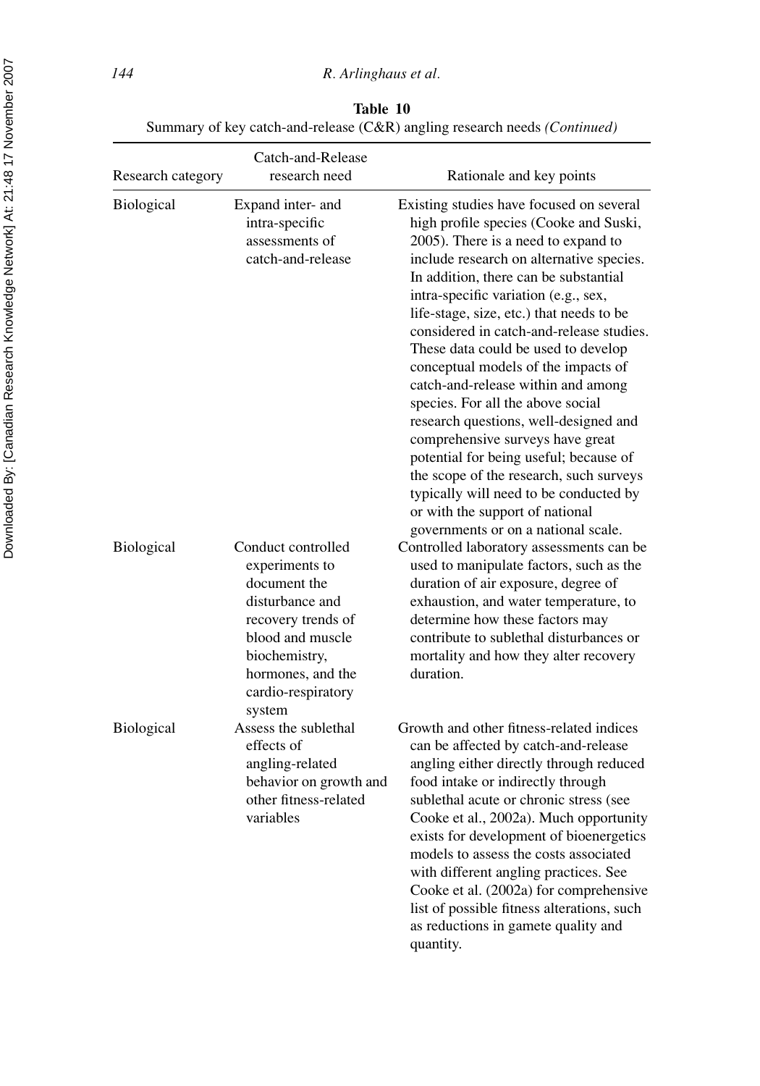| Table 10                                                                           |
|------------------------------------------------------------------------------------|
| Summary of key catch-and-release (C&R) angling research needs ( <i>Continued</i> ) |

| Research category | Catch-and-Release<br>research need                                                                                                                                                      | Rationale and key points                                                                                                                                                                                                                                                                                                                                                                                                                                                                                                                                                                                                                                                                                                                                                                      |
|-------------------|-----------------------------------------------------------------------------------------------------------------------------------------------------------------------------------------|-----------------------------------------------------------------------------------------------------------------------------------------------------------------------------------------------------------------------------------------------------------------------------------------------------------------------------------------------------------------------------------------------------------------------------------------------------------------------------------------------------------------------------------------------------------------------------------------------------------------------------------------------------------------------------------------------------------------------------------------------------------------------------------------------|
| Biological        | Expand inter- and<br>intra-specific<br>assessments of<br>catch-and-release                                                                                                              | Existing studies have focused on several<br>high profile species (Cooke and Suski,<br>2005). There is a need to expand to<br>include research on alternative species.<br>In addition, there can be substantial<br>intra-specific variation (e.g., sex,<br>life-stage, size, etc.) that needs to be<br>considered in catch-and-release studies.<br>These data could be used to develop<br>conceptual models of the impacts of<br>catch-and-release within and among<br>species. For all the above social<br>research questions, well-designed and<br>comprehensive surveys have great<br>potential for being useful; because of<br>the scope of the research, such surveys<br>typically will need to be conducted by<br>or with the support of national<br>governments or on a national scale. |
| Biological        | Conduct controlled<br>experiments to<br>document the<br>disturbance and<br>recovery trends of<br>blood and muscle<br>biochemistry,<br>hormones, and the<br>cardio-respiratory<br>system | Controlled laboratory assessments can be<br>used to manipulate factors, such as the<br>duration of air exposure, degree of<br>exhaustion, and water temperature, to<br>determine how these factors may<br>contribute to sublethal disturbances or<br>mortality and how they alter recovery<br>duration.                                                                                                                                                                                                                                                                                                                                                                                                                                                                                       |
| Biological        | Assess the sublethal<br>effects of<br>angling-related<br>behavior on growth and<br>other fitness-related<br>variables                                                                   | Growth and other fitness-related indices<br>can be affected by catch-and-release<br>angling either directly through reduced<br>food intake or indirectly through<br>sublethal acute or chronic stress (see<br>Cooke et al., 2002a). Much opportunity<br>exists for development of bioenergetics<br>models to assess the costs associated<br>with different angling practices. See<br>Cooke et al. (2002a) for comprehensive<br>list of possible fitness alterations, such<br>as reductions in gamete quality and                                                                                                                                                                                                                                                                              |

quantity.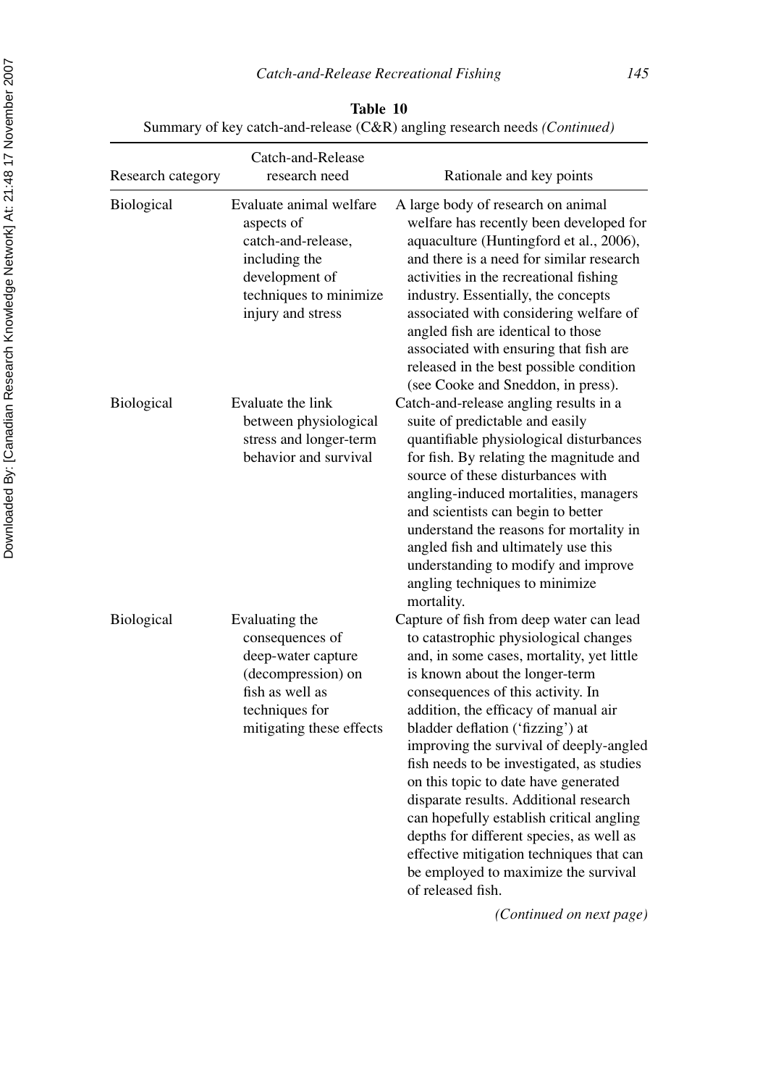| Research category | Catch-and-Release<br>research need                                                                                                             | Rationale and key points                                                                                                                                                                                                                                                                                                                                                                                                                                                                                                                                                                                                                |
|-------------------|------------------------------------------------------------------------------------------------------------------------------------------------|-----------------------------------------------------------------------------------------------------------------------------------------------------------------------------------------------------------------------------------------------------------------------------------------------------------------------------------------------------------------------------------------------------------------------------------------------------------------------------------------------------------------------------------------------------------------------------------------------------------------------------------------|
| Biological        | Evaluate animal welfare<br>aspects of<br>catch-and-release,<br>including the<br>development of<br>techniques to minimize<br>injury and stress  | A large body of research on animal<br>welfare has recently been developed for<br>aquaculture (Huntingford et al., 2006),<br>and there is a need for similar research<br>activities in the recreational fishing<br>industry. Essentially, the concepts<br>associated with considering welfare of<br>angled fish are identical to those<br>associated with ensuring that fish are<br>released in the best possible condition<br>(see Cooke and Sneddon, in press).                                                                                                                                                                        |
| Biological        | Evaluate the link<br>between physiological<br>stress and longer-term<br>behavior and survival                                                  | Catch-and-release angling results in a<br>suite of predictable and easily<br>quantifiable physiological disturbances<br>for fish. By relating the magnitude and<br>source of these disturbances with<br>angling-induced mortalities, managers<br>and scientists can begin to better<br>understand the reasons for mortality in<br>angled fish and ultimately use this<br>understanding to modify and improve<br>angling techniques to minimize<br>mortality.                                                                                                                                                                            |
| Biological        | Evaluating the<br>consequences of<br>deep-water capture<br>(decompression) on<br>fish as well as<br>techniques for<br>mitigating these effects | Capture of fish from deep water can lead<br>to catastrophic physiological changes<br>and, in some cases, mortality, yet little<br>is known about the longer-term<br>consequences of this activity. In<br>addition, the efficacy of manual air<br>bladder deflation ('fizzing') at<br>improving the survival of deeply-angled<br>fish needs to be investigated, as studies<br>on this topic to date have generated<br>disparate results. Additional research<br>can hopefully establish critical angling<br>depths for different species, as well as<br>effective mitigation techniques that can<br>be employed to maximize the survival |

**Table 10** Summary of key catch-and-release (C&R) angling research needs *(Continued)*

*(Continued on next page)*

of released fish.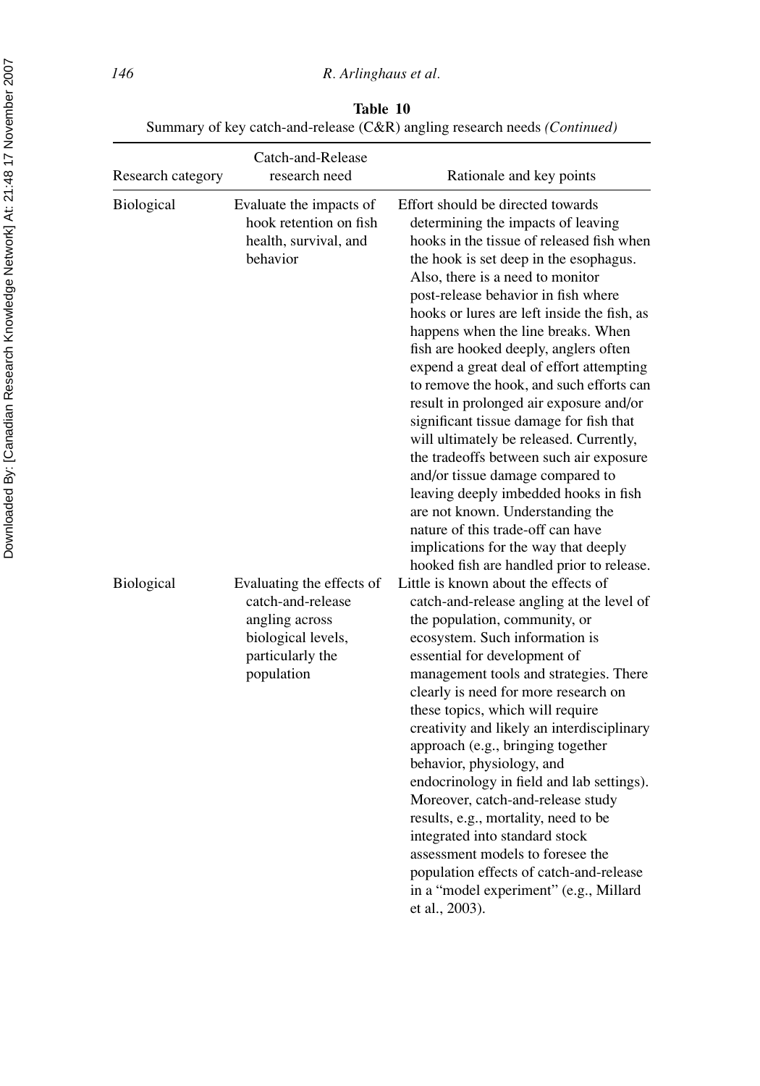| Table 10                                                                           |
|------------------------------------------------------------------------------------|
| Summary of key catch-and-release (C&R) angling research needs ( <i>Continued</i> ) |

| Research category | Catch-and-Release<br>research need                                                                                       | Rationale and key points                                                                                                                                                                                                                                                                                                                                                                                                                                                                                                                                                                                                                                                                                                                                                                                                                                                               |
|-------------------|--------------------------------------------------------------------------------------------------------------------------|----------------------------------------------------------------------------------------------------------------------------------------------------------------------------------------------------------------------------------------------------------------------------------------------------------------------------------------------------------------------------------------------------------------------------------------------------------------------------------------------------------------------------------------------------------------------------------------------------------------------------------------------------------------------------------------------------------------------------------------------------------------------------------------------------------------------------------------------------------------------------------------|
| Biological        | Evaluate the impacts of<br>hook retention on fish<br>health, survival, and<br>behavior                                   | Effort should be directed towards<br>determining the impacts of leaving<br>hooks in the tissue of released fish when<br>the hook is set deep in the esophagus.<br>Also, there is a need to monitor<br>post-release behavior in fish where<br>hooks or lures are left inside the fish, as<br>happens when the line breaks. When<br>fish are hooked deeply, anglers often<br>expend a great deal of effort attempting<br>to remove the hook, and such efforts can<br>result in prolonged air exposure and/or<br>significant tissue damage for fish that<br>will ultimately be released. Currently,<br>the tradeoffs between such air exposure<br>and/or tissue damage compared to<br>leaving deeply imbedded hooks in fish<br>are not known. Understanding the<br>nature of this trade-off can have<br>implications for the way that deeply<br>hooked fish are handled prior to release. |
| Biological        | Evaluating the effects of<br>catch-and-release<br>angling across<br>biological levels,<br>particularly the<br>population | Little is known about the effects of<br>catch-and-release angling at the level of<br>the population, community, or<br>ecosystem. Such information is<br>essential for development of<br>management tools and strategies. There<br>clearly is need for more research on<br>these topics, which will require<br>creativity and likely an interdisciplinary<br>approach (e.g., bringing together<br>behavior, physiology, and<br>endocrinology in field and lab settings).<br>Moreover, catch-and-release study<br>results, e.g., mortality, need to be<br>integrated into standard stock<br>assessment models to foresee the<br>population effects of catch-and-release<br>in a "model experiment" (e.g., Millard<br>et al., 2003).                                                                                                                                                      |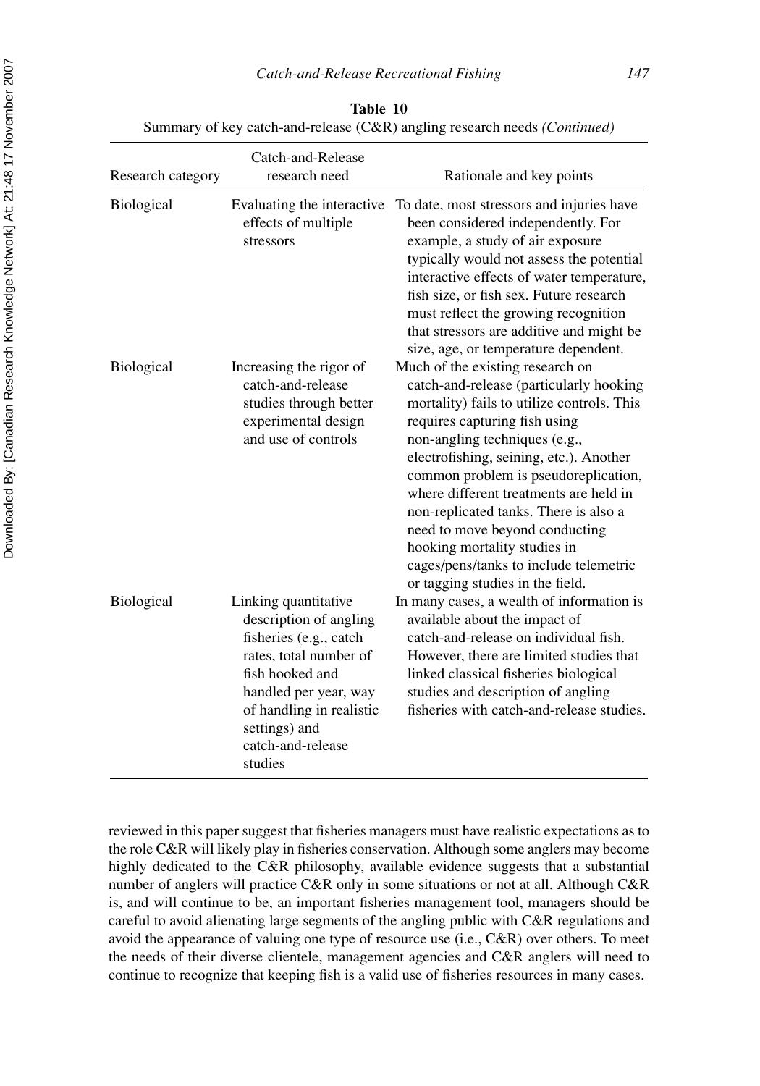| Research category | Catch-and-Release<br>research need                                                                                                                                                                                          | Rationale and key points                                                                                                                                                                                                                                                                                                                                                                                                                                                                                          |
|-------------------|-----------------------------------------------------------------------------------------------------------------------------------------------------------------------------------------------------------------------------|-------------------------------------------------------------------------------------------------------------------------------------------------------------------------------------------------------------------------------------------------------------------------------------------------------------------------------------------------------------------------------------------------------------------------------------------------------------------------------------------------------------------|
| Biological        | Evaluating the interactive<br>effects of multiple<br>stressors                                                                                                                                                              | To date, most stressors and injuries have<br>been considered independently. For<br>example, a study of air exposure<br>typically would not assess the potential<br>interactive effects of water temperature,<br>fish size, or fish sex. Future research<br>must reflect the growing recognition<br>that stressors are additive and might be<br>size, age, or temperature dependent.                                                                                                                               |
| Biological        | Increasing the rigor of<br>catch-and-release<br>studies through better<br>experimental design<br>and use of controls                                                                                                        | Much of the existing research on<br>catch-and-release (particularly hooking<br>mortality) fails to utilize controls. This<br>requires capturing fish using<br>non-angling techniques (e.g.,<br>electrofishing, seining, etc.). Another<br>common problem is pseudoreplication,<br>where different treatments are held in<br>non-replicated tanks. There is also a<br>need to move beyond conducting<br>hooking mortality studies in<br>cages/pens/tanks to include telemetric<br>or tagging studies in the field. |
| Biological        | Linking quantitative<br>description of angling<br>fisheries (e.g., catch<br>rates, total number of<br>fish hooked and<br>handled per year, way<br>of handling in realistic<br>settings) and<br>catch-and-release<br>studies | In many cases, a wealth of information is<br>available about the impact of<br>catch-and-release on individual fish.<br>However, there are limited studies that<br>linked classical fisheries biological<br>studies and description of angling<br>fisheries with catch-and-release studies.                                                                                                                                                                                                                        |

**Table 10** Summary of key catch-and-release (C&R) angling research needs *(Continued)*

reviewed in this paper suggest that fisheries managers must have realistic expectations as to the role C&R will likely play in fisheries conservation. Although some anglers may become highly dedicated to the C&R philosophy, available evidence suggests that a substantial number of anglers will practice C&R only in some situations or not at all. Although C&R is, and will continue to be, an important fisheries management tool, managers should be careful to avoid alienating large segments of the angling public with C&R regulations and avoid the appearance of valuing one type of resource use (i.e., C&R) over others. To meet the needs of their diverse clientele, management agencies and C&R anglers will need to continue to recognize that keeping fish is a valid use of fisheries resources in many cases.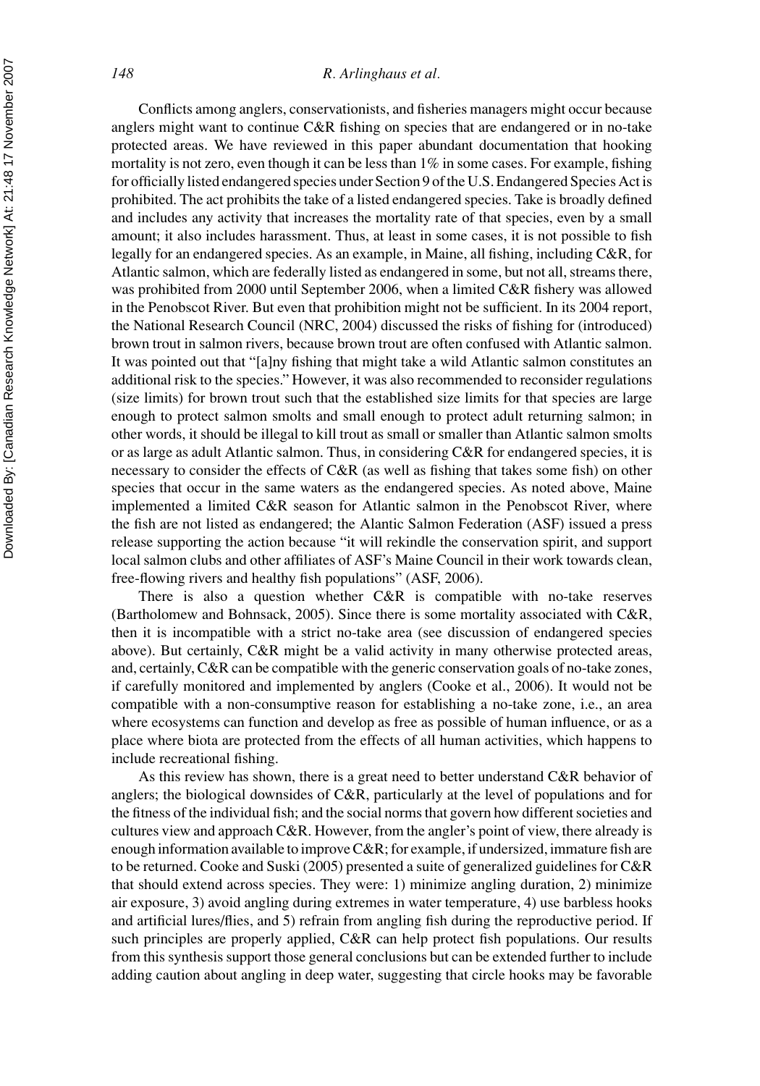## *148 R. Arlinghaus et al.*

Conflicts among anglers, conservationists, and fisheries managers might occur because anglers might want to continue C&R fishing on species that are endangered or in no-take protected areas. We have reviewed in this paper abundant documentation that hooking mortality is not zero, even though it can be less than 1% in some cases. For example, fishing for officially listed endangered species under Section 9 of the U.S. Endangered Species Act is prohibited. The act prohibits the take of a listed endangered species. Take is broadly defined and includes any activity that increases the mortality rate of that species, even by a small amount; it also includes harassment. Thus, at least in some cases, it is not possible to fish legally for an endangered species. As an example, in Maine, all fishing, including C&R, for Atlantic salmon, which are federally listed as endangered in some, but not all, streams there, was prohibited from 2000 until September 2006, when a limited C&R fishery was allowed in the Penobscot River. But even that prohibition might not be sufficient. In its 2004 report, the National Research Council (NRC, 2004) discussed the risks of fishing for (introduced) brown trout in salmon rivers, because brown trout are often confused with Atlantic salmon. It was pointed out that "[a]ny fishing that might take a wild Atlantic salmon constitutes an additional risk to the species." However, it was also recommended to reconsider regulations (size limits) for brown trout such that the established size limits for that species are large enough to protect salmon smolts and small enough to protect adult returning salmon; in other words, it should be illegal to kill trout as small or smaller than Atlantic salmon smolts or as large as adult Atlantic salmon. Thus, in considering C&R for endangered species, it is necessary to consider the effects of C&R (as well as fishing that takes some fish) on other species that occur in the same waters as the endangered species. As noted above, Maine implemented a limited C&R season for Atlantic salmon in the Penobscot River, where the fish are not listed as endangered; the Alantic Salmon Federation (ASF) issued a press release supporting the action because "it will rekindle the conservation spirit, and support local salmon clubs and other affiliates of ASF's Maine Council in their work towards clean, free-flowing rivers and healthy fish populations" (ASF, 2006).

There is also a question whether C&R is compatible with no-take reserves (Bartholomew and Bohnsack, 2005). Since there is some mortality associated with C&R, then it is incompatible with a strict no-take area (see discussion of endangered species above). But certainly, C&R might be a valid activity in many otherwise protected areas, and, certainly, C&R can be compatible with the generic conservation goals of no-take zones, if carefully monitored and implemented by anglers (Cooke et al., 2006). It would not be compatible with a non-consumptive reason for establishing a no-take zone, i.e., an area where ecosystems can function and develop as free as possible of human influence, or as a place where biota are protected from the effects of all human activities, which happens to include recreational fishing.

As this review has shown, there is a great need to better understand C&R behavior of anglers; the biological downsides of C&R, particularly at the level of populations and for the fitness of the individual fish; and the social norms that govern how different societies and cultures view and approach C&R. However, from the angler's point of view, there already is enough information available to improve  $C\&R$ ; for example, if undersized, immature fish are to be returned. Cooke and Suski (2005) presented a suite of generalized guidelines for C&R that should extend across species. They were: 1) minimize angling duration, 2) minimize air exposure, 3) avoid angling during extremes in water temperature, 4) use barbless hooks and artificial lures/flies, and 5) refrain from angling fish during the reproductive period. If such principles are properly applied, C&R can help protect fish populations. Our results from this synthesis support those general conclusions but can be extended further to include adding caution about angling in deep water, suggesting that circle hooks may be favorable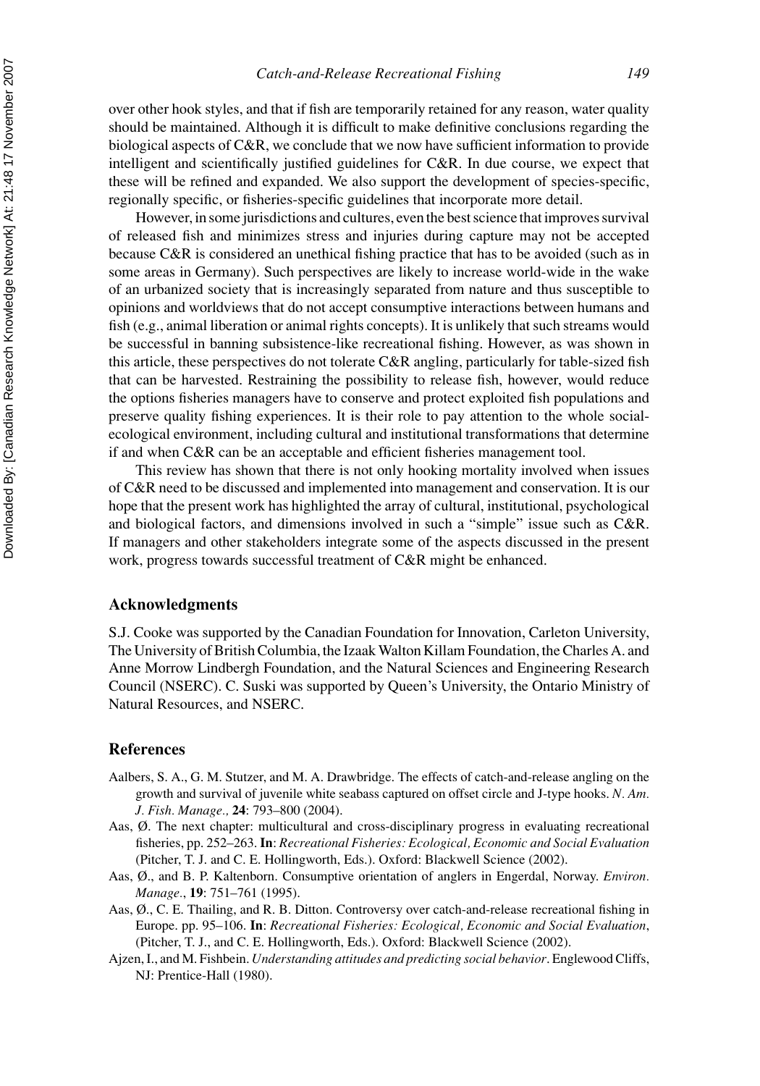over other hook styles, and that if fish are temporarily retained for any reason, water quality should be maintained. Although it is difficult to make definitive conclusions regarding the biological aspects of C&R, we conclude that we now have sufficient information to provide intelligent and scientifically justified guidelines for C&R. In due course, we expect that these will be refined and expanded. We also support the development of species-specific, regionally specific, or fisheries-specific guidelines that incorporate more detail.

However, in some jurisdictions and cultures, even the best science that improves survival of released fish and minimizes stress and injuries during capture may not be accepted because C&R is considered an unethical fishing practice that has to be avoided (such as in some areas in Germany). Such perspectives are likely to increase world-wide in the wake of an urbanized society that is increasingly separated from nature and thus susceptible to opinions and worldviews that do not accept consumptive interactions between humans and fish (e.g., animal liberation or animal rights concepts). It is unlikely that such streams would be successful in banning subsistence-like recreational fishing. However, as was shown in this article, these perspectives do not tolerate  $C&R$  angling, particularly for table-sized fish that can be harvested. Restraining the possibility to release fish, however, would reduce the options fisheries managers have to conserve and protect exploited fish populations and preserve quality fishing experiences. It is their role to pay attention to the whole socialecological environment, including cultural and institutional transformations that determine if and when C&R can be an acceptable and efficient fisheries management tool.

This review has shown that there is not only hooking mortality involved when issues of C&R need to be discussed and implemented into management and conservation. It is our hope that the present work has highlighted the array of cultural, institutional, psychological and biological factors, and dimensions involved in such a "simple" issue such as C&R. If managers and other stakeholders integrate some of the aspects discussed in the present work, progress towards successful treatment of C&R might be enhanced.

## **Acknowledgments**

S.J. Cooke was supported by the Canadian Foundation for Innovation, Carleton University, The University of British Columbia, the Izaak Walton Killam Foundation, the Charles A. and Anne Morrow Lindbergh Foundation, and the Natural Sciences and Engineering Research Council (NSERC). C. Suski was supported by Queen's University, the Ontario Ministry of Natural Resources, and NSERC.

## **References**

- Aalbers, S. A., G. M. Stutzer, and M. A. Drawbridge. The effects of catch-and-release angling on the growth and survival of juvenile white seabass captured on offset circle and J-type hooks. *N. Am. J. Fish. Manage.,* **24**: 793–800 (2004).
- Aas, Ø. The next chapter: multicultural and cross-disciplinary progress in evaluating recreational fisheries, pp. 252–263. **In**: *Recreational Fisheries: Ecological, Economic and Social Evaluation* (Pitcher, T. J. and C. E. Hollingworth, Eds.). Oxford: Blackwell Science (2002).
- Aas, Ø., and B. P. Kaltenborn. Consumptive orientation of anglers in Engerdal, Norway. *Environ. Manage.*, **19**: 751–761 (1995).
- Aas, Ø., C. E. Thailing, and R. B. Ditton. Controversy over catch-and-release recreational fishing in Europe. pp. 95–106. **In**: *Recreational Fisheries: Ecological, Economic and Social Evaluation*, (Pitcher, T. J., and C. E. Hollingworth, Eds.). Oxford: Blackwell Science (2002).
- Ajzen, I., and M. Fishbein. *Understanding attitudes and predicting social behavior*. Englewood Cliffs, NJ: Prentice-Hall (1980).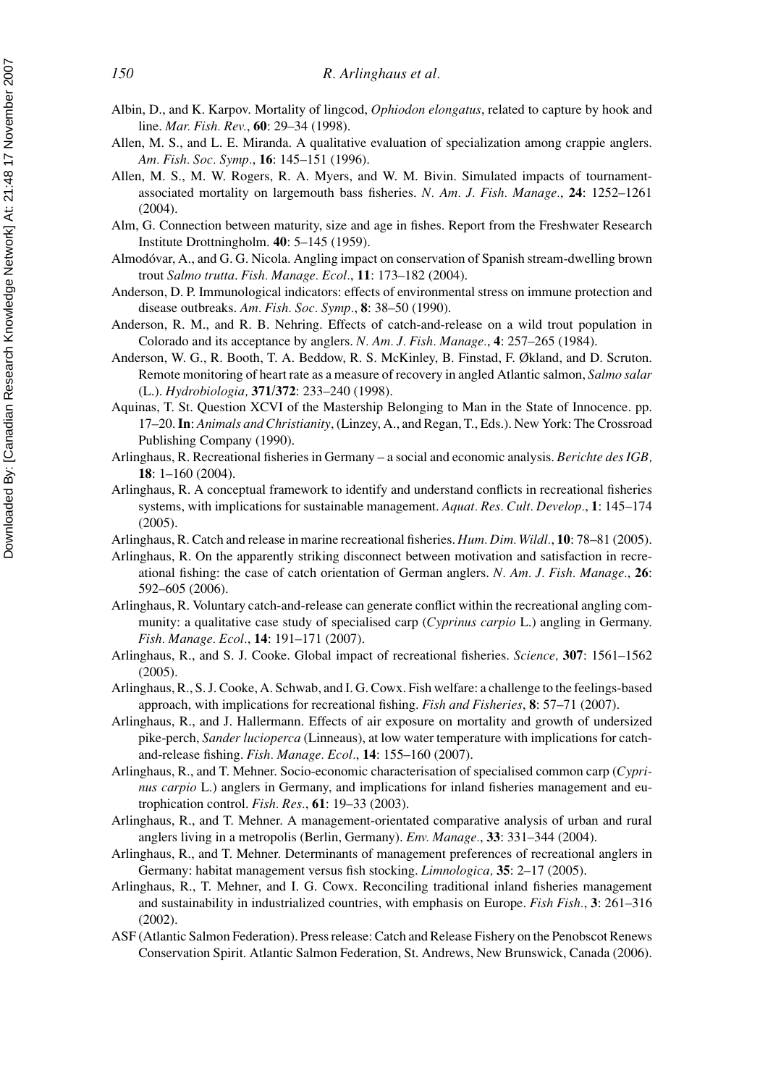- Albin, D., and K. Karpov. Mortality of lingcod, *Ophiodon elongatus*, related to capture by hook and line. *Mar. Fish. Rev.*, **60**: 29–34 (1998).
- Allen, M. S., and L. E. Miranda. A qualitative evaluation of specialization among crappie anglers. *Am. Fish. Soc. Symp.*, **16**: 145–151 (1996).
- Allen, M. S., M. W. Rogers, R. A. Myers, and W. M. Bivin. Simulated impacts of tournamentassociated mortality on largemouth bass fisheries. *N. Am. J. Fish. Manage.*, **24**: 1252–1261 (2004).
- Alm, G. Connection between maturity, size and age in fishes. Report from the Freshwater Research Institute Drottningholm. **40**: 5–145 (1959).
- Almodóvar, A., and G. G. Nicola. Angling impact on conservation of Spanish stream-dwelling brown trout *Salmo trutta*. *Fish. Manage. Ecol.*, **11**: 173–182 (2004).
- Anderson, D. P. Immunological indicators: effects of environmental stress on immune protection and disease outbreaks. *Am. Fish. Soc. Symp.*, **8**: 38–50 (1990).
- Anderson, R. M., and R. B. Nehring. Effects of catch-and-release on a wild trout population in Colorado and its acceptance by anglers. *N. Am. J. Fish. Manage.*, **4**: 257–265 (1984).
- Anderson, W. G., R. Booth, T. A. Beddow, R. S. McKinley, B. Finstad, F. Økland, and D. Scruton. Remote monitoring of heart rate as a measure of recovery in angled Atlantic salmon, *Salmo salar* (L.). *Hydrobiologia,* **371/372**: 233–240 (1998).
- Aquinas, T. St. Question XCVI of the Mastership Belonging to Man in the State of Innocence. pp. 17–20.**In**: *Animals and Christianity*, (Linzey, A., and Regan, T., Eds.). New York: The Crossroad Publishing Company (1990).
- Arlinghaus, R. Recreational fisheries in Germany a social and economic analysis. *Berichte des IGB,* **18**: 1–160 (2004).
- Arlinghaus, R. A conceptual framework to identify and understand conflicts in recreational fisheries systems, with implications for sustainable management. *Aquat. Res. Cult. Develop.*, **1**: 145–174 (2005).
- Arlinghaus, R. Catch and release in marine recreational fisheries. *Hum. Dim. Wildl.*, **10**: 78–81 (2005).
- Arlinghaus, R. On the apparently striking disconnect between motivation and satisfaction in recreational fishing: the case of catch orientation of German anglers. *N. Am. J. Fish. Manage.*, **26**: 592–605 (2006).
- Arlinghaus, R. Voluntary catch-and-release can generate conflict within the recreational angling community: a qualitative case study of specialised carp (*Cyprinus carpio* L.) angling in Germany. *Fish. Manage. Ecol.*, **14**: 191–171 (2007).
- Arlinghaus, R., and S. J. Cooke. Global impact of recreational fisheries. *Science,* **307**: 1561–1562 (2005).
- Arlinghaus, R., S. J. Cooke, A. Schwab, and I. G. Cowx. Fish welfare: a challenge to the feelings-based approach, with implications for recreational fishing. *Fish and Fisheries*, **8**: 57–71 (2007).
- Arlinghaus, R., and J. Hallermann. Effects of air exposure on mortality and growth of undersized pike-perch, *Sander lucioperca* (Linneaus), at low water temperature with implications for catchand-release fishing. *Fish. Manage. Ecol.*, **14**: 155–160 (2007).
- Arlinghaus, R., and T. Mehner. Socio-economic characterisation of specialised common carp (*Cyprinus carpio* L.) anglers in Germany, and implications for inland fisheries management and eutrophication control. *Fish. Res.*, **61**: 19–33 (2003).
- Arlinghaus, R., and T. Mehner. A management-orientated comparative analysis of urban and rural anglers living in a metropolis (Berlin, Germany). *Env. Manage.*, **33**: 331–344 (2004).
- Arlinghaus, R., and T. Mehner. Determinants of management preferences of recreational anglers in Germany: habitat management versus fish stocking. *Limnologica,* **35**: 2–17 (2005).
- Arlinghaus, R., T. Mehner, and I. G. Cowx. Reconciling traditional inland fisheries management and sustainability in industrialized countries, with emphasis on Europe. *Fish Fish.*, **3**: 261–316  $(2002)$ .
- ASF (Atlantic Salmon Federation). Press release: Catch and Release Fishery on the Penobscot Renews Conservation Spirit. Atlantic Salmon Federation, St. Andrews, New Brunswick, Canada (2006).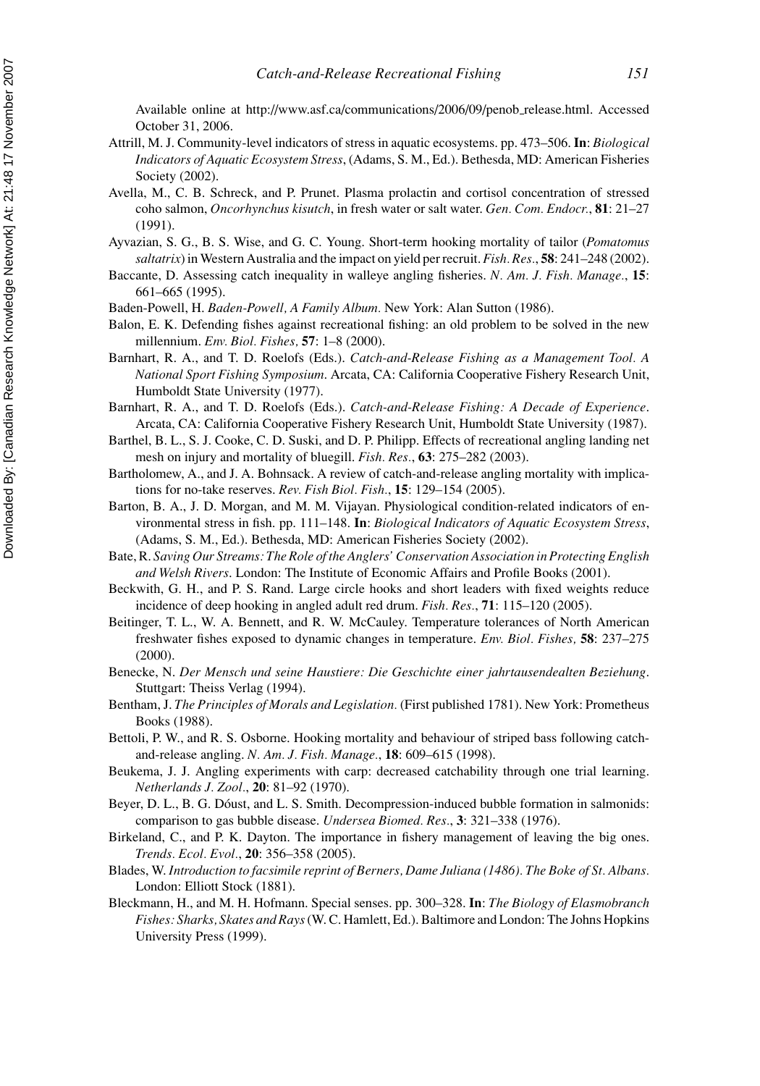Available online at http://www.asf.ca/communications/2006/09/penob release.html. Accessed October 31, 2006.

- Attrill, M. J. Community-level indicators of stress in aquatic ecosystems. pp. 473–506. **In**: *Biological Indicators of Aquatic Ecosystem Stress*, (Adams, S. M., Ed.). Bethesda, MD: American Fisheries Society (2002).
- Avella, M., C. B. Schreck, and P. Prunet. Plasma prolactin and cortisol concentration of stressed coho salmon, *Oncorhynchus kisutch*, in fresh water or salt water. *Gen. Com. Endocr.*, **81**: 21–27 (1991).
- Ayvazian, S. G., B. S. Wise, and G. C. Young. Short-term hooking mortality of tailor (*Pomatomus saltatrix*) in Western Australia and the impact on yield per recruit. *Fish. Res.*, **58**: 241–248 (2002).
- Baccante, D. Assessing catch inequality in walleye angling fisheries. *N. Am. J. Fish. Manage.*, **15**: 661–665 (1995).
- Baden-Powell, H. *Baden-Powell, A Family Album.* New York: Alan Sutton (1986).
- Balon, E. K. Defending fishes against recreational fishing: an old problem to be solved in the new millennium. *Env. Biol. Fishes,* **57**: 1–8 (2000).
- Barnhart, R. A., and T. D. Roelofs (Eds.). *Catch-and-Release Fishing as a Management Tool. A National Sport Fishing Symposium*. Arcata, CA: California Cooperative Fishery Research Unit, Humboldt State University (1977).
- Barnhart, R. A., and T. D. Roelofs (Eds.). *Catch-and-Release Fishing: A Decade of Experience*. Arcata, CA: California Cooperative Fishery Research Unit, Humboldt State University (1987).
- Barthel, B. L., S. J. Cooke, C. D. Suski, and D. P. Philipp. Effects of recreational angling landing net mesh on injury and mortality of bluegill. *Fish. Res.*, **63**: 275–282 (2003).
- Bartholomew, A., and J. A. Bohnsack. A review of catch-and-release angling mortality with implications for no-take reserves. *Rev. Fish Biol. Fish.*, **15**: 129–154 (2005).
- Barton, B. A., J. D. Morgan, and M. M. Vijayan. Physiological condition-related indicators of environmental stress in fish. pp. 111–148. **In**: *Biological Indicators of Aquatic Ecosystem Stress*, (Adams, S. M., Ed.). Bethesda, MD: American Fisheries Society (2002).
- Bate, R. *Saving Our Streams: The Role of the Anglers' Conservation Association in Protecting English and Welsh Rivers*. London: The Institute of Economic Affairs and Profile Books (2001).
- Beckwith, G. H., and P. S. Rand. Large circle hooks and short leaders with fixed weights reduce incidence of deep hooking in angled adult red drum. *Fish. Res.*, **71**: 115–120 (2005).
- Beitinger, T. L., W. A. Bennett, and R. W. McCauley. Temperature tolerances of North American freshwater fishes exposed to dynamic changes in temperature. *Env. Biol. Fishes,* **58**: 237–275 (2000).
- Benecke, N. *Der Mensch und seine Haustiere: Die Geschichte einer jahrtausendealten Beziehung*. Stuttgart: Theiss Verlag (1994).
- Bentham, J. *The Principles of Morals and Legislation.* (First published 1781). New York: Prometheus Books (1988).
- Bettoli, P. W., and R. S. Osborne. Hooking mortality and behaviour of striped bass following catchand-release angling. *N. Am. J. Fish. Manage.*, **18**: 609–615 (1998).
- Beukema, J. J. Angling experiments with carp: decreased catchability through one trial learning. *Netherlands J. Zool.*, **20**: 81–92 (1970).
- Beyer, D. L., B. G. Dóust, and L. S. Smith. Decompression-induced bubble formation in salmonids: comparison to gas bubble disease. *Undersea Biomed. Res.*, **3**: 321–338 (1976).
- Birkeland, C., and P. K. Dayton. The importance in fishery management of leaving the big ones. *Trends. Ecol. Evol.*, **20**: 356–358 (2005).
- Blades, W. *Introduction to facsimile reprint of Berners, Dame Juliana (1486). The Boke of St. Albans.* London: Elliott Stock (1881).
- Bleckmann, H., and M. H. Hofmann. Special senses. pp. 300–328. **In**: *The Biology of Elasmobranch Fishes: Sharks, Skates and Rays*(W. C. Hamlett, Ed.). Baltimore and London: The Johns Hopkins University Press (1999).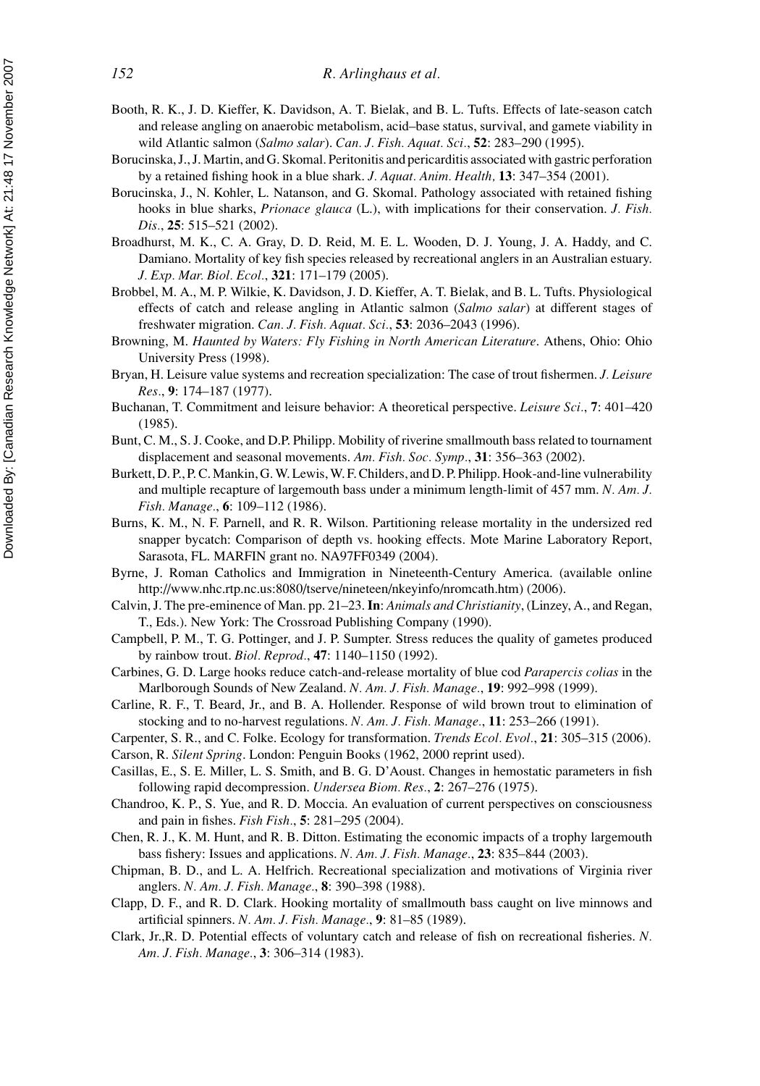- Booth, R. K., J. D. Kieffer, K. Davidson, A. T. Bielak, and B. L. Tufts. Effects of late-season catch and release angling on anaerobic metabolism, acid–base status, survival, and gamete viability in wild Atlantic salmon (*Salmo salar*). *Can. J. Fish. Aquat. Sci.*, **52**: 283–290 (1995).
- Borucinska, J., J. Martin, and G. Skomal. Peritonitis and pericarditis associated with gastric perforation by a retained fishing hook in a blue shark. *J. Aquat. Anim. Health,* **13**: 347–354 (2001).
- Borucinska, J., N. Kohler, L. Natanson, and G. Skomal. Pathology associated with retained fishing hooks in blue sharks, *Prionace glauca* (L.), with implications for their conservation. *J. Fish. Dis.*, **25**: 515–521 (2002).
- Broadhurst, M. K., C. A. Gray, D. D. Reid, M. E. L. Wooden, D. J. Young, J. A. Haddy, and C. Damiano. Mortality of key fish species released by recreational anglers in an Australian estuary. *J. Exp. Mar. Biol. Ecol.*, **321**: 171–179 (2005).
- Brobbel, M. A., M. P. Wilkie, K. Davidson, J. D. Kieffer, A. T. Bielak, and B. L. Tufts. Physiological effects of catch and release angling in Atlantic salmon (*Salmo salar*) at different stages of freshwater migration. *Can. J. Fish. Aquat. Sci.*, **53**: 2036–2043 (1996).
- Browning, M. *Haunted by Waters: Fly Fishing in North American Literature*. Athens, Ohio: Ohio University Press (1998).
- Bryan, H. Leisure value systems and recreation specialization: The case of trout fishermen. *J. Leisure Res.*, **9**: 174–187 (1977).
- Buchanan, T. Commitment and leisure behavior: A theoretical perspective. *Leisure Sci.*, **7**: 401–420 (1985).
- Bunt, C. M., S. J. Cooke, and D.P. Philipp. Mobility of riverine smallmouth bass related to tournament displacement and seasonal movements. *Am. Fish. Soc. Symp.*, **31**: 356–363 (2002).
- Burkett, D. P., P. C. Mankin, G. W. Lewis, W. F. Childers, and D. P. Philipp. Hook-and-line vulnerability and multiple recapture of largemouth bass under a minimum length-limit of 457 mm. *N. Am. J. Fish. Manage.*, **6**: 109–112 (1986).
- Burns, K. M., N. F. Parnell, and R. R. Wilson. Partitioning release mortality in the undersized red snapper bycatch: Comparison of depth vs. hooking effects. Mote Marine Laboratory Report, Sarasota, FL. MARFIN grant no. NA97FF0349 (2004).
- Byrne, J. Roman Catholics and Immigration in Nineteenth-Century America. (available online http://www.nhc.rtp.nc.us:8080/tserve/nineteen/nkeyinfo/nromcath.htm) (2006).
- Calvin, J. The pre-eminence of Man. pp. 21–23.**In**: *Animals and Christianity*, (Linzey, A., and Regan, T., Eds.). New York: The Crossroad Publishing Company (1990).
- Campbell, P. M., T. G. Pottinger, and J. P. Sumpter. Stress reduces the quality of gametes produced by rainbow trout. *Biol. Reprod.*, **47**: 1140–1150 (1992).
- Carbines, G. D. Large hooks reduce catch-and-release mortality of blue cod *Parapercis colias* in the Marlborough Sounds of New Zealand. *N. Am. J. Fish. Manage.*, **19**: 992–998 (1999).
- Carline, R. F., T. Beard, Jr., and B. A. Hollender. Response of wild brown trout to elimination of stocking and to no-harvest regulations. *N. Am. J. Fish. Manage.*, **11**: 253–266 (1991).

Carpenter, S. R., and C. Folke. Ecology for transformation. *Trends Ecol. Evol.*, **21**: 305–315 (2006). Carson, R. *Silent Spring*. London: Penguin Books (1962, 2000 reprint used).

- Casillas, E., S. E. Miller, L. S. Smith, and B. G. D'Aoust. Changes in hemostatic parameters in fish following rapid decompression. *Undersea Biom. Res.*, **2**: 267–276 (1975).
- Chandroo, K. P., S. Yue, and R. D. Moccia. An evaluation of current perspectives on consciousness and pain in fishes. *Fish Fish.*, **5**: 281–295 (2004).
- Chen, R. J., K. M. Hunt, and R. B. Ditton. Estimating the economic impacts of a trophy largemouth bass fishery: Issues and applications. *N. Am. J. Fish. Manage.*, **23**: 835–844 (2003).
- Chipman, B. D., and L. A. Helfrich. Recreational specialization and motivations of Virginia river anglers. *N. Am. J. Fish. Manage.*, **8**: 390–398 (1988).
- Clapp, D. F., and R. D. Clark. Hooking mortality of smallmouth bass caught on live minnows and artificial spinners. *N. Am. J. Fish. Manage.*, **9**: 81–85 (1989).
- Clark, Jr.,R. D. Potential effects of voluntary catch and release of fish on recreational fisheries. *N. Am. J. Fish. Manage.*, **3**: 306–314 (1983).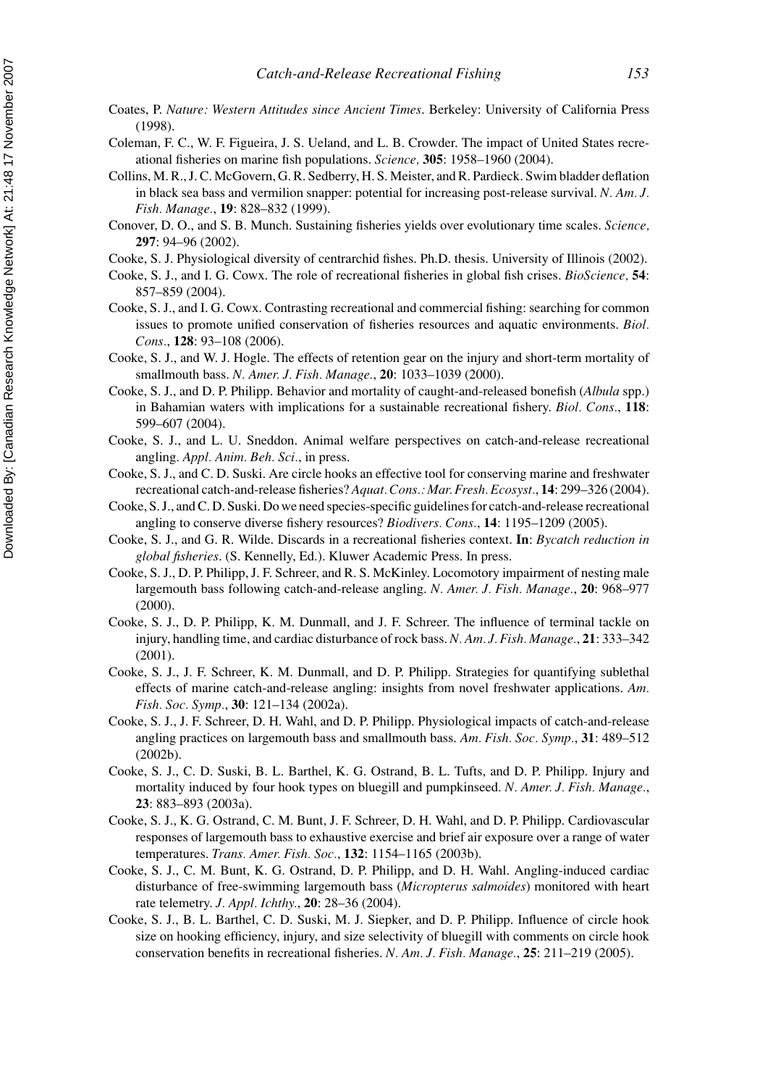- Coates, P. *Nature: Western Attitudes since Ancient Times*. Berkeley: University of California Press (1998).
- Coleman, F. C., W. F. Figueira, J. S. Ueland, and L. B. Crowder. The impact of United States recreational fisheries on marine fish populations. *Science,* **305**: 1958–1960 (2004).
- Collins, M. R., J. C. McGovern, G. R. Sedberry, H. S. Meister, and R. Pardieck. Swim bladder deflation in black sea bass and vermilion snapper: potential for increasing post-release survival. *N. Am. J. Fish. Manage.*, **19**: 828–832 (1999).
- Conover, D. O., and S. B. Munch. Sustaining fisheries yields over evolutionary time scales. *Science,* **297**: 94–96 (2002).
- Cooke, S. J. Physiological diversity of centrarchid fishes. Ph.D. thesis. University of Illinois (2002).
- Cooke, S. J., and I. G. Cowx. The role of recreational fisheries in global fish crises. *BioScience,* **54**: 857–859 (2004).
- Cooke, S. J., and I. G. Cowx. Contrasting recreational and commercial fishing: searching for common issues to promote unified conservation of fisheries resources and aquatic environments. *Biol. Cons.*, **128**: 93–108 (2006).
- Cooke, S. J., and W. J. Hogle. The effects of retention gear on the injury and short-term mortality of smallmouth bass. *N. Amer. J. Fish. Manage.*, **20**: 1033–1039 (2000).
- Cooke, S. J., and D. P. Philipp. Behavior and mortality of caught-and-released bonefish (*Albula* spp.) in Bahamian waters with implications for a sustainable recreational fishery. *Biol. Cons.*, **118**: 599–607 (2004).
- Cooke, S. J., and L. U. Sneddon. Animal welfare perspectives on catch-and-release recreational angling. *Appl. Anim. Beh. Sci.*, in press.
- Cooke, S. J., and C. D. Suski. Are circle hooks an effective tool for conserving marine and freshwater recreational catch-and-release fisheries? *Aquat. Cons.: Mar. Fresh. Ecosyst.*, **14**: 299–326 (2004).
- Cooke, S. J., and C. D. Suski. Do we need species-specific guidelines for catch-and-release recreational angling to conserve diverse fishery resources? *Biodivers. Cons.*, **14**: 1195–1209 (2005).
- Cooke, S. J., and G. R. Wilde. Discards in a recreational fisheries context. **In**: *Bycatch reduction in global fisheries*. (S. Kennelly, Ed.). Kluwer Academic Press. In press.
- Cooke, S. J., D. P. Philipp, J. F. Schreer, and R. S. McKinley. Locomotory impairment of nesting male largemouth bass following catch-and-release angling. *N. Amer. J. Fish. Manage.*, **20**: 968–977 (2000).
- Cooke, S. J., D. P. Philipp, K. M. Dunmall, and J. F. Schreer. The influence of terminal tackle on injury, handling time, and cardiac disturbance of rock bass. *N. Am. J. Fish. Manage.*, **21**: 333–342 (2001).
- Cooke, S. J., J. F. Schreer, K. M. Dunmall, and D. P. Philipp. Strategies for quantifying sublethal effects of marine catch-and-release angling: insights from novel freshwater applications. *Am. Fish. Soc. Symp.*, **30**: 121–134 (2002a).
- Cooke, S. J., J. F. Schreer, D. H. Wahl, and D. P. Philipp. Physiological impacts of catch-and-release angling practices on largemouth bass and smallmouth bass. *Am. Fish. Soc. Symp.*, **31**: 489–512 (2002b).
- Cooke, S. J., C. D. Suski, B. L. Barthel, K. G. Ostrand, B. L. Tufts, and D. P. Philipp. Injury and mortality induced by four hook types on bluegill and pumpkinseed. *N. Amer. J. Fish. Manage.*, **23**: 883–893 (2003a).
- Cooke, S. J., K. G. Ostrand, C. M. Bunt, J. F. Schreer, D. H. Wahl, and D. P. Philipp. Cardiovascular responses of largemouth bass to exhaustive exercise and brief air exposure over a range of water temperatures. *Trans. Amer. Fish. Soc.*, **132**: 1154–1165 (2003b).
- Cooke, S. J., C. M. Bunt, K. G. Ostrand, D. P. Philipp, and D. H. Wahl. Angling-induced cardiac disturbance of free-swimming largemouth bass (*Micropterus salmoides*) monitored with heart rate telemetry. *J. Appl. Ichthy.*, **20**: 28–36 (2004).
- Cooke, S. J., B. L. Barthel, C. D. Suski, M. J. Siepker, and D. P. Philipp. Influence of circle hook size on hooking efficiency, injury, and size selectivity of bluegill with comments on circle hook conservation benefits in recreational fisheries. *N. Am. J. Fish. Manage.*, **25**: 211–219 (2005).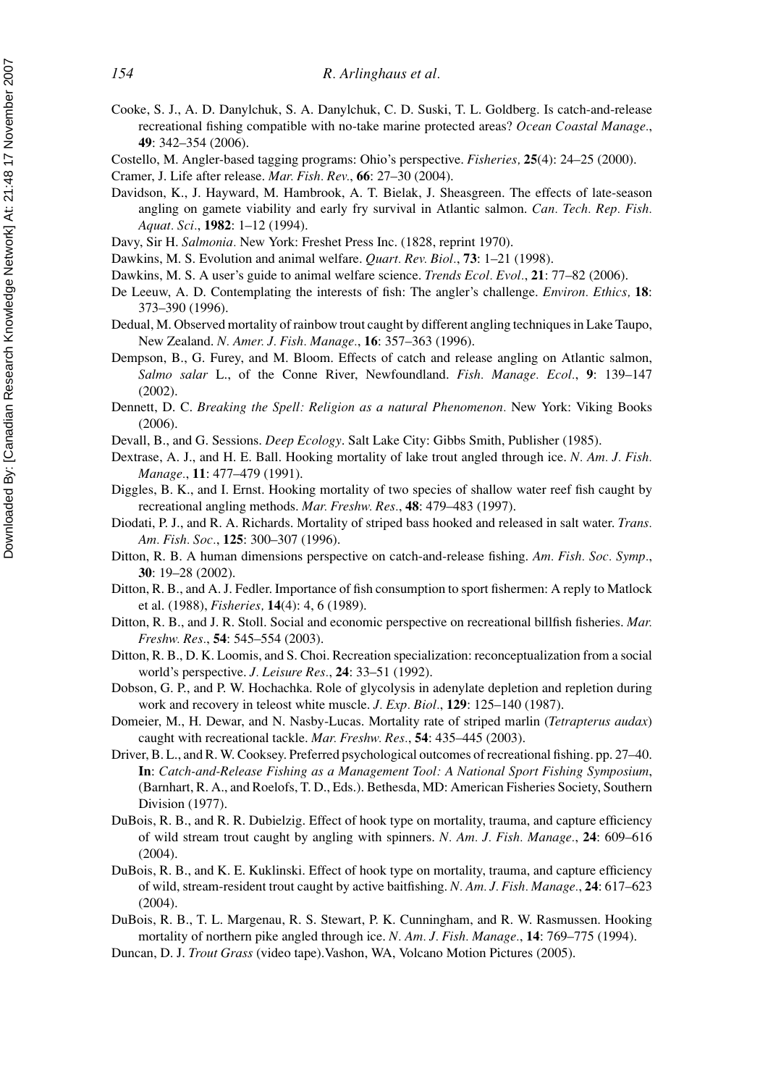- Cooke, S. J., A. D. Danylchuk, S. A. Danylchuk, C. D. Suski, T. L. Goldberg. Is catch-and-release recreational fishing compatible with no-take marine protected areas? *Ocean Coastal Manage.*, **49**: 342–354 (2006).
- Costello, M. Angler-based tagging programs: Ohio's perspective. *Fisheries,* **25**(4): 24–25 (2000).

- Davidson, K., J. Hayward, M. Hambrook, A. T. Bielak, J. Sheasgreen. The effects of late-season angling on gamete viability and early fry survival in Atlantic salmon. *Can. Tech. Rep. Fish. Aquat. Sci.*, **1982**: 1–12 (1994).
- Davy, Sir H. *Salmonia.* New York: Freshet Press Inc. (1828, reprint 1970).
- Dawkins, M. S. Evolution and animal welfare. *Quart. Rev. Biol.*, **73**: 1–21 (1998).
- Dawkins, M. S. A user's guide to animal welfare science. *Trends Ecol. Evol.*, **21**: 77–82 (2006).
- De Leeuw, A. D. Contemplating the interests of fish: The angler's challenge. *Environ. Ethics,* **18**: 373–390 (1996).
- Dedual, M. Observed mortality of rainbow trout caught by different angling techniques in Lake Taupo, New Zealand. *N. Amer. J. Fish. Manage.*, **16**: 357–363 (1996).
- Dempson, B., G. Furey, and M. Bloom. Effects of catch and release angling on Atlantic salmon, *Salmo salar* L., of the Conne River, Newfoundland. *Fish. Manage. Ecol.*, **9**: 139–147 (2002).
- Dennett, D. C. *Breaking the Spell: Religion as a natural Phenomenon.* New York: Viking Books (2006).
- Devall, B., and G. Sessions. *Deep Ecology*. Salt Lake City: Gibbs Smith, Publisher (1985).
- Dextrase, A. J., and H. E. Ball. Hooking mortality of lake trout angled through ice. *N. Am. J. Fish. Manage.*, **11**: 477–479 (1991).
- Diggles, B. K., and I. Ernst. Hooking mortality of two species of shallow water reef fish caught by recreational angling methods. *Mar. Freshw. Res.*, **48**: 479–483 (1997).
- Diodati, P. J., and R. A. Richards. Mortality of striped bass hooked and released in salt water. *Trans. Am. Fish. Soc.*, **125**: 300–307 (1996).
- Ditton, R. B. A human dimensions perspective on catch-and-release fishing. *Am. Fish. Soc. Symp.*, **30**: 19–28 (2002).
- Ditton, R. B., and A. J. Fedler. Importance of fish consumption to sport fishermen: A reply to Matlock et al. (1988), *Fisheries,* **14**(4): 4, 6 (1989).
- Ditton, R. B., and J. R. Stoll. Social and economic perspective on recreational billfish fisheries. *Mar. Freshw. Res.*, **54**: 545–554 (2003).
- Ditton, R. B., D. K. Loomis, and S. Choi. Recreation specialization: reconceptualization from a social world's perspective. *J. Leisure Res.*, **24**: 33–51 (1992).
- Dobson, G. P., and P. W. Hochachka. Role of glycolysis in adenylate depletion and repletion during work and recovery in teleost white muscle. *J. Exp. Biol.*, **129**: 125–140 (1987).
- Domeier, M., H. Dewar, and N. Nasby-Lucas. Mortality rate of striped marlin (*Tetrapterus audax*) caught with recreational tackle. *Mar. Freshw. Res.*, **54**: 435–445 (2003).
- Driver, B. L., and R. W. Cooksey. Preferred psychological outcomes of recreational fishing. pp. 27–40. **In**: *Catch-and-Release Fishing as a Management Tool: A National Sport Fishing Symposium*, (Barnhart, R. A., and Roelofs, T. D., Eds.). Bethesda, MD: American Fisheries Society, Southern Division (1977).
- DuBois, R. B., and R. R. Dubielzig. Effect of hook type on mortality, trauma, and capture efficiency of wild stream trout caught by angling with spinners. *N. Am. J. Fish. Manage.*, **24**: 609–616 (2004).
- DuBois, R. B., and K. E. Kuklinski. Effect of hook type on mortality, trauma, and capture efficiency of wild, stream-resident trout caught by active baitfishing. *N. Am. J. Fish. Manage.*, **24**: 617–623 (2004).
- DuBois, R. B., T. L. Margenau, R. S. Stewart, P. K. Cunningham, and R. W. Rasmussen. Hooking mortality of northern pike angled through ice. *N. Am. J. Fish. Manage.*, **14**: 769–775 (1994).
- Duncan, D. J. *Trout Grass* (video tape).Vashon, WA, Volcano Motion Pictures (2005).

Cramer, J. Life after release. *Mar. Fish. Rev.*, **66**: 27–30 (2004).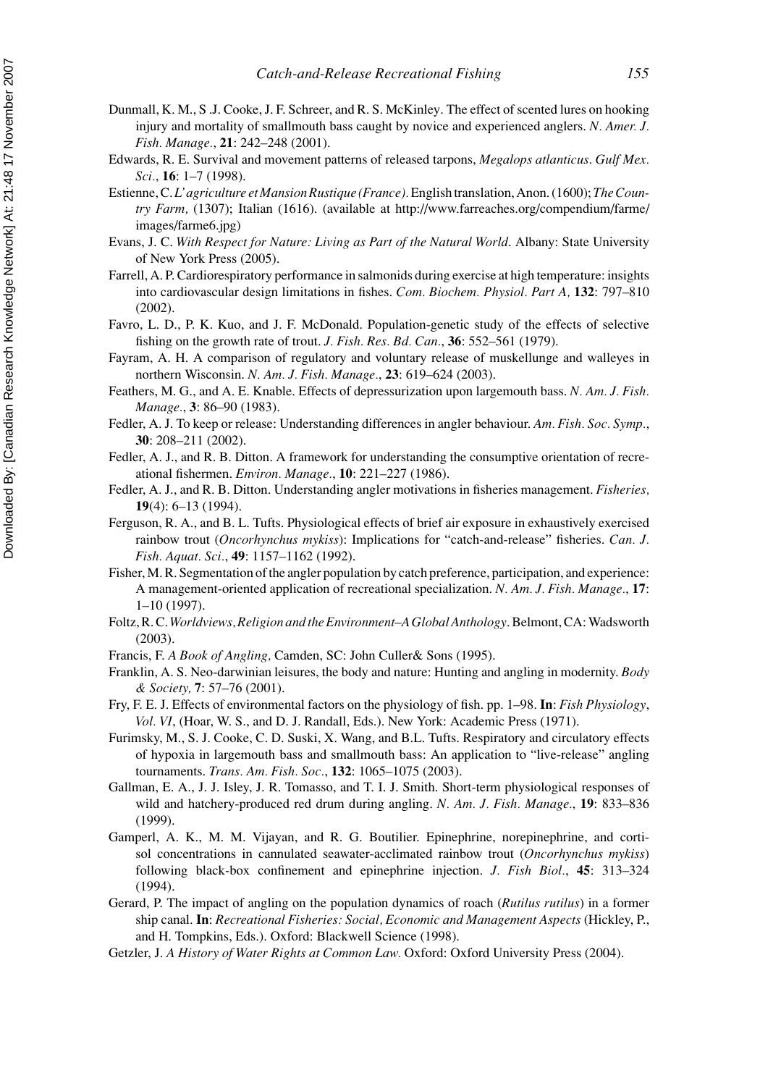- Dunmall, K. M., S .J. Cooke, J. F. Schreer, and R. S. McKinley. The effect of scented lures on hooking injury and mortality of smallmouth bass caught by novice and experienced anglers. *N. Amer. J. Fish. Manage.*, **21**: 242–248 (2001).
- Edwards, R. E. Survival and movement patterns of released tarpons, *Megalops atlanticus*. *Gulf Mex. Sci.*, **16**: 1–7 (1998).
- Estienne, C. *L'agriculture et Mansion Rustique (France).*English translation, Anon. (1600); *The Country Farm,* (1307); Italian (1616). (available at http://www.farreaches.org/compendium/farme/ images/farme6.jpg)
- Evans, J. C. *With Respect for Nature: Living as Part of the Natural World*. Albany: State University of New York Press (2005).
- Farrell, A. P. Cardiorespiratory performance in salmonids during exercise at high temperature: insights into cardiovascular design limitations in fishes. *Com. Biochem. Physiol. Part A,* **132**: 797–810 (2002).
- Favro, L. D., P. K. Kuo, and J. F. McDonald. Population-genetic study of the effects of selective fishing on the growth rate of trout. *J. Fish. Res. Bd. Can.*, **36**: 552–561 (1979).
- Fayram, A. H. A comparison of regulatory and voluntary release of muskellunge and walleyes in northern Wisconsin. *N. Am. J. Fish. Manage.*, **23**: 619–624 (2003).
- Feathers, M. G., and A. E. Knable. Effects of depressurization upon largemouth bass. *N. Am. J. Fish. Manage.*, **3**: 86–90 (1983).
- Fedler, A. J. To keep or release: Understanding differences in angler behaviour. *Am. Fish. Soc. Symp.*, **30**: 208–211 (2002).
- Fedler, A. J., and R. B. Ditton. A framework for understanding the consumptive orientation of recreational fishermen. *Environ. Manage.*, **10**: 221–227 (1986).
- Fedler, A. J., and R. B. Ditton. Understanding angler motivations in fisheries management. *Fisheries,* **19**(4): 6–13 (1994).
- Ferguson, R. A., and B. L. Tufts. Physiological effects of brief air exposure in exhaustively exercised rainbow trout (*Oncorhynchus mykiss*): Implications for "catch-and-release" fisheries. *Can. J. Fish. Aquat. Sci.*, **49**: 1157–1162 (1992).
- Fisher, M. R. Segmentation of the angler population by catch preference, participation, and experience: A management-oriented application of recreational specialization. *N. Am. J. Fish. Manage.*, **17**: 1–10 (1997).
- Foltz, R. C. *Worldviews, Religion and the Environment–A Global Anthology*.Belmont, CA: Wadsworth (2003).
- Francis, F. *A Book of Angling,* Camden, SC: John Culler& Sons (1995).
- Franklin, A. S. Neo-darwinian leisures, the body and nature: Hunting and angling in modernity. *Body & Society,* **7**: 57–76 (2001).
- Fry, F. E. J. Effects of environmental factors on the physiology of fish. pp. 1–98. **In**: *Fish Physiology*, *Vol. VI*, (Hoar, W. S., and D. J. Randall, Eds.). New York: Academic Press (1971).
- Furimsky, M., S. J. Cooke, C. D. Suski, X. Wang, and B.L. Tufts. Respiratory and circulatory effects of hypoxia in largemouth bass and smallmouth bass: An application to "live-release" angling tournaments. *Trans. Am. Fish. Soc.*, **132**: 1065–1075 (2003).
- Gallman, E. A., J. J. Isley, J. R. Tomasso, and T. I. J. Smith. Short-term physiological responses of wild and hatchery-produced red drum during angling. *N. Am. J. Fish. Manage.*, **19**: 833–836 (1999).
- Gamperl, A. K., M. M. Vijayan, and R. G. Boutilier. Epinephrine, norepinephrine, and cortisol concentrations in cannulated seawater-acclimated rainbow trout (*Oncorhynchus mykiss*) following black-box confinement and epinephrine injection. *J. Fish Biol.*, **45**: 313–324 (1994).
- Gerard, P. The impact of angling on the population dynamics of roach (*Rutilus rutilus*) in a former ship canal. **In**: *Recreational Fisheries: Social, Economic and Management Aspects* (Hickley, P., and H. Tompkins, Eds.). Oxford: Blackwell Science (1998).
- Getzler, J. *A History of Water Rights at Common Law.* Oxford: Oxford University Press (2004).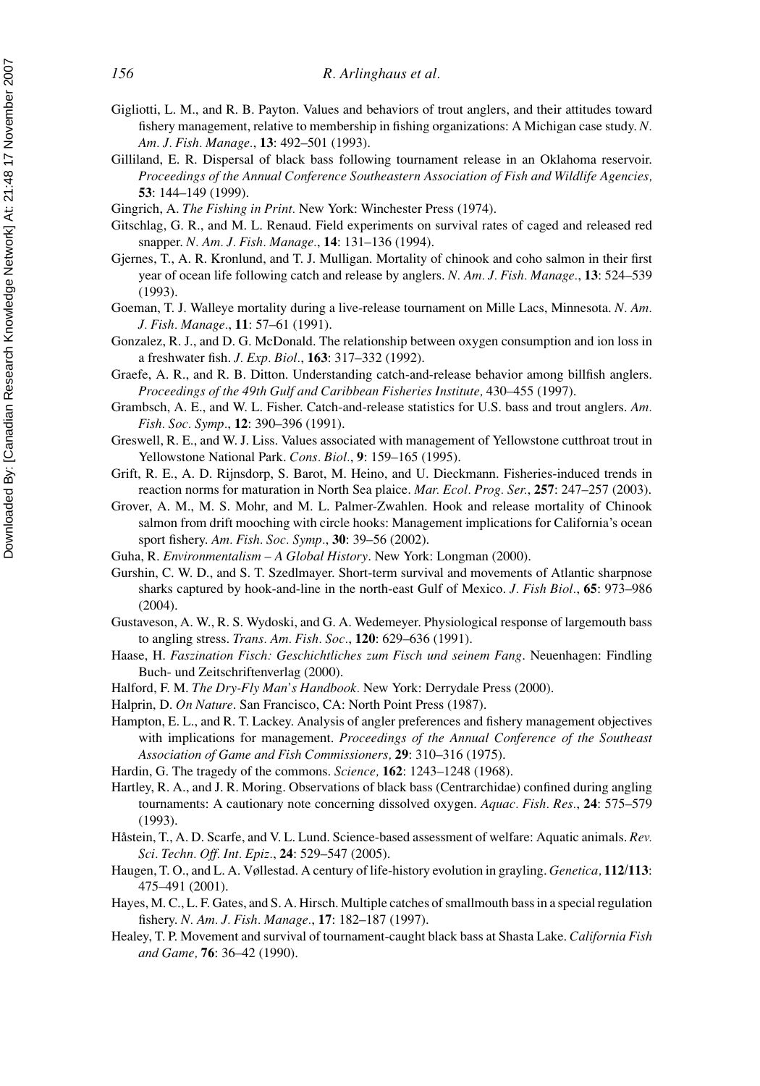- Gigliotti, L. M., and R. B. Payton. Values and behaviors of trout anglers, and their attitudes toward fishery management, relative to membership in fishing organizations: A Michigan case study. *N. Am. J. Fish. Manage.*, **13**: 492–501 (1993).
- Gilliland, E. R. Dispersal of black bass following tournament release in an Oklahoma reservoir. *Proceedings of the Annual Conference Southeastern Association of Fish and Wildlife Agencies,* **53**: 144–149 (1999).
- Gingrich, A. *The Fishing in Print.* New York: Winchester Press (1974).
- Gitschlag, G. R., and M. L. Renaud. Field experiments on survival rates of caged and released red snapper. *N. Am. J. Fish. Manage.*, **14**: 131–136 (1994).
- Gjernes, T., A. R. Kronlund, and T. J. Mulligan. Mortality of chinook and coho salmon in their first year of ocean life following catch and release by anglers. *N. Am. J. Fish. Manage.*, **13**: 524–539 (1993).
- Goeman, T. J. Walleye mortality during a live-release tournament on Mille Lacs, Minnesota. *N. Am. J. Fish. Manage.*, **11**: 57–61 (1991).
- Gonzalez, R. J., and D. G. McDonald. The relationship between oxygen consumption and ion loss in a freshwater fish. *J. Exp. Biol.*, **163**: 317–332 (1992).
- Graefe, A. R., and R. B. Ditton. Understanding catch-and-release behavior among billfish anglers. *Proceedings of the 49th Gulf and Caribbean Fisheries Institute,* 430–455 (1997).
- Grambsch, A. E., and W. L. Fisher. Catch-and-release statistics for U.S. bass and trout anglers. *Am. Fish. Soc. Symp.*, **12**: 390–396 (1991).
- Greswell, R. E., and W. J. Liss. Values associated with management of Yellowstone cutthroat trout in Yellowstone National Park. *Cons. Biol.*, **9**: 159–165 (1995).
- Grift, R. E., A. D. Rijnsdorp, S. Barot, M. Heino, and U. Dieckmann. Fisheries-induced trends in reaction norms for maturation in North Sea plaice. *Mar. Ecol. Prog. Ser.*, **257**: 247–257 (2003).
- Grover, A. M., M. S. Mohr, and M. L. Palmer-Zwahlen. Hook and release mortality of Chinook salmon from drift mooching with circle hooks: Management implications for California's ocean sport fishery. *Am. Fish. Soc. Symp.*, **30**: 39–56 (2002).
- Guha, R. *Environmentalism A Global History*. New York: Longman (2000).
- Gurshin, C. W. D., and S. T. Szedlmayer. Short-term survival and movements of Atlantic sharpnose sharks captured by hook-and-line in the north-east Gulf of Mexico. *J. Fish Biol.*, **65**: 973–986  $(2004)$ .
- Gustaveson, A. W., R. S. Wydoski, and G. A. Wedemeyer. Physiological response of largemouth bass to angling stress. *Trans. Am. Fish. Soc.*, **120**: 629–636 (1991).
- Haase, H. *Faszination Fisch: Geschichtliches zum Fisch und seinem Fang*. Neuenhagen: Findling Buch- und Zeitschriftenverlag (2000).
- Halford, F. M. *The Dry-Fly Man's Handbook.* New York: Derrydale Press (2000).
- Halprin, D. *On Nature*. San Francisco, CA: North Point Press (1987).
- Hampton, E. L., and R. T. Lackey. Analysis of angler preferences and fishery management objectives with implications for management. *Proceedings of the Annual Conference of the Southeast Association of Game and Fish Commissioners,* **29**: 310–316 (1975).
- Hardin, G. The tragedy of the commons. *Science,* **162**: 1243–1248 (1968).
- Hartley, R. A., and J. R. Moring. Observations of black bass (Centrarchidae) confined during angling tournaments: A cautionary note concerning dissolved oxygen. *Aquac. Fish. Res.*, **24**: 575–579 (1993).
- Håstein, T., A. D. Scarfe, and V. L. Lund. Science-based assessment of welfare: Aquatic animals. Rev. *Sci. Techn. Off. Int. Epiz.*, **24**: 529–547 (2005).
- Haugen, T. O., and L. A. Vøllestad. A century of life-history evolution in grayling. *Genetica,* **112/113**: 475–491 (2001).
- Hayes, M. C., L. F. Gates, and S. A. Hirsch. Multiple catches of smallmouth bass in a special regulation fishery. *N. Am. J. Fish. Manage.*, **17**: 182–187 (1997).
- Healey, T. P. Movement and survival of tournament-caught black bass at Shasta Lake. *California Fish and Game,* **76**: 36–42 (1990).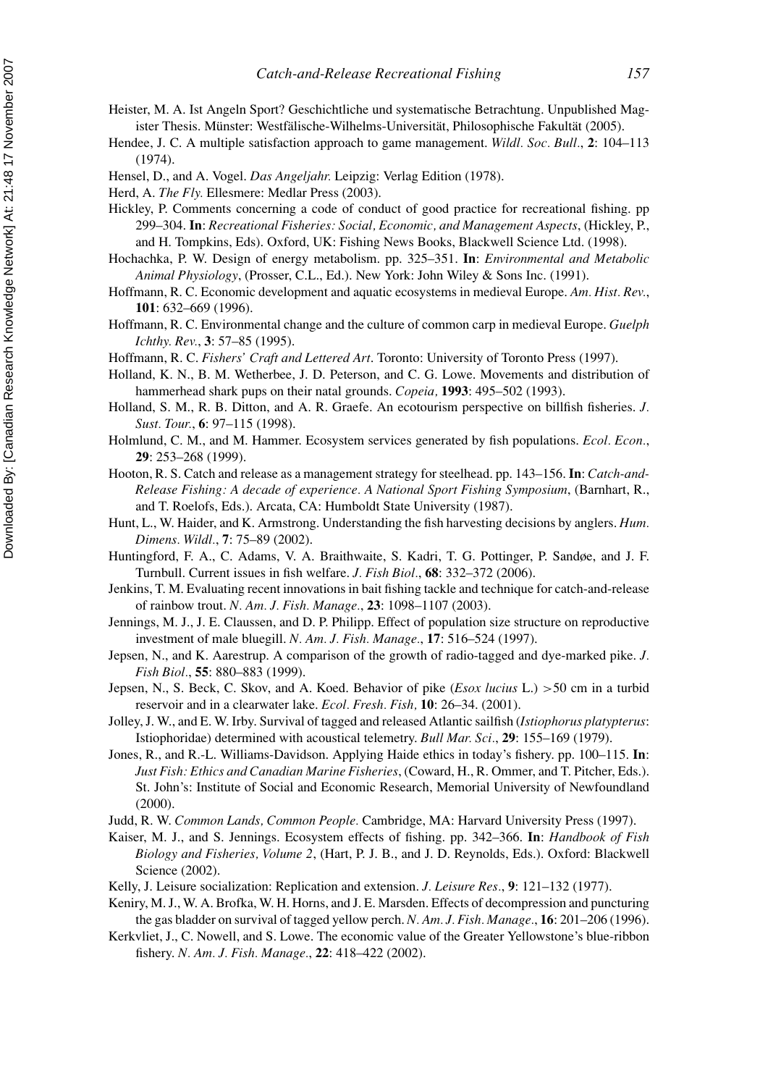- Heister, M. A. Ist Angeln Sport? Geschichtliche und systematische Betrachtung. Unpublished Magister Thesis. Münster: Westfälische-Wilhelms-Universität, Philosophische Fakultät (2005).
- Hendee, J. C. A multiple satisfaction approach to game management. *Wildl. Soc. Bull.*, **2**: 104–113 (1974).
- Hensel, D., and A. Vogel. *Das Angeljahr.* Leipzig: Verlag Edition (1978).
- Herd, A. *The Fly.* Ellesmere: Medlar Press (2003).
- Hickley, P. Comments concerning a code of conduct of good practice for recreational fishing. pp 299–304. **In**: *Recreational Fisheries: Social, Economic, and Management Aspects*, (Hickley, P., and H. Tompkins, Eds). Oxford, UK: Fishing News Books, Blackwell Science Ltd. (1998).
- Hochachka, P. W. Design of energy metabolism. pp. 325–351. **In**: *Environmental and Metabolic Animal Physiology*, (Prosser, C.L., Ed.). New York: John Wiley & Sons Inc. (1991).
- Hoffmann, R. C. Economic development and aquatic ecosystems in medieval Europe. *Am. Hist. Rev.*, **101**: 632–669 (1996).
- Hoffmann, R. C. Environmental change and the culture of common carp in medieval Europe. *Guelph Ichthy. Rev.*, **3**: 57–85 (1995).
- Hoffmann, R. C. *Fishers' Craft and Lettered Art*. Toronto: University of Toronto Press (1997).
- Holland, K. N., B. M. Wetherbee, J. D. Peterson, and C. G. Lowe. Movements and distribution of hammerhead shark pups on their natal grounds. *Copeia,* **1993**: 495–502 (1993).
- Holland, S. M., R. B. Ditton, and A. R. Graefe. An ecotourism perspective on billfish fisheries. *J. Sust. Tour.*, **6**: 97–115 (1998).
- Holmlund, C. M., and M. Hammer. Ecosystem services generated by fish populations. *Ecol. Econ.*, **29**: 253–268 (1999).
- Hooton, R. S. Catch and release as a management strategy for steelhead. pp. 143–156. **In**: *Catch-and-Release Fishing: A decade of experience. A National Sport Fishing Symposium*, (Barnhart, R., and T. Roelofs, Eds.). Arcata, CA: Humboldt State University (1987).
- Hunt, L., W. Haider, and K. Armstrong. Understanding the fish harvesting decisions by anglers. *Hum. Dimens. Wildl.*, **7**: 75–89 (2002).
- Huntingford, F. A., C. Adams, V. A. Braithwaite, S. Kadri, T. G. Pottinger, P. Sandøe, and J. F. Turnbull. Current issues in fish welfare. *J. Fish Biol.*, **68**: 332–372 (2006).
- Jenkins, T. M. Evaluating recent innovations in bait fishing tackle and technique for catch-and-release of rainbow trout. *N. Am. J. Fish. Manage.*, **23**: 1098–1107 (2003).
- Jennings, M. J., J. E. Claussen, and D. P. Philipp. Effect of population size structure on reproductive investment of male bluegill. *N. Am. J. Fish. Manage.*, **17**: 516–524 (1997).
- Jepsen, N., and K. Aarestrup. A comparison of the growth of radio-tagged and dye-marked pike. *J. Fish Biol.*, **55**: 880–883 (1999).
- Jepsen, N., S. Beck, C. Skov, and A. Koed. Behavior of pike (*Esox lucius* L.) >50 cm in a turbid reservoir and in a clearwater lake. *Ecol. Fresh. Fish,* **10**: 26–34. (2001).
- Jolley, J. W., and E. W. Irby. Survival of tagged and released Atlantic sailfish (*Istiophorus platypterus*: Istiophoridae) determined with acoustical telemetry. *Bull Mar. Sci.*, **29**: 155–169 (1979).
- Jones, R., and R.-L. Williams-Davidson. Applying Haide ethics in today's fishery. pp. 100–115. **In**: *Just Fish: Ethics and Canadian Marine Fisheries*, (Coward, H., R. Ommer, and T. Pitcher, Eds.). St. John's: Institute of Social and Economic Research, Memorial University of Newfoundland  $(2000)$
- Judd, R. W. *Common Lands, Common People.* Cambridge, MA: Harvard University Press (1997).
- Kaiser, M. J., and S. Jennings. Ecosystem effects of fishing. pp. 342–366. **In**: *Handbook of Fish Biology and Fisheries, Volume 2*, (Hart, P. J. B., and J. D. Reynolds, Eds.). Oxford: Blackwell Science (2002).
- Kelly, J. Leisure socialization: Replication and extension. *J. Leisure Res.*, **9**: 121–132 (1977).
- Keniry, M. J., W. A. Brofka, W. H. Horns, and J. E. Marsden. Effects of decompression and puncturing the gas bladder on survival of tagged yellow perch. *N. Am. J. Fish. Manage.*, **16**: 201–206 (1996).
- Kerkvliet, J., C. Nowell, and S. Lowe. The economic value of the Greater Yellowstone's blue-ribbon fishery. *N. Am. J. Fish. Manage.*, **22**: 418–422 (2002).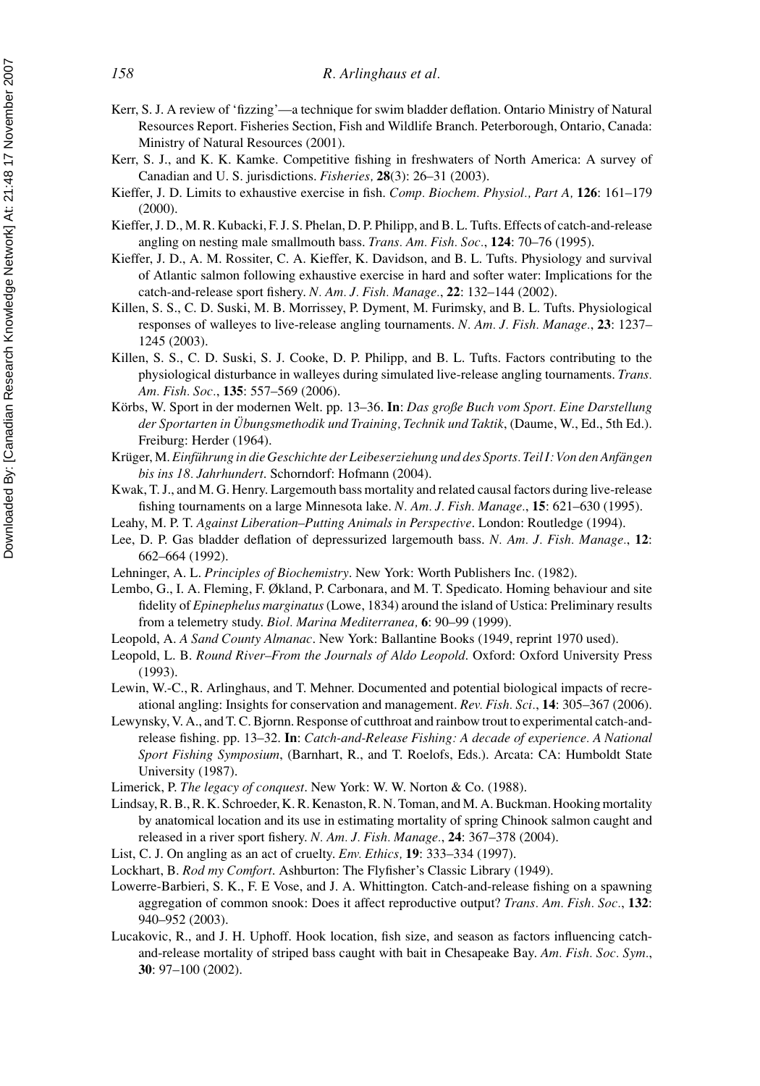- Kerr, S. J. A review of 'fizzing'—a technique for swim bladder deflation. Ontario Ministry of Natural Resources Report. Fisheries Section, Fish and Wildlife Branch. Peterborough, Ontario, Canada: Ministry of Natural Resources (2001).
- Kerr, S. J., and K. K. Kamke. Competitive fishing in freshwaters of North America: A survey of Canadian and U. S. jurisdictions. *Fisheries,* **28**(3): 26–31 (2003).
- Kieffer, J. D. Limits to exhaustive exercise in fish. *Comp. Biochem. Physiol., Part A,* **126**: 161–179 (2000).
- Kieffer, J. D., M. R. Kubacki, F. J. S. Phelan, D. P. Philipp, and B. L. Tufts. Effects of catch-and-release angling on nesting male smallmouth bass. *Trans. Am. Fish. Soc.*, **124**: 70–76 (1995).
- Kieffer, J. D., A. M. Rossiter, C. A. Kieffer, K. Davidson, and B. L. Tufts. Physiology and survival of Atlantic salmon following exhaustive exercise in hard and softer water: Implications for the catch-and-release sport fishery. *N. Am. J. Fish. Manage.*, **22**: 132–144 (2002).
- Killen, S. S., C. D. Suski, M. B. Morrissey, P. Dyment, M. Furimsky, and B. L. Tufts. Physiological responses of walleyes to live-release angling tournaments. *N. Am. J. Fish. Manage.*, **23**: 1237– 1245 (2003).
- Killen, S. S., C. D. Suski, S. J. Cooke, D. P. Philipp, and B. L. Tufts. Factors contributing to the physiological disturbance in walleyes during simulated live-release angling tournaments. *Trans. Am. Fish. Soc.*, **135**: 557–569 (2006).
- Körbs, W. Sport in der modernen Welt. pp. 13–36. In: Das große Buch vom Sport. Eine Darstellung *der Sportarten in Ubungsmethodik und Training, Technik und Taktik ¨* , (Daume, W., Ed., 5th Ed.). Freiburg: Herder (1964).
- Krüger, M. Einführung in die Geschichte der Leibeserziehung und des Sports. Teil I: Von den Anfängen *bis ins 18. Jahrhundert*. Schorndorf: Hofmann (2004).
- Kwak, T. J., and M. G. Henry. Largemouth bass mortality and related causal factors during live-release fishing tournaments on a large Minnesota lake. *N. Am. J. Fish. Manage.*, **15**: 621–630 (1995).
- Leahy, M. P. T. *Against Liberation–Putting Animals in Perspective*. London: Routledge (1994).
- Lee, D. P. Gas bladder deflation of depressurized largemouth bass. *N. Am. J. Fish. Manage.*, **12**: 662–664 (1992).
- Lehninger, A. L. *Principles of Biochemistry*. New York: Worth Publishers Inc. (1982).
- Lembo, G., I. A. Fleming, F. Økland, P. Carbonara, and M. T. Spedicato. Homing behaviour and site fidelity of *Epinephelus marginatus*(Lowe, 1834) around the island of Ustica: Preliminary results from a telemetry study. *Biol. Marina Mediterranea,* **6**: 90–99 (1999).
- Leopold, A. *A Sand County Almanac*. New York: Ballantine Books (1949, reprint 1970 used).
- Leopold, L. B. *Round River–From the Journals of Aldo Leopold*. Oxford: Oxford University Press (1993).
- Lewin, W.-C., R. Arlinghaus, and T. Mehner. Documented and potential biological impacts of recreational angling: Insights for conservation and management. *Rev. Fish. Sci.*, **14**: 305–367 (2006).
- Lewynsky, V. A., and T. C. Bjornn. Response of cutthroat and rainbow trout to experimental catch-andrelease fishing. pp. 13–32. **In**: *Catch-and-Release Fishing: A decade of experience. A National Sport Fishing Symposium*, (Barnhart, R., and T. Roelofs, Eds.). Arcata: CA: Humboldt State University (1987).
- Limerick, P. *The legacy of conquest*. New York: W. W. Norton & Co. (1988).
- Lindsay, R. B., R. K. Schroeder, K. R. Kenaston, R. N. Toman, and M. A. Buckman. Hooking mortality by anatomical location and its use in estimating mortality of spring Chinook salmon caught and released in a river sport fishery. *N. Am. J. Fish. Manage.*, **24**: 367–378 (2004).
- List, C. J. On angling as an act of cruelty. *Env. Ethics,* **19**: 333–334 (1997).
- Lockhart, B. *Rod my Comfort*. Ashburton: The Flyfisher's Classic Library (1949).
- Lowerre-Barbieri, S. K., F. E Vose, and J. A. Whittington. Catch-and-release fishing on a spawning aggregation of common snook: Does it affect reproductive output? *Trans. Am. Fish. Soc.*, **132**: 940–952 (2003).
- Lucakovic, R., and J. H. Uphoff. Hook location, fish size, and season as factors influencing catchand-release mortality of striped bass caught with bait in Chesapeake Bay. *Am. Fish. Soc. Sym.*, **30**: 97–100 (2002).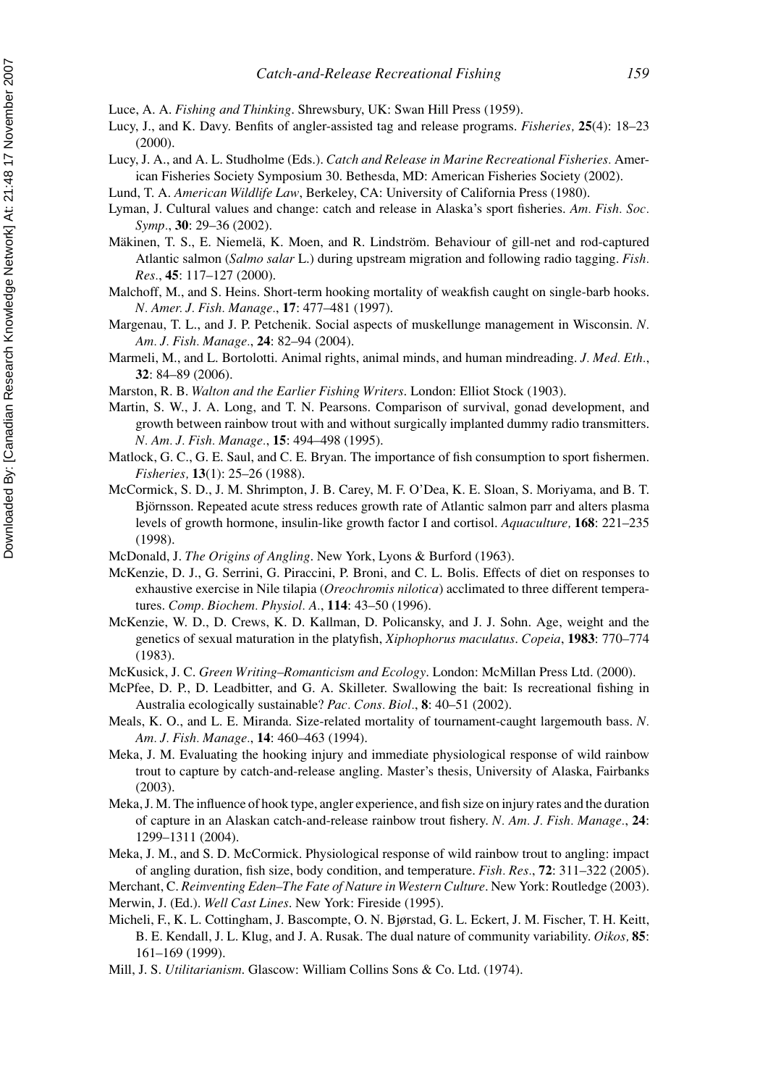Luce, A. A. *Fishing and Thinking*. Shrewsbury, UK: Swan Hill Press (1959).

- Lucy, J., and K. Davy. Benfits of angler-assisted tag and release programs. *Fisheries,* **25**(4): 18–23  $(2000)$ .
- Lucy, J. A., and A. L. Studholme (Eds.). *Catch and Release in Marine Recreational Fisheries.* American Fisheries Society Symposium 30. Bethesda, MD: American Fisheries Society (2002).
- Lund, T. A. *American Wildlife Law*, Berkeley, CA: University of California Press (1980).
- Lyman, J. Cultural values and change: catch and release in Alaska's sport fisheries. *Am. Fish. Soc. Symp.*, **30**: 29–36 (2002).
- Mäkinen, T. S., E. Niemelä, K. Moen, and R. Lindström. Behaviour of gill-net and rod-captured Atlantic salmon (*Salmo salar* L.) during upstream migration and following radio tagging. *Fish. Res.*, **45**: 117–127 (2000).
- Malchoff, M., and S. Heins. Short-term hooking mortality of weakfish caught on single-barb hooks. *N. Amer. J. Fish. Manage.*, **17**: 477–481 (1997).
- Margenau, T. L., and J. P. Petchenik. Social aspects of muskellunge management in Wisconsin. *N. Am. J. Fish. Manage.*, **24**: 82–94 (2004).
- Marmeli, M., and L. Bortolotti. Animal rights, animal minds, and human mindreading. *J. Med. Eth.*, **32**: 84–89 (2006).
- Marston, R. B. *Walton and the Earlier Fishing Writers*. London: Elliot Stock (1903).
- Martin, S. W., J. A. Long, and T. N. Pearsons. Comparison of survival, gonad development, and growth between rainbow trout with and without surgically implanted dummy radio transmitters. *N. Am. J. Fish. Manage.*, **15**: 494–498 (1995).
- Matlock, G. C., G. E. Saul, and C. E. Bryan. The importance of fish consumption to sport fishermen. *Fisheries,* **13**(1): 25–26 (1988).
- McCormick, S. D., J. M. Shrimpton, J. B. Carey, M. F. O'Dea, K. E. Sloan, S. Moriyama, and B. T. Björnsson. Repeated acute stress reduces growth rate of Atlantic salmon parr and alters plasma levels of growth hormone, insulin-like growth factor I and cortisol. *Aquaculture,* **168**: 221–235 (1998).
- McDonald, J. *The Origins of Angling*. New York, Lyons & Burford (1963).
- McKenzie, D. J., G. Serrini, G. Piraccini, P. Broni, and C. L. Bolis. Effects of diet on responses to exhaustive exercise in Nile tilapia (*Oreochromis nilotica*) acclimated to three different temperatures. *Comp. Biochem. Physiol. A.*, **114**: 43–50 (1996).
- McKenzie, W. D., D. Crews, K. D. Kallman, D. Policansky, and J. J. Sohn. Age, weight and the genetics of sexual maturation in the platyfish, *Xiphophorus maculatus*. *Copeia*, **1983**: 770–774 (1983).
- McKusick, J. C. *Green Writing–Romanticism and Ecology*. London: McMillan Press Ltd. (2000).
- McPfee, D. P., D. Leadbitter, and G. A. Skilleter. Swallowing the bait: Is recreational fishing in Australia ecologically sustainable? *Pac. Cons. Biol.*, **8**: 40–51 (2002).
- Meals, K. O., and L. E. Miranda. Size-related mortality of tournament-caught largemouth bass. *N. Am. J. Fish. Manage.*, **14**: 460–463 (1994).
- Meka, J. M. Evaluating the hooking injury and immediate physiological response of wild rainbow trout to capture by catch-and-release angling. Master's thesis, University of Alaska, Fairbanks (2003).
- Meka, J. M. The influence of hook type, angler experience, and fish size on injury rates and the duration of capture in an Alaskan catch-and-release rainbow trout fishery. *N. Am. J. Fish. Manage.*, **24**: 1299–1311 (2004).

Meka, J. M., and S. D. McCormick. Physiological response of wild rainbow trout to angling: impact of angling duration, fish size, body condition, and temperature. *Fish. Res.*, **72**: 311–322 (2005).

Merchant, C. *Reinventing Eden–The Fate of Nature in Western Culture*. New York: Routledge (2003). Merwin, J. (Ed.). *Well Cast Lines*. New York: Fireside (1995).

- Micheli, F., K. L. Cottingham, J. Bascompte, O. N. Bjørstad, G. L. Eckert, J. M. Fischer, T. H. Keitt, B. E. Kendall, J. L. Klug, and J. A. Rusak. The dual nature of community variability. *Oikos,* **85**: 161–169 (1999).
- Mill, J. S. *Utilitarianism*. Glascow: William Collins Sons & Co. Ltd. (1974).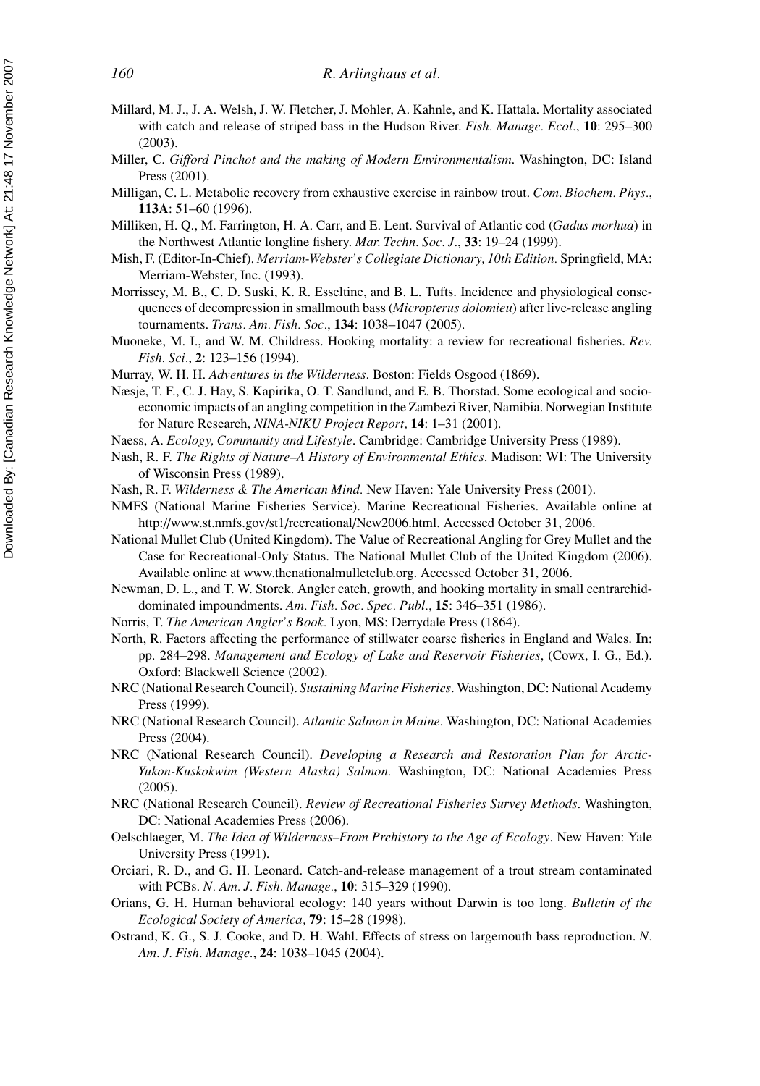- Millard, M. J., J. A. Welsh, J. W. Fletcher, J. Mohler, A. Kahnle, and K. Hattala. Mortality associated with catch and release of striped bass in the Hudson River. *Fish. Manage. Ecol.*, **10**: 295–300 (2003).
- Miller, C. *Gifford Pinchot and the making of Modern Environmentalism*. Washington, DC: Island Press (2001).
- Milligan, C. L. Metabolic recovery from exhaustive exercise in rainbow trout. *Com. Biochem. Phys.*, **113A**: 51–60 (1996).
- Milliken, H. Q., M. Farrington, H. A. Carr, and E. Lent. Survival of Atlantic cod (*Gadus morhua*) in the Northwest Atlantic longline fishery. *Mar. Techn. Soc. J.*, **33**: 19–24 (1999).
- Mish, F. (Editor-In-Chief). *Merriam-Webster's Collegiate Dictionary, 10th Edition.* Springfield, MA: Merriam-Webster, Inc. (1993).
- Morrissey, M. B., C. D. Suski, K. R. Esseltine, and B. L. Tufts. Incidence and physiological consequences of decompression in smallmouth bass (*Micropterus dolomieu*) after live-release angling tournaments. *Trans. Am. Fish. Soc.*, **134**: 1038–1047 (2005).
- Muoneke, M. I., and W. M. Childress. Hooking mortality: a review for recreational fisheries. *Rev. Fish. Sci.*, **2**: 123–156 (1994).
- Murray, W. H. H. *Adventures in the Wilderness*. Boston: Fields Osgood (1869).
- Næsje, T. F., C. J. Hay, S. Kapirika, O. T. Sandlund, and E. B. Thorstad. Some ecological and socioeconomic impacts of an angling competition in the Zambezi River, Namibia. Norwegian Institute for Nature Research, *NINA-NIKU Project Report,* **14**: 1–31 (2001).
- Naess, A. *Ecology, Community and Lifestyle*. Cambridge: Cambridge University Press (1989).
- Nash, R. F. *The Rights of Nature–A History of Environmental Ethics*. Madison: WI: The University of Wisconsin Press (1989).
- Nash, R. F. *Wilderness & The American Mind.* New Haven: Yale University Press (2001).
- NMFS (National Marine Fisheries Service). Marine Recreational Fisheries. Available online at http://www.st.nmfs.gov/st1/recreational/New2006.html. Accessed October 31, 2006.
- National Mullet Club (United Kingdom). The Value of Recreational Angling for Grey Mullet and the Case for Recreational-Only Status. The National Mullet Club of the United Kingdom (2006). Available online at www.thenationalmulletclub.org. Accessed October 31, 2006.
- Newman, D. L., and T. W. Storck. Angler catch, growth, and hooking mortality in small centrarchiddominated impoundments. *Am. Fish. Soc. Spec. Publ.*, **15**: 346–351 (1986).
- Norris, T. *The American Angler's Book.* Lyon, MS: Derrydale Press (1864).
- North, R. Factors affecting the performance of stillwater coarse fisheries in England and Wales. **In**: pp. 284–298. *Management and Ecology of Lake and Reservoir Fisheries*, (Cowx, I. G., Ed.). Oxford: Blackwell Science (2002).
- NRC (National Research Council). *Sustaining Marine Fisheries*. Washington, DC: National Academy Press (1999).
- NRC (National Research Council). *Atlantic Salmon in Maine*. Washington, DC: National Academies Press (2004).
- NRC (National Research Council). *Developing a Research and Restoration Plan for Arctic-Yukon-Kuskokwim (Western Alaska) Salmon.* Washington, DC: National Academies Press (2005).
- NRC (National Research Council). *Review of Recreational Fisheries Survey Methods*. Washington, DC: National Academies Press (2006).
- Oelschlaeger, M. *The Idea of Wilderness–From Prehistory to the Age of Ecology*. New Haven: Yale University Press (1991).
- Orciari, R. D., and G. H. Leonard. Catch-and-release management of a trout stream contaminated with PCBs. *N. Am. J. Fish. Manage.*, **10**: 315–329 (1990).
- Orians, G. H. Human behavioral ecology: 140 years without Darwin is too long. *Bulletin of the Ecological Society of America,* **79**: 15–28 (1998).
- Ostrand, K. G., S. J. Cooke, and D. H. Wahl. Effects of stress on largemouth bass reproduction. *N. Am. J. Fish. Manage.*, **24**: 1038–1045 (2004).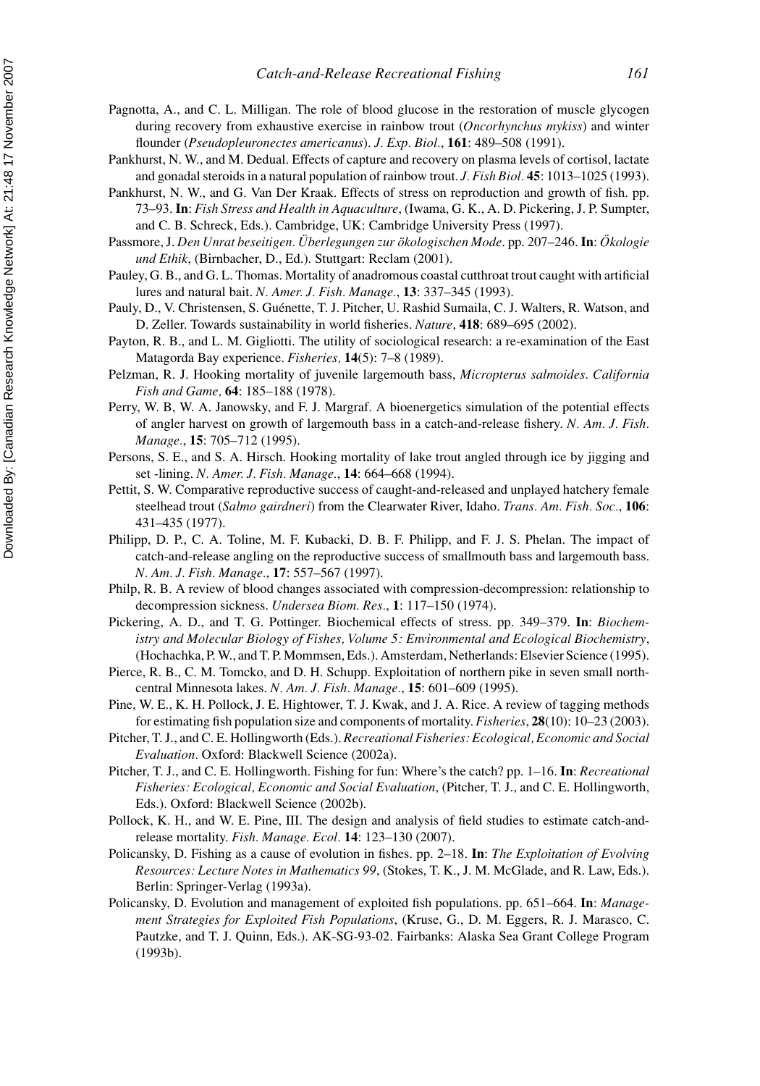- Pagnotta, A., and C. L. Milligan. The role of blood glucose in the restoration of muscle glycogen during recovery from exhaustive exercise in rainbow trout (*Oncorhynchus mykiss*) and winter flounder (*Pseudopleuronectes americanus*). *J. Exp. Biol.*, **161**: 489–508 (1991).
- Pankhurst, N. W., and M. Dedual. Effects of capture and recovery on plasma levels of cortisol, lactate and gonadal steroids in a natural population of rainbow trout. *J. Fish Biol.* **45**: 1013–1025 (1993).
- Pankhurst, N. W., and G. Van Der Kraak. Effects of stress on reproduction and growth of fish. pp. 73–93. **In**: *Fish Stress and Health in Aquaculture*, (Iwama, G. K., A. D. Pickering, J. P. Sumpter, and C. B. Schreck, Eds.). Cambridge, UK: Cambridge University Press (1997).
- Passmore, J. *Den Unrat beseitigen. Uberlegungen zur ¨ okologischen Mode ¨* . pp. 207–246. **In**: *Okologie ¨ und Ethik*, (Birnbacher, D., Ed.). Stuttgart: Reclam (2001).
- Pauley, G. B., and G. L. Thomas. Mortality of anadromous coastal cutthroat trout caught with artificial lures and natural bait. *N. Amer. J. Fish. Manage.*, **13**: 337–345 (1993).
- Pauly, D., V. Christensen, S. Guénette, T. J. Pitcher, U. Rashid Sumaila, C. J. Walters, R. Watson, and D. Zeller. Towards sustainability in world fisheries. *Nature*, **418**: 689–695 (2002).
- Payton, R. B., and L. M. Gigliotti. The utility of sociological research: a re-examination of the East Matagorda Bay experience. *Fisheries,* **14**(5): 7–8 (1989).
- Pelzman, R. J. Hooking mortality of juvenile largemouth bass, *Micropterus salmoides*. *California Fish and Game,* **64**: 185–188 (1978).
- Perry, W. B, W. A. Janowsky, and F. J. Margraf. A bioenergetics simulation of the potential effects of angler harvest on growth of largemouth bass in a catch-and-release fishery. *N. Am. J. Fish. Manage.*, **15**: 705–712 (1995).
- Persons, S. E., and S. A. Hirsch. Hooking mortality of lake trout angled through ice by jigging and set -lining. *N. Amer. J. Fish. Manage.*, **14**: 664–668 (1994).
- Pettit, S. W. Comparative reproductive success of caught-and-released and unplayed hatchery female steelhead trout (*Salmo gairdneri*) from the Clearwater River, Idaho. *Trans. Am. Fish. Soc.*, **106**: 431–435 (1977).
- Philipp, D. P., C. A. Toline, M. F. Kubacki, D. B. F. Philipp, and F. J. S. Phelan. The impact of catch-and-release angling on the reproductive success of smallmouth bass and largemouth bass. *N. Am. J. Fish. Manage.*, **17**: 557–567 (1997).
- Philp, R. B. A review of blood changes associated with compression-decompression: relationship to decompression sickness. *Undersea Biom. Res.*, **1**: 117–150 (1974).
- Pickering, A. D., and T. G. Pottinger. Biochemical effects of stress. pp. 349–379. **In**: *Biochemistry and Molecular Biology of Fishes, Volume 5: Environmental and Ecological Biochemistry*, (Hochachka, P. W., and T. P. Mommsen, Eds.). Amsterdam, Netherlands: Elsevier Science (1995).
- Pierce, R. B., C. M. Tomcko, and D. H. Schupp. Exploitation of northern pike in seven small northcentral Minnesota lakes. *N. Am. J. Fish. Manage.*, **15**: 601–609 (1995).
- Pine, W. E., K. H. Pollock, J. E. Hightower, T. J. Kwak, and J. A. Rice. A review of tagging methods for estimating fish population size and components of mortality. *Fisheries*, **28**(10): 10–23 (2003).
- Pitcher, T. J., and C. E. Hollingworth (Eds.). *Recreational Fisheries: Ecological, Economic and Social Evaluation.* Oxford: Blackwell Science (2002a).
- Pitcher, T. J., and C. E. Hollingworth. Fishing for fun: Where's the catch? pp. 1–16. **In**: *Recreational Fisheries: Ecological, Economic and Social Evaluation*, (Pitcher, T. J., and C. E. Hollingworth, Eds.). Oxford: Blackwell Science (2002b).
- Pollock, K. H., and W. E. Pine, III. The design and analysis of field studies to estimate catch-andrelease mortality. *Fish. Manage. Ecol.* **14**: 123–130 (2007).
- Policansky, D. Fishing as a cause of evolution in fishes. pp. 2–18. **In**: *The Exploitation of Evolving Resources: Lecture Notes in Mathematics 99*, (Stokes, T. K., J. M. McGlade, and R. Law, Eds.). Berlin: Springer-Verlag (1993a).
- Policansky, D. Evolution and management of exploited fish populations. pp. 651–664. **In**: *Management Strategies for Exploited Fish Populations*, (Kruse, G., D. M. Eggers, R. J. Marasco, C. Pautzke, and T. J. Quinn, Eds.). AK-SG-93-02. Fairbanks: Alaska Sea Grant College Program (1993b).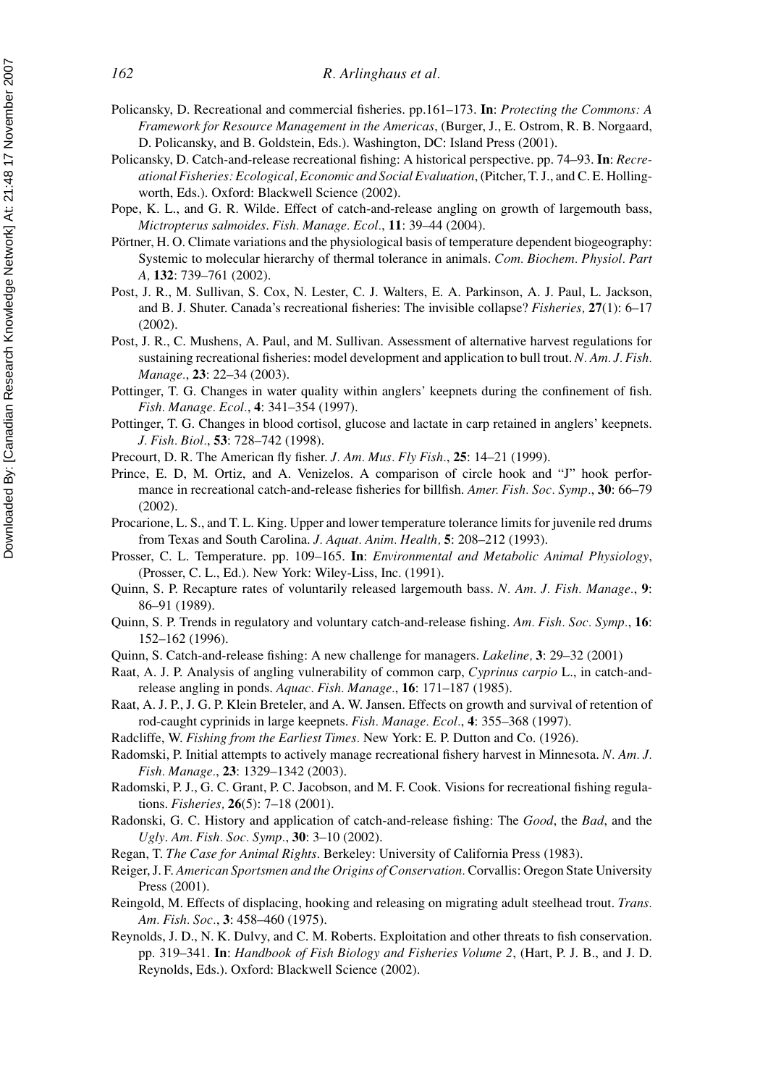- Policansky, D. Recreational and commercial fisheries. pp.161–173. **In**: *Protecting the Commons: A Framework for Resource Management in the Americas*, (Burger, J., E. Ostrom, R. B. Norgaard, D. Policansky, and B. Goldstein, Eds.). Washington, DC: Island Press (2001).
- Policansky, D. Catch-and-release recreational fishing: A historical perspective. pp. 74–93. **In**: *Recreational Fisheries: Ecological, Economic and Social Evaluation*, (Pitcher, T. J., and C. E. Hollingworth, Eds.). Oxford: Blackwell Science (2002).
- Pope, K. L., and G. R. Wilde. Effect of catch-and-release angling on growth of largemouth bass, *Mictropterus salmoides*. *Fish. Manage. Ecol.*, **11**: 39–44 (2004).
- Pörtner, H. O. Climate variations and the physiological basis of temperature dependent biogeography: Systemic to molecular hierarchy of thermal tolerance in animals. *Com. Biochem. Physiol. Part A,* **132**: 739–761 (2002).
- Post, J. R., M. Sullivan, S. Cox, N. Lester, C. J. Walters, E. A. Parkinson, A. J. Paul, L. Jackson, and B. J. Shuter. Canada's recreational fisheries: The invisible collapse? *Fisheries,* **27**(1): 6–17 (2002).
- Post, J. R., C. Mushens, A. Paul, and M. Sullivan. Assessment of alternative harvest regulations for sustaining recreational fisheries: model development and application to bull trout. *N. Am. J. Fish. Manage.*, **23**: 22–34 (2003).
- Pottinger, T. G. Changes in water quality within anglers' keepnets during the confinement of fish. *Fish. Manage. Ecol.*, **4**: 341–354 (1997).
- Pottinger, T. G. Changes in blood cortisol, glucose and lactate in carp retained in anglers' keepnets. *J. Fish. Biol.*, **53**: 728–742 (1998).

Precourt, D. R. The American fly fisher. *J. Am. Mus. Fly Fish.*, **25**: 14–21 (1999).

- Prince, E. D, M. Ortiz, and A. Venizelos. A comparison of circle hook and "J" hook performance in recreational catch-and-release fisheries for billfish. *Amer. Fish. Soc. Symp.*, **30**: 66–79 (2002).
- Procarione, L. S., and T. L. King. Upper and lower temperature tolerance limits for juvenile red drums from Texas and South Carolina. *J. Aquat. Anim. Health,* **5**: 208–212 (1993).
- Prosser, C. L. Temperature. pp. 109–165. **In**: *Environmental and Metabolic Animal Physiology*, (Prosser, C. L., Ed.). New York: Wiley-Liss, Inc. (1991).
- Quinn, S. P. Recapture rates of voluntarily released largemouth bass. *N. Am. J. Fish. Manage.*, **9**: 86–91 (1989).
- Quinn, S. P. Trends in regulatory and voluntary catch-and-release fishing. *Am. Fish. Soc. Symp.*, **16**: 152–162 (1996).
- Quinn, S. Catch-and-release fishing: A new challenge for managers. *Lakeline,* **3**: 29–32 (2001)
- Raat, A. J. P. Analysis of angling vulnerability of common carp, *Cyprinus carpio* L., in catch-andrelease angling in ponds. *Aquac. Fish. Manage.*, **16**: 171–187 (1985).
- Raat, A. J. P., J. G. P. Klein Breteler, and A. W. Jansen. Effects on growth and survival of retention of rod-caught cyprinids in large keepnets. *Fish. Manage. Ecol.*, **4**: 355–368 (1997).
- Radcliffe, W. *Fishing from the Earliest Times.* New York: E. P. Dutton and Co. (1926).
- Radomski, P. Initial attempts to actively manage recreational fishery harvest in Minnesota. *N. Am. J. Fish. Manage.*, **23**: 1329–1342 (2003).
- Radomski, P. J., G. C. Grant, P. C. Jacobson, and M. F. Cook. Visions for recreational fishing regulations. *Fisheries,* **26**(5): 7–18 (2001).
- Radonski, G. C. History and application of catch-and-release fishing: The *Good*, the *Bad*, and the *Ugly*. *Am. Fish. Soc. Symp.*, **30**: 3–10 (2002).
- Regan, T. *The Case for Animal Rights*. Berkeley: University of California Press (1983).
- Reiger, J. F. *American Sportsmen and the Origins of Conservation.* Corvallis: Oregon State University Press (2001).
- Reingold, M. Effects of displacing, hooking and releasing on migrating adult steelhead trout. *Trans. Am. Fish. Soc.*, **3**: 458–460 (1975).
- Reynolds, J. D., N. K. Dulvy, and C. M. Roberts. Exploitation and other threats to fish conservation. pp. 319–341. **In**: *Handbook of Fish Biology and Fisheries Volume 2*, (Hart, P. J. B., and J. D. Reynolds, Eds.). Oxford: Blackwell Science (2002).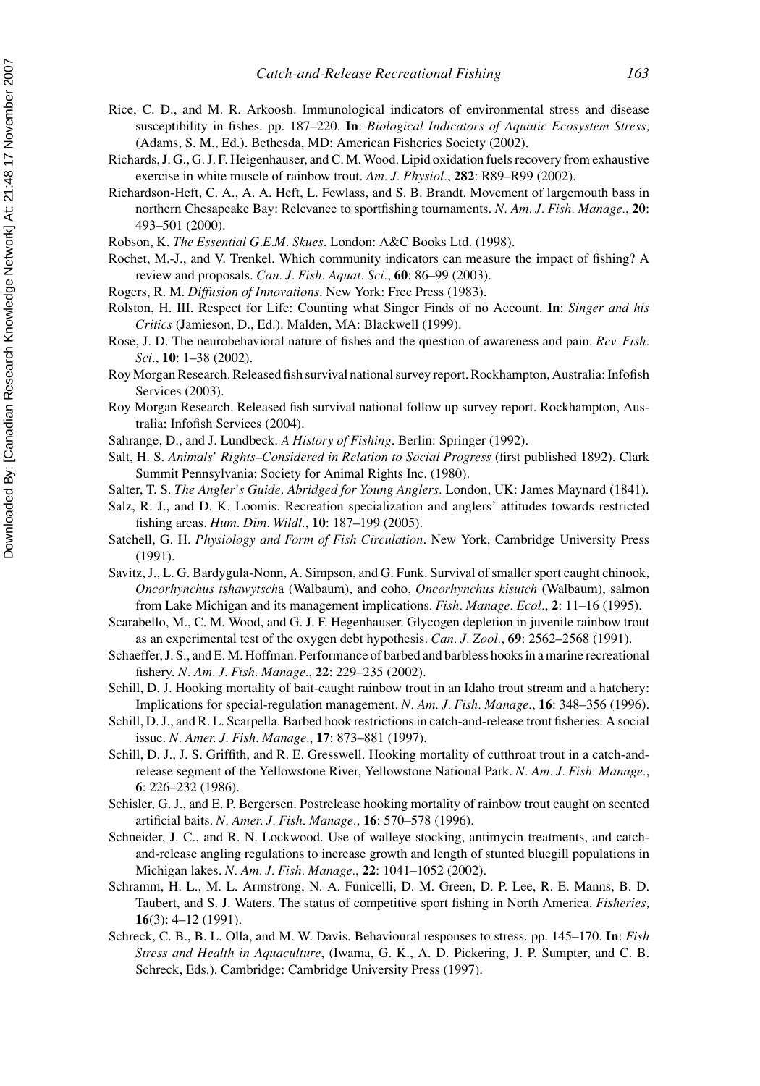- Rice, C. D., and M. R. Arkoosh. Immunological indicators of environmental stress and disease susceptibility in fishes. pp. 187–220. **In**: *Biological Indicators of Aquatic Ecosystem Stress,* (Adams, S. M., Ed.). Bethesda, MD: American Fisheries Society (2002).
- Richards, J. G., G. J. F. Heigenhauser, and C. M. Wood. Lipid oxidation fuels recovery from exhaustive exercise in white muscle of rainbow trout. *Am. J. Physiol.*, **282**: R89–R99 (2002).
- Richardson-Heft, C. A., A. A. Heft, L. Fewlass, and S. B. Brandt. Movement of largemouth bass in northern Chesapeake Bay: Relevance to sportfishing tournaments. *N. Am. J. Fish. Manage.*, **20**: 493–501 (2000).
- Robson, K. *The Essential G.E.M. Skues.* London: A&C Books Ltd. (1998).
- Rochet, M.-J., and V. Trenkel. Which community indicators can measure the impact of fishing? A review and proposals. *Can. J. Fish. Aquat. Sci.*, **60**: 86–99 (2003).
- Rogers, R. M. *Diffusion of Innovations*. New York: Free Press (1983).
- Rolston, H. III. Respect for Life: Counting what Singer Finds of no Account. **In**: *Singer and his Critics* (Jamieson, D., Ed.). Malden, MA: Blackwell (1999).
- Rose, J. D. The neurobehavioral nature of fishes and the question of awareness and pain. *Rev. Fish. Sci.*, **10**: 1–38 (2002).
- Roy Morgan Research. Released fish survival national survey report. Rockhampton, Australia: Infofish Services (2003).
- Roy Morgan Research. Released fish survival national follow up survey report. Rockhampton, Australia: Infofish Services (2004).
- Sahrange, D., and J. Lundbeck. *A History of Fishing*. Berlin: Springer (1992).
- Salt, H. S. *Animals' Rights–Considered in Relation to Social Progress* (first published 1892). Clark Summit Pennsylvania: Society for Animal Rights Inc. (1980).
- Salter, T. S. *The Angler's Guide, Abridged for Young Anglers.* London, UK: James Maynard (1841).
- Salz, R. J., and D. K. Loomis. Recreation specialization and anglers' attitudes towards restricted fishing areas. *Hum. Dim. Wildl.*, **10**: 187–199 (2005).
- Satchell, G. H. *Physiology and Form of Fish Circulation*. New York, Cambridge University Press (1991).
- Savitz, J., L. G. Bardygula-Nonn, A. Simpson, and G. Funk. Survival of smaller sport caught chinook, *Oncorhynchus tshawytsch*a (Walbaum), and coho, *Oncorhynchus kisutch* (Walbaum), salmon from Lake Michigan and its management implications. *Fish. Manage. Ecol.*, **2**: 11–16 (1995).
- Scarabello, M., C. M. Wood, and G. J. F. Hegenhauser. Glycogen depletion in juvenile rainbow trout as an experimental test of the oxygen debt hypothesis. *Can. J. Zool.*, **69**: 2562–2568 (1991).
- Schaeffer, J. S., and E. M. Hoffman. Performance of barbed and barbless hooks in a marine recreational fishery. *N. Am. J. Fish. Manage.*, **22**: 229–235 (2002).
- Schill, D. J. Hooking mortality of bait-caught rainbow trout in an Idaho trout stream and a hatchery: Implications for special-regulation management. *N. Am. J. Fish. Manage.*, **16**: 348–356 (1996).
- Schill, D. J., and R. L. Scarpella. Barbed hook restrictions in catch-and-release trout fisheries: A social issue. *N. Amer. J. Fish. Manage.*, **17**: 873–881 (1997).
- Schill, D. J., J. S. Griffith, and R. E. Gresswell. Hooking mortality of cutthroat trout in a catch-andrelease segment of the Yellowstone River, Yellowstone National Park. *N. Am. J. Fish. Manage.*, **6**: 226–232 (1986).
- Schisler, G. J., and E. P. Bergersen. Postrelease hooking mortality of rainbow trout caught on scented artificial baits. *N. Amer. J. Fish. Manage.*, **16**: 570–578 (1996).
- Schneider, J. C., and R. N. Lockwood. Use of walleye stocking, antimycin treatments, and catchand-release angling regulations to increase growth and length of stunted bluegill populations in Michigan lakes. *N. Am. J. Fish. Manage.*, **22**: 1041–1052 (2002).
- Schramm, H. L., M. L. Armstrong, N. A. Funicelli, D. M. Green, D. P. Lee, R. E. Manns, B. D. Taubert, and S. J. Waters. The status of competitive sport fishing in North America. *Fisheries,* **16**(3): 4–12 (1991).
- Schreck, C. B., B. L. Olla, and M. W. Davis. Behavioural responses to stress. pp. 145–170. **In**: *Fish Stress and Health in Aquaculture*, (Iwama, G. K., A. D. Pickering, J. P. Sumpter, and C. B. Schreck, Eds.). Cambridge: Cambridge University Press (1997).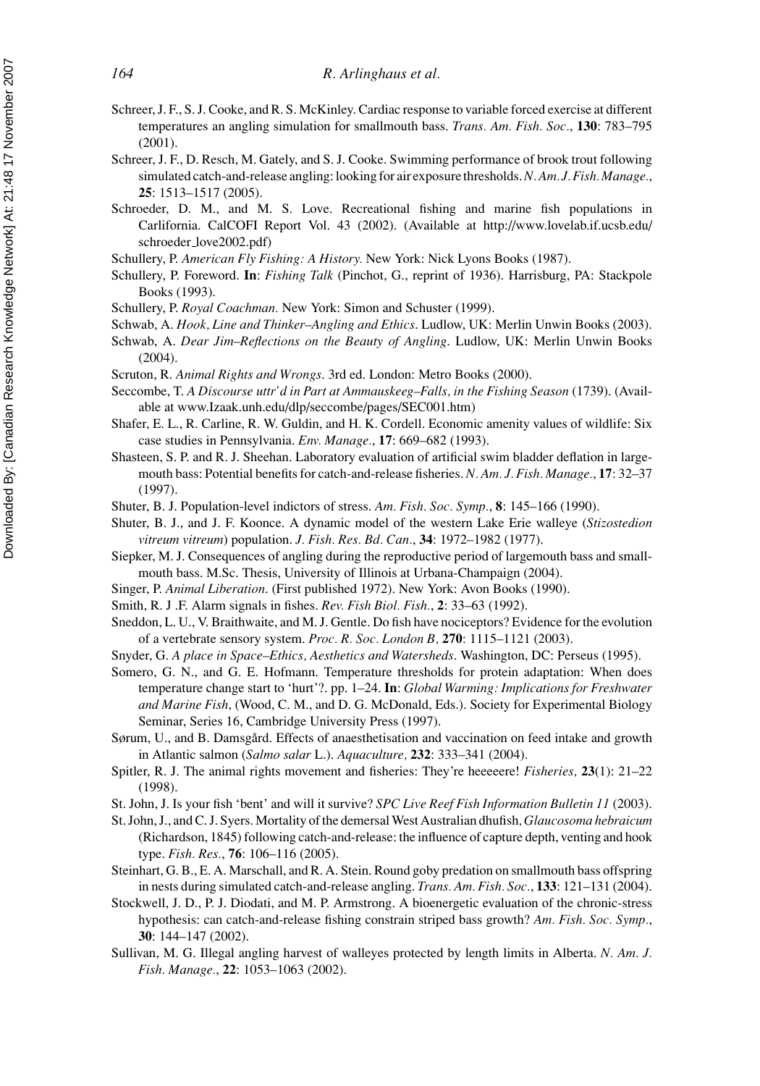- Schreer, J. F., S. J. Cooke, and R. S. McKinley. Cardiac response to variable forced exercise at different temperatures an angling simulation for smallmouth bass. *Trans. Am. Fish. Soc.*, **130**: 783–795 (2001).
- Schreer, J. F., D. Resch, M. Gately, and S. J. Cooke. Swimming performance of brook trout following simulated catch-and-release angling: looking for air exposure thresholds.*N. Am. J. Fish. Manage.*, **25**: 1513–1517 (2005).
- Schroeder, D. M., and M. S. Love. Recreational fishing and marine fish populations in Carlifornia. CalCOFI Report Vol. 43 (2002). (Available at http://www.lovelab.if.ucsb.edu/ schroeder love2002.pdf)
- Schullery, P. *American Fly Fishing: A History.* New York: Nick Lyons Books (1987).
- Schullery, P. Foreword. **In**: *Fishing Talk* (Pinchot, G., reprint of 1936). Harrisburg, PA: Stackpole Books (1993).
- Schullery, P. *Royal Coachman.* New York: Simon and Schuster (1999).
- Schwab, A. *Hook, Line and Thinker–Angling and Ethics*. Ludlow, UK: Merlin Unwin Books (2003).
- Schwab, A. *Dear Jim–Reflections on the Beauty of Angling*. Ludlow, UK: Merlin Unwin Books (2004).
- Scruton, R. *Animal Rights and Wrongs*. 3rd ed. London: Metro Books (2000).
- Seccombe, T. *A Discourse uttr'd in Part at Ammauskeeg–Falls, in the Fishing Season* (1739). (Available at www.Izaak.unh.edu/dlp/seccombe/pages/SEC001.htm)
- Shafer, E. L., R. Carline, R. W. Guldin, and H. K. Cordell. Economic amenity values of wildlife: Six case studies in Pennsylvania. *Env. Manage.*, **17**: 669–682 (1993).
- Shasteen, S. P. and R. J. Sheehan. Laboratory evaluation of artificial swim bladder deflation in largemouth bass: Potential benefits for catch-and-release fisheries. *N. Am. J. Fish. Manage.*, **17**: 32–37 (1997).
- Shuter, B. J. Population-level indictors of stress. *Am. Fish. Soc. Symp.*, **8**: 145–166 (1990).
- Shuter, B. J., and J. F. Koonce. A dynamic model of the western Lake Erie walleye (*Stizostedion vitreum vitreum*) population. *J. Fish. Res. Bd. Can.*, **34**: 1972–1982 (1977).
- Siepker, M. J. Consequences of angling during the reproductive period of largemouth bass and smallmouth bass. M.Sc. Thesis, University of Illinois at Urbana-Champaign (2004).
- Singer, P. *Animal Liberation*. (First published 1972). New York: Avon Books (1990).
- Smith, R. J .F. Alarm signals in fishes. *Rev. Fish Biol. Fish.*, **2**: 33–63 (1992).
- Sneddon, L. U., V. Braithwaite, and M. J. Gentle. Do fish have nociceptors? Evidence for the evolution of a vertebrate sensory system. *Proc. R. Soc. London B,* **270**: 1115–1121 (2003).
- Snyder, G. *A place in Space–Ethics, Aesthetics and Watersheds*. Washington, DC: Perseus (1995).
- Somero, G. N., and G. E. Hofmann. Temperature thresholds for protein adaptation: When does temperature change start to 'hurt'?. pp. 1–24. **In**: *Global Warming: Implications for Freshwater and Marine Fish*, (Wood, C. M., and D. G. McDonald, Eds.). Society for Experimental Biology Seminar, Series 16, Cambridge University Press (1997).
- Sørum, U., and B. Damsgård. Effects of anaesthetisation and vaccination on feed intake and growth in Atlantic salmon (*Salmo salar* L.). *Aquaculture,* **232**: 333–341 (2004).
- Spitler, R. J. The animal rights movement and fisheries: They're heeeeere! *Fisheries,* **23**(1): 21–22 (1998).
- St. John, J. Is your fish 'bent' and will it survive? *SPC Live Reef Fish Information Bulletin 11* (2003).
- St. John, J., and C. J. Syers. Mortality of the demersal West Australian dhufish*, Glaucosoma hebraicum* (Richardson, 1845) following catch-and-release: the influence of capture depth, venting and hook type. *Fish. Res.*, **76**: 106–116 (2005).
- Steinhart, G. B., E. A. Marschall, and R. A. Stein. Round goby predation on smallmouth bass offspring in nests during simulated catch-and-release angling. *Trans. Am. Fish. Soc.*, **133**: 121–131 (2004).
- Stockwell, J. D., P. J. Diodati, and M. P. Armstrong. A bioenergetic evaluation of the chronic-stress hypothesis: can catch-and-release fishing constrain striped bass growth? *Am. Fish. Soc. Symp.*, **30**: 144–147 (2002).
- Sullivan, M. G. Illegal angling harvest of walleyes protected by length limits in Alberta. *N. Am. J. Fish. Manage.*, **22**: 1053–1063 (2002).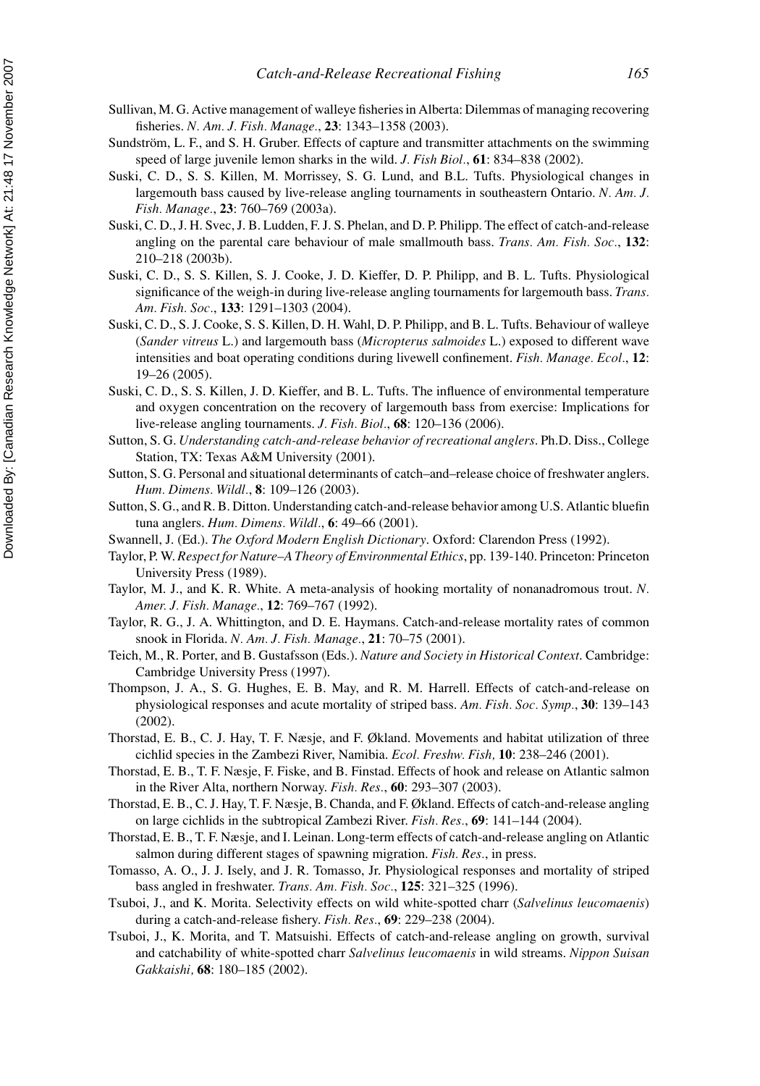- Sullivan, M. G. Active management of walleye fisheries in Alberta: Dilemmas of managing recovering fisheries. *N. Am. J. Fish. Manage.*, **23**: 1343–1358 (2003).
- Sundström, L. F., and S. H. Gruber. Effects of capture and transmitter attachments on the swimming speed of large juvenile lemon sharks in the wild. *J. Fish Biol.*, **61**: 834–838 (2002).
- Suski, C. D., S. S. Killen, M. Morrissey, S. G. Lund, and B.L. Tufts. Physiological changes in largemouth bass caused by live-release angling tournaments in southeastern Ontario. *N. Am. J. Fish. Manage.*, **23**: 760–769 (2003a).
- Suski, C. D., J. H. Svec, J. B. Ludden, F. J. S. Phelan, and D. P. Philipp. The effect of catch-and-release angling on the parental care behaviour of male smallmouth bass. *Trans. Am. Fish. Soc.*, **132**: 210–218 (2003b).
- Suski, C. D., S. S. Killen, S. J. Cooke, J. D. Kieffer, D. P. Philipp, and B. L. Tufts. Physiological significance of the weigh-in during live-release angling tournaments for largemouth bass. *Trans. Am. Fish. Soc.*, **133**: 1291–1303 (2004).
- Suski, C. D., S. J. Cooke, S. S. Killen, D. H. Wahl, D. P. Philipp, and B. L. Tufts. Behaviour of walleye (*Sander vitreus* L.) and largemouth bass (*Micropterus salmoides* L.) exposed to different wave intensities and boat operating conditions during livewell confinement. *Fish. Manage. Ecol.*, **12**: 19–26 (2005).
- Suski, C. D., S. S. Killen, J. D. Kieffer, and B. L. Tufts. The influence of environmental temperature and oxygen concentration on the recovery of largemouth bass from exercise: Implications for live-release angling tournaments. *J. Fish. Biol.*, **68**: 120–136 (2006).
- Sutton, S. G. *Understanding catch-and-release behavior of recreational anglers*. Ph.D. Diss., College Station, TX: Texas A&M University (2001).
- Sutton, S. G. Personal and situational determinants of catch–and–release choice of freshwater anglers. *Hum. Dimens. Wildl.*, **8**: 109–126 (2003).
- Sutton, S. G., and R. B. Ditton. Understanding catch-and-release behavior among U.S. Atlantic bluefin tuna anglers. *Hum. Dimens. Wildl.*, **6**: 49–66 (2001).
- Swannell, J. (Ed.). *The Oxford Modern English Dictionary*. Oxford: Clarendon Press (1992).
- Taylor, P. W. *Respect for Nature–A Theory of Environmental Ethics*, pp. 139-140. Princeton: Princeton University Press (1989).
- Taylor, M. J., and K. R. White. A meta-analysis of hooking mortality of nonanadromous trout. *N. Amer. J. Fish. Manage.*, **12**: 769–767 (1992).
- Taylor, R. G., J. A. Whittington, and D. E. Haymans. Catch-and-release mortality rates of common snook in Florida. *N. Am. J. Fish. Manage.*, **21**: 70–75 (2001).
- Teich, M., R. Porter, and B. Gustafsson (Eds.). *Nature and Society in Historical Context*. Cambridge: Cambridge University Press (1997).
- Thompson, J. A., S. G. Hughes, E. B. May, and R. M. Harrell. Effects of catch-and-release on physiological responses and acute mortality of striped bass. *Am. Fish. Soc. Symp.*, **30**: 139–143 (2002).
- Thorstad, E. B., C. J. Hay, T. F. Næsje, and F. Økland. Movements and habitat utilization of three cichlid species in the Zambezi River, Namibia. *Ecol. Freshw. Fish,* **10**: 238–246 (2001).
- Thorstad, E. B., T. F. Næsje, F. Fiske, and B. Finstad. Effects of hook and release on Atlantic salmon in the River Alta, northern Norway. *Fish. Res.*, **60**: 293–307 (2003).
- Thorstad, E. B., C. J. Hay, T. F. Næsje, B. Chanda, and F. Økland. Effects of catch-and-release angling on large cichlids in the subtropical Zambezi River. *Fish. Res.*, **69**: 141–144 (2004).
- Thorstad, E. B., T. F. Næsje, and I. Leinan. Long-term effects of catch-and-release angling on Atlantic salmon during different stages of spawning migration. *Fish. Res.*, in press.
- Tomasso, A. O., J. J. Isely, and J. R. Tomasso, Jr. Physiological responses and mortality of striped bass angled in freshwater. *Trans. Am. Fish. Soc.*, **125**: 321–325 (1996).
- Tsuboi, J., and K. Morita. Selectivity effects on wild white-spotted charr (*Salvelinus leucomaenis*) during a catch-and-release fishery. *Fish. Res.*, **69**: 229–238 (2004).
- Tsuboi, J., K. Morita, and T. Matsuishi. Effects of catch-and-release angling on growth, survival and catchability of white-spotted charr *Salvelinus leucomaenis* in wild streams. *Nippon Suisan Gakkaishi,* **68**: 180–185 (2002).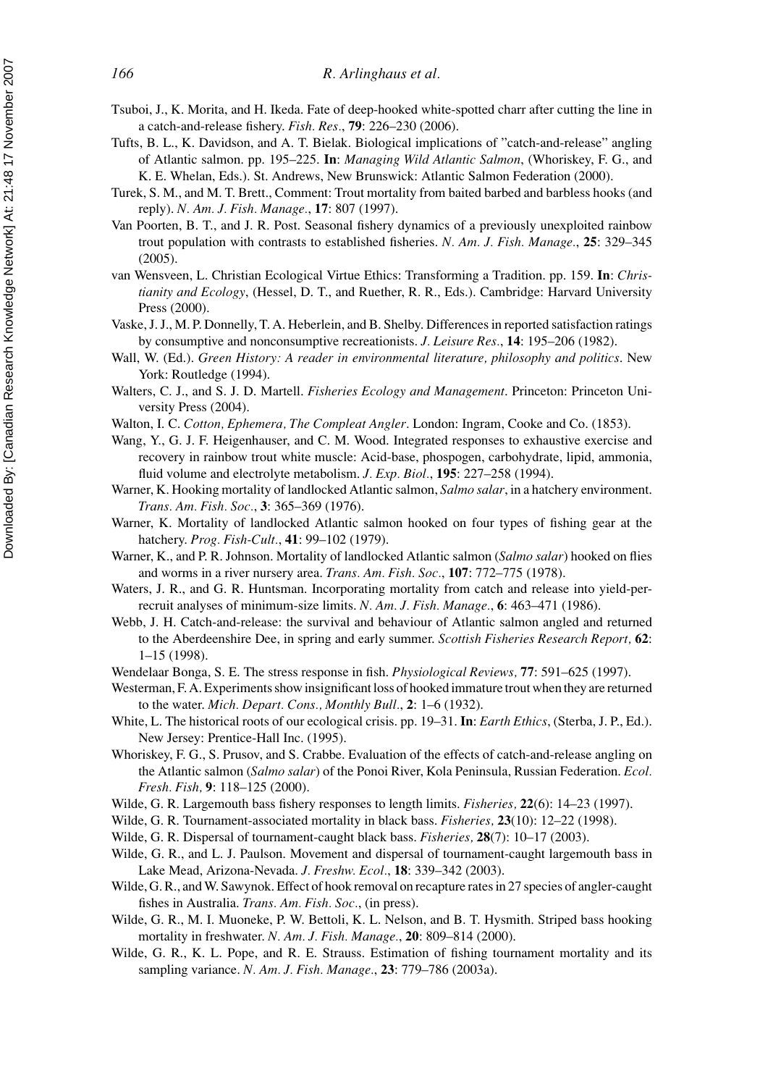- Tsuboi, J., K. Morita, and H. Ikeda. Fate of deep-hooked white-spotted charr after cutting the line in a catch-and-release fishery. *Fish. Res.*, **79**: 226–230 (2006).
- Tufts, B. L., K. Davidson, and A. T. Bielak. Biological implications of "catch-and-release" angling of Atlantic salmon. pp. 195–225. **In**: *Managing Wild Atlantic Salmon*, (Whoriskey, F. G., and K. E. Whelan, Eds.). St. Andrews, New Brunswick: Atlantic Salmon Federation (2000).
- Turek, S. M., and M. T. Brett., Comment: Trout mortality from baited barbed and barbless hooks (and reply). *N. Am. J. Fish. Manage.*, **17**: 807 (1997).
- Van Poorten, B. T., and J. R. Post. Seasonal fishery dynamics of a previously unexploited rainbow trout population with contrasts to established fisheries. *N. Am. J. Fish. Manage.*, **25**: 329–345 (2005).
- van Wensveen, L. Christian Ecological Virtue Ethics: Transforming a Tradition. pp. 159. **In**: *Christianity and Ecology*, (Hessel, D. T., and Ruether, R. R., Eds.). Cambridge: Harvard University Press (2000).
- Vaske, J. J., M. P. Donnelly, T. A. Heberlein, and B. Shelby. Differences in reported satisfaction ratings by consumptive and nonconsumptive recreationists. *J. Leisure Res.*, **14**: 195–206 (1982).
- Wall, W. (Ed.). *Green History: A reader in environmental literature, philosophy and politics*. New York: Routledge (1994).
- Walters, C. J., and S. J. D. Martell. *Fisheries Ecology and Management*. Princeton: Princeton University Press (2004).
- Walton, I. C. *Cotton, Ephemera, The Compleat Angler*. London: Ingram, Cooke and Co. (1853).
- Wang, Y., G. J. F. Heigenhauser, and C. M. Wood. Integrated responses to exhaustive exercise and recovery in rainbow trout white muscle: Acid-base, phospogen, carbohydrate, lipid, ammonia, fluid volume and electrolyte metabolism. *J. Exp. Biol.*, **195**: 227–258 (1994).
- Warner, K. Hooking mortality of landlocked Atlantic salmon, *Salmo salar*, in a hatchery environment. *Trans. Am. Fish. Soc.*, **3**: 365–369 (1976).
- Warner, K. Mortality of landlocked Atlantic salmon hooked on four types of fishing gear at the hatchery. *Prog. Fish-Cult.*, **41**: 99–102 (1979).
- Warner, K., and P. R. Johnson. Mortality of landlocked Atlantic salmon (*Salmo salar*) hooked on flies and worms in a river nursery area. *Trans. Am. Fish. Soc.*, **107**: 772–775 (1978).
- Waters, J. R., and G. R. Huntsman. Incorporating mortality from catch and release into yield-perrecruit analyses of minimum-size limits. *N. Am. J. Fish. Manage.*, **6**: 463–471 (1986).
- Webb, J. H. Catch-and-release: the survival and behaviour of Atlantic salmon angled and returned to the Aberdeenshire Dee, in spring and early summer. *Scottish Fisheries Research Report,* **62**: 1–15 (1998).
- Wendelaar Bonga, S. E. The stress response in fish. *Physiological Reviews,* **77**: 591–625 (1997).
- Westerman, F. A. Experiments show insignificant loss of hooked immature trout when they are returned to the water. *Mich. Depart. Cons., Monthly Bull.*, **2**: 1–6 (1932).
- White, L. The historical roots of our ecological crisis. pp. 19–31. **In**: *Earth Ethics*, (Sterba, J. P., Ed.). New Jersey: Prentice-Hall Inc. (1995).
- Whoriskey, F. G., S. Prusov, and S. Crabbe. Evaluation of the effects of catch-and-release angling on the Atlantic salmon (*Salmo salar*) of the Ponoi River, Kola Peninsula, Russian Federation. *Ecol. Fresh. Fish,* **9**: 118–125 (2000).
- Wilde, G. R. Largemouth bass fishery responses to length limits. *Fisheries,* **22**(6): 14–23 (1997).
- Wilde, G. R. Tournament-associated mortality in black bass. *Fisheries,* **23**(10): 12–22 (1998).
- Wilde, G. R. Dispersal of tournament-caught black bass. *Fisheries,* **28**(7): 10–17 (2003).
- Wilde, G. R., and L. J. Paulson. Movement and dispersal of tournament-caught largemouth bass in Lake Mead, Arizona-Nevada. *J. Freshw. Ecol.*, **18**: 339–342 (2003).
- Wilde, G. R., and W. Sawynok. Effect of hook removal on recapture rates in 27 species of angler-caught fishes in Australia. *Trans. Am. Fish. Soc.*, (in press).
- Wilde, G. R., M. I. Muoneke, P. W. Bettoli, K. L. Nelson, and B. T. Hysmith. Striped bass hooking mortality in freshwater. *N. Am. J. Fish. Manage.*, **20**: 809–814 (2000).
- Wilde, G. R., K. L. Pope, and R. E. Strauss. Estimation of fishing tournament mortality and its sampling variance. *N. Am. J. Fish. Manage.*, **23**: 779–786 (2003a).